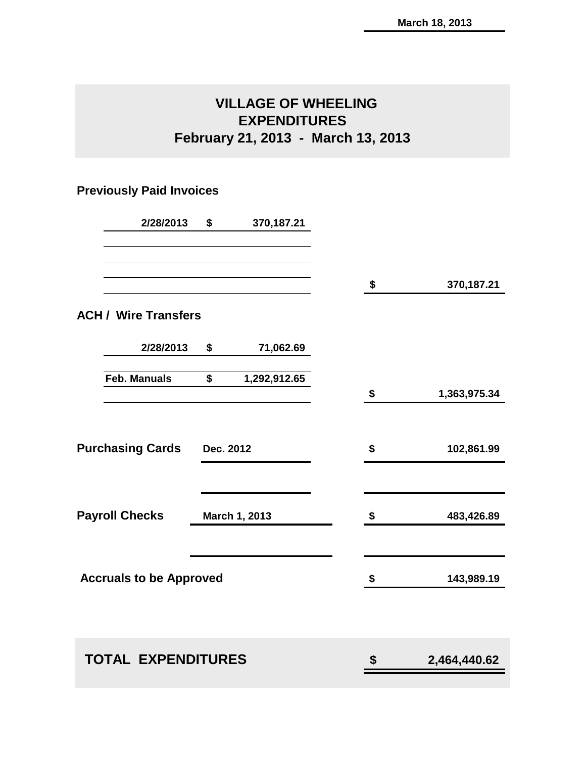# **VILLAGE OF WHEELING EXPENDITURES February 21, 2013 - March 13, 2013**

## **Previously Paid Invoices**

|                                      | 2/28/2013 | \$            | 370,187.21   |              |              |
|--------------------------------------|-----------|---------------|--------------|--------------|--------------|
|                                      |           |               |              | \$           | 370,187.21   |
| <b>ACH / Wire Transfers</b>          |           |               |              |              |              |
|                                      | 2/28/2013 | \$            | 71,062.69    |              |              |
| <b>Feb. Manuals</b>                  |           | \$            | 1,292,912.65 | \$           | 1,363,975.34 |
|                                      |           |               |              |              |              |
| <b>Purchasing Cards</b><br>Dec. 2012 |           | \$            | 102,861.99   |              |              |
| <b>Payroll Checks</b>                |           | March 1, 2013 |              | \$           | 483,426.89   |
| <b>Accruals to be Approved</b>       |           |               |              | \$           | 143,989.19   |
|                                      |           |               |              |              |              |
| <b>TOTAL EXPENDITURES</b>            |           |               | \$           | 2,464,440.62 |              |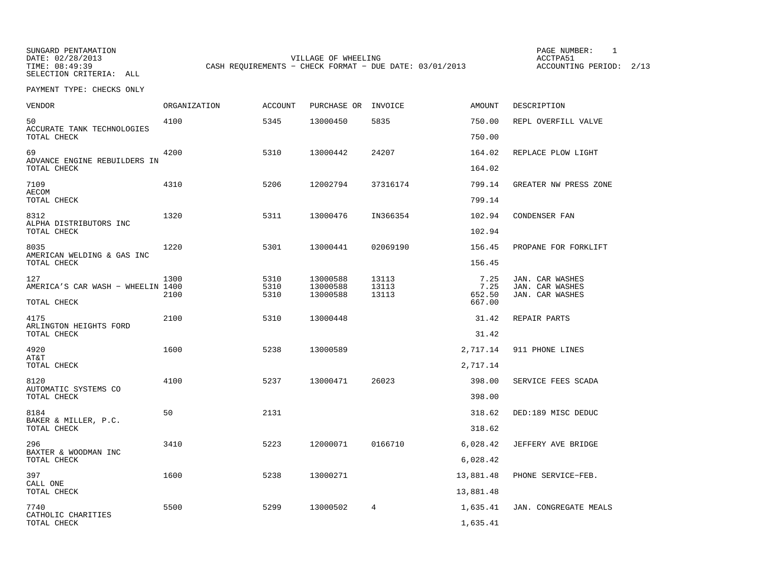DATE: 02/28/2013 VILLAGE OF WHEELING ACCTPA51

TIME: 08:49:39 CASH REQUIREMENTS - CHECK FORMAT - DUE DATE: 03/01/2013 ACCOUNTING PERIOD: 2/13

PAGE NUMBER: 1

| <b>VENDOR</b>                                     | <b>ORGANIZATION</b> | <b>ACCOUNT</b> | PURCHASE OR | INVOICE  | AMOUNT           | DESCRIPTION           |
|---------------------------------------------------|---------------------|----------------|-------------|----------|------------------|-----------------------|
| 50<br>ACCURATE TANK TECHNOLOGIES                  | 4100                | 5345           | 13000450    | 5835     | 750.00           | REPL OVERFILL VALVE   |
| TOTAL CHECK                                       |                     |                |             |          | 750.00           |                       |
| 69<br>ADVANCE ENGINE REBUILDERS IN<br>TOTAL CHECK | 4200                | 5310           | 13000442    | 24207    | 164.02<br>164.02 | REPLACE PLOW LIGHT    |
|                                                   |                     |                |             |          |                  |                       |
| 7109<br><b>AECOM</b><br>TOTAL CHECK               | 4310                | 5206           | 12002794    | 37316174 | 799.14<br>799.14 | GREATER NW PRESS ZONE |
|                                                   |                     |                |             |          |                  |                       |
| 8312<br>ALPHA DISTRIBUTORS INC<br>TOTAL CHECK     | 1320                | 5311           | 13000476    | IN366354 | 102.94<br>102.94 | CONDENSER FAN         |
|                                                   | 1220                | 5301           |             |          |                  |                       |
| 8035<br>AMERICAN WELDING & GAS INC<br>TOTAL CHECK |                     |                | 13000441    | 02069190 | 156.45<br>156.45 | PROPANE FOR FORKLIFT  |
| 127                                               | 1300                | 5310           | 13000588    | 13113    | 7.25             | JAN. CAR WASHES       |
| AMERICA'S CAR WASH - WHEELIN 1400                 |                     | 5310           | 13000588    | 13113    | 7.25             | JAN. CAR WASHES       |
| TOTAL CHECK                                       | 2100                | 5310           | 13000588    | 13113    | 652.50<br>667.00 | JAN. CAR WASHES       |
| 4175<br>ARLINGTON HEIGHTS FORD                    | 2100                | 5310           | 13000448    |          | 31.42            | REPAIR PARTS          |
| TOTAL CHECK                                       |                     |                |             |          | 31.42            |                       |
| 4920<br>AT&T                                      | 1600                | 5238           | 13000589    |          | 2,717.14         | 911 PHONE LINES       |
| TOTAL CHECK                                       |                     |                |             |          | 2,717.14         |                       |
| 8120<br>AUTOMATIC SYSTEMS CO                      | 4100                | 5237           | 13000471    | 26023    | 398.00           | SERVICE FEES SCADA    |
| TOTAL CHECK                                       |                     |                |             |          | 398.00           |                       |
| 8184<br>BAKER & MILLER, P.C.                      | 50                  | 2131           |             |          | 318.62           | DED:189 MISC DEDUC    |
| TOTAL CHECK                                       |                     |                |             |          | 318.62           |                       |
| 296<br>BAXTER & WOODMAN INC                       | 3410                | 5223           | 12000071    | 0166710  | 6,028.42         | JEFFERY AVE BRIDGE    |
| TOTAL CHECK                                       |                     |                |             |          | 6,028.42         |                       |
| 397<br>CALL ONE                                   | 1600                | 5238           | 13000271    |          | 13,881.48        | PHONE SERVICE-FEB.    |
| TOTAL CHECK                                       |                     |                |             |          | 13,881.48        |                       |
| 7740<br>CATHOLIC CHARITIES                        | 5500                | 5299           | 13000502    | 4        | 1,635.41         | JAN. CONGREGATE MEALS |
| TOTAL CHECK                                       |                     |                |             |          | 1,635.41         |                       |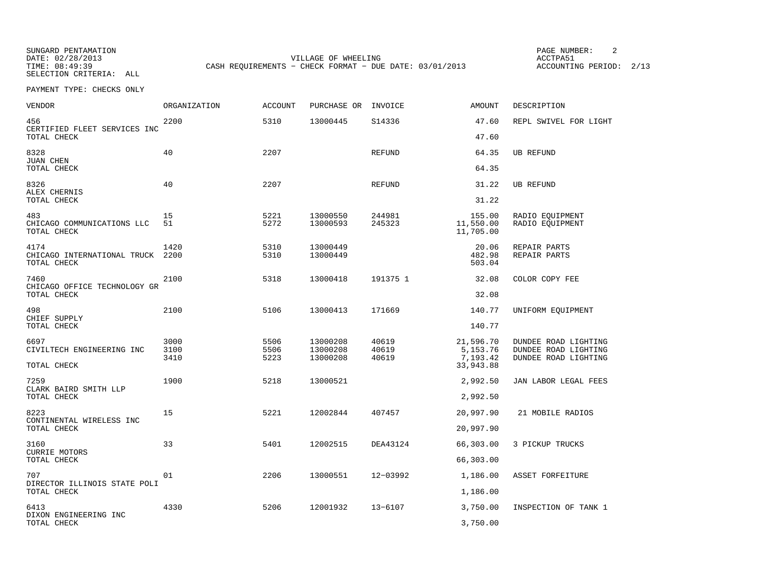DATE: 02/28/2013 VILLAGE OF WHEELING ACCTPA51 TIME: 08:49:39 CASH REQUIREMENTS - CHECK FORMAT - DUE DATE: 03/01/2013 ACCOUNTING PERIOD: 2/13

PAGE NUMBER: 2

| <b>VENDOR</b>                                       | <b>ORGANIZATION</b>  | <b>ACCOUNT</b>       | PURCHASE OR                      | INVOICE                 | <b>AMOUNT</b>                                    | DESCRIPTION                                                          |
|-----------------------------------------------------|----------------------|----------------------|----------------------------------|-------------------------|--------------------------------------------------|----------------------------------------------------------------------|
| 456<br>CERTIFIED FLEET SERVICES INC<br>TOTAL CHECK  | 2200                 | 5310                 | 13000445                         | S14336                  | 47.60<br>47.60                                   | REPL SWIVEL FOR LIGHT                                                |
| 8328<br><b>JUAN CHEN</b><br>TOTAL CHECK             | 40                   | 2207                 |                                  | <b>REFUND</b>           | 64.35<br>64.35                                   | <b>UB REFUND</b>                                                     |
| 8326<br>ALEX CHERNIS<br>TOTAL CHECK                 | 40                   | 2207                 |                                  | <b>REFUND</b>           | 31.22<br>31.22                                   | <b>UB REFUND</b>                                                     |
| 483<br>CHICAGO COMMUNICATIONS LLC<br>TOTAL CHECK    | 15<br>51             | 5221<br>5272         | 13000550<br>13000593             | 244981<br>245323        | 155.00<br>11,550.00<br>11,705.00                 | RADIO EQUIPMENT<br>RADIO EQUIPMENT                                   |
| 4174<br>CHICAGO INTERNATIONAL TRUCK<br>TOTAL CHECK  | 1420<br>2200         | 5310<br>5310         | 13000449<br>13000449             |                         | 20.06<br>482.98<br>503.04                        | REPAIR PARTS<br>REPAIR PARTS                                         |
| 7460<br>CHICAGO OFFICE TECHNOLOGY GR<br>TOTAL CHECK | 2100                 | 5318                 | 13000418                         | 191375 1                | 32.08<br>32.08                                   | COLOR COPY FEE                                                       |
| 498<br>CHIEF SUPPLY<br>TOTAL CHECK                  | 2100                 | 5106                 | 13000413                         | 171669                  | 140.77<br>140.77                                 | UNIFORM EQUIPMENT                                                    |
| 6697<br>CIVILTECH ENGINEERING INC<br>TOTAL CHECK    | 3000<br>3100<br>3410 | 5506<br>5506<br>5223 | 13000208<br>13000208<br>13000208 | 40619<br>40619<br>40619 | 21,596.70<br>5, 153. 76<br>7,193.42<br>33,943.88 | DUNDEE ROAD LIGHTING<br>DUNDEE ROAD LIGHTING<br>DUNDEE ROAD LIGHTING |
| 7259<br>CLARK BAIRD SMITH LLP<br>TOTAL CHECK        | 1900                 | 5218                 | 13000521                         |                         | 2,992.50<br>2,992.50                             | JAN LABOR LEGAL FEES                                                 |
| 8223<br>CONTINENTAL WIRELESS INC<br>TOTAL CHECK     | 15                   | 5221                 | 12002844                         | 407457                  | 20,997.90<br>20,997.90                           | 21 MOBILE RADIOS                                                     |
| 3160<br><b>CURRIE MOTORS</b><br>TOTAL CHECK         | 33                   | 5401                 | 12002515                         | DEA43124                | 66,303.00<br>66,303.00                           | 3 PICKUP TRUCKS                                                      |
| 707<br>DIRECTOR ILLINOIS STATE POLI<br>TOTAL CHECK  | 01                   | 2206                 | 13000551                         | 12-03992                | 1,186.00<br>1,186.00                             | ASSET FORFEITURE                                                     |
| 6413<br>DIXON ENGINEERING INC<br>TOTAL CHECK        | 4330                 | 5206                 | 12001932                         | $13 - 6107$             | 3,750.00<br>3,750.00                             | INSPECTION OF TANK 1                                                 |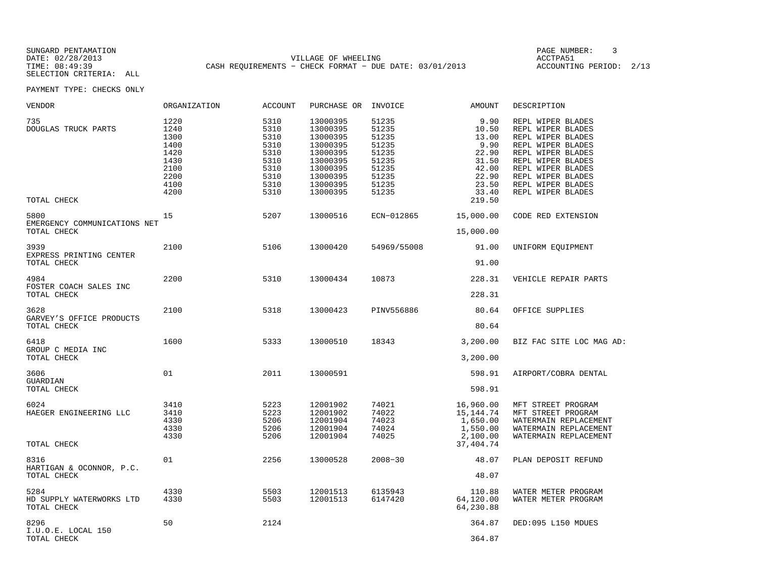DATE: 02/28/2013 VILLAGE OF WHEELING ACCTPA51 TIME: 08:49:39 CASH REQUIREMENTS - CHECK FORMAT - DUE DATE: 03/01/2013 ACCOUNTING PERIOD: 2/13

PAGE NUMBER: 3

| VENDOR                                          | ORGANIZATION                                                                 | <b>ACCOUNT</b>                                                               | PURCHASE OR                                                                                                          | INVOICE                                                                                | AMOUNT                                                                                         | DESCRIPTION                                                                                                                                                                                                    |
|-------------------------------------------------|------------------------------------------------------------------------------|------------------------------------------------------------------------------|----------------------------------------------------------------------------------------------------------------------|----------------------------------------------------------------------------------------|------------------------------------------------------------------------------------------------|----------------------------------------------------------------------------------------------------------------------------------------------------------------------------------------------------------------|
| 735<br>DOUGLAS TRUCK PARTS<br>TOTAL CHECK       | 1220<br>1240<br>1300<br>1400<br>1420<br>1430<br>2100<br>2200<br>4100<br>4200 | 5310<br>5310<br>5310<br>5310<br>5310<br>5310<br>5310<br>5310<br>5310<br>5310 | 13000395<br>13000395<br>13000395<br>13000395<br>13000395<br>13000395<br>13000395<br>13000395<br>13000395<br>13000395 | 51235<br>51235<br>51235<br>51235<br>51235<br>51235<br>51235<br>51235<br>51235<br>51235 | 9.90<br>10.50<br>13.00<br>9.90<br>22.90<br>31.50<br>42.00<br>22.90<br>23.50<br>33.40<br>219.50 | REPL WIPER BLADES<br>REPL WIPER BLADES<br>REPL WIPER BLADES<br>REPL WIPER BLADES<br>REPL WIPER BLADES<br>REPL WIPER BLADES<br>REPL WIPER BLADES<br>REPL WIPER BLADES<br>REPL WIPER BLADES<br>REPL WIPER BLADES |
| 5800                                            | 15                                                                           | 5207                                                                         | 13000516                                                                                                             | ECN-012865                                                                             | 15,000.00                                                                                      | CODE RED EXTENSION                                                                                                                                                                                             |
| EMERGENCY COMMUNICATIONS NET<br>TOTAL CHECK     |                                                                              |                                                                              |                                                                                                                      |                                                                                        | 15,000.00                                                                                      |                                                                                                                                                                                                                |
| 3939                                            | 2100                                                                         | 5106                                                                         | 13000420                                                                                                             | 54969/55008                                                                            | 91.00                                                                                          | UNIFORM EQUIPMENT                                                                                                                                                                                              |
| EXPRESS PRINTING CENTER<br>TOTAL CHECK          |                                                                              |                                                                              |                                                                                                                      |                                                                                        | 91.00                                                                                          |                                                                                                                                                                                                                |
| 4984                                            | 2200                                                                         | 5310                                                                         | 13000434                                                                                                             | 10873                                                                                  | 228.31                                                                                         | VEHICLE REPAIR PARTS                                                                                                                                                                                           |
| FOSTER COACH SALES INC<br>TOTAL CHECK           |                                                                              |                                                                              |                                                                                                                      |                                                                                        | 228.31                                                                                         |                                                                                                                                                                                                                |
| 3628<br>GARVEY'S OFFICE PRODUCTS<br>TOTAL CHECK | 2100                                                                         | 5318                                                                         | 13000423                                                                                                             | PINV556886                                                                             | 80.64<br>80.64                                                                                 | OFFICE SUPPLIES                                                                                                                                                                                                |
| 6418<br>GROUP C MEDIA INC<br>TOTAL CHECK        | 1600                                                                         | 5333                                                                         | 13000510                                                                                                             | 18343                                                                                  | 3,200.00<br>3,200.00                                                                           | BIZ FAC SITE LOC MAG AD:                                                                                                                                                                                       |
| 3606<br>GUARDIAN<br>TOTAL CHECK                 | 01                                                                           | 2011                                                                         | 13000591                                                                                                             |                                                                                        | 598.91<br>598.91                                                                               | AIRPORT/COBRA DENTAL                                                                                                                                                                                           |
| 6024<br>HAEGER ENGINEERING LLC<br>TOTAL CHECK   | 3410<br>3410<br>4330<br>4330<br>4330                                         | 5223<br>5223<br>5206<br>5206<br>5206                                         | 12001902<br>12001902<br>12001904<br>12001904<br>12001904                                                             | 74021<br>74022<br>74023<br>74024<br>74025                                              | 16,960.00<br>15, 144. 74<br>1,650.00<br>1,550.00<br>2,100.00<br>37,404.74                      | MFT STREET PROGRAM<br>MFT STREET PROGRAM<br>WATERMAIN REPLACEMENT<br>WATERMAIN REPLACEMENT<br>WATERMAIN REPLACEMENT                                                                                            |
| 8316<br>HARTIGAN & OCONNOR, P.C.<br>TOTAL CHECK | 01                                                                           | 2256                                                                         | 13000528                                                                                                             | $2008 - 30$                                                                            | 48.07<br>48.07                                                                                 | PLAN DEPOSIT REFUND                                                                                                                                                                                            |
| 5284<br>HD SUPPLY WATERWORKS LTD<br>TOTAL CHECK | 4330<br>4330                                                                 | 5503<br>5503                                                                 | 12001513<br>12001513                                                                                                 | 6135943<br>6147420                                                                     | 110.88<br>64,120.00<br>64,230.88                                                               | WATER METER PROGRAM<br>WATER METER PROGRAM                                                                                                                                                                     |
| 8296<br>I.U.O.E. LOCAL 150<br>TOTAL CHECK       | 50                                                                           | 2124                                                                         |                                                                                                                      |                                                                                        | 364.87<br>364.87                                                                               | DED:095 L150 MDUES                                                                                                                                                                                             |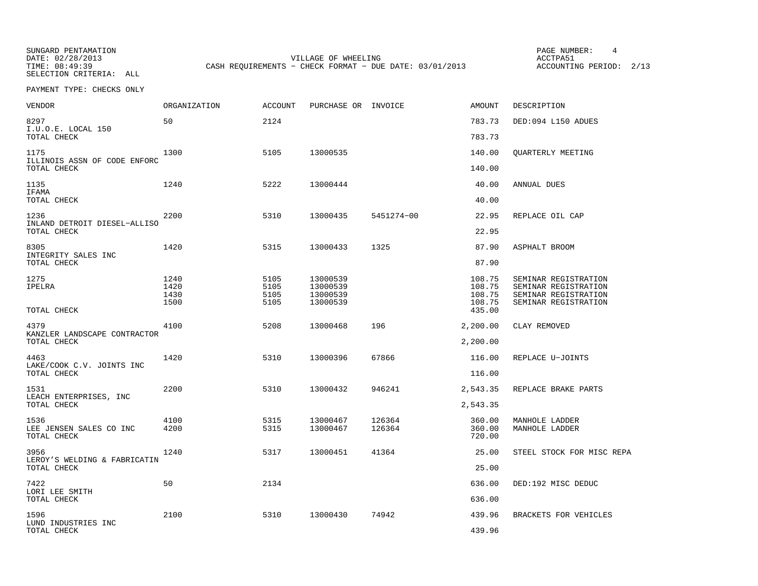DATE: 02/28/2013 VILLAGE OF WHEELING ACCTPA51 TIME: 08:49:39 CASH REQUIREMENTS - CHECK FORMAT - DUE DATE: 03/01/2013

PAGE NUMBER: 4

| VENDOR                                         | ORGANIZATION                 | <b>ACCOUNT</b>               | PURCHASE OR INVOICE                          |                  | AMOUNT                               | DESCRIPTION                                                                                  |
|------------------------------------------------|------------------------------|------------------------------|----------------------------------------------|------------------|--------------------------------------|----------------------------------------------------------------------------------------------|
| 8297<br>I.U.O.E. LOCAL 150                     | 50                           | 2124                         |                                              |                  | 783.73                               | DED:094 L150 ADUES                                                                           |
| TOTAL CHECK                                    |                              |                              |                                              |                  | 783.73                               |                                                                                              |
| 1175<br>ILLINOIS ASSN OF CODE ENFORC           | 1300                         | 5105                         | 13000535                                     |                  | 140.00                               | <b>OUARTERLY MEETING</b>                                                                     |
| TOTAL CHECK                                    |                              |                              |                                              |                  | 140.00                               |                                                                                              |
| 1135<br>IFAMA                                  | 1240                         | 5222                         | 13000444                                     |                  | 40.00                                | ANNUAL DUES                                                                                  |
| TOTAL CHECK                                    |                              |                              |                                              |                  | 40.00                                |                                                                                              |
| 1236<br>INLAND DETROIT DIESEL-ALLISO           | 2200                         | 5310                         | 13000435                                     | 5451274-00       | 22.95                                | REPLACE OIL CAP                                                                              |
| TOTAL CHECK                                    |                              |                              |                                              |                  | 22.95                                |                                                                                              |
| 8305<br>INTEGRITY SALES INC                    | 1420                         | 5315                         | 13000433                                     | 1325             | 87.90                                | ASPHALT BROOM                                                                                |
| TOTAL CHECK                                    |                              |                              |                                              |                  | 87.90                                |                                                                                              |
| 1275<br>IPELRA                                 | 1240<br>1420<br>1430<br>1500 | 5105<br>5105<br>5105<br>5105 | 13000539<br>13000539<br>13000539<br>13000539 |                  | 108.75<br>108.75<br>108.75<br>108.75 | SEMINAR REGISTRATION<br>SEMINAR REGISTRATION<br>SEMINAR REGISTRATION<br>SEMINAR REGISTRATION |
| TOTAL CHECK                                    |                              |                              |                                              |                  | 435.00                               |                                                                                              |
| 4379<br>KANZLER LANDSCAPE CONTRACTOR           | 4100                         | 5208                         | 13000468                                     | 196              | 2,200.00                             | CLAY REMOVED                                                                                 |
| TOTAL CHECK                                    |                              |                              |                                              |                  | 2,200.00                             |                                                                                              |
| 4463<br>LAKE/COOK C.V. JOINTS INC              | 1420                         | 5310                         | 13000396                                     | 67866            | 116.00                               | REPLACE U-JOINTS                                                                             |
| TOTAL CHECK                                    |                              |                              |                                              |                  | 116.00                               |                                                                                              |
| 1531<br>LEACH ENTERPRISES, INC                 | 2200                         | 5310                         | 13000432                                     | 946241           | 2,543.35                             | REPLACE BRAKE PARTS                                                                          |
| TOTAL CHECK                                    |                              |                              |                                              |                  | 2,543.35                             |                                                                                              |
| 1536<br>LEE JENSEN SALES CO INC<br>TOTAL CHECK | 4100<br>4200                 | 5315<br>5315                 | 13000467<br>13000467                         | 126364<br>126364 | 360.00<br>360.00<br>720.00           | MANHOLE LADDER<br>MANHOLE LADDER                                                             |
| 3956<br>LEROY'S WELDING & FABRICATIN           | 1240                         | 5317                         | 13000451                                     | 41364            | 25.00                                | STEEL STOCK FOR MISC REPA                                                                    |
| TOTAL CHECK                                    |                              |                              |                                              |                  | 25.00                                |                                                                                              |
| 7422<br>LORI LEE SMITH                         | 50                           | 2134                         |                                              |                  | 636.00                               | DED:192 MISC DEDUC                                                                           |
| TOTAL CHECK                                    |                              |                              |                                              |                  | 636.00                               |                                                                                              |
| 1596<br>LUND INDUSTRIES INC                    | 2100                         | 5310                         | 13000430                                     | 74942            | 439.96                               | BRACKETS FOR VEHICLES                                                                        |
| TOTAL CHECK                                    |                              |                              |                                              |                  | 439.96                               |                                                                                              |
|                                                |                              |                              |                                              |                  |                                      |                                                                                              |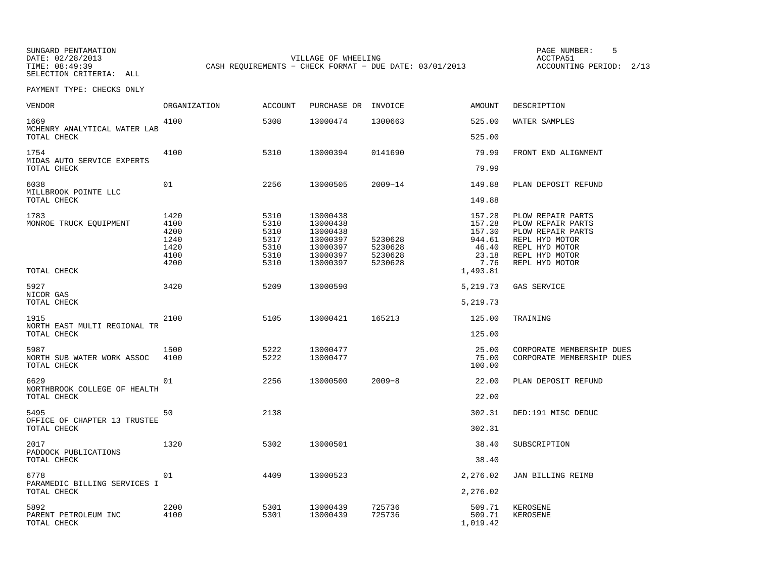DATE: 02/28/2013 VILLAGE OF WHEELING ACCTPA51 TIME: 08:49:39 CASH REQUIREMENTS - CHECK FORMAT - DUE DATE: 03/01/2013 ACCOUNTING PERIOD: 2/13

PAGE NUMBER: 5

| VENDOR                                            | <b>ORGANIZATION</b>                                  | <b>ACCOUNT</b>                                       | PURCHASE OR                                                                      | INVOICE                                  | <b>AMOUNT</b>                                                  | DESCRIPTION                                                                                                                         |
|---------------------------------------------------|------------------------------------------------------|------------------------------------------------------|----------------------------------------------------------------------------------|------------------------------------------|----------------------------------------------------------------|-------------------------------------------------------------------------------------------------------------------------------------|
| 1669<br>MCHENRY ANALYTICAL WATER LAB              | 4100                                                 | 5308                                                 | 13000474                                                                         | 1300663                                  | 525.00                                                         | WATER SAMPLES                                                                                                                       |
| TOTAL CHECK                                       |                                                      |                                                      |                                                                                  |                                          | 525.00                                                         |                                                                                                                                     |
| 1754<br>MIDAS AUTO SERVICE EXPERTS                | 4100                                                 | 5310                                                 | 13000394                                                                         | 0141690                                  | 79.99                                                          | FRONT END ALIGNMENT                                                                                                                 |
| TOTAL CHECK                                       |                                                      |                                                      |                                                                                  |                                          | 79.99                                                          |                                                                                                                                     |
| 6038<br>MILLBROOK POINTE LLC                      | 01                                                   | 2256                                                 | 13000505                                                                         | $2009 - 14$                              | 149.88                                                         | PLAN DEPOSIT REFUND                                                                                                                 |
| TOTAL CHECK                                       |                                                      |                                                      |                                                                                  |                                          | 149.88                                                         |                                                                                                                                     |
| 1783<br>MONROE TRUCK EQUIPMENT                    | 1420<br>4100<br>4200<br>1240<br>1420<br>4100<br>4200 | 5310<br>5310<br>5310<br>5317<br>5310<br>5310<br>5310 | 13000438<br>13000438<br>13000438<br>13000397<br>13000397<br>13000397<br>13000397 | 5230628<br>5230628<br>5230628<br>5230628 | 157.28<br>157.28<br>157.30<br>944.61<br>46.40<br>23.18<br>7.76 | PLOW REPAIR PARTS<br>PLOW REPAIR PARTS<br>PLOW REPAIR PARTS<br>REPL HYD MOTOR<br>REPL HYD MOTOR<br>REPL HYD MOTOR<br>REPL HYD MOTOR |
| TOTAL CHECK                                       |                                                      |                                                      |                                                                                  |                                          | 1,493.81                                                       |                                                                                                                                     |
| 5927<br>NICOR GAS                                 | 3420                                                 | 5209                                                 | 13000590                                                                         |                                          | 5,219.73                                                       | GAS SERVICE                                                                                                                         |
| TOTAL CHECK                                       |                                                      |                                                      |                                                                                  |                                          | 5,219.73                                                       |                                                                                                                                     |
| 1915<br>NORTH EAST MULTI REGIONAL TR              | 2100                                                 | 5105                                                 | 13000421                                                                         | 165213                                   | 125.00                                                         | TRAINING                                                                                                                            |
| TOTAL CHECK                                       |                                                      |                                                      |                                                                                  |                                          | 125.00                                                         |                                                                                                                                     |
| 5987<br>NORTH SUB WATER WORK ASSOC<br>TOTAL CHECK | 1500<br>4100                                         | 5222<br>5222                                         | 13000477<br>13000477                                                             |                                          | 25.00<br>75.00<br>100.00                                       | CORPORATE MEMBERSHIP DUES<br>CORPORATE MEMBERSHIP DUES                                                                              |
| 6629                                              | 01                                                   | 2256                                                 | 13000500                                                                         | $2009 - 8$                               | 22.00                                                          | PLAN DEPOSIT REFUND                                                                                                                 |
| NORTHBROOK COLLEGE OF HEALTH<br>TOTAL CHECK       |                                                      |                                                      |                                                                                  |                                          | 22.00                                                          |                                                                                                                                     |
| 5495                                              | 50                                                   | 2138                                                 |                                                                                  |                                          | 302.31                                                         | DED:191 MISC DEDUC                                                                                                                  |
| OFFICE OF CHAPTER 13 TRUSTEE<br>TOTAL CHECK       |                                                      |                                                      |                                                                                  |                                          | 302.31                                                         |                                                                                                                                     |
| 2017<br>PADDOCK PUBLICATIONS                      | 1320                                                 | 5302                                                 | 13000501                                                                         |                                          | 38.40                                                          | SUBSCRIPTION                                                                                                                        |
| TOTAL CHECK                                       |                                                      |                                                      |                                                                                  |                                          | 38.40                                                          |                                                                                                                                     |
| 6778<br>PARAMEDIC BILLING SERVICES I              | 01                                                   | 4409                                                 | 13000523                                                                         |                                          | 2,276.02                                                       | JAN BILLING REIMB                                                                                                                   |
| TOTAL CHECK                                       |                                                      |                                                      |                                                                                  |                                          | 2,276.02                                                       |                                                                                                                                     |
| 5892<br>PARENT PETROLEUM INC<br>TOTAL CHECK       | 2200<br>4100                                         | 5301<br>5301                                         | 13000439<br>13000439                                                             | 725736<br>725736                         | 509.71<br>509.71<br>1,019.42                                   | KEROSENE<br>KEROSENE                                                                                                                |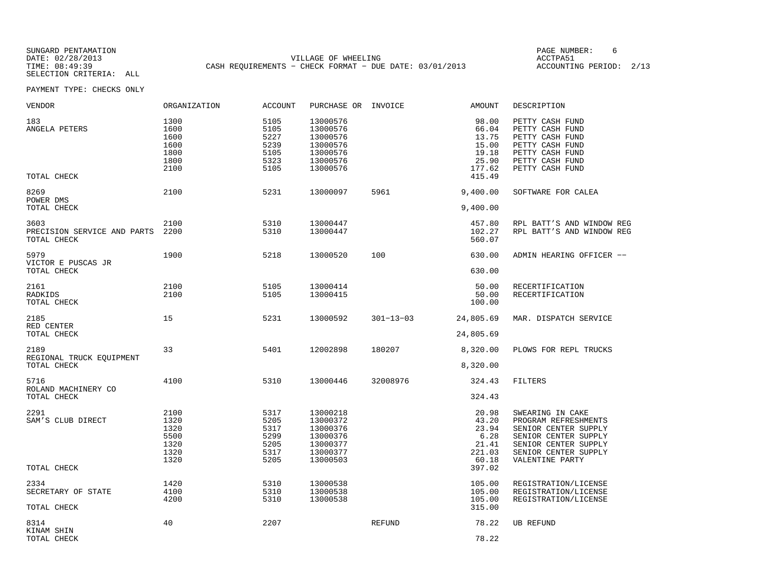DATE: 02/28/2013 VILLAGE OF WHEELING ACCTPA51 TIME: 08:49:39 CASH REQUIREMENTS - CHECK FORMAT - DUE DATE: 03/01/2013 ACCOUNTING PERIOD: 2/13

PAGE NUMBER: 6

| VENDOR                                             | ORGANIZATION                                         | ACCOUNT                                              | PURCHASE OR INVOICE                                                              |                 | AMOUNT                                                                 | DESCRIPTION                                                                                                                                                 |
|----------------------------------------------------|------------------------------------------------------|------------------------------------------------------|----------------------------------------------------------------------------------|-----------------|------------------------------------------------------------------------|-------------------------------------------------------------------------------------------------------------------------------------------------------------|
| 183<br>ANGELA PETERS<br>TOTAL CHECK                | 1300<br>1600<br>1600<br>1600<br>1800<br>1800<br>2100 | 5105<br>5105<br>5227<br>5239<br>5105<br>5323<br>5105 | 13000576<br>13000576<br>13000576<br>13000576<br>13000576<br>13000576<br>13000576 |                 | 98.00<br>66.04<br>13.75<br>15.00<br>19.18<br>25.90<br>177.62<br>415.49 | PETTY CASH FUND<br>PETTY CASH FUND<br>PETTY CASH FUND<br>PETTY CASH FUND<br>PETTY CASH FUND<br>PETTY CASH FUND<br>PETTY CASH FUND                           |
| 8269<br>POWER DMS                                  | 2100                                                 | 5231                                                 | 13000097                                                                         | 5961            | 9,400.00                                                               | SOFTWARE FOR CALEA                                                                                                                                          |
| TOTAL CHECK                                        |                                                      |                                                      |                                                                                  |                 | 9,400.00                                                               |                                                                                                                                                             |
| 3603<br>PRECISION SERVICE AND PARTS<br>TOTAL CHECK | 2100<br>2200                                         | 5310<br>5310                                         | 13000447<br>13000447                                                             |                 | 457.80<br>102.27<br>560.07                                             | RPL BATT'S AND WINDOW REG<br>RPL BATT'S AND WINDOW REG                                                                                                      |
| 5979<br>VICTOR E PUSCAS JR                         | 1900                                                 | 5218                                                 | 13000520                                                                         | 100             | 630.00                                                                 | ADMIN HEARING OFFICER --                                                                                                                                    |
| TOTAL CHECK                                        |                                                      |                                                      |                                                                                  |                 | 630.00                                                                 |                                                                                                                                                             |
| 2161<br>RADKIDS<br>TOTAL CHECK                     | 2100<br>2100                                         | 5105<br>5105                                         | 13000414<br>13000415                                                             |                 | 50.00<br>50.00<br>100.00                                               | RECERTIFICATION<br>RECERTIFICATION                                                                                                                          |
| 2185<br>RED CENTER<br>TOTAL CHECK                  | 15                                                   | 5231                                                 | 13000592                                                                         | $301 - 13 - 03$ | 24,805.69<br>24,805.69                                                 | MAR. DISPATCH SERVICE                                                                                                                                       |
| 2189<br>REGIONAL TRUCK EQUIPMENT<br>TOTAL CHECK    | 33                                                   | 5401                                                 | 12002898                                                                         | 180207          | 8,320.00<br>8,320.00                                                   | PLOWS FOR REPL TRUCKS                                                                                                                                       |
| 5716<br>ROLAND MACHINERY CO<br>TOTAL CHECK         | 4100                                                 | 5310                                                 | 13000446                                                                         | 32008976        | 324.43<br>324.43                                                       | FILTERS                                                                                                                                                     |
| 2291<br>SAM'S CLUB DIRECT                          | 2100<br>1320<br>1320<br>5500<br>1320<br>1320<br>1320 | 5317<br>5205<br>5317<br>5299<br>5205<br>5317<br>5205 | 13000218<br>13000372<br>13000376<br>13000376<br>13000377<br>13000377<br>13000503 |                 | 20.98<br>43.20<br>23.94<br>6.28<br>21.41<br>221.03<br>60.18            | SWEARING IN CAKE<br>PROGRAM REFRESHMENTS<br>SENIOR CENTER SUPPLY<br>SENIOR CENTER SUPPLY<br>SENIOR CENTER SUPPLY<br>SENIOR CENTER SUPPLY<br>VALENTINE PARTY |
| TOTAL CHECK                                        |                                                      |                                                      |                                                                                  |                 | 397.02                                                                 |                                                                                                                                                             |
| 2334<br>SECRETARY OF STATE<br>TOTAL CHECK          | 1420<br>4100<br>4200                                 | 5310<br>5310<br>5310                                 | 13000538<br>13000538<br>13000538                                                 |                 | 105.00<br>105.00<br>105.00<br>315.00                                   | REGISTRATION/LICENSE<br>REGISTRATION/LICENSE<br>REGISTRATION/LICENSE                                                                                        |
| 8314<br>KINAM SHIN<br>TOTAL CHECK                  | 40                                                   | 2207                                                 |                                                                                  | REFUND          | 78.22<br>78.22                                                         | <b>UB REFUND</b>                                                                                                                                            |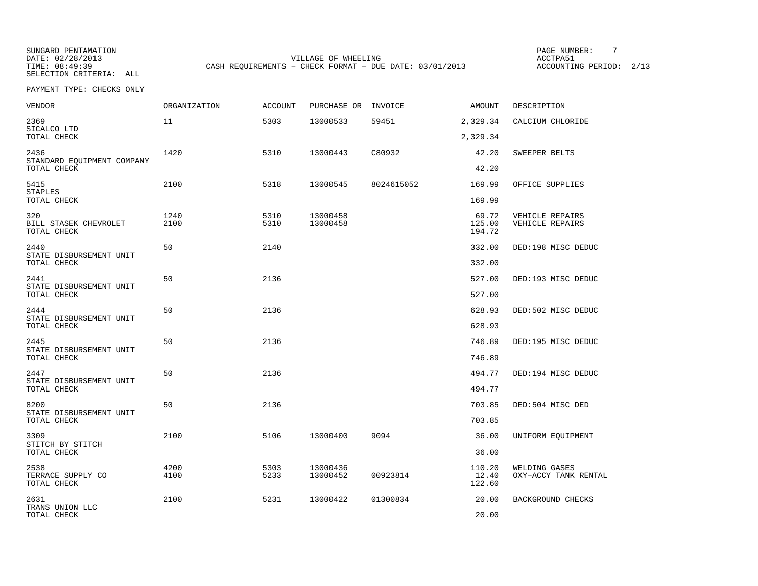DATE: 02/28/2013 VILLAGE OF WHEELING ACCTPA51 TIME: 08:49:39 CASH REQUIREMENTS - CHECK FORMAT - DUE DATE: 03/01/2013 ACCOUNTING PERIOD: 2/13

PAGE NUMBER: 7

| VENDOR                                            | <b>ORGANIZATION</b> | <b>ACCOUNT</b> | PURCHASE OR          | INVOICE    | <b>AMOUNT</b>             | DESCRIPTION                        |
|---------------------------------------------------|---------------------|----------------|----------------------|------------|---------------------------|------------------------------------|
| 2369<br>SICALCO LTD                               | 11                  | 5303           | 13000533             | 59451      | 2,329.34                  | CALCIUM CHLORIDE                   |
| TOTAL CHECK                                       |                     |                |                      |            | 2,329.34                  |                                    |
| 2436<br>STANDARD EQUIPMENT COMPANY<br>TOTAL CHECK | 1420                | 5310           | 13000443             | C80932     | 42.20<br>42.20            | SWEEPER BELTS                      |
| 5415<br>STAPLES                                   | 2100                | 5318           | 13000545             | 8024615052 | 169.99                    | OFFICE SUPPLIES                    |
| TOTAL CHECK                                       |                     |                |                      |            | 169.99                    |                                    |
| 320<br>BILL STASEK CHEVROLET<br>TOTAL CHECK       | 1240<br>2100        | 5310<br>5310   | 13000458<br>13000458 |            | 69.72<br>125.00<br>194.72 | VEHICLE REPAIRS<br>VEHICLE REPAIRS |
| 2440                                              | 50                  | 2140           |                      |            | 332.00                    | DED:198 MISC DEDUC                 |
| STATE DISBURSEMENT UNIT<br>TOTAL CHECK            |                     |                |                      |            | 332.00                    |                                    |
| 2441                                              | 50                  | 2136           |                      |            | 527.00                    | DED:193 MISC DEDUC                 |
| STATE DISBURSEMENT UNIT<br>TOTAL CHECK            |                     |                |                      |            | 527.00                    |                                    |
| 2444                                              | 50                  | 2136           |                      |            | 628.93                    | DED:502 MISC DEDUC                 |
| STATE DISBURSEMENT UNIT<br>TOTAL CHECK            |                     |                |                      |            | 628.93                    |                                    |
| 2445<br>STATE DISBURSEMENT UNIT                   | 50                  | 2136           |                      |            | 746.89                    | DED:195 MISC DEDUC                 |
| TOTAL CHECK                                       |                     |                |                      |            | 746.89                    |                                    |
| 2447                                              | 50                  | 2136           |                      |            | 494.77                    | DED:194 MISC DEDUC                 |
| STATE DISBURSEMENT UNIT<br>TOTAL CHECK            |                     |                |                      |            | 494.77                    |                                    |
| 8200<br>STATE DISBURSEMENT UNIT                   | 50                  | 2136           |                      |            | 703.85                    | DED:504 MISC DED                   |
| TOTAL CHECK                                       |                     |                |                      |            | 703.85                    |                                    |
| 3309<br>STITCH BY STITCH                          | 2100                | 5106           | 13000400             | 9094       | 36.00                     | UNIFORM EQUIPMENT                  |
| TOTAL CHECK                                       |                     |                |                      |            | 36.00                     |                                    |
| 2538                                              | 4200                | 5303           | 13000436             |            | 110.20                    | WELDING GASES                      |
| TERRACE SUPPLY CO<br>TOTAL CHECK                  | 4100                | 5233           | 13000452             | 00923814   | 12.40<br>122.60           | OXY-ACCY TANK RENTAL               |
| 2631                                              | 2100                | 5231           | 13000422             | 01300834   | 20.00                     | BACKGROUND CHECKS                  |
| TRANS UNION LLC<br>TOTAL CHECK                    |                     |                |                      |            | 20.00                     |                                    |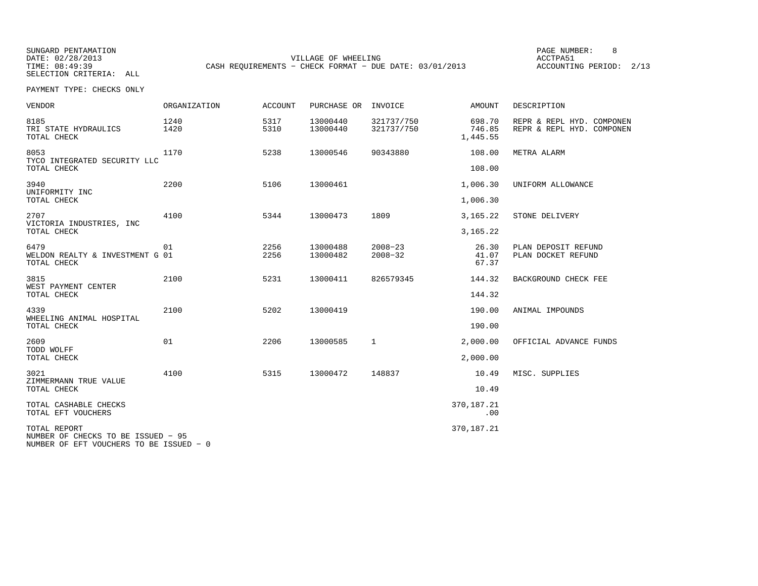DATE: 02/28/2013 VILLAGE OF WHEELING ACCTPA51 TIME: 08:49:39 CASH REQUIREMENTS - CHECK FORMAT - DUE DATE: 03/01/2013 ACCOUNTING PERIOD: 2/13

PAGE NUMBER: 8

| <b>VENDOR</b>                                                                                 | <b>ORGANIZATION</b> | <b>ACCOUNT</b> | PURCHASE OR          | INVOICE                    | <b>AMOUNT</b>                | DESCRIPTION                                            |
|-----------------------------------------------------------------------------------------------|---------------------|----------------|----------------------|----------------------------|------------------------------|--------------------------------------------------------|
| 8185<br>TRI STATE HYDRAULICS<br>TOTAL CHECK                                                   | 1240<br>1420        | 5317<br>5310   | 13000440<br>13000440 | 321737/750<br>321737/750   | 698.70<br>746.85<br>1,445.55 | REPR & REPL HYD. COMPONEN<br>REPR & REPL HYD. COMPONEN |
| 8053<br>TYCO INTEGRATED SECURITY LLC<br>TOTAL CHECK                                           | 1170                | 5238           | 13000546             | 90343880                   | 108.00<br>108.00             | METRA ALARM                                            |
| 3940<br>UNIFORMITY INC                                                                        | 2200                | 5106           | 13000461             |                            | 1,006.30                     | UNIFORM ALLOWANCE                                      |
| TOTAL CHECK                                                                                   |                     |                |                      |                            | 1,006.30                     |                                                        |
| 2707<br>VICTORIA INDUSTRIES, INC                                                              | 4100                | 5344           | 13000473             | 1809                       | 3,165.22                     | STONE DELIVERY                                         |
| TOTAL CHECK                                                                                   |                     |                |                      |                            | 3,165.22                     |                                                        |
| 6479<br>WELDON REALTY & INVESTMENT G 01<br>TOTAL CHECK                                        | 01                  | 2256<br>2256   | 13000488<br>13000482 | $2008 - 23$<br>$2008 - 32$ | 26.30<br>41.07<br>67.37      | PLAN DEPOSIT REFUND<br>PLAN DOCKET REFUND              |
| 3815<br>WEST PAYMENT CENTER<br>TOTAL CHECK                                                    | 2100                | 5231           | 13000411             | 826579345                  | 144.32<br>144.32             | BACKGROUND CHECK FEE                                   |
| 4339                                                                                          | 2100                | 5202           | 13000419             |                            | 190.00                       | ANIMAL IMPOUNDS                                        |
| WHEELING ANIMAL HOSPITAL<br>TOTAL CHECK                                                       |                     |                |                      |                            | 190.00                       |                                                        |
| 2609                                                                                          | 01                  | 2206           | 13000585             | $\mathbf{1}$               | 2,000.00                     | OFFICIAL ADVANCE FUNDS                                 |
| TODD WOLFF<br>TOTAL CHECK                                                                     |                     |                |                      |                            | 2,000.00                     |                                                        |
| 3021<br>ZIMMERMANN TRUE VALUE                                                                 | 4100                | 5315           | 13000472             | 148837                     | 10.49                        | MISC. SUPPLIES                                         |
| TOTAL CHECK                                                                                   |                     |                |                      |                            | 10.49                        |                                                        |
| TOTAL CASHABLE CHECKS<br>TOTAL EFT VOUCHERS                                                   |                     |                |                      |                            | 370,187.21<br>.00            |                                                        |
| TOTAL REPORT<br>NUMBER OF CHECKS TO BE ISSUED - 95<br>NUMBER OF EFT VOUCHERS TO BE ISSUED - 0 |                     |                |                      |                            | 370,187.21                   |                                                        |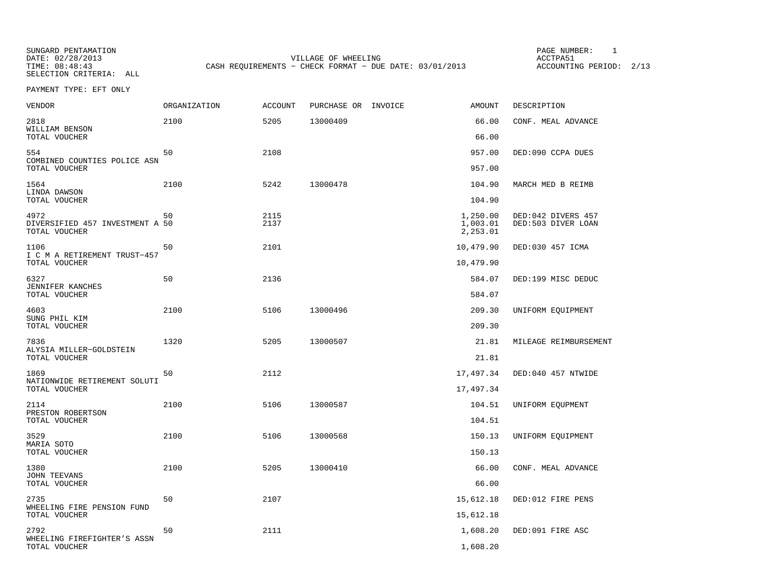SUNGARD PENTAMATION<br>DATE: 02/28/2013 SELECTION CRITERIA: ALL

VILLAGE OF WHEELING<br>
- CHECK FORMAT - DUE DATE: 03/01/2013 ACCOUNTING PERIOD: 2/13 TIME: 08:48:43 CASH REQUIREMENTS - CHECK FORMAT - DUE DATE: 03/01/2013

PAGE NUMBER: 1

PAYMENT TYPE: EFT ONLY

| <b>VENDOR</b>                                            | <b>ORGANIZATION</b> | <b>ACCOUNT</b> | PURCHASE OR INVOICE | <b>AMOUNT</b>                    | DESCRIPTION                              |
|----------------------------------------------------------|---------------------|----------------|---------------------|----------------------------------|------------------------------------------|
| 2818<br>WILLIAM BENSON                                   | 2100                | 5205           | 13000409            | 66.00                            | CONF. MEAL ADVANCE                       |
| TOTAL VOUCHER                                            |                     |                |                     | 66.00                            |                                          |
| 554<br>COMBINED COUNTIES POLICE ASN<br>TOTAL VOUCHER     | 50                  | 2108           |                     | 957.00<br>957.00                 | DED:090 CCPA DUES                        |
|                                                          |                     |                |                     |                                  |                                          |
| 1564<br>LINDA DAWSON<br>TOTAL VOUCHER                    | 2100                | 5242           | 13000478            | 104.90<br>104.90                 | MARCH MED B REIMB                        |
| 4972<br>DIVERSIFIED 457 INVESTMENT A 50<br>TOTAL VOUCHER | 50                  | 2115<br>2137   |                     | 1,250.00<br>1,003.01<br>2,253.01 | DED:042 DIVERS 457<br>DED:503 DIVER LOAN |
| 1106                                                     | 50                  | 2101           |                     | 10,479.90                        | DED:030 457 ICMA                         |
| I C M A RETIREMENT TRUST-457<br>TOTAL VOUCHER            |                     |                |                     | 10,479.90                        |                                          |
| 6327                                                     | 50                  | 2136           |                     | 584.07                           | DED:199 MISC DEDUC                       |
| JENNIFER KANCHES<br>TOTAL VOUCHER                        |                     |                |                     | 584.07                           |                                          |
| 4603<br>SUNG PHIL KIM                                    | 2100                | 5106           | 13000496            | 209.30                           | UNIFORM EQUIPMENT                        |
| TOTAL VOUCHER                                            |                     |                |                     | 209.30                           |                                          |
| 7836<br>ALYSIA MILLER-GOLDSTEIN<br>TOTAL VOUCHER         | 1320                | 5205           | 13000507            | 21.81<br>21.81                   | MILEAGE REIMBURSEMENT                    |
|                                                          |                     |                |                     |                                  |                                          |
| 1869<br>NATIONWIDE RETIREMENT SOLUTI<br>TOTAL VOUCHER    | 50                  | 2112           |                     | 17,497.34<br>17,497.34           | DED:040 457 NTWIDE                       |
|                                                          |                     |                |                     |                                  |                                          |
| 2114<br>PRESTON ROBERTSON<br>TOTAL VOUCHER               | 2100                | 5106           | 13000587            | 104.51<br>104.51                 | UNIFORM EQUPMENT                         |
| 3529                                                     | 2100                | 5106           | 13000568            | 150.13                           | UNIFORM EQUIPMENT                        |
| MARIA SOTO<br>TOTAL VOUCHER                              |                     |                |                     | 150.13                           |                                          |
| 1380                                                     | 2100                | 5205           | 13000410            | 66.00                            | CONF. MEAL ADVANCE                       |
| <b>JOHN TEEVANS</b><br>TOTAL VOUCHER                     |                     |                |                     | 66.00                            |                                          |
| 2735                                                     | 50                  | 2107           |                     | 15,612.18                        | DED:012 FIRE PENS                        |
| WHEELING FIRE PENSION FUND<br>TOTAL VOUCHER              |                     |                |                     | 15,612.18                        |                                          |
| 2792                                                     | 50                  | 2111           |                     | 1,608.20                         | DED:091 FIRE ASC                         |
| WHEELING FIREFIGHTER'S ASSN<br>TOTAL VOUCHER             |                     |                |                     | 1,608.20                         |                                          |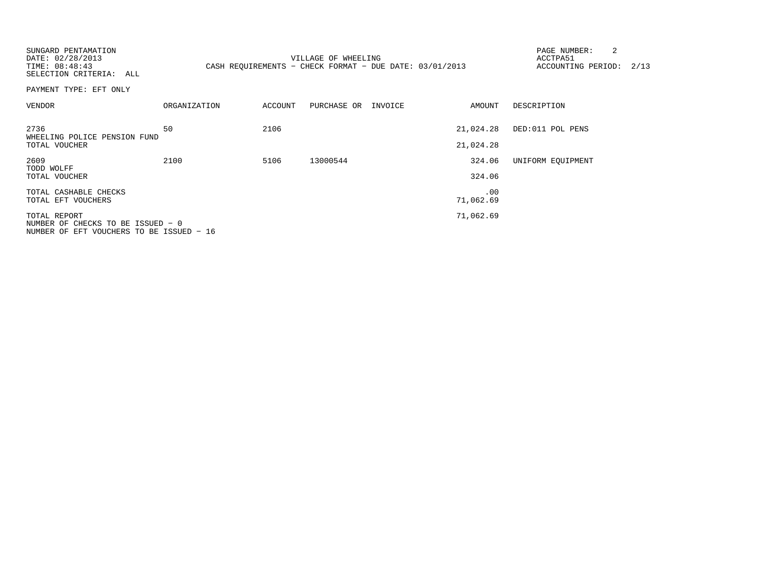| SUNGARD PENTAMATION<br>DATE: 02/28/2013<br>TIME: 08:48:43<br>SELECTION CRITERIA: ALL          |              |         | VILLAGE OF WHEELING<br>CASH REQUIREMENTS - CHECK FORMAT - DUE DATE: 03/01/2013 |                        | 2<br>PAGE NUMBER:<br>ACCTPA51<br>ACCOUNTING PERIOD: 2/13 |  |
|-----------------------------------------------------------------------------------------------|--------------|---------|--------------------------------------------------------------------------------|------------------------|----------------------------------------------------------|--|
| PAYMENT TYPE: EFT ONLY                                                                        |              |         |                                                                                |                        |                                                          |  |
| VENDOR                                                                                        | ORGANIZATION | ACCOUNT | PURCHASE OR INVOICE                                                            | AMOUNT                 | DESCRIPTION                                              |  |
| 2736<br>WHEELING POLICE PENSION FUND<br>TOTAL VOUCHER                                         | 50           | 2106    |                                                                                | 21,024.28<br>21,024.28 | DED:011 POL PENS                                         |  |
| 2609<br>TODD WOLFF<br>TOTAL VOUCHER                                                           | 2100         | 5106    | 13000544                                                                       | 324.06<br>324.06       | UNIFORM EOUIPMENT                                        |  |
| TOTAL CASHABLE CHECKS<br>TOTAL EFT VOUCHERS                                                   |              |         |                                                                                | .00<br>71,062.69       |                                                          |  |
| TOTAL REPORT<br>NUMBER OF CHECKS TO BE ISSUED - 0<br>NUMBER OF EFT VOUCHERS TO BE ISSUED - 16 |              |         |                                                                                | 71,062.69              |                                                          |  |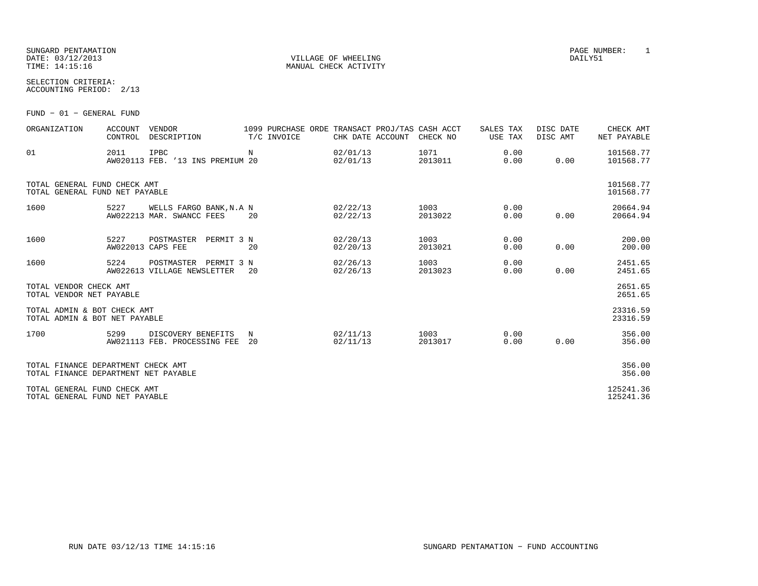#### SUNGARD PENTAMATION PAGE NUMBER: 1 DATE: 03/12/2013 DAILY51 VILLAGE OF WHEELING DAILY51 TIME: 14:15:16 MANUAL CHECK ACTIVITY

SELECTION CRITERIA:ACCOUNTING PERIOD: 2/13

FUND − 01 − GENERAL FUND

| ORGANIZATION                                                               | <b>VENDOR</b><br><b>ACCOUNT</b><br>CONTROL | DESCRIPTION                                          | 1099 PURCHASE ORDE TRANSACT PROJ/TAS CASH ACCT<br>T/C INVOICE | CHK DATE ACCOUNT     | CHECK NO        | SALES TAX<br>USE TAX | DISC DATE<br>DISC AMT | CHECK AMT<br>NET PAYABLE |
|----------------------------------------------------------------------------|--------------------------------------------|------------------------------------------------------|---------------------------------------------------------------|----------------------|-----------------|----------------------|-----------------------|--------------------------|
| 01                                                                         | IPBC<br>2011                               | AW020113 FEB. '13 INS PREMIUM 20                     | $_{\rm N}$                                                    | 02/01/13<br>02/01/13 | 1071<br>2013011 | 0.00<br>0.00         | 0.00                  | 101568.77<br>101568.77   |
| TOTAL GENERAL FUND CHECK AMT<br>TOTAL GENERAL FUND NET PAYABLE             |                                            |                                                      |                                                               |                      |                 |                      |                       | 101568.77<br>101568.77   |
| 1600                                                                       | 5227                                       | WELLS FARGO BANK, N.A N<br>AW022213 MAR. SWANCC FEES | 20                                                            | 02/22/13<br>02/22/13 | 1003<br>2013022 | 0.00<br>0.00         | 0.00                  | 20664.94<br>20664.94     |
| 1600                                                                       | 5227<br>AW022013 CAPS FEE                  | PERMIT 3 N<br>POSTMASTER                             | 20                                                            | 02/20/13<br>02/20/13 | 1003<br>2013021 | 0.00<br>0.00         | 0.00                  | 200.00<br>200.00         |
| 1600                                                                       | 5224                                       | POSTMASTER PERMIT 3 N<br>AW022613 VILLAGE NEWSLETTER | 20                                                            | 02/26/13<br>02/26/13 | 1003<br>2013023 | 0.00<br>0.00         | 0.00                  | 2451.65<br>2451.65       |
| TOTAL VENDOR CHECK AMT<br>TOTAL VENDOR NET PAYABLE                         |                                            |                                                      |                                                               |                      |                 |                      |                       | 2651.65<br>2651.65       |
| TOTAL ADMIN & BOT CHECK AMT<br>TOTAL ADMIN & BOT NET PAYABLE               |                                            |                                                      |                                                               |                      |                 |                      |                       | 23316.59<br>23316.59     |
| 1700                                                                       | 5299                                       | DISCOVERY BENEFITS<br>AW021113 FEB. PROCESSING FEE   | N<br>20                                                       | 02/11/13<br>02/11/13 | 1003<br>2013017 | 0.00<br>0.00         | 0.00                  | 356.00<br>356.00         |
| TOTAL FINANCE DEPARTMENT CHECK AMT<br>TOTAL FINANCE DEPARTMENT NET PAYABLE |                                            |                                                      |                                                               |                      |                 |                      |                       | 356.00<br>356.00         |
| TOTAL GENERAL FUND CHECK AMT<br>TOTAL GENERAL FUND NET PAYABLE             |                                            |                                                      |                                                               |                      |                 |                      |                       | 125241.36<br>125241.36   |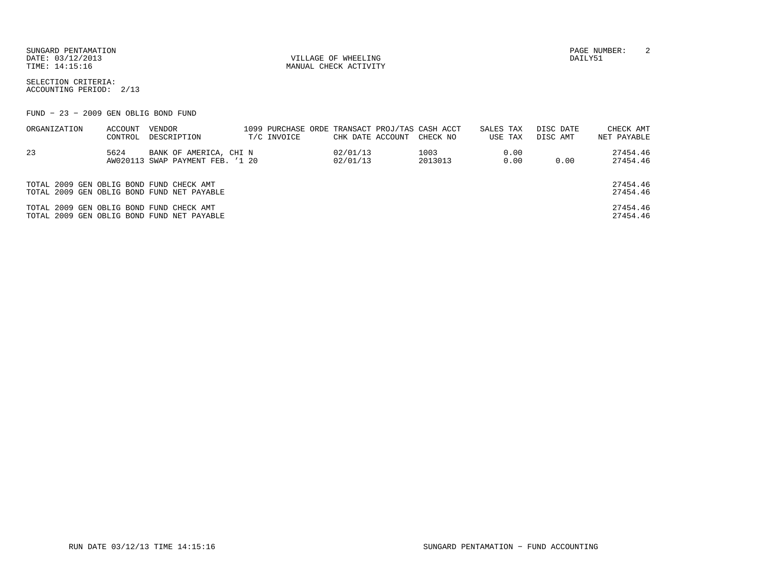SUNGARD PENTAMATION PAGE NUMBER: 2DATE: 03/12/2013 DAILY51 VILLAGE OF WHEELING TIME: 14:15:16 MANUAL CHECK ACTIVITY

SELECTION CRITERIA:ACCOUNTING PERIOD: 2/13

FUND − 23 − 2009 GEN OBLIG BOND FUND

| ORGANIZATION                             | ACCOUNT | VENDOR                                     |             |                  | 1099 PURCHASE ORDE TRANSACT PROJ/TAS CASH ACCT | SALES TAX | DISC DATE | CHECK AMT            |
|------------------------------------------|---------|--------------------------------------------|-------------|------------------|------------------------------------------------|-----------|-----------|----------------------|
|                                          | CONTROL | DESCRIPTION                                | T/C INVOICE | CHK DATE ACCOUNT | CHECK NO                                       | USE TAX   | DISC AMT  | NET PAYABLE          |
| 23                                       | 5624    | BANK OF AMERICA, CHI N                     |             | 02/01/13         | 1003                                           | 0.00      |           | 27454.46             |
|                                          |         | AW020113 SWAP PAYMENT FEB. '1 20           |             | 02/01/13         | 2013013                                        | 0.00      | 0.00      | 27454.46             |
|                                          |         |                                            |             |                  |                                                |           |           |                      |
| TOTAL 2009 GEN OBLIG BOND FUND CHECK AMT |         |                                            |             |                  |                                                |           |           | 27454.46             |
|                                          |         | TOTAL 2009 GEN OBLIG BOND FUND NET PAYABLE |             |                  |                                                |           |           | 27454.46             |
| TOTAL 2009 GEN OBLIG BOND FUND CHECK AMT |         | TOTAL 2009 GEN OBLIG BOND FUND NET PAYABLE |             |                  |                                                |           |           | 27454.46<br>27454.46 |
|                                          |         |                                            |             |                  |                                                |           |           |                      |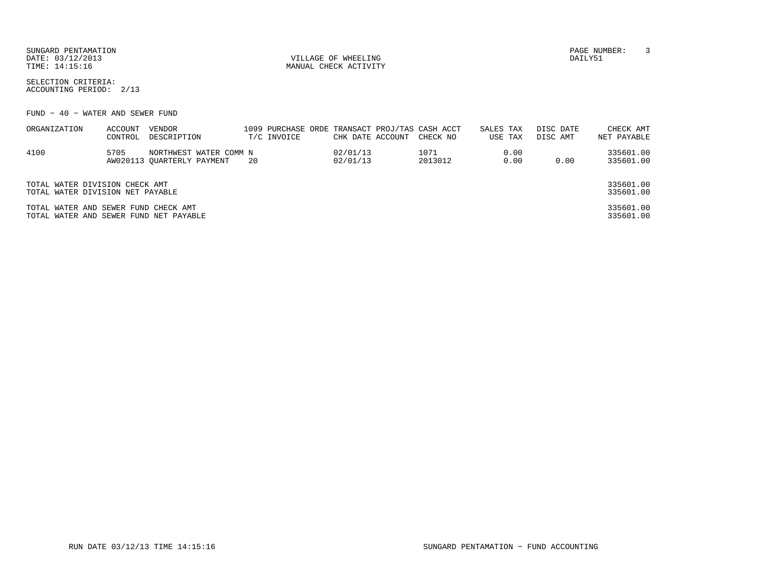| SUNGARD PENTAMATION |                            | NUMBER<br>PAGE |  |
|---------------------|----------------------------|----------------|--|
| DATE: 03/12/2013    | VILLAGE OF WHEELING        | DAILY51        |  |
| TIME: 14:15:16      | CHECK ACTIVITY<br>MANUAL ( |                |  |

SELECTION CRITERIA:ACCOUNTING PERIOD: 2/13

FUND − 40 − WATER AND SEWER FUND

| ORGANIZATION                                                                   | ACCOUNT | VENDOR                     |     |             |                  | 1099 PURCHASE ORDE TRANSACT PROJ/TAS CASH ACCT | SALES TAX | DISC DATE | CHECK AMT              |
|--------------------------------------------------------------------------------|---------|----------------------------|-----|-------------|------------------|------------------------------------------------|-----------|-----------|------------------------|
|                                                                                | CONTROL | DESCRIPTION                |     | T/C INVOICE | CHK DATE ACCOUNT | CHECK NO                                       | USE TAX   | DISC AMT  | NET PAYABLE            |
| 4100                                                                           | 5705    | NORTHWEST WATER COMM N     |     |             | 02/01/13         | 1071                                           | 0.00      |           | 335601.00              |
|                                                                                |         | AW020113 OUARTERLY PAYMENT | -20 |             | 02/01/13         | 2013012                                        | 0.00      | 0.00      | 335601.00              |
|                                                                                |         |                            |     |             |                  |                                                |           |           |                        |
| TOTAL WATER DIVISION CHECK AMT                                                 |         |                            |     |             |                  |                                                |           |           | 335601.00              |
| TOTAL WATER DIVISION NET PAYABLE                                               |         |                            |     |             |                  |                                                |           |           | 335601.00              |
| TOTAL WATER AND SEWER FUND CHECK AMT<br>TOTAL WATER AND SEWER FUND NET PAYABLE |         |                            |     |             |                  |                                                |           |           | 335601.00<br>335601.00 |
|                                                                                |         |                            |     |             |                  |                                                |           |           |                        |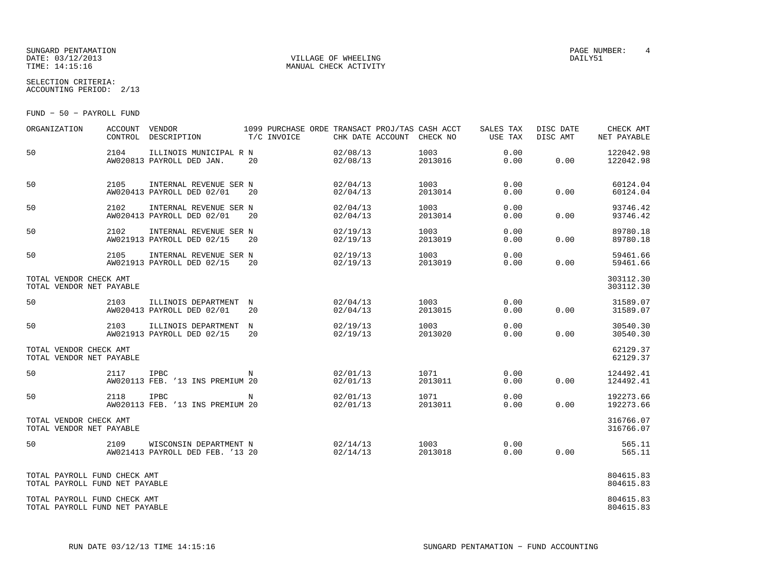#### SUNGARD PENTAMATION PAGE NUMBER: 4 DATE: 03/12/2013 DAILY51 VILLAGE OF WHEELING TIME: 14:15:16 MANUAL CHECK ACTIVITY

SELECTION CRITERIA:ACCOUNTING PERIOD: 2/13

FUND − 50 − PAYROLL FUND

| ORGANIZATION                                                   | ACCOUNT | VENDOR<br>CONTROL DESCRIPTION                              | 1099 PURCHASE ORDE TRANSACT PROJ/TAS CASH ACCT<br>T/C INVOICE | CHK DATE ACCOUNT     | CHECK NO        | SALES TAX<br>USE TAX | DISC DATE<br>DISC AMT | CHECK AMT<br>NET PAYABLE |
|----------------------------------------------------------------|---------|------------------------------------------------------------|---------------------------------------------------------------|----------------------|-----------------|----------------------|-----------------------|--------------------------|
| 50                                                             | 2104    | ILLINOIS MUNICIPAL R N<br>AW020813 PAYROLL DED JAN.        | 20                                                            | 02/08/13<br>02/08/13 | 1003<br>2013016 | 0.00<br>0.00         | 0.00                  | 122042.98<br>122042.98   |
| 50                                                             | 2105    | INTERNAL REVENUE SER N<br>AW020413 PAYROLL DED 02/01       | 20                                                            | 02/04/13<br>02/04/13 | 1003<br>2013014 | 0.00<br>0.00         | 0.00                  | 60124.04<br>60124.04     |
| 50                                                             | 2102    | INTERNAL REVENUE SER N<br>AW020413 PAYROLL DED 02/01       | 20                                                            | 02/04/13<br>02/04/13 | 1003<br>2013014 | 0.00<br>0.00         | 0.00                  | 93746.42<br>93746.42     |
| 50                                                             | 2102    | INTERNAL REVENUE SER N<br>AW021913 PAYROLL DED 02/15       | 20                                                            | 02/19/13<br>02/19/13 | 1003<br>2013019 | 0.00<br>0.00         | 0.00                  | 89780.18<br>89780.18     |
| 50                                                             | 2105    | INTERNAL REVENUE SER N<br>AW021913 PAYROLL DED 02/15       | 20                                                            | 02/19/13<br>02/19/13 | 1003<br>2013019 | 0.00<br>0.00         | 0.00                  | 59461.66<br>59461.66     |
| TOTAL VENDOR CHECK AMT<br>TOTAL VENDOR NET PAYABLE             |         |                                                            |                                                               |                      |                 |                      |                       | 303112.30<br>303112.30   |
| 50                                                             | 2103    | ILLINOIS DEPARTMENT N<br>AW020413 PAYROLL DED 02/01        | 20                                                            | 02/04/13<br>02/04/13 | 1003<br>2013015 | 0.00<br>0.00         | 0.00                  | 31589.07<br>31589.07     |
| 50                                                             | 2103    | ILLINOIS DEPARTMENT<br>AW021913 PAYROLL DED 02/15          | N<br>20                                                       | 02/19/13<br>02/19/13 | 1003<br>2013020 | 0.00<br>0.00         | 0.00                  | 30540.30<br>30540.30     |
| TOTAL VENDOR CHECK AMT<br>TOTAL VENDOR NET PAYABLE             |         |                                                            |                                                               |                      |                 |                      |                       | 62129.37<br>62129.37     |
| 50                                                             | 2117    | IPBC<br>AW020113 FEB. '13 INS PREMIUM 20                   | N                                                             | 02/01/13<br>02/01/13 | 1071<br>2013011 | 0.00<br>0.00         | 0.00                  | 124492.41<br>124492.41   |
| 50                                                             | 2118    | <b>IPBC</b><br>AW020113 FEB. '13 INS PREMIUM 20            | N                                                             | 02/01/13<br>02/01/13 | 1071<br>2013011 | 0.00<br>0.00         | 0.00                  | 192273.66<br>192273.66   |
| TOTAL VENDOR CHECK AMT<br>TOTAL VENDOR NET PAYABLE             |         |                                                            |                                                               |                      |                 |                      |                       | 316766.07<br>316766.07   |
| 50                                                             | 2109    | WISCONSIN DEPARTMENT N<br>AW021413 PAYROLL DED FEB. '13 20 |                                                               | 02/14/13<br>02/14/13 | 1003<br>2013018 | 0.00<br>0.00         | 0.00                  | 565.11<br>565.11         |
| TOTAL PAYROLL FUND CHECK AMT<br>TOTAL PAYROLL FUND NET PAYABLE |         |                                                            |                                                               |                      |                 |                      |                       | 804615.83<br>804615.83   |
| TOTAL PAYROLL FUND CHECK AMT<br>TOTAL PAYROLL FUND NET PAYABLE |         |                                                            |                                                               |                      |                 |                      |                       | 804615.83<br>804615.83   |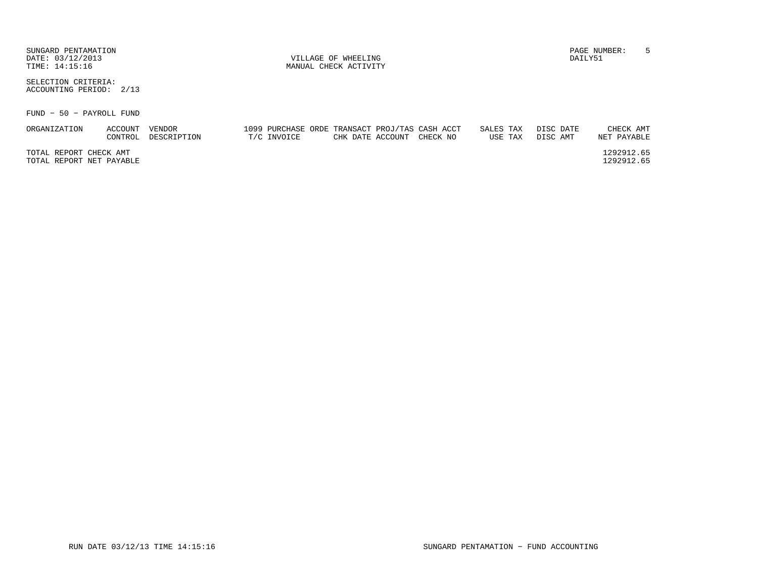SUNGARD PENTAMATION PAGE NUMBER: 5DATE: 03/12/2013 DAILY51 VILLAGE OF WHEELING

SELECTION CRITERIA:ACCOUNTING PERIOD: 2/13

FUND − 50 − PAYROLL FUND

| ORGANIZATION             | ACCOUNT | VENDOR      | 1099 PURCHASE ORDE TRANSACT PROJ/TAS CASH ACCT |                           |  | SALES TAX | DISC DATE | CHECK AMT   |
|--------------------------|---------|-------------|------------------------------------------------|---------------------------|--|-----------|-----------|-------------|
|                          | CONTROL | DESCRIPTION | T/C INVOICE                                    | CHK DATE ACCOUNT CHECK NO |  | USE TAX   | DISC AMT  | NET PAYABLE |
|                          |         |             |                                                |                           |  |           |           |             |
| TOTAL REPORT CHECK AMT   |         |             |                                                |                           |  |           |           | 1292912.65  |
| TOTAL REPORT NET PAYABLE |         |             |                                                |                           |  |           |           | 1292912.65  |
|                          |         |             |                                                |                           |  |           |           |             |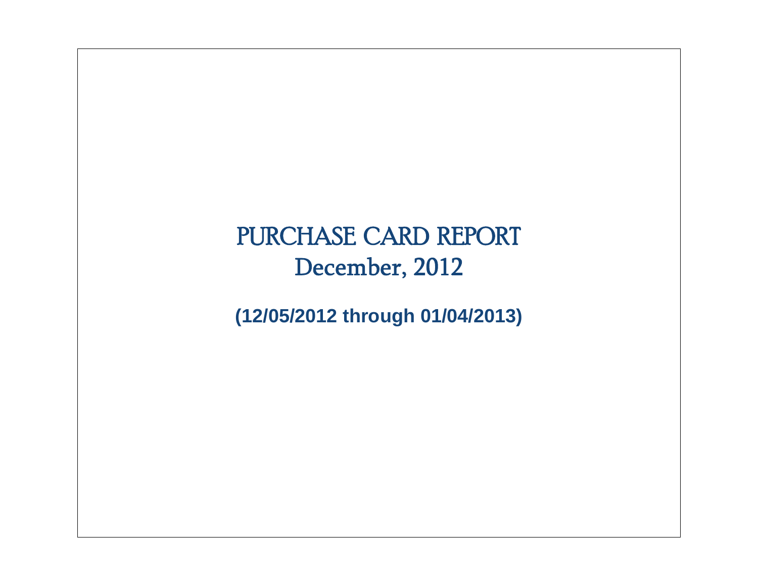# PURCHASE CARD REPORT December, 2012

**(12/05/2012 through 01/04/2013)**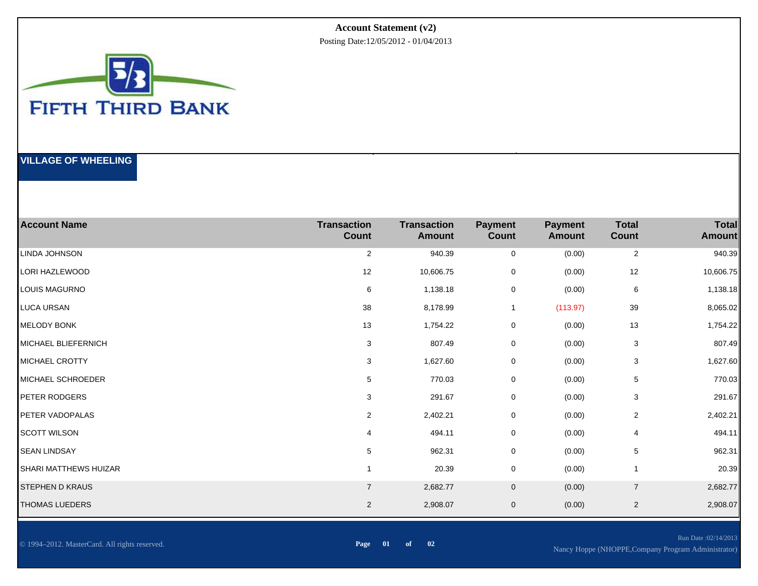#### **Account Statement (v2)**

Posting Date:12/05/2012 - 01/04/2013



#### **VILLAGE OF WHEELING**

| <b>Account Name</b>        | <b>Transaction</b><br><b>Count</b> | <b>Transaction</b><br>Amount | <b>Payment</b><br><b>Count</b> | <b>Payment</b><br><b>Amount</b> | <b>Total</b><br>Count | <b>Total</b><br><b>Amount</b> |
|----------------------------|------------------------------------|------------------------------|--------------------------------|---------------------------------|-----------------------|-------------------------------|
| LINDA JOHNSON              | $\overline{c}$                     | 940.39                       | 0                              | (0.00)                          | $\overline{2}$        | 940.39                        |
| LORI HAZLEWOOD             | 12                                 | 10,606.75                    | 0                              | (0.00)                          | 12                    | 10,606.75                     |
| LOUIS MAGURNO              | 6                                  | 1,138.18                     | 0                              | (0.00)                          | 6                     | 1,138.18                      |
| <b>LUCA URSAN</b>          | 38                                 | 8,178.99                     | 1                              | (113.97)                        | 39                    | 8,065.02                      |
| <b>MELODY BONK</b>         | 13                                 | 1,754.22                     | 0                              | (0.00)                          | 13                    | 1,754.22                      |
| <b>MICHAEL BLIEFERNICH</b> | 3                                  | 807.49                       | 0                              | (0.00)                          | 3                     | 807.49                        |
| <b>MICHAEL CROTTY</b>      | 3                                  | 1,627.60                     | $\mathbf 0$                    | (0.00)                          | 3                     | 1,627.60                      |
| MICHAEL SCHROEDER          | 5                                  | 770.03                       | 0                              | (0.00)                          | 5                     | 770.03                        |
| <b>PETER RODGERS</b>       | 3                                  | 291.67                       | 0                              | (0.00)                          | 3                     | 291.67                        |
| PETER VADOPALAS            | 2                                  | 2,402.21                     | 0                              | (0.00)                          | 2                     | 2,402.21                      |
| <b>SCOTT WILSON</b>        | 4                                  | 494.11                       | 0                              | (0.00)                          | 4                     | 494.11                        |
| <b>SEAN LINDSAY</b>        | 5                                  | 962.31                       | 0                              | (0.00)                          | 5                     | 962.31                        |
| SHARI MATTHEWS HUIZAR      |                                    | 20.39                        | 0                              | (0.00)                          |                       | 20.39                         |
| <b>STEPHEN D KRAUS</b>     | $\overline{7}$                     | 2,682.77                     | $\mathbf 0$                    | (0.00)                          | $\overline{7}$        | 2,682.77                      |
| <b>THOMAS LUEDERS</b>      | $\overline{2}$                     | 2,908.07                     | $\mathbf 0$                    | (0.00)                          | $\overline{2}$        | 2,908.07                      |

**Page** 01 of 02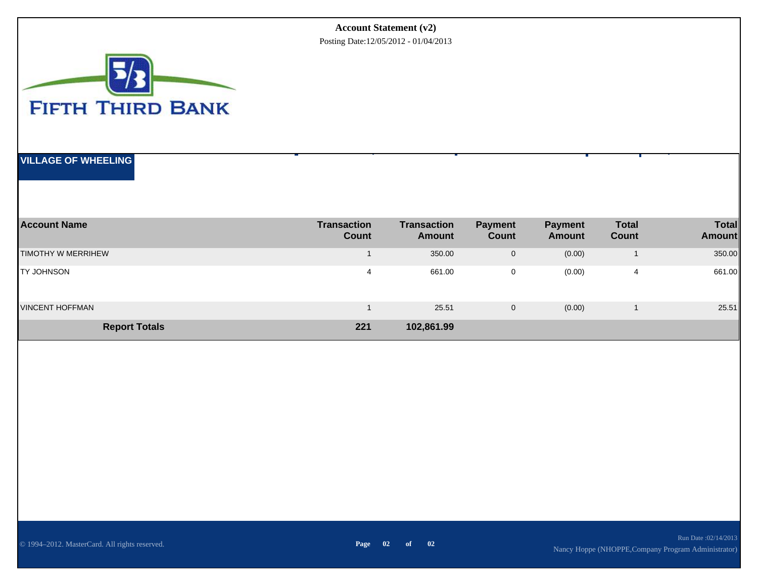#### **Account Statement (v2)**

Posting Date:12/05/2012 - 01/04/2013



#### **VILLAGE OF WHEELING**

| <b>Account Name</b>        | <b>Transaction</b><br><b>Count</b> | <b>Transaction</b><br>Amount | <b>Payment</b><br>Count | <b>Payment</b><br>Amount | <b>Total</b><br>Count | <b>Total</b><br><b>Amount</b> |
|----------------------------|------------------------------------|------------------------------|-------------------------|--------------------------|-----------------------|-------------------------------|
| <b>ITIMOTHY W MERRIHEW</b> |                                    | 350.00                       | $\mathbf 0$             | (0.00)                   |                       | 350.00                        |
| <b>TY JOHNSON</b>          | 4                                  | 661.00                       | 0                       | (0.00)                   | 4                     | 661.00                        |
| <b>VINCENT HOFFMAN</b>     |                                    | 25.51                        | $\mathbf 0$             | (0.00)                   |                       | 25.51                         |
| <b>Report Totals</b>       | 221                                | 102,861.99                   |                         |                          |                       |                               |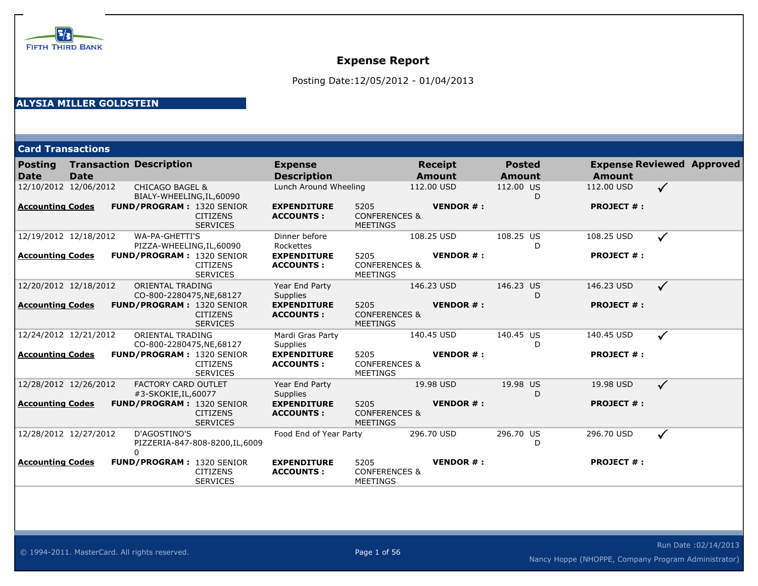

Posting Date:12/05/2012 - 01/04/2013

#### **ALYSIA MILLER GOLDSTEIN**

**Card Transactions**

| Posting<br><b>Date</b>  | <b>Date</b>           | <b>Transaction Description</b>                                         | <b>Expense</b><br><b>Description</b>   |                                                     | <b>Receipt</b><br><b>Amount</b> | <b>Posted</b><br>Amount |   | <b>Expense Reviewed Approved</b><br><b>Amount</b> |              |  |
|-------------------------|-----------------------|------------------------------------------------------------------------|----------------------------------------|-----------------------------------------------------|---------------------------------|-------------------------|---|---------------------------------------------------|--------------|--|
|                         | 12/10/2012 12/06/2012 | <b>CHICAGO BAGEL &amp;</b><br>BIALY-WHEELING, IL, 60090                | Lunch Around Wheeling                  |                                                     | 112.00 USD                      | 112.00 US               | D | 112.00 USD                                        | $\checkmark$ |  |
| <b>Accounting Codes</b> |                       | <b>FUND/PROGRAM: 1320 SENIOR</b><br><b>CITIZENS</b><br><b>SERVICES</b> | <b>EXPENDITURE</b><br><b>ACCOUNTS:</b> | 5205<br><b>CONFERENCES &amp;</b><br>MEETINGS        | <b>VENDOR#:</b>                 |                         |   | <b>PROJECT #:</b>                                 |              |  |
|                         | 12/19/2012 12/18/2012 | WA-PA-GHETTI'S<br>PIZZA-WHEELING, IL, 60090                            | Dinner before<br>Rockettes             |                                                     | 108.25 USD                      | 108.25 US               | D | 108.25 USD                                        | $\checkmark$ |  |
| <b>Accounting Codes</b> |                       | <b>FUND/PROGRAM: 1320 SENIOR</b><br><b>CITIZENS</b><br><b>SERVICES</b> | <b>EXPENDITURE</b><br><b>ACCOUNTS:</b> | 5205<br><b>CONFERENCES &amp;</b><br><b>MEETINGS</b> | <b>VENDOR#:</b>                 |                         |   | <b>PROJECT #:</b>                                 |              |  |
| 12/20/2012 12/18/2012   |                       | ORIENTAL TRADING<br>CO-800-2280475, NE, 68127                          | Year End Party<br>Supplies             |                                                     | 146.23 USD                      | 146.23 US               | D | 146.23 USD                                        | $\checkmark$ |  |
| <b>Accounting Codes</b> |                       | <b>FUND/PROGRAM: 1320 SENIOR</b><br><b>CITIZENS</b><br><b>SERVICES</b> | <b>EXPENDITURE</b><br><b>ACCOUNTS:</b> | 5205<br><b>CONFERENCES &amp;</b><br>MEETINGS        | <b>VENDOR#:</b>                 |                         |   | <b>PROJECT #:</b>                                 |              |  |
| 12/24/2012 12/21/2012   |                       | ORIENTAL TRADING<br>CO-800-2280475, NE, 68127                          | Mardi Gras Party<br><b>Supplies</b>    |                                                     | 140.45 USD                      | 140.45 US               | D | 140.45 USD                                        | $\checkmark$ |  |
| <b>Accounting Codes</b> |                       | <b>FUND/PROGRAM: 1320 SENIOR</b><br><b>CITIZENS</b><br><b>SERVICES</b> | <b>EXPENDITURE</b><br><b>ACCOUNTS:</b> | 5205<br><b>CONFERENCES &amp;</b><br><b>MEETINGS</b> | <b>VENDOR#:</b>                 |                         |   | <b>PROJECT #:</b>                                 |              |  |
| 12/28/2012 12/26/2012   |                       | <b>FACTORY CARD OUTLET</b><br>#3-SKOKIE, IL, 60077                     | Year End Party<br>Supplies             |                                                     | 19.98 USD                       | 19.98 US                | D | 19.98 USD                                         | $\checkmark$ |  |
| <b>Accounting Codes</b> |                       | <b>FUND/PROGRAM: 1320 SENIOR</b><br><b>CITIZENS</b><br><b>SERVICES</b> | <b>EXPENDITURE</b><br><b>ACCOUNTS:</b> | 5205<br><b>CONFERENCES &amp;</b><br><b>MEETINGS</b> | <b>VENDOR#:</b>                 |                         |   | <b>PROJECT #:</b>                                 |              |  |
| 12/28/2012 12/27/2012   |                       | D'AGOSTINO'S<br>PIZZERIA-847-808-8200, IL, 6009                        | Food End of Year Party                 |                                                     | 296.70 USD                      | 296.70 US               | D | 296.70 USD                                        | ✓            |  |
| <b>Accounting Codes</b> |                       | <b>FUND/PROGRAM: 1320 SENIOR</b><br><b>CITIZENS</b><br><b>SERVICES</b> | <b>EXPENDITURE</b><br><b>ACCOUNTS:</b> | 5205<br><b>CONFERENCES &amp;</b><br>MEETINGS        | <b>VENDOR#:</b>                 |                         |   | <b>PROJECT #:</b>                                 |              |  |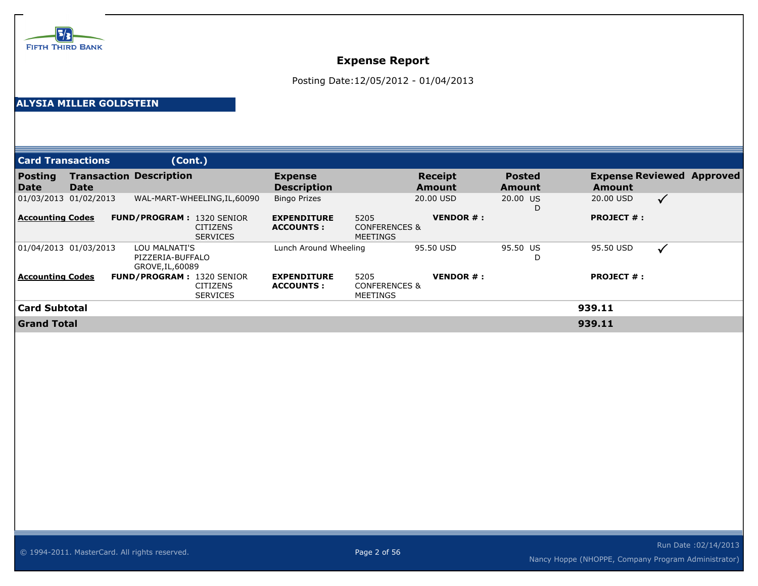

Posting Date:12/05/2012 - 01/04/2013

#### **ALYSIA MILLER GOLDSTEIN**

| <b>Card Transactions</b> |      | (Cont.)                                               |                                    |                                         |                                                     |                               |                                |                   |                                  |
|--------------------------|------|-------------------------------------------------------|------------------------------------|-----------------------------------------|-----------------------------------------------------|-------------------------------|--------------------------------|-------------------|----------------------------------|
| <b>Posting</b><br>Date   | Date | <b>Transaction Description</b>                        |                                    | <b>Expense</b><br><b>Description</b>    |                                                     | <b>Receipt</b><br>Amount      | <b>Posted</b><br><b>Amount</b> | Amount            | <b>Expense Reviewed Approved</b> |
| 01/03/2013 01/02/2013    |      |                                                       | WAL-MART-WHEELING, IL, 60090       | <b>Bingo Prizes</b>                     |                                                     | 20.00 USD                     | 20.00 US<br>D                  | 20.00 USD         | $\checkmark$                     |
| <b>Accounting Codes</b>  |      | <b>FUND/PROGRAM: 1320 SENIOR</b>                      | <b>CITIZENS</b><br><b>SERVICES</b> | <b>EXPENDITURE</b><br><b>ACCOUNTS :</b> | 5205<br><b>CONFERENCES &amp;</b><br><b>MEETINGS</b> | <b>VENDOR <math>#</math>:</b> |                                | <b>PROJECT #:</b> |                                  |
| 01/04/2013 01/03/2013    |      | LOU MALNATI'S<br>PIZZERIA-BUFFALO<br>GROVE, IL, 60089 |                                    | Lunch Around Wheeling                   |                                                     | 95.50 USD                     | 95.50 US<br>D                  | 95.50 USD         | $\checkmark$                     |
| <b>Accounting Codes</b>  |      | <b>FUND/PROGRAM: 1320 SENIOR</b>                      | <b>CITIZENS</b><br><b>SERVICES</b> | <b>EXPENDITURE</b><br><b>ACCOUNTS:</b>  | 5205<br><b>CONFERENCES &amp;</b><br><b>MEETINGS</b> | <b>VENDOR#:</b>               |                                | <b>PROJECT #:</b> |                                  |
| <b>Card Subtotal</b>     |      |                                                       |                                    |                                         |                                                     |                               |                                | 939.11            |                                  |
| <b>Grand Total</b>       |      |                                                       |                                    |                                         |                                                     |                               |                                | 939.11            |                                  |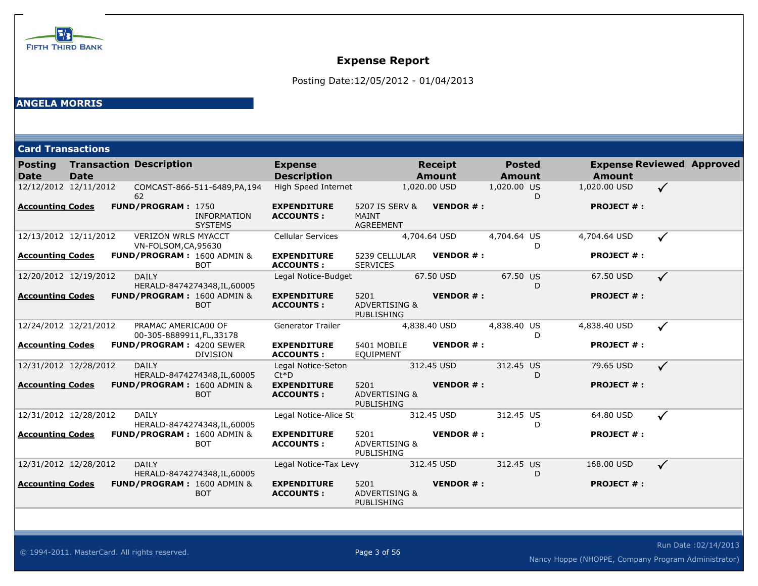

Posting Date:12/05/2012 - 01/04/2013

#### **ANGELA MORRIS**

| <b>Card Transactions</b> |  |  |
|--------------------------|--|--|
|                          |  |  |
|                          |  |  |

| <b>Posting</b><br><b>Date</b> | <b>Date</b> | <b>Transaction Description</b>                     |                                                     | <b>Expense</b><br><b>Description</b>   |                                                       | <b>Receipt</b><br><b>Amount</b> | <b>Posted</b><br><b>Amount</b> | <b>Amount</b>     | <b>Expense Reviewed Approved</b> |  |
|-------------------------------|-------------|----------------------------------------------------|-----------------------------------------------------|----------------------------------------|-------------------------------------------------------|---------------------------------|--------------------------------|-------------------|----------------------------------|--|
|                               |             |                                                    |                                                     | High Speed Internet                    |                                                       |                                 | 1,020.00 US                    | 1,020.00 USD      | $\checkmark$                     |  |
| 12/12/2012 12/11/2012         |             | 62                                                 | COMCAST-866-511-6489, PA, 194                       |                                        |                                                       | 1,020.00 USD                    |                                | D.                |                                  |  |
| <b>Accounting Codes</b>       |             | FUND/PROGRAM: 1750                                 | <b>INFORMATION</b><br><b>SYSTEMS</b>                | <b>EXPENDITURE</b><br><b>ACCOUNTS:</b> | 5207 IS SERV &<br><b>MAINT</b><br><b>AGREEMENT</b>    | <b>VENDOR#:</b>                 |                                | <b>PROJECT #:</b> |                                  |  |
| 12/13/2012 12/11/2012         |             | <b>VERIZON WRLS MYACCT</b><br>VN-FOLSOM, CA, 95630 |                                                     | <b>Cellular Services</b>               |                                                       | 4,704.64 USD                    | 4,704.64 US                    | 4,704.64 USD<br>D | $\checkmark$                     |  |
| <b>Accounting Codes</b>       |             |                                                    | FUND/PROGRAM: 1600 ADMIN &<br><b>BOT</b>            | <b>EXPENDITURE</b><br><b>ACCOUNTS:</b> | 5239 CELLULAR<br><b>SERVICES</b>                      | <b>VENDOR#:</b>                 |                                | <b>PROJECT #:</b> |                                  |  |
| 12/20/2012 12/19/2012         |             | <b>DAILY</b>                                       | HERALD-8474274348, IL, 60005                        | Legal Notice-Budget                    |                                                       | 67.50 USD                       | 67.50 US                       | 67.50 USD<br>D    | $\checkmark$                     |  |
| <b>Accounting Codes</b>       |             |                                                    | <b>FUND/PROGRAM: 1600 ADMIN &amp;</b><br><b>BOT</b> | <b>EXPENDITURE</b><br><b>ACCOUNTS:</b> | 5201<br><b>ADVERTISING &amp;</b><br><b>PUBLISHING</b> | <b>VENDOR#:</b>                 |                                | <b>PROJECT #:</b> |                                  |  |
| 12/24/2012 12/21/2012         |             | PRAMAC AMERICA00 OF<br>00-305-8889911, FL, 33178   |                                                     | <b>Generator Trailer</b>               |                                                       | 4,838.40 USD                    | 4,838.40 US                    | 4,838.40 USD<br>D | $\checkmark$                     |  |
| <b>Accounting Codes</b>       |             | <b>FUND/PROGRAM: 4200 SEWER</b>                    | <b>DIVISION</b>                                     | <b>EXPENDITURE</b><br><b>ACCOUNTS:</b> | 5401 MOBILE<br><b>EQUIPMENT</b>                       | <b>VENDOR#:</b>                 |                                | <b>PROJECT #:</b> |                                  |  |
| 12/31/2012 12/28/2012         |             | <b>DAILY</b>                                       | HERALD-8474274348, IL, 60005                        | Legal Notice-Seton<br>$Ct*D$           |                                                       | 312.45 USD                      | 312.45 US                      | 79.65 USD<br>D    | $\checkmark$                     |  |
| <b>Accounting Codes</b>       |             |                                                    | <b>FUND/PROGRAM: 1600 ADMIN &amp;</b><br><b>BOT</b> | <b>EXPENDITURE</b><br><b>ACCOUNTS:</b> | 5201<br><b>ADVERTISING &amp;</b><br>PUBLISHING        | <b>VENDOR#:</b>                 |                                | <b>PROJECT #:</b> |                                  |  |
| 12/31/2012 12/28/2012         |             | <b>DAILY</b>                                       | HERALD-8474274348, IL, 60005                        | Legal Notice-Alice St                  |                                                       | 312.45 USD                      | 312.45 US                      | 64.80 USD<br>D    | $\checkmark$                     |  |
| <b>Accounting Codes</b>       |             |                                                    | FUND/PROGRAM: 1600 ADMIN &<br><b>BOT</b>            | <b>EXPENDITURE</b><br><b>ACCOUNTS:</b> | 5201<br><b>ADVERTISING &amp;</b><br>PUBLISHING        | <b>VENDOR#:</b>                 |                                | <b>PROJECT #:</b> |                                  |  |
| 12/31/2012 12/28/2012         |             | <b>DAILY</b>                                       | HERALD-8474274348, IL, 60005                        | Legal Notice-Tax Levy                  |                                                       | 312.45 USD                      | 312.45 US                      | 168,00 USD<br>D   | $\checkmark$                     |  |
| <b>Accounting Codes</b>       |             |                                                    | <b>FUND/PROGRAM: 1600 ADMIN &amp;</b><br><b>BOT</b> | <b>EXPENDITURE</b><br><b>ACCOUNTS:</b> | 5201<br><b>ADVERTISING &amp;</b><br>PUBLISHING        | <b>VENDOR#:</b>                 |                                | <b>PROJECT #:</b> |                                  |  |

© 1994-2011. MasterCard. All rights reserved. Page 3 of 56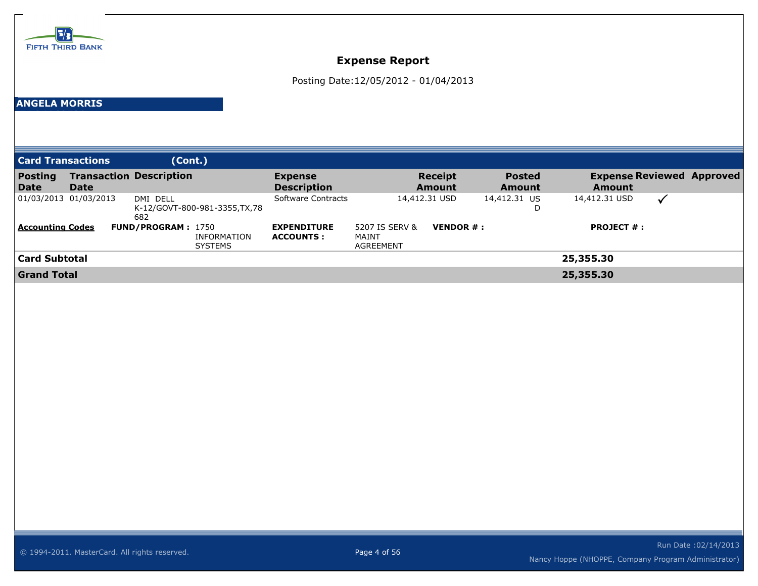

Posting Date:12/05/2012 - 01/04/2013

#### **ANGELA MORRIS**

**XX-04160539**

| <b>Card Transactions</b> |                       | (Cont.)                                                           |                                        |                                      |                                 |                                |                                                   |              |  |
|--------------------------|-----------------------|-------------------------------------------------------------------|----------------------------------------|--------------------------------------|---------------------------------|--------------------------------|---------------------------------------------------|--------------|--|
| <b>Posting</b><br>Date   | Date                  | <b>Transaction Description</b>                                    | <b>Expense</b><br><b>Description</b>   |                                      | <b>Receipt</b><br><b>Amount</b> | <b>Posted</b><br><b>Amount</b> | <b>Expense Reviewed Approved</b><br><b>Amount</b> |              |  |
|                          | 01/03/2013 01/03/2013 | DMI DELL<br>K-12/GOVT-800-981-3355, TX, 78<br>682                 | Software Contracts                     | 14,412.31 USD                        |                                 | 14,412.31 US                   | 14,412.31 USD                                     | $\checkmark$ |  |
| Accounting Codes         |                       | <b>FUND/PROGRAM: 1750</b><br><b>INFORMATION</b><br><b>SYSTEMS</b> | <b>EXPENDITURE</b><br><b>ACCOUNTS:</b> | 5207 IS SERV &<br>MAINT<br>AGREEMENT | <b>VENDOR <math>#</math>:</b>   |                                | <b>PROJECT #:</b>                                 |              |  |
| Card Subtotal            |                       |                                                                   |                                        |                                      |                                 |                                | 25,355.30                                         |              |  |
| <b>Grand Total</b>       |                       |                                                                   |                                        |                                      |                                 |                                | 25,355,30                                         |              |  |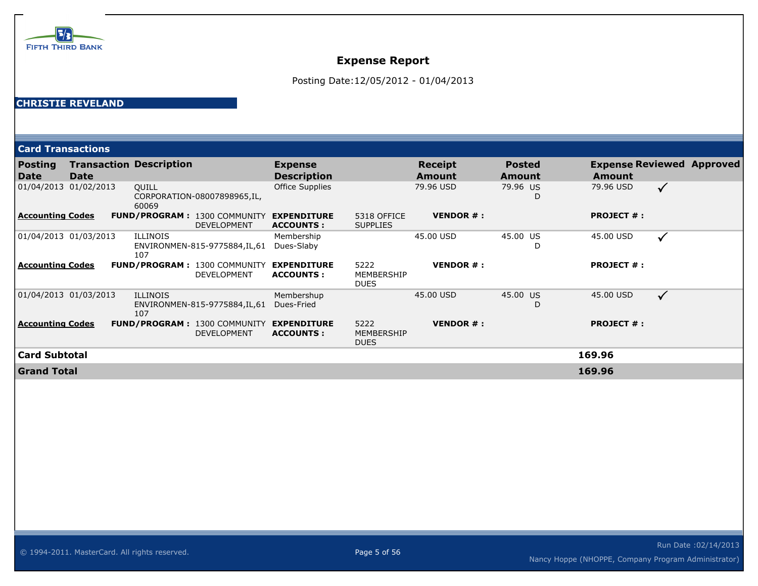

Posting Date:12/05/2012 - 01/04/2013

#### **CHRISTIE REVELAND**

|                         | <b>Card Transactions</b> |                                                           |                                        |                                   |                          |                         |                   |                                  |  |  |  |
|-------------------------|--------------------------|-----------------------------------------------------------|----------------------------------------|-----------------------------------|--------------------------|-------------------------|-------------------|----------------------------------|--|--|--|
| <b>Posting</b><br>Date  | <b>Date</b>              | <b>Transaction Description</b>                            | <b>Expense</b><br><b>Description</b>   |                                   | <b>Receipt</b><br>Amount | <b>Posted</b><br>Amount | <b>Amount</b>     | <b>Expense Reviewed Approved</b> |  |  |  |
| 01/04/2013              | 01/02/2013               | <b>QUILL</b><br>CORPORATION-08007898965, IL,<br>60069     | <b>Office Supplies</b>                 |                                   | 79.96 USD                | 79.96 US<br>D           | 79.96 USD         | $\checkmark$                     |  |  |  |
| <b>Accounting Codes</b> |                          | <b>FUND/PROGRAM: 1300 COMMUNITY</b><br><b>DEVELOPMENT</b> | <b>EXPENDITURE</b><br><b>ACCOUNTS:</b> | 5318 OFFICE<br><b>SUPPLIES</b>    | <b>VENDOR#:</b>          |                         | <b>PROJECT #:</b> |                                  |  |  |  |
|                         | 01/04/2013 01/03/2013    | <b>ILLINOIS</b><br>ENVIRONMEN-815-9775884,IL,61<br>107    | Membership<br>Dues-Slaby               |                                   | 45.00 USD                | 45.00 US<br>D           | 45.00 USD         | $\checkmark$                     |  |  |  |
| <b>Accounting Codes</b> |                          | <b>FUND/PROGRAM: 1300 COMMUNITY</b><br>DEVELOPMENT        | <b>EXPENDITURE</b><br><b>ACCOUNTS:</b> | 5222<br>MEMBERSHIP<br><b>DUES</b> | <b>VENDOR#:</b>          |                         | <b>PROJECT #:</b> |                                  |  |  |  |
| 01/04/2013 01/03/2013   |                          | <b>ILLINOIS</b><br>ENVIRONMEN-815-9775884,IL,61<br>107    | Membershup<br>Dues-Fried               |                                   | 45.00 USD                | 45.00 US<br>D           | 45,00 USD         | $\checkmark$                     |  |  |  |
| Accounting Codes        |                          | <b>FUND/PROGRAM: 1300 COMMUNITY</b><br><b>DEVELOPMENT</b> | <b>EXPENDITURE</b><br><b>ACCOUNTS:</b> | 5222<br>MEMBERSHIP<br><b>DUES</b> | <b>VENDOR#:</b>          |                         | <b>PROJECT #:</b> |                                  |  |  |  |
| Card Subtotal           |                          |                                                           |                                        |                                   |                          |                         | 169.96            |                                  |  |  |  |
| <b>Grand Total</b>      |                          |                                                           |                                        |                                   |                          |                         | 169.96            |                                  |  |  |  |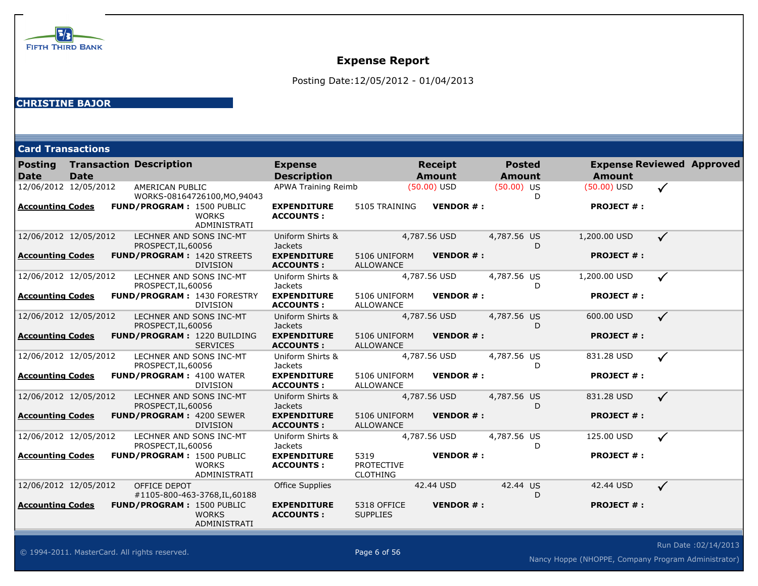

Posting Date:12/05/2012 - 01/04/2013

| <b>Card Transactions</b> |  |  |
|--------------------------|--|--|
|                          |  |  |

| Posting<br><b>Date</b>  | <b>Date</b> | <b>Transaction Description</b>                 |                                                      | <b>Expense</b><br><b>Description</b>   |                                              | <b>Receipt</b><br><b>Amount</b> | <b>Posted</b><br>Amount |   | <b>Expense Reviewed Approved</b><br><b>Amount</b> |              |  |
|-------------------------|-------------|------------------------------------------------|------------------------------------------------------|----------------------------------------|----------------------------------------------|---------------------------------|-------------------------|---|---------------------------------------------------|--------------|--|
| 12/06/2012 12/05/2012   |             | AMERICAN PUBLIC                                | WORKS-08164726100, MO, 94043                         | APWA Training Reimb                    |                                              | $(50.00)$ USD                   | $(50.00)$ US            | D | $(50.00)$ USD                                     | $\checkmark$ |  |
| <b>Accounting Codes</b> |             | <b>FUND/PROGRAM: 1500 PUBLIC</b>               | <b>WORKS</b><br>ADMINISTRATI                         | <b>EXPENDITURE</b><br><b>ACCOUNTS:</b> | 5105 TRAINING                                | <b>VENDOR#:</b>                 |                         |   | <b>PROJECT #:</b>                                 |              |  |
| 12/06/2012 12/05/2012   |             | LECHNER AND SONS INC-MT<br>PROSPECT, IL, 60056 |                                                      | Uniform Shirts &<br><b>Jackets</b>     |                                              | 4,787.56 USD                    | 4,787.56 US             | D | 1,200.00 USD                                      | $\checkmark$ |  |
| <b>Accounting Codes</b> |             |                                                | <b>FUND/PROGRAM: 1420 STREETS</b><br><b>DIVISION</b> | <b>EXPENDITURE</b><br><b>ACCOUNTS:</b> | 5106 UNIFORM<br>ALLOWANCE                    | <b>VENDOR#:</b>                 |                         |   | <b>PROJECT #:</b>                                 |              |  |
| 12/06/2012 12/05/2012   |             | LECHNER AND SONS INC-MT<br>PROSPECT, IL, 60056 |                                                      | Uniform Shirts &<br><b>Jackets</b>     |                                              | 4,787.56 USD                    | 4,787.56 US             | D | 1,200.00 USD                                      | $\checkmark$ |  |
| <b>Accounting Codes</b> |             |                                                | FUND/PROGRAM: 1430 FORESTRY<br><b>DIVISION</b>       | <b>EXPENDITURE</b><br><b>ACCOUNTS:</b> | 5106 UNIFORM<br><b>ALLOWANCE</b>             | <b>VENDOR#:</b>                 |                         |   | <b>PROJECT #:</b>                                 |              |  |
| 12/06/2012 12/05/2012   |             | LECHNER AND SONS INC-MT<br>PROSPECT, IL, 60056 |                                                      | Uniform Shirts &<br><b>Jackets</b>     |                                              | 4,787.56 USD                    | 4,787.56 US             | D | 600.00 USD                                        | $\checkmark$ |  |
| <b>Accounting Codes</b> |             |                                                | FUND/PROGRAM: 1220 BUILDING<br><b>SERVICES</b>       | <b>EXPENDITURE</b><br><b>ACCOUNTS:</b> | 5106 UNIFORM<br>ALLOWANCE                    | <b>VENDOR#:</b>                 |                         |   | <b>PROJECT #:</b>                                 |              |  |
| 12/06/2012 12/05/2012   |             | LECHNER AND SONS INC-MT<br>PROSPECT, IL, 60056 |                                                      | Uniform Shirts &<br><b>Jackets</b>     |                                              | 4,787.56 USD                    | 4,787.56 US             | D | 831.28 USD                                        | $\checkmark$ |  |
| <b>Accounting Codes</b> |             | <b>FUND/PROGRAM: 4100 WATER</b>                | <b>DIVISION</b>                                      | <b>EXPENDITURE</b><br><b>ACCOUNTS:</b> | 5106 UNIFORM<br><b>ALLOWANCE</b>             | <b>VENDOR#:</b>                 |                         |   | <b>PROJECT #:</b>                                 |              |  |
| 12/06/2012 12/05/2012   |             | LECHNER AND SONS INC-MT<br>PROSPECT, IL, 60056 |                                                      | Uniform Shirts &<br><b>Jackets</b>     |                                              | 4,787.56 USD                    | 4,787.56 US             | D | 831.28 USD                                        | $\checkmark$ |  |
| <b>Accounting Codes</b> |             | <b>FUND/PROGRAM: 4200 SEWER</b>                | <b>DIVISION</b>                                      | <b>EXPENDITURE</b><br><b>ACCOUNTS:</b> | 5106 UNIFORM<br>ALLOWANCE                    | <b>VENDOR#:</b>                 |                         |   | <b>PROJECT #:</b>                                 |              |  |
| 12/06/2012 12/05/2012   |             | LECHNER AND SONS INC-MT<br>PROSPECT, IL, 60056 |                                                      | Uniform Shirts &<br>Jackets            |                                              | 4,787.56 USD                    | 4,787.56 US             | D | 125.00 USD                                        | $\checkmark$ |  |
| <b>Accounting Codes</b> |             | <b>FUND/PROGRAM: 1500 PUBLIC</b>               | <b>WORKS</b><br>ADMINISTRATI                         | <b>EXPENDITURE</b><br><b>ACCOUNTS:</b> | 5319<br><b>PROTECTIVE</b><br><b>CLOTHING</b> | <b>VENDOR#:</b>                 |                         |   | <b>PROJECT #:</b>                                 |              |  |
| 12/06/2012 12/05/2012   |             | OFFICE DEPOT                                   | #1105-800-463-3768, IL, 60188                        | <b>Office Supplies</b>                 |                                              | 42.44 USD                       | 42.44 US                | D | 42.44 USD                                         | $\checkmark$ |  |
| <b>Accounting Codes</b> |             | <b>FUND/PROGRAM: 1500 PUBLIC</b>               | <b>WORKS</b><br>ADMINISTRATI                         | <b>EXPENDITURE</b><br><b>ACCOUNTS:</b> | 5318 OFFICE<br><b>SUPPLIES</b>               | <b>VENDOR#:</b>                 |                         |   | <b>PROJECT #:</b>                                 |              |  |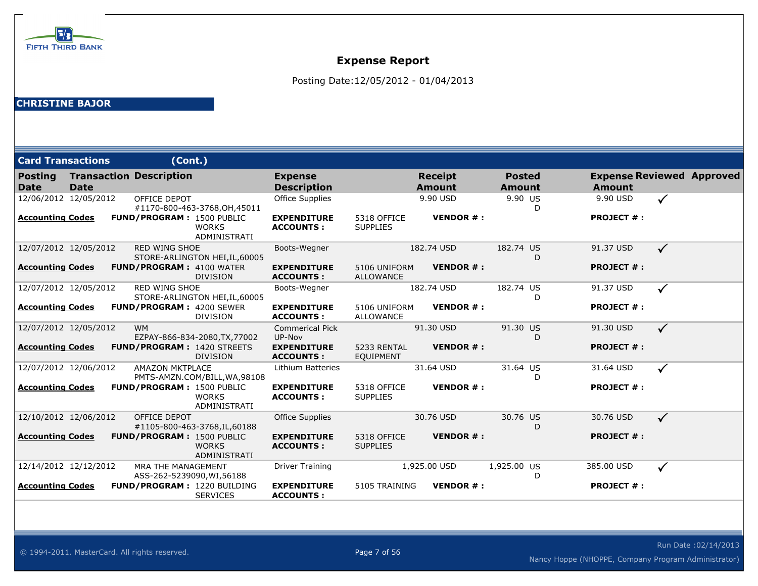

Posting Date:12/05/2012 - 01/04/2013

| <b>Card Transactions</b> |             | (Cont.)                                          |                                |                                        |                                  |                                 |                                |                   |                                  |
|--------------------------|-------------|--------------------------------------------------|--------------------------------|----------------------------------------|----------------------------------|---------------------------------|--------------------------------|-------------------|----------------------------------|
| <b>Posting</b><br>l Date | <b>Date</b> | <b>Transaction Description</b>                   |                                | <b>Expense</b><br><b>Description</b>   |                                  | <b>Receipt</b><br><b>Amount</b> | <b>Posted</b><br><b>Amount</b> | <b>Amount</b>     | <b>Expense Reviewed Approved</b> |
| 12/06/2012 12/05/2012    |             | OFFICE DEPOT                                     | #1170-800-463-3768, OH, 45011  | <b>Office Supplies</b>                 |                                  | 9.90 USD                        | 9.90 US<br>D                   | 9.90 USD          | $\checkmark$                     |
| <b>Accounting Codes</b>  |             | FUND/PROGRAM: 1500 PUBLIC                        | <b>WORKS</b><br>ADMINISTRATI   | <b>EXPENDITURE</b><br><b>ACCOUNTS:</b> | 5318 OFFICE<br><b>SUPPLIES</b>   | <b>VENDOR#:</b>                 |                                | <b>PROJECT #:</b> |                                  |
| 12/07/2012 12/05/2012    |             | <b>RED WING SHOE</b>                             | STORE-ARLINGTON HEI, IL, 60005 | Boots-Wegner                           |                                  | 182.74 USD                      | 182.74 US<br>D                 | 91.37 USD         | $\checkmark$                     |
| <b>Accounting Codes</b>  |             | <b>FUND/PROGRAM: 4100 WATER</b>                  | <b>DIVISION</b>                | <b>EXPENDITURE</b><br><b>ACCOUNTS:</b> | 5106 UNIFORM<br><b>ALLOWANCE</b> | <b>VENDOR#:</b>                 |                                | <b>PROJECT #:</b> |                                  |
| 12/07/2012 12/05/2012    |             | <b>RED WING SHOE</b>                             | STORE-ARLINGTON HEI, IL, 60005 | Boots-Wegner                           |                                  | 182.74 USD                      | 182.74 US<br>D                 | 91.37 USD         | ✓                                |
| Accounting Codes         |             | <b>FUND/PROGRAM: 4200 SEWER</b>                  | <b>DIVISION</b>                | <b>EXPENDITURE</b><br><b>ACCOUNTS:</b> | 5106 UNIFORM<br><b>ALLOWANCE</b> | <b>VENDOR#:</b>                 |                                | <b>PROJECT #:</b> |                                  |
| 12/07/2012 12/05/2012    |             | <b>WM</b>                                        | EZPAY-866-834-2080, TX, 77002  | <b>Commerical Pick</b><br>UP-Nov       |                                  | 91.30 USD                       | 91.30 US<br>D                  | 91.30 USD         | $\checkmark$                     |
| <b>Accounting Codes</b>  |             | <b>FUND/PROGRAM: 1420 STREETS</b>                | <b>DIVISION</b>                | <b>EXPENDITURE</b><br><b>ACCOUNTS:</b> | 5233 RENTAL<br><b>EQUIPMENT</b>  | <b>VENDOR#:</b>                 |                                | <b>PROJECT #:</b> |                                  |
| 12/07/2012 12/06/2012    |             | <b>AMAZON MKTPLACE</b>                           | PMTS-AMZN.COM/BILL, WA, 98108  | Lithium Batteries                      |                                  | 31.64 USD                       | 31.64 US<br>D                  | 31.64 USD         | $\checkmark$                     |
| <b>Accounting Codes</b>  |             | <b>FUND/PROGRAM: 1500 PUBLIC</b>                 | <b>WORKS</b><br>ADMINISTRATI   | <b>EXPENDITURE</b><br><b>ACCOUNTS:</b> | 5318 OFFICE<br><b>SUPPLIES</b>   | <b>VENDOR#:</b>                 |                                | <b>PROJECT #:</b> |                                  |
| 12/10/2012 12/06/2012    |             | OFFICE DEPOT                                     | #1105-800-463-3768, IL, 60188  | Office Supplies                        |                                  | 30.76 USD                       | 30.76 US<br>D                  | 30.76 USD         | $\checkmark$                     |
| <b>Accounting Codes</b>  |             | FUND/PROGRAM: 1500 PUBLIC                        | <b>WORKS</b><br>ADMINISTRATI   | <b>EXPENDITURE</b><br><b>ACCOUNTS:</b> | 5318 OFFICE<br><b>SUPPLIES</b>   | <b>VENDOR#:</b>                 |                                | <b>PROJECT #:</b> |                                  |
| 12/14/2012 12/12/2012    |             | MRA THE MANAGEMENT<br>ASS-262-5239090, WI, 56188 |                                | <b>Driver Training</b>                 |                                  | 1,925.00 USD                    | 1,925.00 US<br>D               | 385.00 USD        | $\checkmark$                     |
| Accounting Codes         |             | <b>FUND/PROGRAM: 1220 BUILDING</b>               | <b>SERVICES</b>                | <b>EXPENDITURE</b><br><b>ACCOUNTS:</b> | 5105 TRAINING                    | <b>VENDOR#:</b>                 |                                | <b>PROJECT #:</b> |                                  |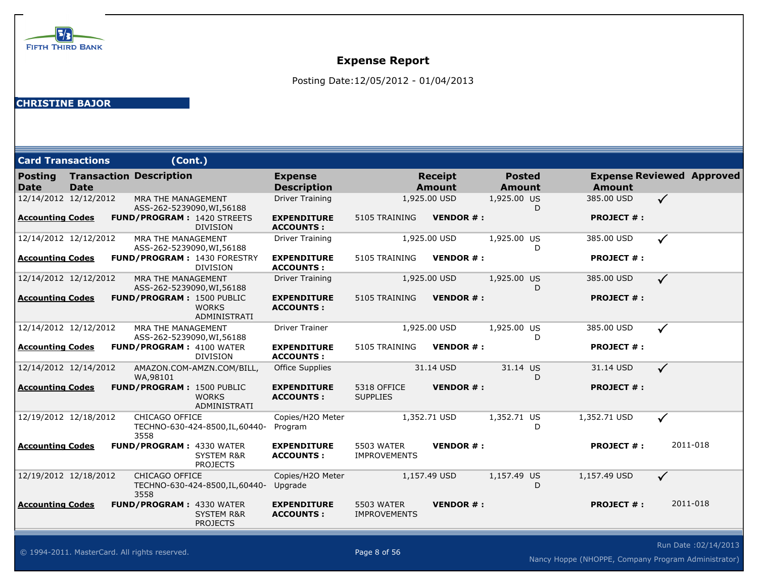

Posting Date:12/05/2012 - 01/04/2013

#### **CHRISTINE BAJOR**

| <b>Card Transactions</b> |             | (Cont.)                                          |                                                      |                                        |                                          |                                 |                                |   |                   |                                  |
|--------------------------|-------------|--------------------------------------------------|------------------------------------------------------|----------------------------------------|------------------------------------------|---------------------------------|--------------------------------|---|-------------------|----------------------------------|
| <b>Posting</b><br>Date   | <b>Date</b> | <b>Transaction Description</b>                   |                                                      | <b>Expense</b><br><b>Description</b>   |                                          | <b>Receipt</b><br><b>Amount</b> | <b>Posted</b><br><b>Amount</b> |   | <b>Amount</b>     | <b>Expense Reviewed Approved</b> |
| 12/14/2012 12/12/2012    |             | MRA THE MANAGEMENT<br>ASS-262-5239090, WI, 56188 |                                                      | <b>Driver Training</b>                 |                                          | 1,925.00 USD                    | 1,925.00 US                    | D | 385.00 USD        | $\checkmark$                     |
| Accounting Codes         |             |                                                  | <b>FUND/PROGRAM: 1420 STREETS</b><br><b>DIVISION</b> | <b>EXPENDITURE</b><br><b>ACCOUNTS:</b> | 5105 TRAINING                            | <b>VENDOR#:</b>                 |                                |   | <b>PROJECT #:</b> |                                  |
| 12/14/2012 12/12/2012    |             | MRA THE MANAGEMENT<br>ASS-262-5239090, WI, 56188 |                                                      | <b>Driver Training</b>                 |                                          | 1,925.00 USD                    | 1,925.00 US                    | D | 385.00 USD        | $\checkmark$                     |
| <b>Accounting Codes</b>  |             |                                                  | FUND/PROGRAM: 1430 FORESTRY<br><b>DIVISION</b>       | <b>EXPENDITURE</b><br><b>ACCOUNTS:</b> | 5105 TRAINING                            | <b>VENDOR#:</b>                 |                                |   | <b>PROJECT #:</b> |                                  |
| 12/14/2012 12/12/2012    |             | MRA THE MANAGEMENT<br>ASS-262-5239090, WI, 56188 |                                                      | <b>Driver Training</b>                 |                                          | 1,925.00 USD                    | 1,925.00 US                    | D | 385.00 USD        | $\checkmark$                     |
| <b>Accounting Codes</b>  |             | <b>FUND/PROGRAM: 1500 PUBLIC</b>                 | <b>WORKS</b><br>ADMINISTRATI                         | <b>EXPENDITURE</b><br><b>ACCOUNTS:</b> | 5105 TRAINING                            | <b>VENDOR#:</b>                 |                                |   | <b>PROJECT #:</b> |                                  |
| 12/14/2012 12/12/2012    |             | MRA THE MANAGEMENT<br>ASS-262-5239090, WI, 56188 |                                                      | <b>Driver Trainer</b>                  |                                          | 1,925.00 USD                    | 1,925.00 US                    | D | 385.00 USD        | $\checkmark$                     |
| <b>Accounting Codes</b>  |             | <b>FUND/PROGRAM: 4100 WATER</b>                  | <b>DIVISION</b>                                      | <b>EXPENDITURE</b><br><b>ACCOUNTS:</b> | 5105 TRAINING                            | <b>VENDOR#:</b>                 |                                |   | <b>PROJECT #:</b> |                                  |
| 12/14/2012 12/14/2012    |             | WA,98101                                         | AMAZON.COM-AMZN.COM/BILL,                            | Office Supplies                        |                                          | 31.14 USD                       | 31.14 US                       | D | 31.14 USD         | $\checkmark$                     |
| Accounting Codes         |             | <b>FUND/PROGRAM: 1500 PUBLIC</b>                 | <b>WORKS</b><br>ADMINISTRATI                         | <b>EXPENDITURE</b><br><b>ACCOUNTS:</b> | 5318 OFFICE<br><b>SUPPLIES</b>           | <b>VENDOR#:</b>                 |                                |   | <b>PROJECT #:</b> |                                  |
| 12/19/2012 12/18/2012    |             | <b>CHICAGO OFFICE</b><br>3558                    | TECHNO-630-424-8500, IL, 60440-                      | Copies/H2O Meter<br>Program            |                                          | 1,352.71 USD                    | 1,352.71 US                    | D | 1,352.71 USD      | $\checkmark$                     |
| <b>Accounting Codes</b>  |             | <b>FUND/PROGRAM: 4330 WATER</b>                  | <b>SYSTEM R&amp;R</b><br><b>PROJECTS</b>             | <b>EXPENDITURE</b><br><b>ACCOUNTS:</b> | 5503 WATER<br><b>IMPROVEMENTS</b>        | <b>VENDOR#:</b>                 |                                |   | <b>PROJECT #:</b> | 2011-018                         |
| 12/19/2012 12/18/2012    |             | CHICAGO OFFICE<br>3558                           | TECHNO-630-424-8500, IL, 60440-                      | Copies/H2O Meter<br>Upgrade            |                                          | 1,157.49 USD                    | 1,157.49 US                    | D | 1,157.49 USD      | $\checkmark$                     |
| <b>Accounting Codes</b>  |             | <b>FUND/PROGRAM: 4330 WATER</b>                  | <b>SYSTEM R&amp;R</b><br><b>PROJECTS</b>             | <b>EXPENDITURE</b><br><b>ACCOUNTS:</b> | <b>5503 WATER</b><br><b>IMPROVEMENTS</b> | <b>VENDOR#:</b>                 |                                |   | <b>PROJECT #:</b> | 2011-018                         |

Run Date :02/14/2013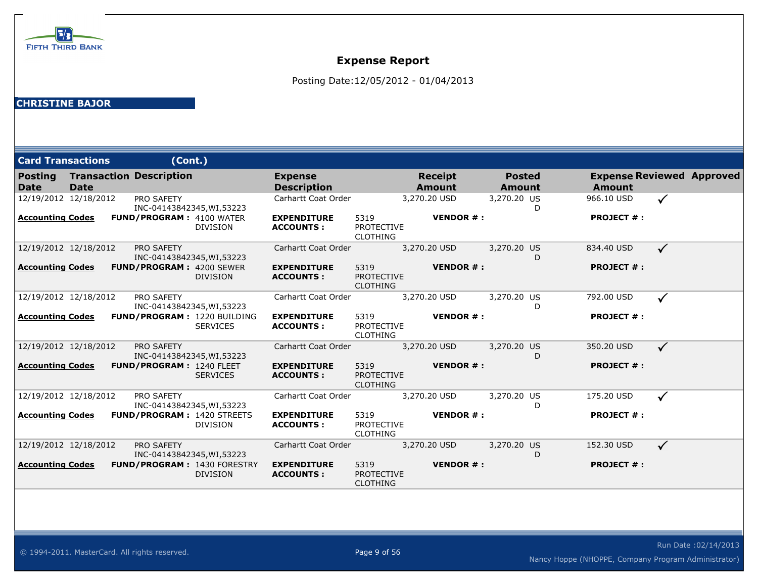

Posting Date:12/05/2012 - 01/04/2013

| <b>Card Transactions</b>              | (Cont.)                                               |                                        |                                              |                                 |                                |                   |                                  |
|---------------------------------------|-------------------------------------------------------|----------------------------------------|----------------------------------------------|---------------------------------|--------------------------------|-------------------|----------------------------------|
| <b>Posting</b><br>Date<br><b>Date</b> | <b>Transaction Description</b>                        | <b>Expense</b><br><b>Description</b>   |                                              | <b>Receipt</b><br><b>Amount</b> | <b>Posted</b><br><b>Amount</b> | <b>Amount</b>     | <b>Expense Reviewed Approved</b> |
| 12/19/2012 12/18/2012                 | <b>PRO SAFETY</b><br>INC-04143842345, WI, 53223       | Carhartt Coat Order                    |                                              | 3,270.20 USD                    | 3,270.20 US<br>D               | 966.10 USD        | $\checkmark$                     |
| <b>Accounting Codes</b>               | <b>FUND/PROGRAM: 4100 WATER</b><br><b>DIVISION</b>    | <b>EXPENDITURE</b><br><b>ACCOUNTS:</b> | 5319<br><b>PROTECTIVE</b><br><b>CLOTHING</b> | <b>VENDOR#:</b>                 |                                | <b>PROJECT #:</b> |                                  |
| 12/19/2012 12/18/2012                 | <b>PRO SAFETY</b><br>INC-04143842345, WI, 53223       | Carhartt Coat Order                    |                                              | 3,270.20 USD                    | 3,270.20 US<br>D               | 834.40 USD        | $\checkmark$                     |
| Accounting Codes                      | FUND/PROGRAM: 4200 SEWER<br><b>DIVISION</b>           | <b>EXPENDITURE</b><br><b>ACCOUNTS:</b> | 5319<br><b>PROTECTIVE</b><br><b>CLOTHING</b> | <b>VENDOR#:</b>                 |                                | <b>PROJECT #:</b> |                                  |
| 12/19/2012 12/18/2012                 | <b>PRO SAFETY</b><br>INC-04143842345, WI, 53223       | Carhartt Coat Order                    |                                              | 3,270.20 USD                    | 3,270.20 US<br>D               | 792.00 USD        | $\checkmark$                     |
| <b>Accounting Codes</b>               | <b>FUND/PROGRAM: 1220 BUILDING</b><br><b>SERVICES</b> | <b>EXPENDITURE</b><br><b>ACCOUNTS:</b> | 5319<br><b>PROTECTIVE</b><br><b>CLOTHING</b> | <b>VENDOR#:</b>                 |                                | <b>PROJECT #:</b> |                                  |
| 12/19/2012 12/18/2012                 | <b>PRO SAFETY</b><br>INC-04143842345, WI, 53223       | Carhartt Coat Order                    |                                              | 3,270.20 USD                    | 3,270.20 US<br>D               | 350.20 USD        | $\checkmark$                     |
| <b>Accounting Codes</b>               | FUND/PROGRAM: 1240 FLEET<br><b>SERVICES</b>           | <b>EXPENDITURE</b><br><b>ACCOUNTS:</b> | 5319<br><b>PROTECTIVE</b><br><b>CLOTHING</b> | <b>VENDOR#:</b>                 |                                | <b>PROJECT #:</b> |                                  |
| 12/19/2012 12/18/2012                 | <b>PRO SAFETY</b><br>INC-04143842345, WI, 53223       | Carhartt Coat Order                    |                                              | 3,270.20 USD                    | 3,270.20 US<br>D               | 175.20 USD        | ✓                                |
| <b>Accounting Codes</b>               | <b>FUND/PROGRAM: 1420 STREETS</b><br><b>DIVISION</b>  | <b>EXPENDITURE</b><br><b>ACCOUNTS:</b> | 5319<br><b>PROTECTIVE</b><br><b>CLOTHING</b> | <b>VENDOR#:</b>                 |                                | <b>PROJECT #:</b> |                                  |
| 12/19/2012 12/18/2012                 | <b>PRO SAFETY</b><br>INC-04143842345, WI, 53223       | Carhartt Coat Order                    |                                              | 3,270.20 USD                    | 3,270.20 US<br>D               | 152.30 USD        | $\checkmark$                     |
| <b>Accounting Codes</b>               | FUND/PROGRAM: 1430 FORESTRY<br><b>DIVISION</b>        | <b>EXPENDITURE</b><br><b>ACCOUNTS:</b> | 5319<br><b>PROTECTIVE</b><br><b>CLOTHING</b> | <b>VENDOR#:</b>                 |                                | <b>PROJECT #:</b> |                                  |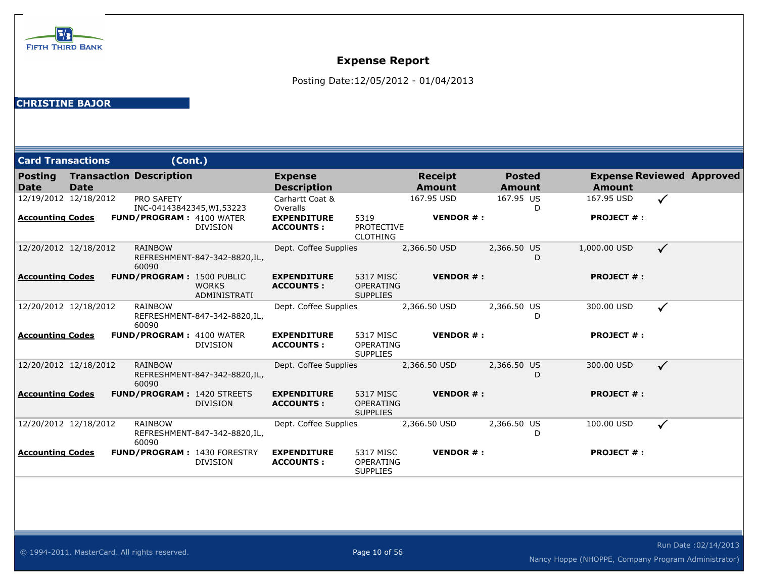

Posting Date:12/05/2012 - 01/04/2013

| <b>Card Transactions</b>                         |             | (Cont.)                                                                            |                               |                                                   |                                                  |                                 |                                |                                 |                                  |  |
|--------------------------------------------------|-------------|------------------------------------------------------------------------------------|-------------------------------|---------------------------------------------------|--------------------------------------------------|---------------------------------|--------------------------------|---------------------------------|----------------------------------|--|
| <b>Posting</b><br>Date                           | <b>Date</b> | <b>Transaction Description</b>                                                     |                               | <b>Expense</b><br><b>Description</b>              |                                                  | <b>Receipt</b><br><b>Amount</b> | <b>Posted</b><br><b>Amount</b> | <b>Amount</b>                   | <b>Expense Reviewed Approved</b> |  |
| 12/19/2012 12/18/2012<br><b>Accounting Codes</b> |             | <b>PRO SAFETY</b><br>INC-04143842345, WI, 53223<br><b>FUND/PROGRAM: 4100 WATER</b> |                               | Carhartt Coat &<br>Overalls<br><b>EXPENDITURE</b> | 5319                                             | 167.95 USD<br><b>VENDOR#:</b>   | 167.95 US<br>D                 | 167.95 USD<br><b>PROJECT #:</b> | $\checkmark$                     |  |
|                                                  |             |                                                                                    | <b>DIVISION</b>               | <b>ACCOUNTS:</b>                                  | <b>PROTECTIVE</b><br><b>CLOTHING</b>             |                                 |                                |                                 |                                  |  |
| 12/20/2012 12/18/2012                            |             | <b>RAINBOW</b><br>60090                                                            | REFRESHMENT-847-342-8820,IL,  | Dept. Coffee Supplies                             |                                                  | 2,366.50 USD                    | 2,366.50 US<br>D               | 1,000.00 USD                    | $\checkmark$                     |  |
| <b>Accounting Codes</b>                          |             | <b>FUND/PROGRAM: 1500 PUBLIC</b>                                                   | <b>WORKS</b><br>ADMINISTRATI  | <b>EXPENDITURE</b><br><b>ACCOUNTS:</b>            | 5317 MISC<br>OPERATING<br><b>SUPPLIES</b>        | <b>VENDOR#:</b>                 |                                | <b>PROJECT #:</b>               |                                  |  |
| 12/20/2012 12/18/2012                            |             | <b>RAINBOW</b><br>60090                                                            | REFRESHMENT-847-342-8820, IL, | Dept. Coffee Supplies                             |                                                  | 2,366.50 USD                    | 2,366.50 US<br>D               | 300.00 USD                      | $\checkmark$                     |  |
| <b>Accounting Codes</b>                          |             | <b>FUND/PROGRAM: 4100 WATER</b>                                                    | <b>DIVISION</b>               | <b>EXPENDITURE</b><br><b>ACCOUNTS:</b>            | 5317 MISC<br>OPERATING<br><b>SUPPLIES</b>        | <b>VENDOR#:</b>                 |                                | <b>PROJECT #:</b>               |                                  |  |
| 12/20/2012 12/18/2012                            |             | <b>RAINBOW</b><br>60090                                                            | REFRESHMENT-847-342-8820, IL, | Dept. Coffee Supplies                             |                                                  | 2,366.50 USD                    | 2,366.50 US<br>D               | 300.00 USD                      | $\checkmark$                     |  |
| <b>Accounting Codes</b>                          |             | <b>FUND/PROGRAM: 1420 STREETS</b>                                                  | <b>DIVISION</b>               | <b>EXPENDITURE</b><br><b>ACCOUNTS:</b>            | 5317 MISC<br><b>OPERATING</b><br><b>SUPPLIES</b> | <b>VENDOR#:</b>                 |                                | <b>PROJECT #:</b>               |                                  |  |
| 12/20/2012 12/18/2012                            |             | <b>RAINBOW</b><br>60090                                                            | REFRESHMENT-847-342-8820,IL,  | Dept. Coffee Supplies                             |                                                  | 2,366.50 USD                    | 2,366.50 US<br>D               | 100.00 USD                      | $\checkmark$                     |  |
| <b>Accounting Codes</b>                          |             | FUND/PROGRAM: 1430 FORESTRY                                                        | <b>DIVISION</b>               | <b>EXPENDITURE</b><br><b>ACCOUNTS:</b>            | 5317 MISC<br>OPERATING<br><b>SUPPLIES</b>        | <b>VENDOR#:</b>                 |                                | <b>PROJECT #:</b>               |                                  |  |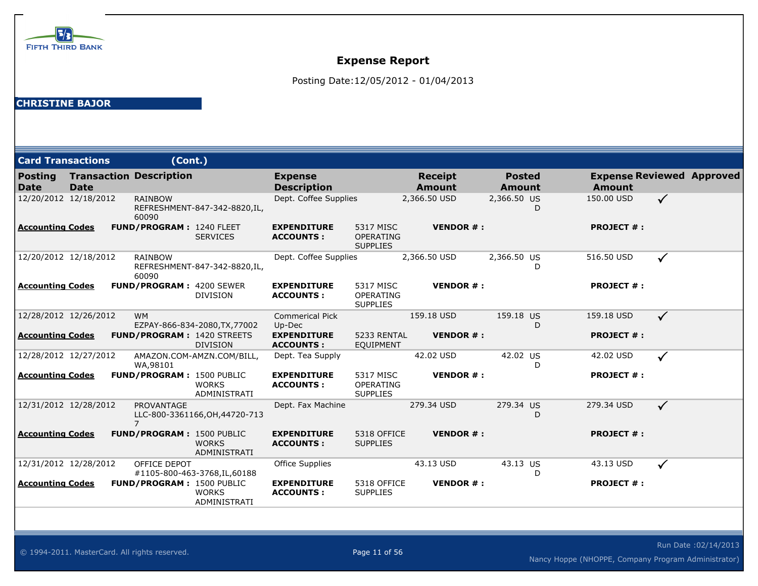

Posting Date:12/05/2012 - 01/04/2013

| <b>Card Transactions</b> |             | (Cont.)                             |                                                      |                                        |                                                  |                                 |                                |                   |                                  |
|--------------------------|-------------|-------------------------------------|------------------------------------------------------|----------------------------------------|--------------------------------------------------|---------------------------------|--------------------------------|-------------------|----------------------------------|
| <b>Posting</b><br>  Date | <b>Date</b> | <b>Transaction Description</b>      |                                                      | <b>Expense</b><br><b>Description</b>   |                                                  | <b>Receipt</b><br><b>Amount</b> | <b>Posted</b><br><b>Amount</b> | <b>Amount</b>     | <b>Expense Reviewed Approved</b> |
| 12/20/2012 12/18/2012    |             | <b>RAINBOW</b><br>60090             | REFRESHMENT-847-342-8820,IL,                         | Dept. Coffee Supplies                  |                                                  | 2,366.50 USD                    | 2,366.50 US<br>D               | 150.00 USD        | $\checkmark$                     |
| Accounting Codes         |             | <b>FUND/PROGRAM: 1240 FLEET</b>     | <b>SERVICES</b>                                      | <b>EXPENDITURE</b><br><b>ACCOUNTS:</b> | 5317 MISC<br><b>OPERATING</b><br><b>SUPPLIES</b> | <b>VENDOR#:</b>                 |                                | <b>PROJECT #:</b> |                                  |
| 12/20/2012 12/18/2012    |             | <b>RAINBOW</b><br>60090             | REFRESHMENT-847-342-8820, IL,                        | Dept. Coffee Supplies                  |                                                  | 2,366.50 USD                    | 2,366.50 US<br>D               | 516.50 USD        | $\checkmark$                     |
| <b>Accounting Codes</b>  |             | <b>FUND/PROGRAM: 4200 SEWER</b>     | <b>DIVISION</b>                                      | <b>EXPENDITURE</b><br><b>ACCOUNTS:</b> | 5317 MISC<br>OPERATING<br><b>SUPPLIES</b>        | <b>VENDOR#:</b>                 |                                | <b>PROJECT #:</b> |                                  |
| 12/28/2012 12/26/2012    |             | <b>WM</b>                           | EZPAY-866-834-2080, TX, 77002                        | <b>Commerical Pick</b><br>Up-Dec       |                                                  | 159.18 USD                      | 159.18 US<br>D                 | 159.18 USD        | $\checkmark$                     |
| <b>Accounting Codes</b>  |             |                                     | <b>FUND/PROGRAM: 1420 STREETS</b><br><b>DIVISION</b> | <b>EXPENDITURE</b><br><b>ACCOUNTS:</b> | 5233 RENTAL<br>EQUIPMENT                         | <b>VENDOR#:</b>                 |                                | <b>PROJECT #:</b> |                                  |
| 12/28/2012 12/27/2012    |             | WA,98101                            | AMAZON.COM-AMZN.COM/BILL,                            | Dept. Tea Supply                       |                                                  | 42.02 USD                       | 42.02 US<br>D                  | 42.02 USD         | $\checkmark$                     |
| <b>Accounting Codes</b>  |             | FUND/PROGRAM: 1500 PUBLIC           | <b>WORKS</b><br>ADMINISTRATI                         | <b>EXPENDITURE</b><br><b>ACCOUNTS:</b> | 5317 MISC<br><b>OPERATING</b><br><b>SUPPLIES</b> | <b>VENDOR#:</b>                 |                                | <b>PROJECT #:</b> |                                  |
| 12/31/2012 12/28/2012    |             | <b>PROVANTAGE</b><br>$\overline{7}$ | LLC-800-3361166, OH, 44720-713                       | Dept. Fax Machine                      |                                                  | 279.34 USD                      | 279.34 US<br>D                 | 279.34 USD        | $\checkmark$                     |
| <b>Accounting Codes</b>  |             | FUND/PROGRAM: 1500 PUBLIC           | <b>WORKS</b><br>ADMINISTRATI                         | <b>EXPENDITURE</b><br><b>ACCOUNTS:</b> | 5318 OFFICE<br><b>SUPPLIES</b>                   | <b>VENDOR#:</b>                 |                                | <b>PROJECT #:</b> |                                  |
| 12/31/2012 12/28/2012    |             | OFFICE DEPOT                        | #1105-800-463-3768, IL, 60188                        | <b>Office Supplies</b>                 |                                                  | 43.13 USD                       | 43.13 US<br>D                  | 43.13 USD         | $\checkmark$                     |
| <b>Accounting Codes</b>  |             | <b>FUND/PROGRAM: 1500 PUBLIC</b>    | <b>WORKS</b><br>ADMINISTRATI                         | <b>EXPENDITURE</b><br><b>ACCOUNTS:</b> | 5318 OFFICE<br><b>SUPPLIES</b>                   | <b>VENDOR#:</b>                 |                                | <b>PROJECT #:</b> |                                  |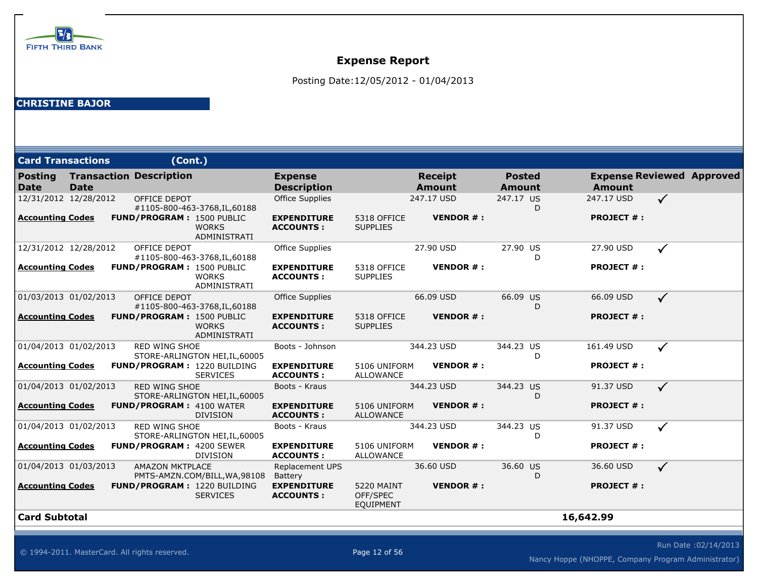

Posting Date:12/05/2012 - 01/04/2013

| <b>Card Transactions</b>      |             | (Cont.)                            |                                     |                                        |                                                   |                                 |                                |                   |                                  |
|-------------------------------|-------------|------------------------------------|-------------------------------------|----------------------------------------|---------------------------------------------------|---------------------------------|--------------------------------|-------------------|----------------------------------|
| <b>Posting</b><br><b>Date</b> | <b>Date</b> | <b>Transaction Description</b>     |                                     | <b>Expense</b><br><b>Description</b>   |                                                   | <b>Receipt</b><br><b>Amount</b> | <b>Posted</b><br><b>Amount</b> | <b>Amount</b>     | <b>Expense Reviewed Approved</b> |
| 12/31/2012 12/28/2012         |             | OFFICE DEPOT                       | #1105-800-463-3768, IL, 60188       | <b>Office Supplies</b>                 |                                                   | 247.17 USD                      | 247.17 US<br>D                 | 247.17 USD        | $\checkmark$                     |
| <b>Accounting Codes</b>       |             | FUND/PROGRAM: 1500 PUBLIC          | <b>WORKS</b><br>ADMINISTRATI        | <b>EXPENDITURE</b><br><b>ACCOUNTS:</b> | 5318 OFFICE<br><b>SUPPLIES</b>                    | <b>VENDOR#:</b>                 |                                | <b>PROJECT #:</b> |                                  |
| 12/31/2012 12/28/2012         |             | OFFICE DEPOT                       | #1105-800-463-3768, IL, 60188       | <b>Office Supplies</b>                 |                                                   | 27.90 USD                       | 27.90 US<br>D                  | 27.90 USD         | ✓                                |
| <b>Accounting Codes</b>       |             | <b>FUND/PROGRAM: 1500 PUBLIC</b>   | <b>WORKS</b><br><b>ADMINISTRATI</b> | <b>EXPENDITURE</b><br><b>ACCOUNTS:</b> | 5318 OFFICE<br><b>SUPPLIES</b>                    | <b>VENDOR#:</b>                 |                                | <b>PROJECT #:</b> |                                  |
| 01/03/2013 01/02/2013         |             | <b>OFFICE DEPOT</b>                | #1105-800-463-3768, IL, 60188       | <b>Office Supplies</b>                 |                                                   | 66.09 USD                       | 66.09 US<br>D                  | 66.09 USD         | $\checkmark$                     |
| <b>Accounting Codes</b>       |             | <b>FUND/PROGRAM: 1500 PUBLIC</b>   | <b>WORKS</b><br>ADMINISTRATI        | <b>EXPENDITURE</b><br><b>ACCOUNTS:</b> | 5318 OFFICE<br><b>SUPPLIES</b>                    | <b>VENDOR#:</b>                 |                                | <b>PROJECT #:</b> |                                  |
| 01/04/2013 01/02/2013         |             | <b>RED WING SHOE</b>               | STORE-ARLINGTON HEI, IL, 60005      | Boots - Johnson                        |                                                   | 344.23 USD                      | 344.23 US<br>D                 | 161.49 USD        | $\checkmark$                     |
| <b>Accounting Codes</b>       |             | FUND/PROGRAM: 1220 BUILDING        | <b>SERVICES</b>                     | <b>EXPENDITURE</b><br><b>ACCOUNTS:</b> | 5106 UNIFORM<br><b>ALLOWANCE</b>                  | <b>VENDOR#:</b>                 |                                | <b>PROJECT #:</b> |                                  |
| 01/04/2013 01/02/2013         |             | <b>RED WING SHOE</b>               | STORE-ARLINGTON HEI, IL, 60005      | Boots - Kraus                          |                                                   | 344.23 USD                      | 344.23 US<br>D                 | 91.37 USD         | $\checkmark$                     |
| <b>Accounting Codes</b>       |             | <b>FUND/PROGRAM: 4100 WATER</b>    | <b>DIVISION</b>                     | <b>EXPENDITURE</b><br><b>ACCOUNTS:</b> | 5106 UNIFORM<br><b>ALLOWANCE</b>                  | <b>VENDOR#:</b>                 |                                | <b>PROJECT #:</b> |                                  |
| 01/04/2013 01/02/2013         |             | <b>RED WING SHOE</b>               | STORE-ARLINGTON HEI, IL, 60005      | Boots - Kraus                          |                                                   | 344.23 USD                      | 344.23 US<br>D                 | 91.37 USD         | $\checkmark$                     |
| <b>Accounting Codes</b>       |             | <b>FUND/PROGRAM: 4200 SEWER</b>    | <b>DIVISION</b>                     | <b>EXPENDITURE</b><br><b>ACCOUNTS:</b> | 5106 UNIFORM<br><b>ALLOWANCE</b>                  | <b>VENDOR#:</b>                 |                                | <b>PROJECT #:</b> |                                  |
| 01/04/2013 01/03/2013         |             | <b>AMAZON MKTPLACE</b>             | PMTS-AMZN.COM/BILL, WA, 98108       | Replacement UPS<br>Battery             |                                                   | 36.60 USD                       | 36.60 US<br>D                  | 36.60 USD         | $\checkmark$                     |
| <b>Accounting Codes</b>       |             | <b>FUND/PROGRAM: 1220 BUILDING</b> | <b>SERVICES</b>                     | <b>EXPENDITURE</b><br><b>ACCOUNTS:</b> | <b>5220 MAINT</b><br>OFF/SPEC<br><b>EQUIPMENT</b> | <b>VENDOR#:</b>                 |                                | <b>PROJECT #:</b> |                                  |
| <b>Card Subtotal</b>          |             |                                    |                                     |                                        |                                                   |                                 |                                | 16,642.99         |                                  |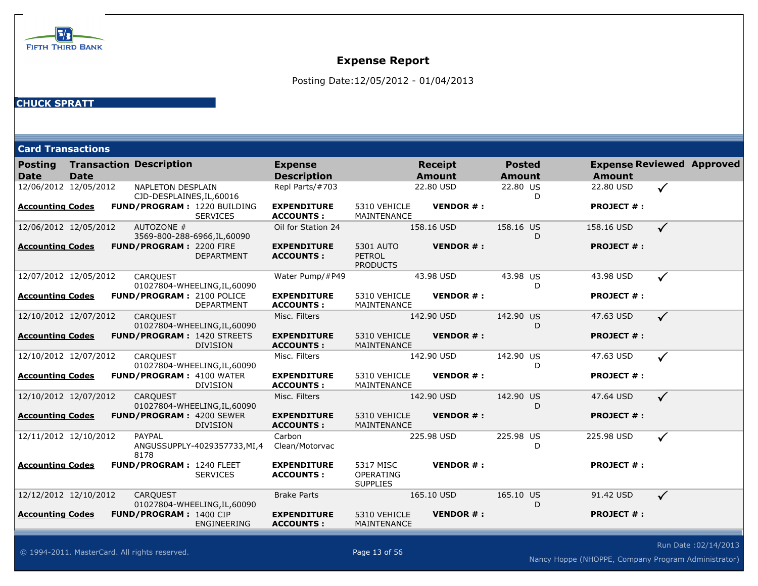

Posting Date:12/05/2012 - 01/04/2013

#### **CHUCK SPRATT**

| <b>Card Transactions</b>      |             |                                                       |                               |                                        |                                               |                                 |                                |                   |                                  |
|-------------------------------|-------------|-------------------------------------------------------|-------------------------------|----------------------------------------|-----------------------------------------------|---------------------------------|--------------------------------|-------------------|----------------------------------|
| <b>Posting</b><br><b>Date</b> | <b>Date</b> | <b>Transaction Description</b>                        |                               | <b>Expense</b><br><b>Description</b>   |                                               | <b>Receipt</b><br><b>Amount</b> | <b>Posted</b><br><b>Amount</b> | <b>Amount</b>     | <b>Expense Reviewed Approved</b> |
| 12/06/2012 12/05/2012         |             | <b>NAPLETON DESPLAIN</b><br>CJD-DESPLAINES, IL, 60016 |                               | Repl Parts/#703                        |                                               | 22.80 USD                       | 22.80 US<br>D                  | 22.80 USD         | $\checkmark$                     |
| <b>Accounting Codes</b>       |             | FUND/PROGRAM: 1220 BUILDING                           | <b>SERVICES</b>               | <b>EXPENDITURE</b><br><b>ACCOUNTS:</b> | 5310 VEHICLE<br>MAINTENANCE                   | <b>VENDOR#:</b>                 |                                | <b>PROJECT #:</b> |                                  |
| 12/06/2012 12/05/2012         |             | AUTOZONE #                                            | 3569-800-288-6966, IL, 60090  | Oil for Station 24                     |                                               | 158.16 USD                      | 158.16 US<br>D                 | 158.16 USD        | $\checkmark$                     |
| <b>Accounting Codes</b>       |             | FUND/PROGRAM: 2200 FIRE                               | <b>DEPARTMENT</b>             | <b>EXPENDITURE</b><br><b>ACCOUNTS:</b> | 5301 AUTO<br><b>PETROL</b><br><b>PRODUCTS</b> | <b>VENDOR#:</b>                 |                                | <b>PROJECT #:</b> |                                  |
| 12/07/2012 12/05/2012         |             | <b>CARQUEST</b>                                       | 01027804-WHEELING, IL, 60090  | Water Pump/#P49                        |                                               | 43.98 USD                       | 43.98 US<br>D                  | 43.98 USD         | $\checkmark$                     |
| <b>Accounting Codes</b>       |             | FUND/PROGRAM: 2100 POLICE                             | DEPARTMENT                    | <b>EXPENDITURE</b><br><b>ACCOUNTS:</b> | 5310 VEHICLE<br>MAINTENANCE                   | <b>VENDOR#:</b>                 |                                | <b>PROJECT #:</b> |                                  |
| 12/10/2012 12/07/2012         |             | <b>CAROUEST</b>                                       | 01027804-WHEELING, IL, 60090  | Misc. Filters                          |                                               | 142.90 USD                      | 142.90 US<br>D                 | 47.63 USD         | $\checkmark$                     |
| <b>Accounting Codes</b>       |             | <b>FUND/PROGRAM: 1420 STREETS</b>                     | <b>DIVISION</b>               | <b>EXPENDITURE</b><br><b>ACCOUNTS:</b> | 5310 VEHICLE<br>MAINTENANCE                   | <b>VENDOR#:</b>                 |                                | <b>PROJECT #:</b> |                                  |
| 12/10/2012 12/07/2012         |             | <b>CAROUEST</b>                                       | 01027804-WHEELING, IL, 60090  | Misc. Filters                          |                                               | 142.90 USD                      | 142.90 US<br>D                 | 47.63 USD         | $\checkmark$                     |
| <b>Accounting Codes</b>       |             | FUND/PROGRAM: 4100 WATER                              | <b>DIVISION</b>               | <b>EXPENDITURE</b><br><b>ACCOUNTS:</b> | 5310 VEHICLE<br>MAINTENANCE                   | <b>VENDOR#:</b>                 |                                | <b>PROJECT #:</b> |                                  |
| 12/10/2012 12/07/2012         |             | <b>CARQUEST</b>                                       | 01027804-WHEELING, IL, 60090  | Misc. Filters                          |                                               | 142.90 USD                      | 142.90 US<br>D                 | 47.64 USD         | $\checkmark$                     |
| <b>Accounting Codes</b>       |             | <b>FUND/PROGRAM: 4200 SEWER</b>                       | <b>DIVISION</b>               | <b>EXPENDITURE</b><br><b>ACCOUNTS:</b> | 5310 VEHICLE<br>MAINTENANCE                   | <b>VENDOR#:</b>                 |                                | <b>PROJECT #:</b> |                                  |
| 12/11/2012 12/10/2012         |             | PAYPAL<br>8178                                        | ANGUSSUPPLY-4029357733, MI, 4 | Carbon<br>Clean/Motorvac               |                                               | 225.98 USD                      | 225.98 US<br>D                 | 225.98 USD        | $\checkmark$                     |
| <b>Accounting Codes</b>       |             | <b>FUND/PROGRAM: 1240 FLEET</b>                       | <b>SERVICES</b>               | <b>EXPENDITURE</b><br><b>ACCOUNTS:</b> | 5317 MISC<br>OPERATING<br><b>SUPPLIES</b>     | <b>VENDOR#:</b>                 |                                | <b>PROJECT #:</b> |                                  |
| 12/12/2012 12/10/2012         |             | <b>CAROUEST</b>                                       | 01027804-WHEELING, IL, 60090  | <b>Brake Parts</b>                     |                                               | 165.10 USD                      | 165.10 US<br>D                 | 91.42 USD         | $\checkmark$                     |
| <b>Accounting Codes</b>       |             | <b>FUND/PROGRAM: 1400 CIP</b>                         | ENGINEERING                   | <b>EXPENDITURE</b><br><b>ACCOUNTS:</b> | 5310 VEHICLE<br>MAINTENANCE                   | <b>VENDOR#:</b>                 |                                | <b>PROJECT #:</b> |                                  |

Run Date :02/14/2013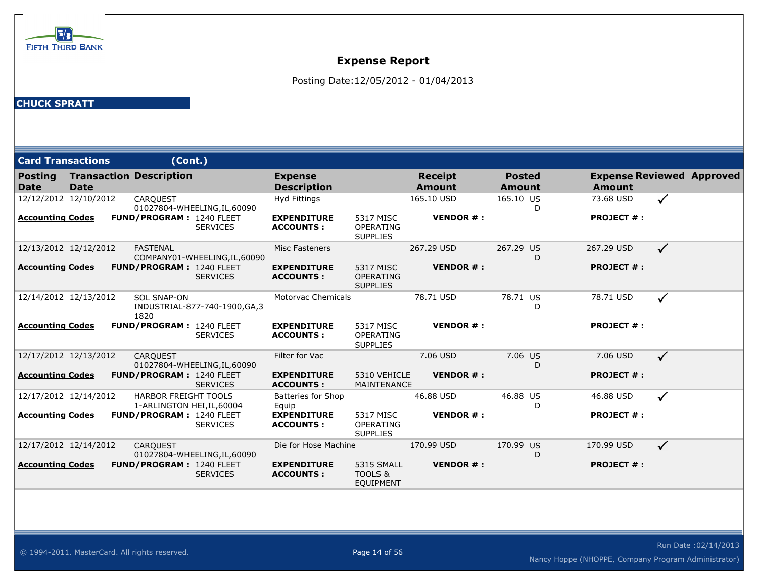

Posting Date:12/05/2012 - 01/04/2013

| <b>Card Transactions</b>      |             | (Cont.)                                                   |                                |                                        |                                                  |                          |                         |                   |                                  |  |
|-------------------------------|-------------|-----------------------------------------------------------|--------------------------------|----------------------------------------|--------------------------------------------------|--------------------------|-------------------------|-------------------|----------------------------------|--|
| <b>Posting</b><br><b>Date</b> | <b>Date</b> | <b>Transaction Description</b>                            |                                | <b>Expense</b><br><b>Description</b>   |                                                  | <b>Receipt</b><br>Amount | <b>Posted</b><br>Amount | <b>Amount</b>     | <b>Expense Reviewed Approved</b> |  |
| 12/12/2012 12/10/2012         |             | <b>CARQUEST</b>                                           | 01027804-WHEELING, IL, 60090   | Hyd Fittings                           |                                                  | 165.10 USD               | 165.10 US               | 73.68 USD<br>D    | $\checkmark$                     |  |
| <b>Accounting Codes</b>       |             | <b>FUND/PROGRAM: 1240 FLEET</b>                           | <b>SERVICES</b>                | <b>EXPENDITURE</b><br><b>ACCOUNTS:</b> | 5317 MISC<br><b>OPERATING</b><br><b>SUPPLIES</b> | <b>VENDOR#:</b>          |                         | <b>PROJECT #:</b> |                                  |  |
| 12/13/2012 12/12/2012         |             | <b>FASTENAL</b>                                           | COMPANY01-WHEELING, IL, 60090  | Misc Fasteners                         |                                                  | 267.29 USD               | 267.29 US               | 267.29 USD<br>D   | $\checkmark$                     |  |
| <b>Accounting Codes</b>       |             | FUND/PROGRAM: 1240 FLEET                                  | <b>SERVICES</b>                | <b>EXPENDITURE</b><br><b>ACCOUNTS:</b> | 5317 MISC<br>OPERATING<br><b>SUPPLIES</b>        | <b>VENDOR#:</b>          |                         | <b>PROJECT #:</b> |                                  |  |
| 12/14/2012 12/13/2012         |             | <b>SOL SNAP-ON</b><br>1820                                | INDUSTRIAL-877-740-1900, GA, 3 | <b>Motorvac Chemicals</b>              |                                                  | 78.71 USD                | 78.71 US                | 78.71 USD<br>D    | ✓                                |  |
| <b>Accounting Codes</b>       |             | <b>FUND/PROGRAM: 1240 FLEET</b>                           | <b>SERVICES</b>                | <b>EXPENDITURE</b><br><b>ACCOUNTS:</b> | 5317 MISC<br>OPERATING<br><b>SUPPLIES</b>        | <b>VENDOR#:</b>          |                         | <b>PROJECT #:</b> |                                  |  |
| 12/17/2012 12/13/2012         |             | <b>CARQUEST</b>                                           | 01027804-WHEELING, IL, 60090   | Filter for Vac                         |                                                  | 7.06 USD                 | 7.06 US                 | 7.06 USD<br>D     | $\checkmark$                     |  |
| <b>Accounting Codes</b>       |             | <b>FUND/PROGRAM: 1240 FLEET</b>                           | <b>SERVICES</b>                | <b>EXPENDITURE</b><br><b>ACCOUNTS:</b> | 5310 VEHICLE<br>MAINTENANCE                      | <b>VENDOR#:</b>          |                         | <b>PROJECT #:</b> |                                  |  |
| 12/17/2012 12/14/2012         |             | <b>HARBOR FREIGHT TOOLS</b><br>1-ARLINGTON HEI, IL, 60004 |                                | <b>Batteries for Shop</b><br>Equip     |                                                  | 46.88 USD                | 46.88 US                | 46.88 USD<br>D    | $\checkmark$                     |  |
| <b>Accounting Codes</b>       |             | <b>FUND/PROGRAM: 1240 FLEET</b>                           | <b>SERVICES</b>                | <b>EXPENDITURE</b><br><b>ACCOUNTS:</b> | 5317 MISC<br><b>OPERATING</b><br><b>SUPPLIES</b> | <b>VENDOR#:</b>          |                         | <b>PROJECT #:</b> |                                  |  |
| 12/17/2012 12/14/2012         |             | <b>CARQUEST</b>                                           | 01027804-WHEELING, IL, 60090   | Die for Hose Machine                   |                                                  | 170.99 USD               | 170.99 US               | 170.99 USD<br>D   | $\checkmark$                     |  |
| <b>Accounting Codes</b>       |             | <b>FUND/PROGRAM: 1240 FLEET</b>                           | <b>SERVICES</b>                | <b>EXPENDITURE</b><br><b>ACCOUNTS:</b> | 5315 SMALL<br>TOOLS &<br><b>EQUIPMENT</b>        | <b>VENDOR#:</b>          |                         | <b>PROJECT #:</b> |                                  |  |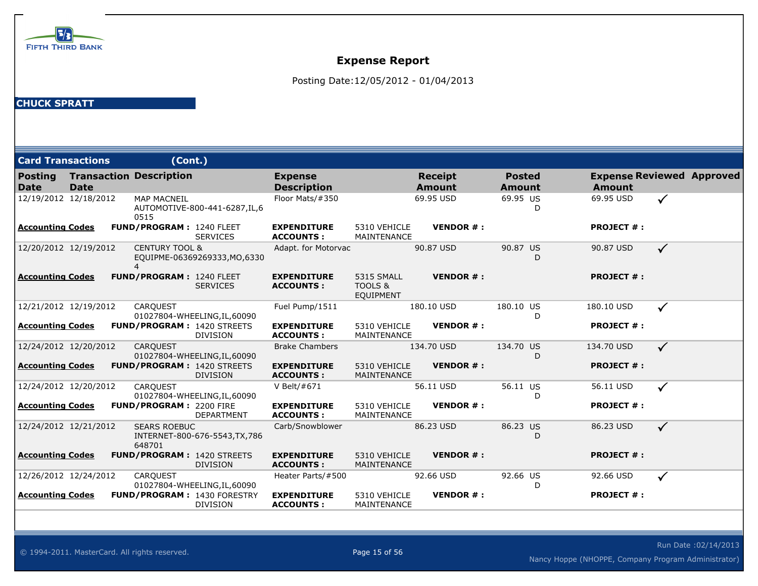

Posting Date:12/05/2012 - 01/04/2013

| <b>Card Transactions</b><br>(Cont.) |             |  |                                 |                                                       |                                        |                                           |                                 |                                |                   |                                  |
|-------------------------------------|-------------|--|---------------------------------|-------------------------------------------------------|----------------------------------------|-------------------------------------------|---------------------------------|--------------------------------|-------------------|----------------------------------|
| <b>Posting</b><br><b>Date</b>       | <b>Date</b> |  | <b>Transaction Description</b>  |                                                       | <b>Expense</b><br><b>Description</b>   |                                           | <b>Receipt</b><br><b>Amount</b> | <b>Posted</b><br><b>Amount</b> | <b>Amount</b>     | <b>Expense Reviewed Approved</b> |
| 12/19/2012 12/18/2012               |             |  | <b>MAP MACNEIL</b><br>0515      | AUTOMOTIVE-800-441-6287, IL, 6                        | Floor Mats/#350                        |                                           | 69.95 USD                       | 69.95 US<br>D                  | 69.95 USD         | $\checkmark$                     |
| <b>Accounting Codes</b>             |             |  | <b>FUND/PROGRAM: 1240 FLEET</b> | <b>SERVICES</b>                                       | <b>EXPENDITURE</b><br><b>ACCOUNTS:</b> | 5310 VEHICLE<br>MAINTENANCE               | <b>VENDOR#:</b>                 |                                | <b>PROJECT #:</b> |                                  |
| 12/20/2012 12/19/2012               |             |  | <b>CENTURY TOOL &amp;</b><br>4  | EQUIPME-06369269333, MO, 6330                         | Adapt. for Motorvac                    |                                           | 90.87 USD                       | 90.87 US<br>D                  | 90.87 USD         | $\checkmark$                     |
| <b>Accounting Codes</b>             |             |  | FUND/PROGRAM: 1240 FLEET        | <b>SERVICES</b>                                       | <b>EXPENDITURE</b><br><b>ACCOUNTS:</b> | 5315 SMALL<br>TOOLS &<br><b>EQUIPMENT</b> | <b>VENDOR#:</b>                 |                                | <b>PROJECT #:</b> |                                  |
| 12/21/2012 12/19/2012               |             |  | <b>CAROUEST</b>                 | 01027804-WHEELING, IL, 60090                          | Fuel Pump/1511                         |                                           | 180.10 USD                      | 180.10 US<br>D                 | 180.10 USD        | $\checkmark$                     |
| <b>Accounting Codes</b>             |             |  |                                 | <b>FUND/PROGRAM: 1420 STREETS</b><br><b>DIVISION</b>  | <b>EXPENDITURE</b><br><b>ACCOUNTS:</b> | 5310 VEHICLE<br>MAINTENANCE               | <b>VENDOR#:</b>                 |                                | <b>PROJECT #:</b> |                                  |
| 12/24/2012 12/20/2012               |             |  | <b>CARQUEST</b>                 | 01027804-WHEELING, IL, 60090                          | <b>Brake Chambers</b>                  |                                           | 134.70 USD                      | 134.70 US<br>D                 | 134.70 USD        | $\checkmark$                     |
| <b>Accounting Codes</b>             |             |  |                                 | <b>FUND/PROGRAM: 1420 STREETS</b><br><b>DIVISION</b>  | <b>EXPENDITURE</b><br><b>ACCOUNTS:</b> | 5310 VEHICLE<br>MAINTENANCE               | <b>VENDOR#:</b>                 |                                | <b>PROJECT #:</b> |                                  |
| 12/24/2012 12/20/2012               |             |  | CARQUEST                        | 01027804-WHEELING, IL, 60090                          | V Belt/#671                            |                                           | 56.11 USD                       | 56.11 US<br>D                  | 56.11 USD         | $\checkmark$                     |
| Accounting Codes                    |             |  | <b>FUND/PROGRAM: 2200 FIRE</b>  | <b>DEPARTMENT</b>                                     | <b>EXPENDITURE</b><br><b>ACCOUNTS:</b> | 5310 VEHICLE<br>MAINTENANCE               | <b>VENDOR#:</b>                 |                                | <b>PROJECT #:</b> |                                  |
| 12/24/2012 12/21/2012               |             |  | <b>SEARS ROEBUC</b><br>648701   | INTERNET-800-676-5543, TX, 786                        | Carb/Snowblower                        |                                           | 86.23 USD                       | 86.23 US<br>D                  | 86.23 USD         | $\checkmark$                     |
| <b>Accounting Codes</b>             |             |  |                                 | FUND/PROGRAM: 1420 STREETS<br><b>DIVISION</b>         | <b>EXPENDITURE</b><br><b>ACCOUNTS:</b> | 5310 VEHICLE<br>MAINTENANCE               | <b>VENDOR#:</b>                 |                                | <b>PROJECT #:</b> |                                  |
| 12/26/2012 12/24/2012               |             |  | <b>CAROUEST</b>                 | 01027804-WHEELING, IL, 60090                          | Heater Parts/#500                      |                                           | 92.66 USD                       | 92.66 US<br>D                  | 92.66 USD         | $\checkmark$                     |
| Accounting Codes                    |             |  |                                 | <b>FUND/PROGRAM: 1430 FORESTRY</b><br><b>DIVISION</b> | <b>EXPENDITURE</b><br><b>ACCOUNTS:</b> | 5310 VEHICLE<br>MAINTENANCE               | <b>VENDOR#:</b>                 |                                | <b>PROJECT #:</b> |                                  |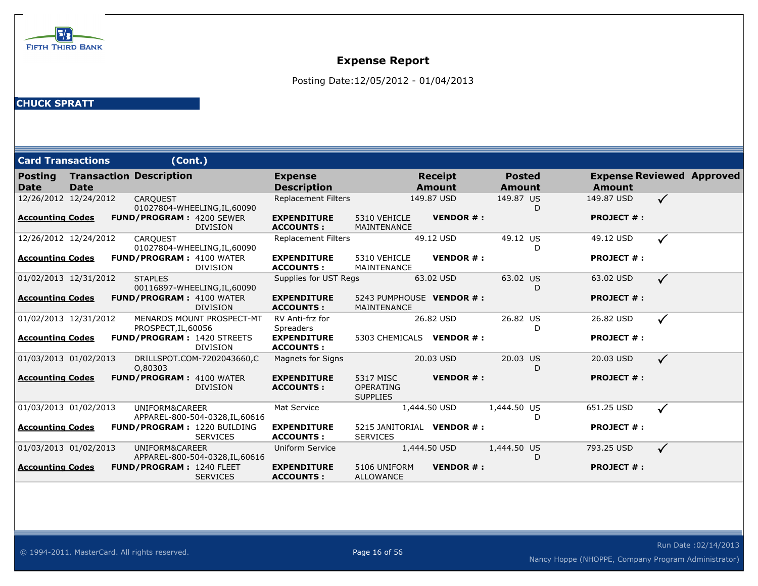

Posting Date:12/05/2012 - 01/04/2013

| <b>Card Transactions</b>      |             | (Cont.)                           |                                                       |                                        |                                                  |                                 |                 |                         |   |                                                   |              |  |
|-------------------------------|-------------|-----------------------------------|-------------------------------------------------------|----------------------------------------|--------------------------------------------------|---------------------------------|-----------------|-------------------------|---|---------------------------------------------------|--------------|--|
| <b>Posting</b><br><b>Date</b> | <b>Date</b> | <b>Transaction Description</b>    |                                                       | <b>Expense</b><br><b>Description</b>   |                                                  | <b>Receipt</b><br><b>Amount</b> |                 | <b>Posted</b><br>Amount |   | <b>Expense Reviewed Approved</b><br><b>Amount</b> |              |  |
| 12/26/2012 12/24/2012         |             | <b>CARQUEST</b>                   | 01027804-WHEELING, IL, 60090                          | <b>Replacement Filters</b>             |                                                  | 149.87 USD                      |                 | 149.87 US               | D | 149.87 USD                                        | $\checkmark$ |  |
| <b>Accounting Codes</b>       |             | <b>FUND/PROGRAM: 4200 SEWER</b>   | <b>DIVISION</b>                                       | <b>EXPENDITURE</b><br><b>ACCOUNTS:</b> | 5310 VEHICLE<br>MAINTENANCE                      |                                 | <b>VENDOR#:</b> |                         |   | <b>PROJECT #:</b>                                 |              |  |
| 12/26/2012 12/24/2012         |             | <b>CARQUEST</b>                   | 01027804-WHEELING, IL, 60090                          | <b>Replacement Filters</b>             |                                                  | 49.12 USD                       |                 | 49.12 US                | D | 49.12 USD                                         | $\checkmark$ |  |
| Accounting Codes              |             | <b>FUND/PROGRAM: 4100 WATER</b>   | <b>DIVISION</b>                                       | <b>EXPENDITURE</b><br><b>ACCOUNTS:</b> | 5310 VEHICLE<br>MAINTENANCE                      |                                 | <b>VENDOR#:</b> |                         |   | <b>PROJECT #:</b>                                 |              |  |
| 01/02/2013 12/31/2012         |             | <b>STAPLES</b>                    | 00116897-WHEELING, IL, 60090                          | Supplies for UST Regs                  |                                                  | 63.02 USD                       |                 | 63.02 US                |   | 63.02 USD                                         | $\checkmark$ |  |
| <b>Accounting Codes</b>       |             | <b>FUND/PROGRAM: 4100 WATER</b>   | <b>DIVISION</b>                                       | <b>EXPENDITURE</b><br><b>ACCOUNTS:</b> | 5243 PUMPHOUSE VENDOR #:<br>MAINTENANCE          |                                 |                 |                         |   | <b>PROJECT #:</b>                                 |              |  |
| 01/02/2013 12/31/2012         |             | PROSPECT, IL, 60056               | MENARDS MOUNT PROSPECT-MT                             | RV Anti-frz for<br><b>Spreaders</b>    |                                                  | 26.82 USD                       |                 | 26.82 US                | D | 26.82 USD                                         | $\checkmark$ |  |
| <b>Accounting Codes</b>       |             | <b>FUND/PROGRAM: 1420 STREETS</b> | <b>DIVISION</b>                                       | <b>EXPENDITURE</b><br><b>ACCOUNTS:</b> | 5303 CHEMICALS VENDOR #:                         |                                 |                 |                         |   | <b>PROJECT #:</b>                                 |              |  |
| 01/03/2013 01/02/2013         |             | 0,80303                           | DRILLSPOT.COM-7202043660,C                            | <b>Magnets for Signs</b>               |                                                  | 20.03 USD                       |                 | 20.03 US                | D | 20.03 USD                                         | $\checkmark$ |  |
| Accounting Codes              |             | <b>FUND/PROGRAM: 4100 WATER</b>   | <b>DIVISION</b>                                       | <b>EXPENDITURE</b><br><b>ACCOUNTS:</b> | 5317 MISC<br><b>OPERATING</b><br><b>SUPPLIES</b> |                                 | <b>VENDOR#:</b> |                         |   | <b>PROJECT #:</b>                                 |              |  |
| 01/03/2013 01/02/2013         |             | UNIFORM&CAREER                    | APPAREL-800-504-0328, IL, 60616                       | Mat Service                            |                                                  | 1,444.50 USD                    |                 | 1,444.50 US             | D | 651.25 USD                                        | $\checkmark$ |  |
| <b>Accounting Codes</b>       |             |                                   | <b>FUND/PROGRAM: 1220 BUILDING</b><br><b>SERVICES</b> | <b>EXPENDITURE</b><br><b>ACCOUNTS:</b> | 5215 JANITORIAL VENDOR #:<br><b>SERVICES</b>     |                                 |                 |                         |   | <b>PROJECT #:</b>                                 |              |  |
| 01/03/2013 01/02/2013         |             | UNIFORM&CAREER                    | APPAREL-800-504-0328, IL, 60616                       | Uniform Service                        |                                                  | 1,444.50 USD                    |                 | 1,444.50 US             | D | 793.25 USD                                        | $\checkmark$ |  |
| <b>Accounting Codes</b>       |             | <b>FUND/PROGRAM: 1240 FLEET</b>   | <b>SERVICES</b>                                       | <b>EXPENDITURE</b><br><b>ACCOUNTS:</b> | 5106 UNIFORM<br><b>ALLOWANCE</b>                 |                                 | <b>VENDOR#:</b> |                         |   | <b>PROJECT #:</b>                                 |              |  |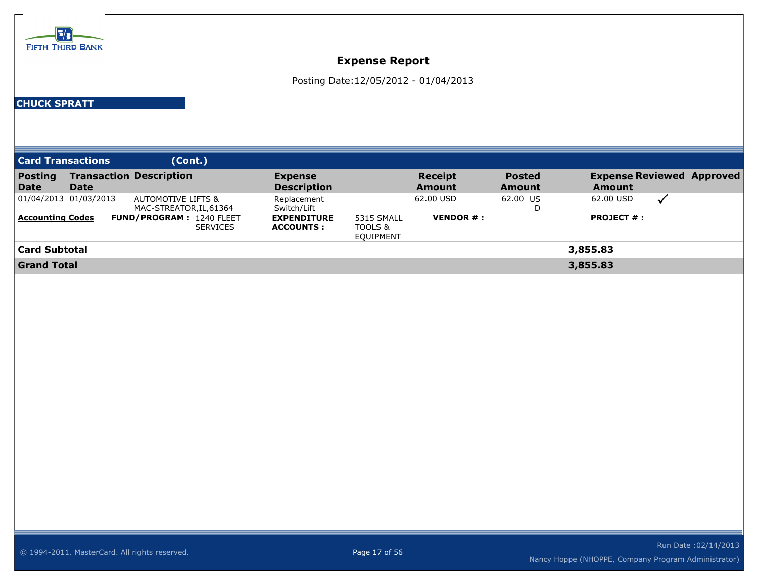

Posting Date:12/05/2012 - 01/04/2013

| <b>Card Transactions</b> |                       | (Cont.)                                                  |                                        |                                    |                               |                                |                                                   |                            |  |
|--------------------------|-----------------------|----------------------------------------------------------|----------------------------------------|------------------------------------|-------------------------------|--------------------------------|---------------------------------------------------|----------------------------|--|
| Posting<br><b>Date</b>   | <b>Date</b>           | <b>Transaction Description</b>                           | <b>Expense</b><br><b>Description</b>   |                                    | Receipt<br><b>Amount</b>      | <b>Posted</b><br><b>Amount</b> | <b>Expense Reviewed Approved</b><br><b>Amount</b> |                            |  |
|                          | 01/04/2013 01/03/2013 | <b>AUTOMOTIVE LIFTS &amp;</b><br>MAC-STREATOR, IL, 61364 | Replacement<br>Switch/Lift             |                                    | 62.00 USD                     | 62.00 US<br>D                  | 62.00 USD                                         | $\boldsymbol{\mathcal{U}}$ |  |
| <b>Accounting Codes</b>  |                       | <b>FUND/PROGRAM: 1240 FLEET</b><br><b>SERVICES</b>       | <b>EXPENDITURE</b><br><b>ACCOUNTS:</b> | 5315 SMALL<br>TOOLS &<br>EQUIPMENT | <b>VENDOR <math>#</math>:</b> |                                | <b>PROJECT #:</b>                                 |                            |  |
| <b>Card Subtotal</b>     |                       | 3,855.83                                                 |                                        |                                    |                               |                                |                                                   |                            |  |
| <b>Grand Total</b>       |                       |                                                          |                                        |                                    | 3,855.83                      |                                |                                                   |                            |  |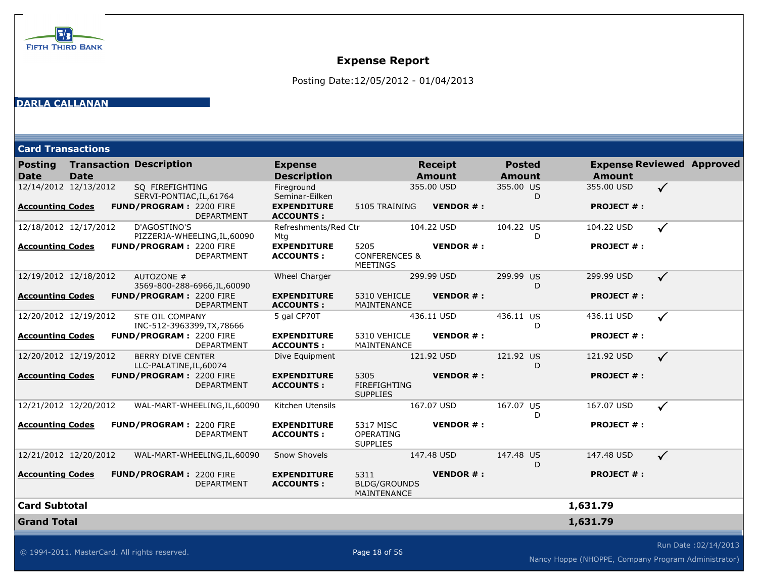

Posting Date:12/05/2012 - 01/04/2013

#### **DARLA CALLANAN**

|  | <b>Card Transactions</b> |
|--|--------------------------|
|  |                          |

| Posting<br><b>Date</b>  | <b>Date</b> | <b>Transaction Description</b>                      |                              | <b>Expense</b><br><b>Description</b>   |                                                     | <b>Receipt</b><br><b>Amount</b> |                 | <b>Posted</b><br><b>Amount</b> |   | <b>Expense Reviewed Approved</b><br><b>Amount</b> |              |                      |
|-------------------------|-------------|-----------------------------------------------------|------------------------------|----------------------------------------|-----------------------------------------------------|---------------------------------|-----------------|--------------------------------|---|---------------------------------------------------|--------------|----------------------|
| 12/14/2012 12/13/2012   |             | SQ FIREFIGHTING<br>SERVI-PONTIAC, IL, 61764         |                              | Fireground<br>Seminar-Eilken           |                                                     | 355.00 USD                      |                 | 355.00 US                      | D | 355.00 USD                                        | $\checkmark$ |                      |
| <b>Accounting Codes</b> |             | FUND/PROGRAM: 2200 FIRE                             | DEPARTMENT                   | <b>EXPENDITURE</b><br><b>ACCOUNTS:</b> | 5105 TRAINING                                       |                                 | <b>VENDOR#:</b> |                                |   | <b>PROJECT #:</b>                                 |              |                      |
| 12/18/2012 12/17/2012   |             | D'AGOSTINO'S                                        | PIZZERIA-WHEELING, IL, 60090 | Refreshments/Red Ctr<br>Mtg            |                                                     | 104.22 USD                      |                 | 104.22 US                      | D | 104.22 USD                                        | $\checkmark$ |                      |
| <b>Accounting Codes</b> |             | <b>FUND/PROGRAM: 2200 FIRE</b>                      | <b>DEPARTMENT</b>            | <b>EXPENDITURE</b><br><b>ACCOUNTS:</b> | 5205<br><b>CONFERENCES &amp;</b><br><b>MEETINGS</b> |                                 | <b>VENDOR#:</b> |                                |   | <b>PROJECT #:</b>                                 |              |                      |
| 12/19/2012 12/18/2012   |             | AUTOZONE #                                          | 3569-800-288-6966, IL, 60090 | Wheel Charger                          |                                                     | 299.99 USD                      |                 | 299.99 US                      | D | 299.99 USD                                        | $\checkmark$ |                      |
| <b>Accounting Codes</b> |             | <b>FUND/PROGRAM: 2200 FIRE</b>                      | <b>DEPARTMENT</b>            | <b>EXPENDITURE</b><br><b>ACCOUNTS:</b> | 5310 VEHICLE<br>MAINTENANCE                         |                                 | <b>VENDOR#:</b> |                                |   | <b>PROJECT #:</b>                                 |              |                      |
| 12/20/2012 12/19/2012   |             | STE OIL COMPANY<br>INC-512-3963399, TX, 78666       |                              | 5 gal CP70T                            |                                                     | 436.11 USD                      |                 | 436.11 US                      | D | 436.11 USD                                        | $\checkmark$ |                      |
| <b>Accounting Codes</b> |             | <b>FUND/PROGRAM: 2200 FIRE</b>                      | <b>DEPARTMENT</b>            | <b>EXPENDITURE</b><br><b>ACCOUNTS:</b> | 5310 VEHICLE<br><b>MAINTENANCE</b>                  |                                 | <b>VENDOR#:</b> |                                |   | <b>PROJECT #:</b>                                 |              |                      |
| 12/20/2012 12/19/2012   |             | <b>BERRY DIVE CENTER</b><br>LLC-PALATINE, IL, 60074 |                              | Dive Equipment                         |                                                     | 121.92 USD                      |                 | 121.92 US                      | D | 121.92 USD                                        | $\checkmark$ |                      |
| <b>Accounting Codes</b> |             | FUND/PROGRAM: 2200 FIRE                             | <b>DEPARTMENT</b>            | <b>EXPENDITURE</b><br><b>ACCOUNTS:</b> | 5305<br><b>FIREFIGHTING</b><br><b>SUPPLIES</b>      |                                 | <b>VENDOR#:</b> |                                |   | <b>PROJECT #:</b>                                 |              |                      |
| 12/21/2012 12/20/2012   |             |                                                     | WAL-MART-WHEELING, IL, 60090 | Kitchen Utensils                       |                                                     | 167.07 USD                      |                 | 167.07 US                      | D | 167.07 USD                                        | $\checkmark$ |                      |
| <b>Accounting Codes</b> |             | <b>FUND/PROGRAM: 2200 FIRE</b>                      | DEPARTMENT                   | <b>EXPENDITURE</b><br><b>ACCOUNTS:</b> | 5317 MISC<br>OPERATING<br><b>SUPPLIES</b>           |                                 | <b>VENDOR#:</b> |                                |   | <b>PROJECT #:</b>                                 |              |                      |
| 12/21/2012 12/20/2012   |             |                                                     | WAL-MART-WHEELING, IL, 60090 | Snow Shovels                           |                                                     | 147.48 USD                      |                 | 147.48 US                      | D | 147.48 USD                                        | $\checkmark$ |                      |
| <b>Accounting Codes</b> |             | FUND/PROGRAM: 2200 FIRE                             | <b>DEPARTMENT</b>            | <b>EXPENDITURE</b><br><b>ACCOUNTS:</b> | 5311<br><b>BLDG/GROUNDS</b><br>MAINTENANCE          |                                 | <b>VENDOR#:</b> |                                |   | <b>PROJECT #:</b>                                 |              |                      |
| <b>Card Subtotal</b>    |             |                                                     |                              |                                        |                                                     |                                 |                 |                                |   | 1,631.79                                          |              |                      |
| <b>Grand Total</b>      |             |                                                     |                              |                                        |                                                     |                                 |                 |                                |   | 1,631.79                                          |              |                      |
|                         |             |                                                     |                              |                                        |                                                     |                                 |                 |                                |   |                                                   |              | Run Date: 02/14/2013 |

 $\odot$  1994-2011. MasterCard. All rights reserved. Page 18 of 56

Nancy Hoppe (NHOPPE, Company Program Administrator)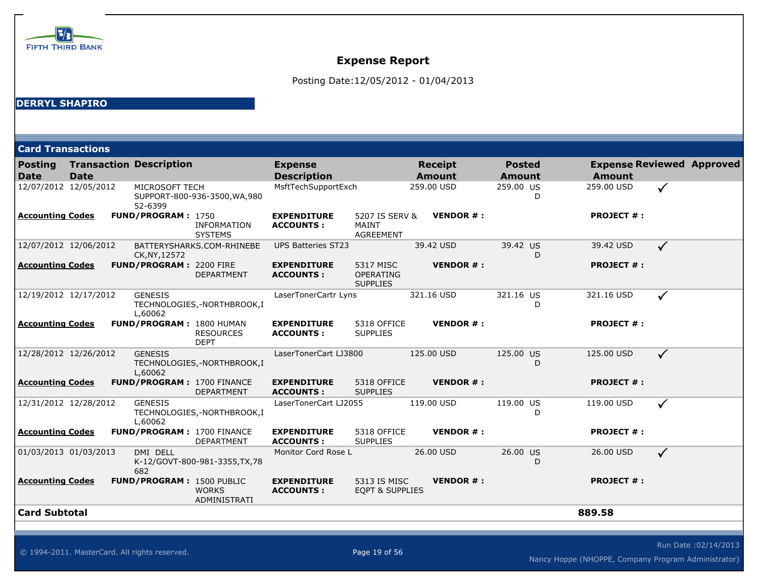

Posting Date:12/05/2012 - 01/04/2013

### **DERRYL SHAPIRO**

| <b>Card Transactions</b>      |             |                                   |                                      |                                        |                                                  |                                 |                 |                                |                   |                                  |
|-------------------------------|-------------|-----------------------------------|--------------------------------------|----------------------------------------|--------------------------------------------------|---------------------------------|-----------------|--------------------------------|-------------------|----------------------------------|
| <b>Posting</b><br><b>Date</b> | <b>Date</b> | <b>Transaction Description</b>    |                                      | <b>Expense</b><br><b>Description</b>   |                                                  | <b>Receipt</b><br><b>Amount</b> |                 | <b>Posted</b><br><b>Amount</b> | <b>Amount</b>     | <b>Expense Reviewed Approved</b> |
| 12/07/2012 12/05/2012         |             | MICROSOFT TECH<br>52-6399         | SUPPORT-800-936-3500, WA, 980        | MsftTechSupportExch                    |                                                  | 259.00 USD                      |                 | 259.00 US<br>D                 | 259.00 USD        | $\checkmark$                     |
| <b>Accounting Codes</b>       |             | FUND/PROGRAM: 1750                | <b>INFORMATION</b><br><b>SYSTEMS</b> | <b>EXPENDITURE</b><br><b>ACCOUNTS:</b> | 5207 IS SERV &<br>MAINT<br><b>AGREEMENT</b>      |                                 | <b>VENDOR#:</b> |                                | <b>PROJECT #:</b> |                                  |
| 12/07/2012 12/06/2012         |             | CK, NY, 12572                     | BATTERYSHARKS.COM-RHINEBE            | <b>UPS Batteries ST23</b>              |                                                  | 39.42 USD                       |                 | 39.42 US<br>D                  | 39.42 USD         | $\checkmark$                     |
| <b>Accounting Codes</b>       |             | <b>FUND/PROGRAM: 2200 FIRE</b>    | <b>DEPARTMENT</b>                    | <b>EXPENDITURE</b><br><b>ACCOUNTS:</b> | 5317 MISC<br><b>OPERATING</b><br><b>SUPPLIES</b> |                                 | <b>VENDOR#:</b> |                                | <b>PROJECT #:</b> |                                  |
| 12/19/2012 12/17/2012         |             | <b>GENESIS</b><br>L,60062         | TECHNOLOGIES,-NORTHBROOK,I           | LaserTonerCartr Lyns                   |                                                  | 321.16 USD                      |                 | 321.16 US<br>D                 | 321.16 USD        | $\checkmark$                     |
| <b>Accounting Codes</b>       |             | FUND/PROGRAM: 1800 HUMAN          | <b>RESOURCES</b><br><b>DEPT</b>      | <b>EXPENDITURE</b><br><b>ACCOUNTS:</b> | 5318 OFFICE<br><b>SUPPLIES</b>                   |                                 | <b>VENDOR#:</b> |                                | <b>PROJECT #:</b> |                                  |
| 12/28/2012 12/26/2012         |             | <b>GENESIS</b><br>L,60062         | TECHNOLOGIES,-NORTHBROOK,I           | LaserTonerCart LJ3800                  |                                                  | 125.00 USD                      |                 | 125.00 US<br>D                 | 125.00 USD        | $\checkmark$                     |
| <b>Accounting Codes</b>       |             | <b>FUND/PROGRAM: 1700 FINANCE</b> | <b>DEPARTMENT</b>                    | <b>EXPENDITURE</b><br><b>ACCOUNTS:</b> | 5318 OFFICE<br><b>SUPPLIES</b>                   |                                 | <b>VENDOR#:</b> |                                | <b>PROJECT #:</b> |                                  |
| 12/31/2012 12/28/2012         |             | <b>GENESIS</b><br>L,60062         | TECHNOLOGIES,-NORTHBROOK,I           | LaserTonerCart LJ2055                  |                                                  | 119.00 USD                      |                 | 119.00 US<br>D                 | 119.00 USD        | $\checkmark$                     |
| <b>Accounting Codes</b>       |             | <b>FUND/PROGRAM: 1700 FINANCE</b> | <b>DEPARTMENT</b>                    | <b>EXPENDITURE</b><br><b>ACCOUNTS:</b> | 5318 OFFICE<br><b>SUPPLIES</b>                   |                                 | <b>VENDOR#:</b> |                                | <b>PROJECT #:</b> |                                  |
| 01/03/2013 01/03/2013         |             | DMI DELL<br>682                   | K-12/GOVT-800-981-3355, TX, 78       | Monitor Cord Rose L                    |                                                  | 26.00 USD                       |                 | 26.00 US<br>D                  | 26.00 USD         | $\checkmark$                     |
| <b>Accounting Codes</b>       |             | FUND/PROGRAM: 1500 PUBLIC         | <b>WORKS</b><br>ADMINISTRATI         | <b>EXPENDITURE</b><br><b>ACCOUNTS:</b> | 5313 IS MISC<br><b>EQPT &amp; SUPPLIES</b>       |                                 | <b>VENDOR#:</b> |                                | <b>PROJECT #:</b> |                                  |
| <b>Card Subtotal</b>          |             |                                   |                                      |                                        |                                                  |                                 |                 |                                | 889.58            |                                  |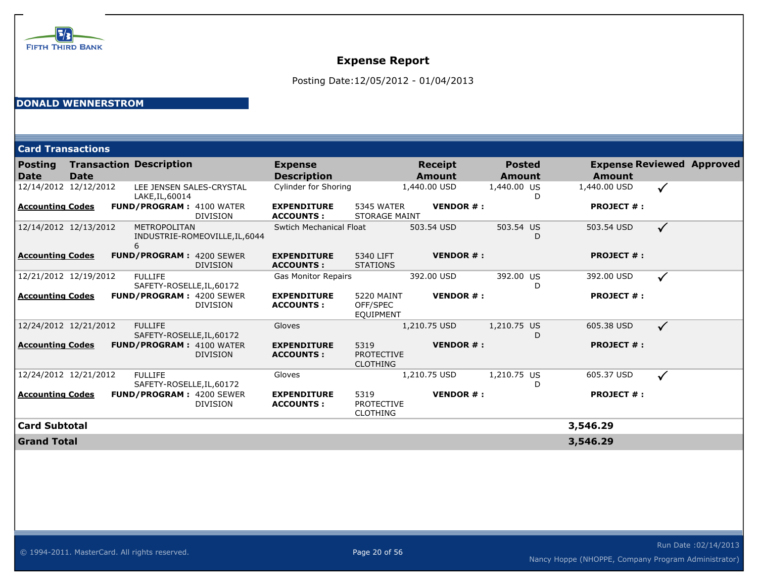

Posting Date:12/05/2012 - 01/04/2013

### **DONALD WENNERSTROM**

| <b>Card Transactions</b> |                       |                                             |                                |                                        |                                              |                          |                                |                   |                                  |
|--------------------------|-----------------------|---------------------------------------------|--------------------------------|----------------------------------------|----------------------------------------------|--------------------------|--------------------------------|-------------------|----------------------------------|
| Posting<br><b>Date</b>   | <b>Date</b>           | <b>Transaction Description</b>              |                                | <b>Expense</b><br><b>Description</b>   |                                              | <b>Receipt</b><br>Amount | <b>Posted</b><br><b>Amount</b> | <b>Amount</b>     | <b>Expense Reviewed Approved</b> |
|                          | 12/14/2012 12/12/2012 | LEE JENSEN SALES-CRYSTAL<br>LAKE, IL, 60014 |                                | Cylinder for Shoring                   |                                              | 1,440.00 USD             | 1,440.00 US<br>D               | 1,440.00 USD      | $\checkmark$                     |
| <b>Accounting Codes</b>  |                       | <b>FUND/PROGRAM: 4100 WATER</b>             | <b>DIVISION</b>                | <b>EXPENDITURE</b><br><b>ACCOUNTS:</b> | 5345 WATER<br><b>STORAGE MAINT</b>           | <b>VENDOR#:</b>          |                                | <b>PROJECT #:</b> |                                  |
|                          | 12/14/2012 12/13/2012 | METROPOLITAN                                | INDUSTRIE-ROMEOVILLE, IL, 6044 | <b>Swtich Mechanical Float</b>         |                                              | 503.54 USD               | 503.54 US<br>D                 | 503.54 USD        | $\checkmark$                     |
| <b>Accounting Codes</b>  |                       | <b>FUND/PROGRAM: 4200 SEWER</b>             | <b>DIVISION</b>                | <b>EXPENDITURE</b><br><b>ACCOUNTS:</b> | 5340 LIFT<br><b>STATIONS</b>                 | <b>VENDOR#:</b>          |                                | <b>PROJECT #:</b> |                                  |
|                          | 12/21/2012 12/19/2012 | <b>FULLIFE</b><br>SAFETY-ROSELLE, IL, 60172 |                                | <b>Gas Monitor Repairs</b>             |                                              | 392.00 USD               | 392.00 US<br>D                 | 392.00 USD        | $\checkmark$                     |
| <b>Accounting Codes</b>  |                       | <b>FUND/PROGRAM: 4200 SEWER</b>             | <b>DIVISION</b>                | <b>EXPENDITURE</b><br><b>ACCOUNTS:</b> | 5220 MAINT<br>OFF/SPEC<br><b>EQUIPMENT</b>   | <b>VENDOR#:</b>          |                                | <b>PROJECT #:</b> |                                  |
|                          | 12/24/2012 12/21/2012 | <b>FULLIFE</b><br>SAFETY-ROSELLE, IL, 60172 |                                | Gloves                                 |                                              | 1,210.75 USD             | 1,210.75 US<br>D               | 605.38 USD        | $\checkmark$                     |
| <b>Accounting Codes</b>  |                       | <b>FUND/PROGRAM: 4100 WATER</b>             | <b>DIVISION</b>                | <b>EXPENDITURE</b><br><b>ACCOUNTS:</b> | 5319<br><b>PROTECTIVE</b><br><b>CLOTHING</b> | <b>VENDOR#:</b>          |                                | <b>PROJECT #:</b> |                                  |
|                          | 12/24/2012 12/21/2012 | <b>FULLIFE</b><br>SAFETY-ROSELLE, IL, 60172 |                                | Gloves                                 |                                              | 1,210.75 USD             | 1,210.75 US<br>D               | 605.37 USD        | $\checkmark$                     |
| <b>Accounting Codes</b>  |                       | <b>FUND/PROGRAM: 4200 SEWER</b>             | <b>DIVISION</b>                | <b>EXPENDITURE</b><br><b>ACCOUNTS:</b> | 5319<br><b>PROTECTIVE</b><br><b>CLOTHING</b> | <b>VENDOR#:</b>          |                                | <b>PROJECT #:</b> |                                  |
| <b>Card Subtotal</b>     |                       |                                             |                                |                                        |                                              |                          |                                | 3,546.29          |                                  |
| <b>Grand Total</b>       |                       |                                             |                                |                                        |                                              |                          |                                | 3,546.29          |                                  |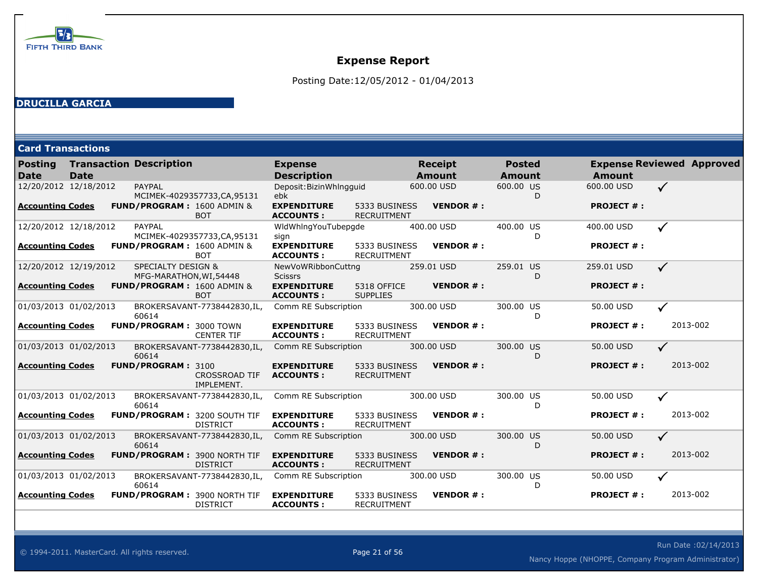

Posting Date:12/05/2012 - 01/04/2013

### **DRUCILLA GARCIA**

**Card Transactions**

| <b>Posting</b><br><b>Date</b> | <b>Date</b> | <b>Transaction Description</b>                           |                                                        | <b>Expense</b><br><b>Description</b>   |                                     | <b>Receipt</b><br><b>Amount</b> |                               | <b>Posted</b><br><b>Amount</b> |   | <b>Amount</b>     |              | <b>Expense Reviewed Approved</b> |
|-------------------------------|-------------|----------------------------------------------------------|--------------------------------------------------------|----------------------------------------|-------------------------------------|---------------------------------|-------------------------------|--------------------------------|---|-------------------|--------------|----------------------------------|
| 12/20/2012 12/18/2012         |             | PAYPAL                                                   | MCIMEK-4029357733,CA,95131                             | Deposit: Bizin Whlngguid<br>ebk        |                                     | 600.00 USD                      |                               | 600.00 US                      | D | 600,00 USD        | $\checkmark$ |                                  |
| <b>Accounting Codes</b>       |             |                                                          | FUND/PROGRAM: 1600 ADMIN &<br><b>BOT</b>               | <b>EXPENDITURE</b><br><b>ACCOUNTS:</b> | 5333 BUSINESS<br><b>RECRUITMENT</b> |                                 | <b>VENDOR#:</b>               |                                |   | <b>PROJECT #:</b> |              |                                  |
| 12/20/2012 12/18/2012         |             | PAYPAL                                                   | MCIMEK-4029357733,CA,95131                             | WidWhingYouTubepgde<br>sign            |                                     | 400.00 USD                      |                               | 400.00 US                      | D | 400.00 USD        | $\checkmark$ |                                  |
| <b>Accounting Codes</b>       |             |                                                          | FUND/PROGRAM: 1600 ADMIN &<br><b>BOT</b>               | <b>EXPENDITURE</b><br><b>ACCOUNTS:</b> | 5333 BUSINESS<br><b>RECRUITMENT</b> |                                 | <b>VENDOR#:</b>               |                                |   | <b>PROJECT #:</b> |              |                                  |
| 12/20/2012 12/19/2012         |             | <b>SPECIALTY DESIGN &amp;</b><br>MFG-MARATHON, WI, 54448 |                                                        | NewVoWRibbonCuttng<br><b>Scissrs</b>   |                                     | 259.01 USD                      |                               | 259.01 US                      | D | 259.01 USD        | $\checkmark$ |                                  |
| <b>Accounting Codes</b>       |             |                                                          | FUND/PROGRAM: 1600 ADMIN &<br><b>BOT</b>               | <b>EXPENDITURE</b><br><b>ACCOUNTS:</b> | 5318 OFFICE<br><b>SUPPLIES</b>      |                                 | <b>VENDOR#:</b>               |                                |   | <b>PROJECT #:</b> |              |                                  |
| 01/03/2013 01/02/2013         |             | 60614                                                    | BROKERSAVANT-7738442830,IL,                            | Comm RE Subscription                   |                                     | 300.00 USD                      |                               | 300.00 US                      | D | 50.00 USD         | $\checkmark$ |                                  |
| <b>Accounting Codes</b>       |             | <b>FUND/PROGRAM: 3000 TOWN</b>                           | <b>CENTER TIF</b>                                      | <b>EXPENDITURE</b><br><b>ACCOUNTS:</b> | 5333 BUSINESS<br><b>RECRUITMENT</b> |                                 | <b>VENDOR#:</b>               |                                |   | <b>PROJECT #:</b> |              | 2013-002                         |
| 01/03/2013 01/02/2013         |             | 60614                                                    | BROKERSAVANT-7738442830,IL,                            | Comm RE Subscription                   |                                     | 300.00 USD                      |                               | 300.00 US                      | D | 50.00 USD         | $\checkmark$ |                                  |
| <b>Accounting Codes</b>       |             | FUND/PROGRAM: 3100                                       | <b>CROSSROAD TIF</b><br>IMPLEMENT.                     | <b>EXPENDITURE</b><br><b>ACCOUNTS:</b> | 5333 BUSINESS<br><b>RECRUITMENT</b> |                                 | <b>VENDOR#:</b>               |                                |   | <b>PROJECT #:</b> |              | 2013-002                         |
| 01/03/2013 01/02/2013         |             | 60614                                                    | BROKERSAVANT-7738442830,IL,                            | Comm RE Subscription                   |                                     | 300.00 USD                      |                               | 300.00 US                      | D | 50.00 USD         | $\checkmark$ |                                  |
| <b>Accounting Codes</b>       |             |                                                          | <b>FUND/PROGRAM: 3200 SOUTH TIF</b><br><b>DISTRICT</b> | <b>EXPENDITURE</b><br><b>ACCOUNTS:</b> | 5333 BUSINESS<br><b>RECRUITMENT</b> |                                 | <b>VENDOR#:</b>               |                                |   | <b>PROJECT #:</b> |              | 2013-002                         |
| 01/03/2013 01/02/2013         |             | 60614                                                    | BROKERSAVANT-7738442830,IL,                            | Comm RE Subscription                   |                                     | 300.00 USD                      |                               | 300.00 US                      | D | 50.00 USD         | $\checkmark$ |                                  |
| <b>Accounting Codes</b>       |             |                                                          | <b>FUND/PROGRAM: 3900 NORTH TIF</b><br><b>DISTRICT</b> | <b>EXPENDITURE</b><br><b>ACCOUNTS:</b> | 5333 BUSINESS<br><b>RECRUITMENT</b> |                                 | <b>VENDOR <math>#</math>:</b> |                                |   | <b>PROJECT #:</b> |              | 2013-002                         |
| 01/03/2013 01/02/2013         |             | 60614                                                    | BROKERSAVANT-7738442830, IL,                           | Comm RE Subscription                   |                                     | 300.00 USD                      |                               | 300.00 US                      | D | 50.00 USD         |              |                                  |
| <b>Accounting Codes</b>       |             |                                                          | <b>FUND/PROGRAM: 3900 NORTH TIF</b><br><b>DISTRICT</b> | <b>EXPENDITURE</b><br><b>ACCOUNTS:</b> | 5333 BUSINESS<br><b>RECRUITMENT</b> |                                 | <b>VENDOR#:</b>               |                                |   | <b>PROJECT #:</b> |              | 2013-002                         |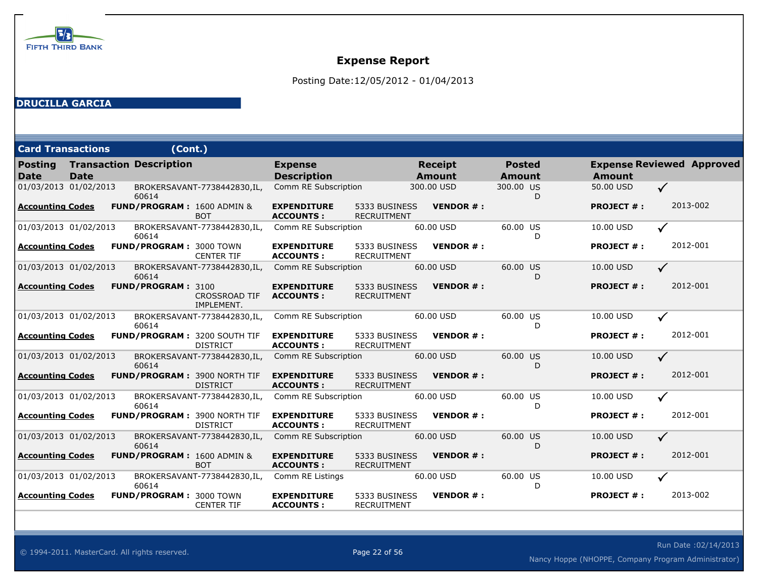

Posting Date:12/05/2012 - 01/04/2013

### **DRUCILLA GARCIA**

| <b>Card Transactions</b>      |             | (Cont.)                        |                                                 |                                        |                                     |                                 |                  |                                |                   |              |                                  |
|-------------------------------|-------------|--------------------------------|-------------------------------------------------|----------------------------------------|-------------------------------------|---------------------------------|------------------|--------------------------------|-------------------|--------------|----------------------------------|
| <b>Posting</b><br><b>Date</b> | <b>Date</b> | <b>Transaction Description</b> |                                                 | <b>Expense</b><br><b>Description</b>   |                                     | <b>Receipt</b><br><b>Amount</b> |                  | <b>Posted</b><br><b>Amount</b> | <b>Amount</b>     |              | <b>Expense Reviewed Approved</b> |
| 01/03/2013 01/02/2013         |             | 60614                          | BROKERSAVANT-7738442830,IL,                     | Comm RE Subscription                   |                                     | 300.00 USD                      |                  | 300.00 US<br>D                 | 50.00 USD         | $\checkmark$ |                                  |
| Accounting Codes              |             |                                | FUND/PROGRAM: 1600 ADMIN &<br><b>BOT</b>        | <b>EXPENDITURE</b><br><b>ACCOUNTS:</b> | 5333 BUSINESS<br><b>RECRUITMENT</b> |                                 | <b>VENDOR #:</b> |                                | <b>PROJECT #:</b> |              | 2013-002                         |
| 01/03/2013 01/02/2013         |             | 60614                          | BROKERSAVANT-7738442830,IL,                     | Comm RE Subscription                   |                                     | 60.00 USD                       |                  | 60.00 US<br>D                  | 10.00 USD         | ✓            |                                  |
| <b>Accounting Codes</b>       |             | <b>FUND/PROGRAM: 3000 TOWN</b> | <b>CENTER TIF</b>                               | <b>EXPENDITURE</b><br><b>ACCOUNTS:</b> | 5333 BUSINESS<br><b>RECRUITMENT</b> |                                 | <b>VENDOR#:</b>  |                                | <b>PROJECT #:</b> |              | 2012-001                         |
| 01/03/2013 01/02/2013         |             | 60614                          | BROKERSAVANT-7738442830,IL,                     | Comm RE Subscription                   |                                     | 60.00 USD                       |                  | 60.00 US<br>D                  | 10.00 USD         | $\checkmark$ |                                  |
| <b>Accounting Codes</b>       |             | FUND/PROGRAM: 3100             | <b>CROSSROAD TIF</b><br>IMPLEMENT.              | <b>EXPENDITURE</b><br><b>ACCOUNTS:</b> | 5333 BUSINESS<br><b>RECRUITMENT</b> |                                 | <b>VENDOR#:</b>  |                                | <b>PROJECT #:</b> |              | 2012-001                         |
| 01/03/2013 01/02/2013         |             | 60614                          | BROKERSAVANT-7738442830,IL,                     | Comm RE Subscription                   |                                     | 60.00 USD                       |                  | 60.00 US<br>D                  | 10.00 USD         | ✓            |                                  |
| <b>Accounting Codes</b>       |             |                                | FUND/PROGRAM: 3200 SOUTH TIF<br><b>DISTRICT</b> | <b>EXPENDITURE</b><br><b>ACCOUNTS:</b> | 5333 BUSINESS<br><b>RECRUITMENT</b> |                                 | <b>VENDOR#:</b>  |                                | <b>PROJECT #:</b> |              | 2012-001                         |
| 01/03/2013 01/02/2013         |             | 60614                          | BROKERSAVANT-7738442830,IL,                     | Comm RE Subscription                   |                                     | 60.00 USD                       |                  | 60.00 US<br>D                  | 10.00 USD         | $\checkmark$ |                                  |
| <b>Accounting Codes</b>       |             |                                | FUND/PROGRAM: 3900 NORTH TIF<br><b>DISTRICT</b> | <b>EXPENDITURE</b><br><b>ACCOUNTS:</b> | 5333 BUSINESS<br><b>RECRUITMENT</b> |                                 | <b>VENDOR #:</b> |                                | <b>PROJECT #:</b> |              | 2012-001                         |
| 01/03/2013 01/02/2013         |             | 60614                          | BROKERSAVANT-7738442830,IL,                     | Comm RE Subscription                   |                                     | 60.00 USD                       |                  | 60.00 US<br>D                  | 10.00 USD         | ✓            |                                  |
| <b>Accounting Codes</b>       |             |                                | FUND/PROGRAM: 3900 NORTH TIF<br><b>DISTRICT</b> | <b>EXPENDITURE</b><br><b>ACCOUNTS:</b> | 5333 BUSINESS<br><b>RECRUITMENT</b> |                                 | <b>VENDOR#:</b>  |                                | <b>PROJECT #:</b> |              | 2012-001                         |
| 01/03/2013 01/02/2013         |             | 60614                          | BROKERSAVANT-7738442830,IL,                     | Comm RE Subscription                   |                                     | 60.00 USD                       |                  | 60.00 US<br>D                  | 10.00 USD         | $\checkmark$ |                                  |
| <b>Accounting Codes</b>       |             |                                | FUND/PROGRAM: 1600 ADMIN &<br><b>BOT</b>        | <b>EXPENDITURE</b><br><b>ACCOUNTS:</b> | 5333 BUSINESS<br><b>RECRUITMENT</b> |                                 | <b>VENDOR#:</b>  |                                | <b>PROJECT #:</b> |              | 2012-001                         |
| 01/03/2013 01/02/2013         |             | 60614                          | BROKERSAVANT-7738442830,IL,                     | Comm RE Listings                       |                                     | 60.00 USD                       |                  | 60.00 US<br>D                  | 10.00 USD         |              |                                  |
| <b>Accounting Codes</b>       |             | <b>FUND/PROGRAM: 3000 TOWN</b> | <b>CENTER TIF</b>                               | <b>EXPENDITURE</b><br><b>ACCOUNTS:</b> | 5333 BUSINESS<br><b>RECRUITMENT</b> |                                 | <b>VENDOR#:</b>  |                                | <b>PROJECT #:</b> |              | 2013-002                         |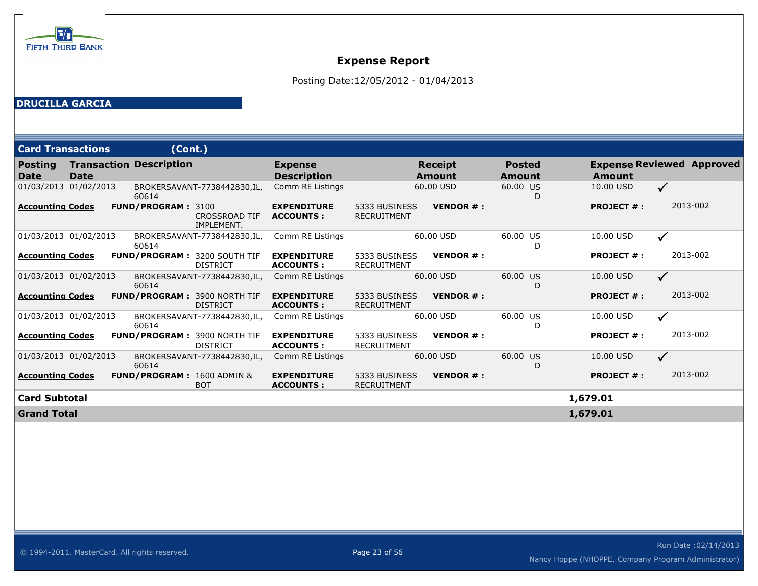

Posting Date:12/05/2012 - 01/04/2013

### **DRUCILLA GARCIA**

| <b>Card Transactions</b> |             | (Cont.)                               |                                    |                                        |                                     |                          |                         |                   |                                  |
|--------------------------|-------------|---------------------------------------|------------------------------------|----------------------------------------|-------------------------------------|--------------------------|-------------------------|-------------------|----------------------------------|
| <b>Posting</b><br>Date   | <b>Date</b> | <b>Transaction Description</b>        |                                    | <b>Expense</b><br><b>Description</b>   |                                     | <b>Receipt</b><br>Amount | <b>Posted</b><br>Amount | Amount            | <b>Expense Reviewed Approved</b> |
| 01/03/2013 01/02/2013    |             | 60614                                 | BROKERSAVANT-7738442830,IL,        | Comm RE Listings                       |                                     | 60.00 USD                | 60.00 US<br>D           | 10.00 USD         | $\checkmark$                     |
| <b>Accounting Codes</b>  |             | <b>FUND/PROGRAM: 3100</b>             | <b>CROSSROAD TIF</b><br>IMPLEMENT. | <b>EXPENDITURE</b><br><b>ACCOUNTS:</b> | 5333 BUSINESS<br><b>RECRUITMENT</b> | <b>VENDOR#:</b>          |                         | <b>PROJECT #:</b> | 2013-002                         |
| 01/03/2013 01/02/2013    |             | 60614                                 | BROKERSAVANT-7738442830,IL,        | Comm RE Listings                       |                                     | 60.00 USD                | 60.00 US<br>D           | 10.00 USD         | $\checkmark$                     |
| Accounting Codes         |             | <b>FUND/PROGRAM: 3200 SOUTH TIF</b>   | <b>DISTRICT</b>                    | <b>EXPENDITURE</b><br><b>ACCOUNTS:</b> | 5333 BUSINESS<br><b>RECRUITMENT</b> | <b>VENDOR#:</b>          |                         | <b>PROJECT #:</b> | 2013-002                         |
| 01/03/2013 01/02/2013    |             | 60614                                 | BROKERSAVANT-7738442830,IL,        | Comm RE Listings                       |                                     | 60.00 USD                | 60.00 US<br>D           | 10.00 USD         | $\checkmark$                     |
| <b>Accounting Codes</b>  |             | <b>FUND/PROGRAM: 3900 NORTH TIF</b>   | <b>DISTRICT</b>                    | <b>EXPENDITURE</b><br><b>ACCOUNTS:</b> | 5333 BUSINESS<br><b>RECRUITMENT</b> | <b>VENDOR#:</b>          |                         | <b>PROJECT #:</b> | 2013-002                         |
| 01/03/2013 01/02/2013    |             | 60614                                 | BROKERSAVANT-7738442830,IL,        | Comm RE Listings                       |                                     | 60.00 USD                | 60.00 US<br>D           | 10.00 USD         | $\checkmark$                     |
| Accounting Codes         |             | <b>FUND/PROGRAM: 3900 NORTH TIF</b>   | <b>DISTRICT</b>                    | <b>EXPENDITURE</b><br><b>ACCOUNTS:</b> | 5333 BUSINESS<br><b>RECRUITMENT</b> | <b>VENDOR#:</b>          |                         | <b>PROJECT #:</b> | 2013-002                         |
| 01/03/2013 01/02/2013    |             | 60614                                 | BROKERSAVANT-7738442830,IL,        | Comm RE Listings                       |                                     | 60.00 USD                | 60.00 US<br>D           | 10.00 USD         | $\checkmark$                     |
| <b>Accounting Codes</b>  |             | <b>FUND/PROGRAM: 1600 ADMIN &amp;</b> | <b>BOT</b>                         | <b>EXPENDITURE</b><br><b>ACCOUNTS:</b> | 5333 BUSINESS<br><b>RECRUITMENT</b> | <b>VENDOR#:</b>          |                         | <b>PROJECT #:</b> | 2013-002                         |
| Card Subtotal            |             |                                       |                                    |                                        |                                     |                          |                         | 1,679.01          |                                  |
| <b>Grand Total</b>       |             |                                       |                                    |                                        |                                     |                          |                         | 1,679.01          |                                  |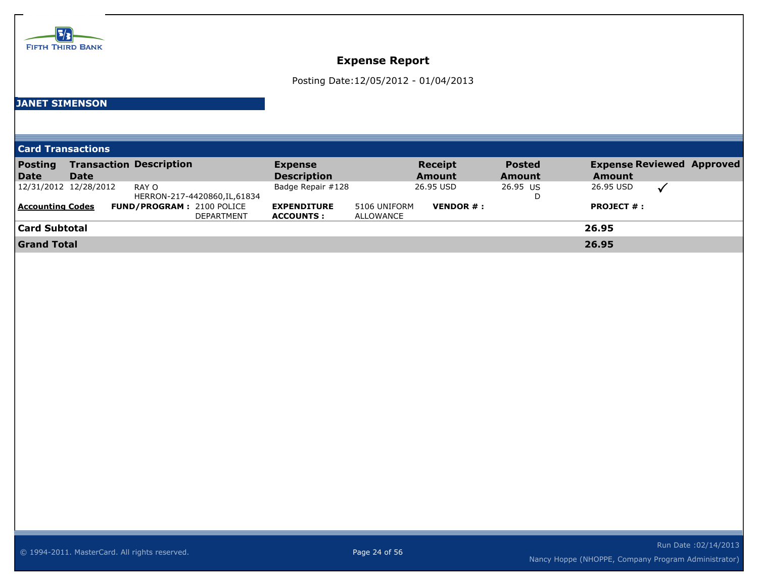

Posting Date:12/05/2012 - 01/04/2013

### **JANET SIMENSON**

**Card Transactions**

| <b>Posting</b>          |                       | <b>Transaction Description</b>   | <b>Expense</b>     |              | <b>Receipt</b> | <b>Posted</b> |                   | <b>Expense Reviewed Approved</b> |
|-------------------------|-----------------------|----------------------------------|--------------------|--------------|----------------|---------------|-------------------|----------------------------------|
| Date                    | <b>Date</b>           |                                  | <b>Description</b> |              | <b>Amount</b>  | <b>Amount</b> | <b>Amount</b>     |                                  |
|                         | 12/31/2012 12/28/2012 | RAY O                            | Badge Repair #128  |              | 26.95 USD      | 26.95 US      | 26.95 USD         |                                  |
|                         |                       | HERRON-217-4420860, IL, 61834    |                    |              |                | D             |                   |                                  |
| <b>Accounting Codes</b> |                       | <b>FUND/PROGRAM: 2100 POLICE</b> | <b>EXPENDITURE</b> | 5106 UNIFORM | VENDOR #:      |               | <b>PROJECT #:</b> |                                  |
|                         |                       | <b>DEPARTMENT</b>                | <b>ACCOUNTS:</b>   | ALLOWANCE    |                |               |                   |                                  |
| Card Subtotal           |                       |                                  |                    |              |                |               | 26.95             |                                  |
| <b>Grand Total</b>      |                       |                                  |                    |              |                |               | 26.95             |                                  |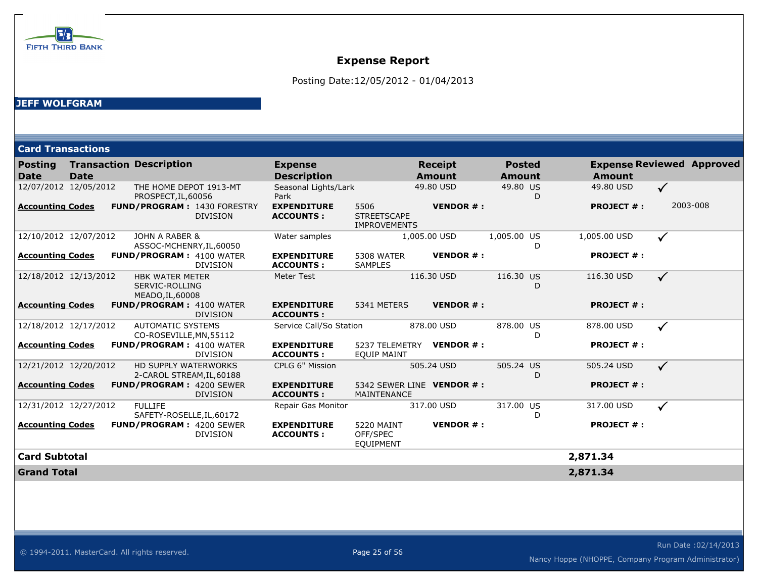

Posting Date:12/05/2012 - 01/04/2013

#### **JEFF WOLFGRAM**

| <b>Card Transactions</b>      |             |                                                              |                 |                                        |                                                   |                                 |                                |                   |                                  |
|-------------------------------|-------------|--------------------------------------------------------------|-----------------|----------------------------------------|---------------------------------------------------|---------------------------------|--------------------------------|-------------------|----------------------------------|
| <b>Posting</b><br><b>Date</b> | <b>Date</b> | <b>Transaction Description</b>                               |                 | <b>Expense</b><br><b>Description</b>   |                                                   | <b>Receipt</b><br><b>Amount</b> | <b>Posted</b><br><b>Amount</b> | <b>Amount</b>     | <b>Expense Reviewed Approved</b> |
| 12/07/2012 12/05/2012         |             | THE HOME DEPOT 1913-MT<br>PROSPECT, IL, 60056                |                 | Seasonal Lights/Lark<br>Park           |                                                   | 49.80 USD                       | 49.80 US<br>D                  | 49.80 USD         | $\checkmark$                     |
| <b>Accounting Codes</b>       |             | <b>FUND/PROGRAM: 1430 FORESTRY</b>                           | <b>DIVISION</b> | <b>EXPENDITURE</b><br><b>ACCOUNTS:</b> | 5506<br><b>STREETSCAPE</b><br><b>IMPROVEMENTS</b> | <b>VENDOR#:</b>                 |                                | <b>PROJECT #:</b> | 2003-008                         |
| 12/10/2012 12/07/2012         |             | JOHN A RABER &<br>ASSOC-MCHENRY, IL, 60050                   |                 | Water samples                          |                                                   | 1,005.00 USD                    | 1,005.00 US<br>D               | 1,005.00 USD      | $\checkmark$                     |
| <b>Accounting Codes</b>       |             | <b>FUND/PROGRAM: 4100 WATER</b>                              | <b>DIVISION</b> | <b>EXPENDITURE</b><br><b>ACCOUNTS:</b> | <b>5308 WATER</b><br><b>SAMPLES</b>               | <b>VENDOR#:</b>                 |                                | <b>PROJECT #:</b> |                                  |
| 12/18/2012 12/13/2012         |             | <b>HBK WATER METER</b><br>SERVIC-ROLLING<br>MEADO, IL, 60008 |                 | <b>Meter Test</b>                      |                                                   | 116.30 USD                      | 116.30 US<br>D                 | 116.30 USD        | $\checkmark$                     |
| <b>Accounting Codes</b>       |             | <b>FUND/PROGRAM: 4100 WATER</b>                              | <b>DIVISION</b> | <b>EXPENDITURE</b><br><b>ACCOUNTS:</b> | 5341 METERS                                       | <b>VENDOR#:</b>                 |                                | <b>PROJECT #:</b> |                                  |
| 12/18/2012 12/17/2012         |             | <b>AUTOMATIC SYSTEMS</b><br>CO-ROSEVILLE, MN, 55112          |                 | Service Call/So Station                |                                                   | 878.00 USD                      | 878.00 US<br>D                 | 878.00 USD        | $\checkmark$                     |
| <b>Accounting Codes</b>       |             | <b>FUND/PROGRAM: 4100 WATER</b>                              | <b>DIVISION</b> | <b>EXPENDITURE</b><br><b>ACCOUNTS:</b> | <b>EQUIP MAINT</b>                                | 5237 TELEMETRY VENDOR #:        |                                | <b>PROJECT #:</b> |                                  |
| 12/21/2012 12/20/2012         |             | <b>HD SUPPLY WATERWORKS</b><br>2-CAROL STREAM, IL, 60188     |                 | CPLG 6" Mission                        |                                                   | 505.24 USD                      | 505.24 US<br>D                 | 505.24 USD        | $\checkmark$                     |
| <b>Accounting Codes</b>       |             | <b>FUND/PROGRAM: 4200 SEWER</b>                              | <b>DIVISION</b> | <b>EXPENDITURE</b><br><b>ACCOUNTS:</b> | MAINTENANCE                                       | 5342 SEWER LINE VENDOR #:       |                                | <b>PROJECT #:</b> |                                  |
| 12/31/2012 12/27/2012         |             | <b>FULLIFE</b><br>SAFETY-ROSELLE, IL, 60172                  |                 | Repair Gas Monitor                     |                                                   | 317.00 USD                      | 317.00 US<br>D                 | 317.00 USD        | $\checkmark$                     |
| <b>Accounting Codes</b>       |             | <b>FUND/PROGRAM: 4200 SEWER</b>                              | <b>DIVISION</b> | <b>EXPENDITURE</b><br><b>ACCOUNTS:</b> | 5220 MAINT<br>OFF/SPEC<br><b>EQUIPMENT</b>        | <b>VENDOR#:</b>                 |                                | <b>PROJECT #:</b> |                                  |
| <b>Card Subtotal</b>          |             |                                                              |                 |                                        |                                                   |                                 |                                | 2,871.34          |                                  |
| <b>Grand Total</b>            |             |                                                              |                 |                                        |                                                   |                                 |                                | 2,871.34          |                                  |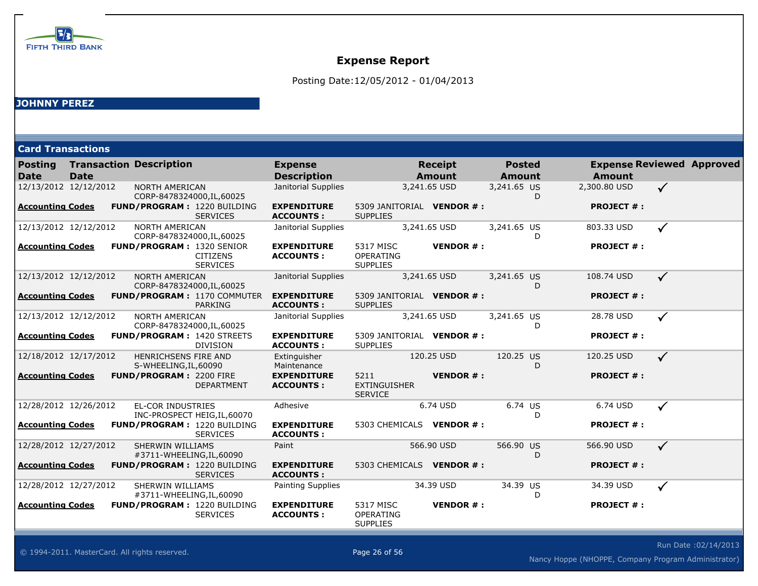

Posting Date:12/05/2012 - 01/04/2013

### **JOHNNY PEREZ**

| <b>Card Transactions</b> |             |                                                      |                                                       |                                        |                                                  |                                 |                                |                                                   |              |  |
|--------------------------|-------------|------------------------------------------------------|-------------------------------------------------------|----------------------------------------|--------------------------------------------------|---------------------------------|--------------------------------|---------------------------------------------------|--------------|--|
| <b>Posting</b><br>Date   | <b>Date</b> | <b>Transaction Description</b>                       |                                                       | <b>Expense</b><br><b>Description</b>   |                                                  | <b>Receipt</b><br><b>Amount</b> | <b>Posted</b><br><b>Amount</b> | <b>Expense Reviewed Approved</b><br><b>Amount</b> |              |  |
| 12/13/2012 12/12/2012    |             | <b>NORTH AMERICAN</b><br>CORP-8478324000, IL, 60025  |                                                       | Janitorial Supplies                    |                                                  | 3,241.65 USD                    | 3,241.65 US<br>D               | 2,300.80 USD                                      | $\checkmark$ |  |
| <b>Accounting Codes</b>  |             |                                                      | <b>FUND/PROGRAM: 1220 BUILDING</b><br><b>SERVICES</b> | <b>EXPENDITURE</b><br><b>ACCOUNTS:</b> | 5309 JANITORIAL VENDOR #:<br><b>SUPPLIES</b>     |                                 |                                | <b>PROJECT #:</b>                                 |              |  |
| 12/13/2012 12/12/2012    |             | <b>NORTH AMERICAN</b><br>CORP-8478324000, IL, 60025  |                                                       | Janitorial Supplies                    |                                                  | 3,241.65 USD                    | 3,241.65 US<br>D               | 803.33 USD                                        | $\checkmark$ |  |
| <b>Accounting Codes</b>  |             | <b>FUND/PROGRAM: 1320 SENIOR</b>                     | <b>CITIZENS</b><br><b>SERVICES</b>                    | <b>EXPENDITURE</b><br><b>ACCOUNTS:</b> | 5317 MISC<br><b>OPERATING</b><br><b>SUPPLIES</b> | <b>VENDOR#:</b>                 |                                | <b>PROJECT #:</b>                                 |              |  |
| 12/13/2012 12/12/2012    |             | <b>NORTH AMERICAN</b><br>CORP-8478324000, IL, 60025  |                                                       | Janitorial Supplies                    |                                                  | 3,241.65 USD                    | 3,241.65 US<br>D               | 108.74 USD                                        | $\checkmark$ |  |
| Accounting Codes         |             |                                                      | <b>FUND/PROGRAM: 1170 COMMUTER</b><br><b>PARKING</b>  | <b>EXPENDITURE</b><br><b>ACCOUNTS:</b> | 5309 JANITORIAL VENDOR #:<br><b>SUPPLIES</b>     |                                 |                                | <b>PROJECT #:</b>                                 |              |  |
| 12/13/2012 12/12/2012    |             | <b>NORTH AMERICAN</b><br>CORP-8478324000, IL, 60025  |                                                       | Janitorial Supplies                    |                                                  | 3,241.65 USD                    | 3,241.65 US<br>D               | 28.78 USD                                         | $\checkmark$ |  |
| <b>Accounting Codes</b>  |             |                                                      | <b>FUND/PROGRAM: 1420 STREETS</b><br><b>DIVISION</b>  | <b>EXPENDITURE</b><br><b>ACCOUNTS:</b> | 5309 JANITORIAL VENDOR #:<br><b>SUPPLIES</b>     |                                 |                                | <b>PROJECT #:</b>                                 |              |  |
| 12/18/2012 12/17/2012    |             | <b>HENRICHSENS FIRE AND</b><br>S-WHEELING, IL, 60090 |                                                       | Extinguisher<br>Maintenance            |                                                  | 120.25 USD                      | 120.25 US<br>D                 | 120.25 USD                                        | $\checkmark$ |  |
| Accounting Codes         |             | <b>FUND/PROGRAM: 2200 FIRE</b>                       | <b>DEPARTMENT</b>                                     | <b>EXPENDITURE</b><br><b>ACCOUNTS:</b> | 5211<br><b>EXTINGUISHER</b><br><b>SERVICE</b>    | <b>VENDOR#:</b>                 |                                | <b>PROJECT #:</b>                                 |              |  |
| 12/28/2012 12/26/2012    |             | <b>EL-COR INDUSTRIES</b>                             | INC-PROSPECT HEIG, IL, 60070                          | Adhesive                               |                                                  | 6.74 USD                        | 6.74 US<br>D                   | 6.74 USD                                          | $\checkmark$ |  |
| Accounting Codes         |             |                                                      | FUND/PROGRAM: 1220 BUILDING<br><b>SERVICES</b>        | <b>EXPENDITURE</b><br><b>ACCOUNTS:</b> | 5303 CHEMICALS VENDOR #:                         |                                 |                                | <b>PROJECT #:</b>                                 |              |  |
| 12/28/2012 12/27/2012    |             | <b>SHERWIN WILLIAMS</b><br>#3711-WHEELING, IL, 60090 |                                                       | Paint                                  |                                                  | 566.90 USD                      | 566.90 US<br>D                 | 566.90 USD                                        | $\checkmark$ |  |
| <b>Accounting Codes</b>  |             |                                                      | <b>FUND/PROGRAM: 1220 BUILDING</b><br><b>SERVICES</b> | <b>EXPENDITURE</b><br><b>ACCOUNTS:</b> | 5303 CHEMICALS VENDOR #:                         |                                 |                                | <b>PROJECT #:</b>                                 |              |  |
| 12/28/2012 12/27/2012    |             | <b>SHERWIN WILLIAMS</b><br>#3711-WHEELING, IL, 60090 |                                                       | Painting Supplies                      |                                                  | 34.39 USD                       | 34.39 US<br>D                  | 34.39 USD                                         | $\checkmark$ |  |
| <b>Accounting Codes</b>  |             |                                                      | FUND/PROGRAM: 1220 BUILDING<br><b>SERVICES</b>        | <b>EXPENDITURE</b><br><b>ACCOUNTS:</b> | 5317 MISC<br><b>OPERATING</b><br><b>SUPPLIES</b> | <b>VENDOR#:</b>                 |                                | <b>PROJECT #:</b>                                 |              |  |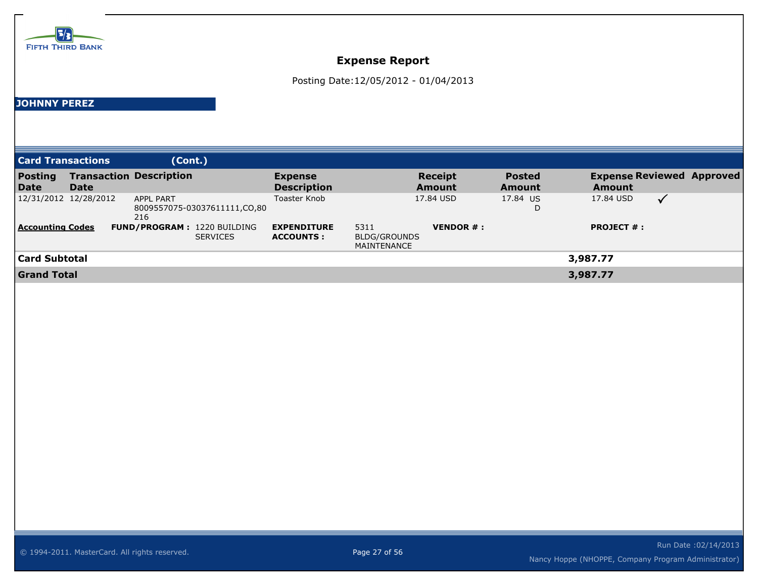

Posting Date:12/05/2012 - 01/04/2013

#### **JOHNNY PEREZ**

| <b>Card Transactions</b>      |                       | (Cont.)                                                 |                                        |                                     |                                 |                         |                                            |              |  |
|-------------------------------|-----------------------|---------------------------------------------------------|----------------------------------------|-------------------------------------|---------------------------------|-------------------------|--------------------------------------------|--------------|--|
| <b>Posting</b><br><b>Date</b> | Date                  | <b>Transaction Description</b>                          | <b>Expense</b><br><b>Description</b>   |                                     | <b>Receipt</b><br><b>Amount</b> | <b>Posted</b><br>Amount | <b>Expense Reviewed Approved</b><br>Amount |              |  |
|                               | 12/31/2012 12/28/2012 | <b>APPL PART</b><br>8009557075-03037611111,CO,80<br>216 | Toaster Knob                           |                                     | 17.84 USD                       | 17.84 US<br>D           | 17.84 USD                                  | $\checkmark$ |  |
| <b>Accounting Codes</b>       |                       | <b>FUND/PROGRAM: 1220 BUILDING</b><br><b>SERVICES</b>   | <b>EXPENDITURE</b><br><b>ACCOUNTS:</b> | 5311<br>BLDG/GROUNDS<br>MAINTENANCE | <b>VENDOR #:</b>                |                         | <b>PROJECT #:</b>                          |              |  |
| <b>Card Subtotal</b>          |                       |                                                         |                                        |                                     |                                 |                         | 3,987.77                                   |              |  |
| <b>Grand Total</b>            |                       |                                                         |                                        |                                     |                                 |                         | 3,987.77                                   |              |  |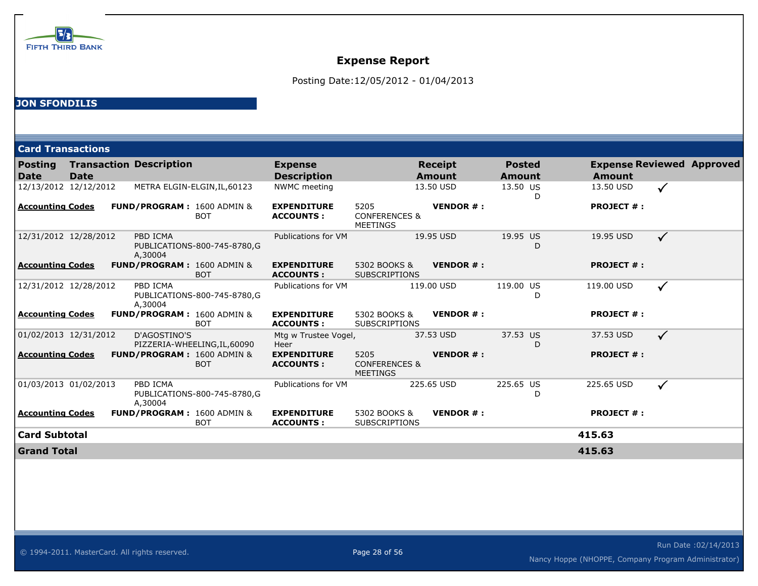

Posting Date:12/05/2012 - 01/04/2013

### **JON SFONDILIS**

| <b>Card Transactions</b> |             |                                |                                                     |                                        |                                                     |                                 |                                |   |                                                   |              |  |
|--------------------------|-------------|--------------------------------|-----------------------------------------------------|----------------------------------------|-----------------------------------------------------|---------------------------------|--------------------------------|---|---------------------------------------------------|--------------|--|
| Posting<br>Date          | <b>Date</b> | <b>Transaction Description</b> |                                                     | <b>Expense</b><br><b>Description</b>   |                                                     | <b>Receipt</b><br><b>Amount</b> | <b>Posted</b><br><b>Amount</b> |   | <b>Expense Reviewed Approved</b><br><b>Amount</b> |              |  |
| 12/13/2012 12/12/2012    |             |                                | METRA ELGIN-ELGIN, IL, 60123                        | NWMC meeting                           |                                                     | 13.50 USD                       | 13.50 US                       | D | 13.50 USD                                         | $\checkmark$ |  |
| Accounting Codes         |             |                                | <b>FUND/PROGRAM: 1600 ADMIN &amp;</b><br><b>BOT</b> | <b>EXPENDITURE</b><br><b>ACCOUNTS:</b> | 5205<br><b>CONFERENCES &amp;</b><br><b>MEETINGS</b> | <b>VENDOR#:</b>                 |                                |   | <b>PROJECT #:</b>                                 |              |  |
| 12/31/2012 12/28/2012    |             | PBD ICMA<br>A,30004            | PUBLICATIONS-800-745-8780,G                         | Publications for VM                    |                                                     | 19.95 USD                       | 19.95 US                       | D | 19.95 USD                                         | $\checkmark$ |  |
| Accounting Codes         |             |                                | <b>FUND/PROGRAM: 1600 ADMIN &amp;</b><br><b>BOT</b> | <b>EXPENDITURE</b><br><b>ACCOUNTS:</b> | 5302 BOOKS &<br><b>SUBSCRIPTIONS</b>                | <b>VENDOR#:</b>                 |                                |   | <b>PROJECT #:</b>                                 |              |  |
| 12/31/2012 12/28/2012    |             | PBD ICMA<br>A,30004            | PUBLICATIONS-800-745-8780,G                         | Publications for VM                    |                                                     | 119.00 USD                      | 119.00 US                      | D | 119.00 USD                                        | $\checkmark$ |  |
| Accounting Codes         |             |                                | <b>FUND/PROGRAM: 1600 ADMIN &amp;</b><br><b>BOT</b> | <b>EXPENDITURE</b><br><b>ACCOUNTS:</b> | 5302 BOOKS &<br><b>SUBSCRIPTIONS</b>                | <b>VENDOR#:</b>                 |                                |   | <b>PROJECT #:</b>                                 |              |  |
| 01/02/2013 12/31/2012    |             | D'AGOSTINO'S                   | PIZZERIA-WHEELING, IL, 60090                        | Mtg w Trustee Vogel,<br>Heer           |                                                     | 37.53 USD                       | 37.53 US                       | D | 37.53 USD                                         | $\checkmark$ |  |
| Accounting Codes         |             |                                | FUND/PROGRAM: 1600 ADMIN &<br><b>BOT</b>            | <b>EXPENDITURE</b><br><b>ACCOUNTS:</b> | 5205<br><b>CONFERENCES &amp;</b><br><b>MEETINGS</b> | <b>VENDOR#:</b>                 |                                |   | <b>PROJECT #:</b>                                 |              |  |
| 01/03/2013 01/02/2013    |             | PBD ICMA<br>A.30004            | PUBLICATIONS-800-745-8780,G                         | Publications for VM                    |                                                     | 225.65 USD                      | 225.65 US                      | D | 225.65 USD                                        | $\checkmark$ |  |
| Accounting Codes         |             |                                | <b>FUND/PROGRAM: 1600 ADMIN &amp;</b><br><b>BOT</b> | <b>EXPENDITURE</b><br><b>ACCOUNTS:</b> | 5302 BOOKS &<br><b>SUBSCRIPTIONS</b>                | <b>VENDOR#:</b>                 |                                |   | <b>PROJECT #:</b>                                 |              |  |
| Card Subtotal            |             |                                |                                                     |                                        |                                                     |                                 |                                |   | 415.63                                            |              |  |
|                          |             |                                |                                                     |                                        |                                                     |                                 |                                |   |                                                   |              |  |

**Grand Total 415.63**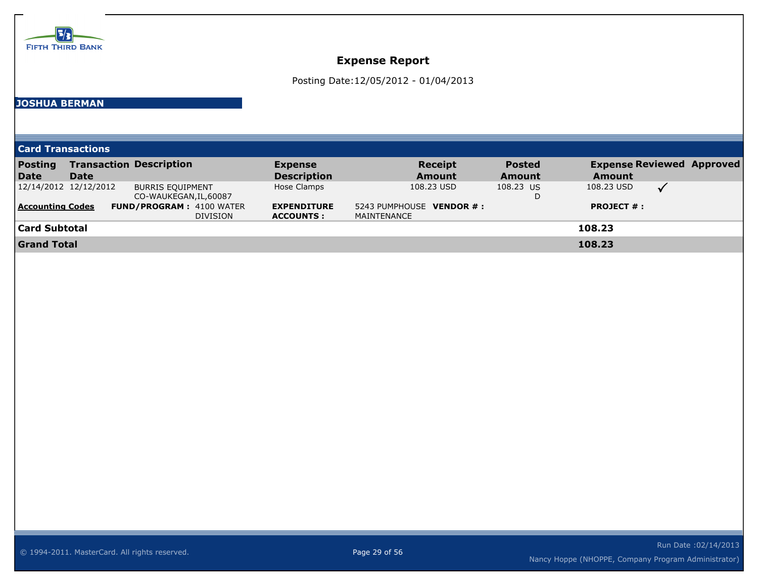

Posting Date:12/05/2012 - 01/04/2013

#### **JOSHUA BERMAN**

**Card Transactions**

| <b>Posting</b>          |                       | <b>Transaction Description</b>  | <b>Expense</b>     | <b>Receipt</b>           | <b>Posted</b> | <b>Expense Reviewed Approved</b> |  |
|-------------------------|-----------------------|---------------------------------|--------------------|--------------------------|---------------|----------------------------------|--|
| Date                    | <b>Date</b>           |                                 | <b>Description</b> | <b>Amount</b>            | <b>Amount</b> | <b>Amount</b>                    |  |
|                         | 12/14/2012 12/12/2012 | <b>BURRIS EQUIPMENT</b>         | Hose Clamps        | 108.23 USD               | 108.23 US     | 108.23 USD                       |  |
|                         |                       | CO-WAUKEGAN, IL, 60087          |                    |                          | D             |                                  |  |
| <b>Accounting Codes</b> |                       | <b>FUND/PROGRAM: 4100 WATER</b> | <b>EXPENDITURE</b> | 5243 PUMPHOUSE VENDOR #: |               | <b>PROJECT #:</b>                |  |
|                         |                       | <b>DIVISION</b>                 | <b>ACCOUNTS :</b>  | MAINTENANCE              |               |                                  |  |
| <b>Card Subtotal</b>    |                       |                                 |                    |                          |               | 108.23                           |  |
| <b>Grand Total</b>      |                       |                                 |                    |                          |               | 108.23                           |  |
|                         |                       |                                 |                    |                          |               |                                  |  |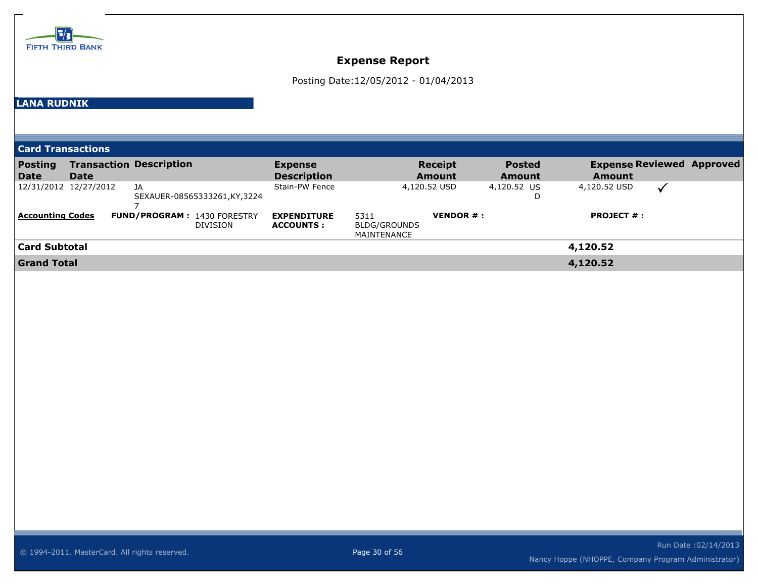

Posting Date:12/05/2012 - 01/04/2013

### **LANA RUDNIK**

| <b>Card Transactions</b> |                       |                                    |                             |                                        |                                     |                          |                                |                                                   |  |
|--------------------------|-----------------------|------------------------------------|-----------------------------|----------------------------------------|-------------------------------------|--------------------------|--------------------------------|---------------------------------------------------|--|
| <b>Posting</b><br>Date   | <b>Date</b>           | <b>Transaction Description</b>     |                             | <b>Expense</b><br><b>Description</b>   |                                     | <b>Receipt</b><br>Amount | <b>Posted</b><br><b>Amount</b> | <b>Expense Reviewed Approved</b><br><b>Amount</b> |  |
|                          | 12/31/2012 12/27/2012 | JA                                 | SEXAUER-08565333261,KY,3224 | Stain-PW Fence                         |                                     | 4,120.52 USD             | 4,120.52 US<br>D               | 4,120.52 USD                                      |  |
| <b>Accounting Codes</b>  |                       | <b>FUND/PROGRAM: 1430 FORESTRY</b> | DIVISION                    | <b>EXPENDITURE</b><br><b>ACCOUNTS:</b> | 5311<br>BLDG/GROUNDS<br>MAINTENANCE | <b>VENDOR#:</b>          |                                | <b>PROJECT #:</b>                                 |  |
| <b>Card Subtotal</b>     |                       |                                    |                             |                                        |                                     |                          |                                | 4,120.52                                          |  |
| <b>Grand Total</b>       |                       |                                    |                             |                                        |                                     |                          |                                | 4,120.52                                          |  |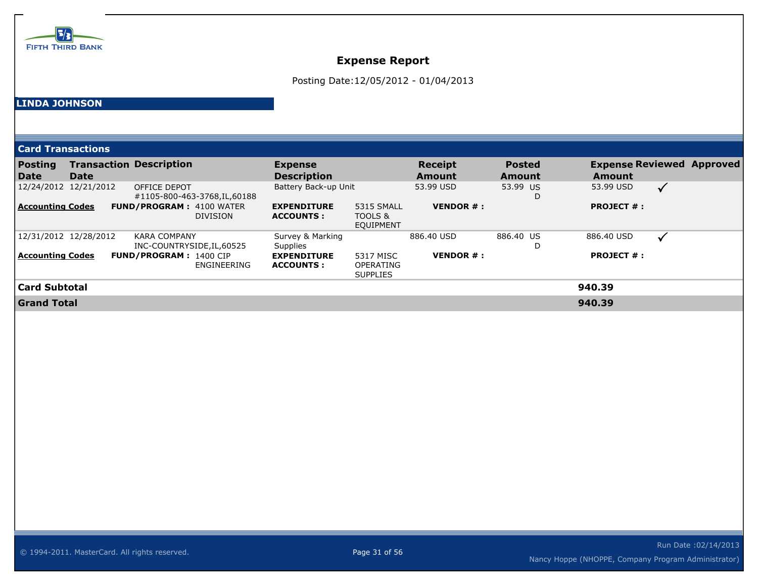

Posting Date:12/05/2012 - 01/04/2013

### **LINDA JOHNSON**

| <b>Card Transactions</b> |             |                                                    |                                        |                                                  |                                 |                                |                   |                                  |
|--------------------------|-------------|----------------------------------------------------|----------------------------------------|--------------------------------------------------|---------------------------------|--------------------------------|-------------------|----------------------------------|
| <b>Posting</b><br>Date   | <b>Date</b> | <b>Transaction Description</b>                     | <b>Expense</b><br><b>Description</b>   |                                                  | <b>Receipt</b><br><b>Amount</b> | <b>Posted</b><br><b>Amount</b> | <b>Amount</b>     | <b>Expense Reviewed Approved</b> |
| 12/24/2012 12/21/2012    |             | OFFICE DEPOT<br>#1105-800-463-3768, IL, 60188      | Battery Back-up Unit                   |                                                  | 53.99 USD                       | 53.99 US<br>D                  | 53.99 USD         | $\sqrt{}$                        |
| <b>Accounting Codes</b>  |             | <b>FUND/PROGRAM: 4100 WATER</b><br><b>DIVISION</b> | <b>EXPENDITURE</b><br><b>ACCOUNTS:</b> | 5315 SMALL<br>TOOLS &<br><b>EQUIPMENT</b>        | <b>VENDOR <math>#</math>:</b>   |                                | <b>PROJECT #:</b> |                                  |
| 12/31/2012 12/28/2012    |             | <b>KARA COMPANY</b><br>INC-COUNTRYSIDE, IL, 60525  | Survey & Marking<br><b>Supplies</b>    |                                                  | 886.40 USD                      | 886.40 US<br>D                 | 886.40 USD        | $\checkmark$                     |
| <b>Accounting Codes</b>  |             | <b>FUND/PROGRAM: 1400 CIP</b><br>ENGINEERING       | <b>EXPENDITURE</b><br><b>ACCOUNTS:</b> | 5317 MISC<br><b>OPERATING</b><br><b>SUPPLIES</b> | <b>VENDOR <math>#</math>:</b>   |                                | <b>PROJECT #:</b> |                                  |
| Card Subtotal            |             |                                                    |                                        |                                                  |                                 |                                | 940.39            |                                  |
| <b>Grand Total</b>       |             |                                                    |                                        |                                                  |                                 |                                | 940.39            |                                  |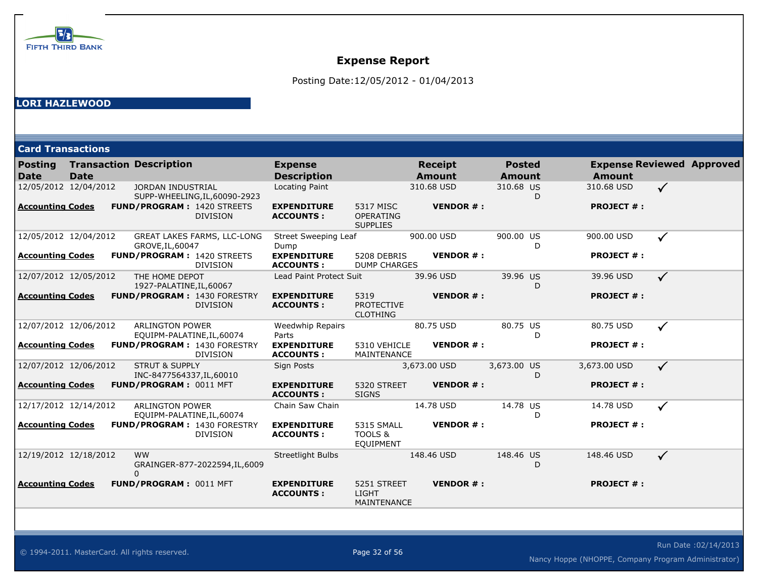

Posting Date:12/05/2012 - 01/04/2013

### **LORI HAZLEWOOD**

| <b>Card Transactions</b>      |             |                                                        |                                |                                        |                                                  |                                 |                                |                   |                                  |
|-------------------------------|-------------|--------------------------------------------------------|--------------------------------|----------------------------------------|--------------------------------------------------|---------------------------------|--------------------------------|-------------------|----------------------------------|
| <b>Posting</b><br><b>Date</b> | <b>Date</b> | <b>Transaction Description</b>                         |                                | <b>Expense</b><br><b>Description</b>   |                                                  | <b>Receipt</b><br><b>Amount</b> | <b>Posted</b><br><b>Amount</b> | <b>Amount</b>     | <b>Expense Reviewed Approved</b> |
| 12/05/2012 12/04/2012         |             | <b>JORDAN INDUSTRIAL</b>                               | SUPP-WHEELING, IL, 60090-2923  | Locating Paint                         |                                                  | 310.68 USD                      | 310.68 US<br>D                 | 310.68 USD        | $\checkmark$                     |
| <b>Accounting Codes</b>       |             | <b>FUND/PROGRAM: 1420 STREETS</b>                      | <b>DIVISION</b>                | <b>EXPENDITURE</b><br><b>ACCOUNTS:</b> | 5317 MISC<br><b>OPERATING</b><br><b>SUPPLIES</b> | <b>VENDOR#:</b>                 |                                | <b>PROJECT #:</b> |                                  |
| 12/05/2012 12/04/2012         |             | GROVE, IL, 60047                                       | GREAT LAKES FARMS, LLC-LONG    | <b>Street Sweeping Leaf</b><br>Dump    |                                                  | 900.00 USD                      | 900.00 US<br>D                 | 900.00 USD        |                                  |
| <b>Accounting Codes</b>       |             | <b>FUND/PROGRAM: 1420 STREETS</b>                      | <b>DIVISION</b>                | <b>EXPENDITURE</b><br><b>ACCOUNTS:</b> | 5208 DEBRIS<br><b>DUMP CHARGES</b>               | <b>VENDOR#:</b>                 |                                | <b>PROJECT #:</b> |                                  |
| 12/07/2012 12/05/2012         |             | THE HOME DEPOT<br>1927-PALATINE, IL, 60067             |                                | Lead Paint Protect Suit                |                                                  | 39.96 USD                       | 39.96 US<br>D                  | 39.96 USD         | $\checkmark$                     |
| <b>Accounting Codes</b>       |             | <b>FUND/PROGRAM: 1430 FORESTRY</b>                     | <b>DIVISION</b>                | <b>EXPENDITURE</b><br><b>ACCOUNTS:</b> | 5319<br><b>PROTECTIVE</b><br><b>CLOTHING</b>     | <b>VENDOR#:</b>                 |                                | <b>PROJECT #:</b> |                                  |
| 12/07/2012 12/06/2012         |             | <b>ARLINGTON POWER</b><br>EQUIPM-PALATINE, IL, 60074   |                                | <b>Weedwhip Repairs</b><br>Parts       |                                                  | 80.75 USD                       | 80.75 US<br>D                  | 80.75 USD         | $\checkmark$                     |
| <b>Accounting Codes</b>       |             | <b>FUND/PROGRAM: 1430 FORESTRY</b>                     | <b>DIVISION</b>                | <b>EXPENDITURE</b><br><b>ACCOUNTS:</b> | 5310 VEHICLE<br>MAINTENANCE                      | <b>VENDOR#:</b>                 |                                | <b>PROJECT #:</b> |                                  |
| 12/07/2012 12/06/2012         |             | <b>STRUT &amp; SUPPLY</b><br>INC-8477564337, IL, 60010 |                                | Sign Posts                             |                                                  | 3,673.00 USD                    | 3,673.00 US<br>D               | 3,673.00 USD      | $\checkmark$                     |
| <b>Accounting Codes</b>       |             | <b>FUND/PROGRAM: 0011 MFT</b>                          |                                | <b>EXPENDITURE</b><br><b>ACCOUNTS:</b> | 5320 STREET<br><b>SIGNS</b>                      | <b>VENDOR#:</b>                 |                                | <b>PROJECT #:</b> |                                  |
| 12/17/2012 12/14/2012         |             | <b>ARLINGTON POWER</b><br>EQUIPM-PALATINE, IL, 60074   |                                | Chain Saw Chain                        |                                                  | 14.78 USD                       | 14.78 US<br>D                  | 14.78 USD         | $\checkmark$                     |
| <b>Accounting Codes</b>       |             | FUND/PROGRAM: 1430 FORESTRY                            | <b>DIVISION</b>                | <b>EXPENDITURE</b><br><b>ACCOUNTS:</b> | <b>5315 SMALL</b><br>TOOLS &<br>EQUIPMENT        | <b>VENDOR#:</b>                 |                                | <b>PROJECT #:</b> |                                  |
| 12/19/2012 12/18/2012         |             | <b>WW</b><br>$\Omega$                                  | GRAINGER-877-2022594, IL, 6009 | Streetlight Bulbs                      |                                                  | 148.46 USD                      | 148.46 US<br>D                 | 148.46 USD        | $\checkmark$                     |
| <b>Accounting Codes</b>       |             | FUND/PROGRAM: 0011 MFT                                 |                                | <b>EXPENDITURE</b><br><b>ACCOUNTS:</b> | 5251 STREET<br><b>LIGHT</b><br>MAINTENANCE       | <b>VENDOR#:</b>                 |                                | <b>PROJECT #:</b> |                                  |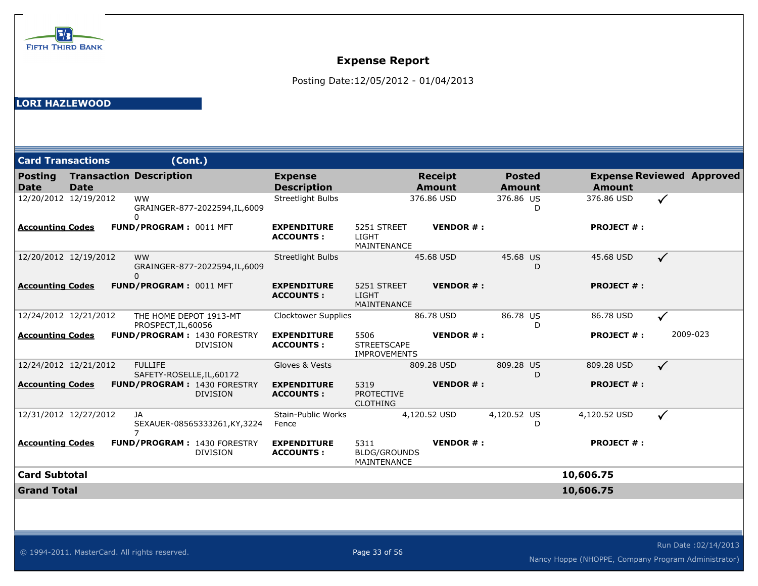

Posting Date:12/05/2012 - 01/04/2013

#### **LORI HAZLEWOOD**

| <b>Card Transactions</b>      |             |                                | (Cont.)                                               |                                        |                                                   |                                 |                                |                   |                                  |
|-------------------------------|-------------|--------------------------------|-------------------------------------------------------|----------------------------------------|---------------------------------------------------|---------------------------------|--------------------------------|-------------------|----------------------------------|
| <b>Posting</b><br><b>Date</b> | <b>Date</b> | <b>Transaction Description</b> |                                                       | <b>Expense</b><br><b>Description</b>   |                                                   | <b>Receipt</b><br><b>Amount</b> | <b>Posted</b><br><b>Amount</b> | <b>Amount</b>     | <b>Expense Reviewed Approved</b> |
| 12/20/2012 12/19/2012         |             | <b>WW</b><br>0                 | GRAINGER-877-2022594,IL,6009                          | Streetlight Bulbs                      |                                                   | 376.86 USD                      | 376.86 US<br>D                 | 376.86 USD        | $\checkmark$                     |
| <b>Accounting Codes</b>       |             | FUND/PROGRAM: 0011 MFT         |                                                       | <b>EXPENDITURE</b><br><b>ACCOUNTS:</b> | 5251 STREET<br>LIGHT<br><b>MAINTENANCE</b>        | <b>VENDOR#:</b>                 |                                | <b>PROJECT #:</b> |                                  |
| 12/20/2012 12/19/2012         |             | <b>WW</b><br>$\mathbf{0}$      | GRAINGER-877-2022594,IL,6009                          | Streetlight Bulbs                      |                                                   | 45.68 USD                       | 45.68 US<br>D                  | 45.68 USD         | $\checkmark$                     |
| <b>Accounting Codes</b>       |             | FUND/PROGRAM: 0011 MFT         |                                                       | <b>EXPENDITURE</b><br><b>ACCOUNTS:</b> | 5251 STREET<br>LIGHT<br>MAINTENANCE               | <b>VENDOR#:</b>                 |                                | <b>PROJECT #:</b> |                                  |
| 12/24/2012 12/21/2012         |             | PROSPECT, IL, 60056            | THE HOME DEPOT 1913-MT                                | <b>Clocktower Supplies</b>             |                                                   | 86.78 USD                       | 86.78 US<br>D                  | 86.78 USD         |                                  |
| <b>Accounting Codes</b>       |             |                                | FUND/PROGRAM: 1430 FORESTRY<br><b>DIVISION</b>        | <b>EXPENDITURE</b><br><b>ACCOUNTS:</b> | 5506<br><b>STREETSCAPE</b><br><b>IMPROVEMENTS</b> | <b>VENDOR#:</b>                 |                                | <b>PROJECT #:</b> | 2009-023                         |
| 12/24/2012 12/21/2012         |             | <b>FULLIFE</b>                 | SAFETY-ROSELLE, IL, 60172                             | Gloves & Vests                         |                                                   | 809.28 USD                      | 809.28 US<br>D                 | 809.28 USD        | $\checkmark$                     |
| <b>Accounting Codes</b>       |             |                                | <b>FUND/PROGRAM: 1430 FORESTRY</b><br><b>DIVISION</b> | <b>EXPENDITURE</b><br><b>ACCOUNTS:</b> | 5319<br><b>PROTECTIVE</b><br><b>CLOTHING</b>      | <b>VENDOR#:</b>                 |                                | <b>PROJECT #:</b> |                                  |
| 12/31/2012 12/27/2012         |             | JA<br>7                        | SEXAUER-08565333261, KY, 3224                         | Stain-Public Works<br>Fence            |                                                   | 4,120.52 USD                    | 4,120.52 US<br>D               | 4,120.52 USD      | $\checkmark$                     |
| <b>Accounting Codes</b>       |             |                                | <b>FUND/PROGRAM: 1430 FORESTRY</b><br><b>DIVISION</b> | <b>EXPENDITURE</b><br><b>ACCOUNTS:</b> | 5311<br><b>BLDG/GROUNDS</b><br>MAINTENANCE        | <b>VENDOR#:</b>                 |                                | <b>PROJECT #:</b> |                                  |
| <b>Card Subtotal</b>          |             |                                |                                                       |                                        |                                                   |                                 |                                | 10,606.75         |                                  |
| <b>Grand Total</b>            |             |                                |                                                       |                                        |                                                   |                                 |                                | 10,606.75         |                                  |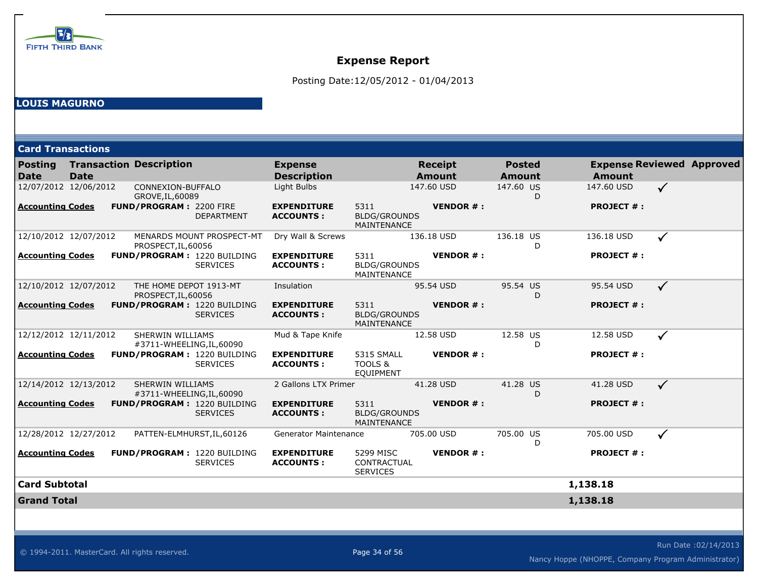

Posting Date:12/05/2012 - 01/04/2013

### **LOUIS MAGURNO**

| <b>Card Transactions</b>      |             |                                                  |                   |                                        |                                                   |                                 |                                |   |                                                   |              |  |
|-------------------------------|-------------|--------------------------------------------------|-------------------|----------------------------------------|---------------------------------------------------|---------------------------------|--------------------------------|---|---------------------------------------------------|--------------|--|
| <b>Posting</b><br><b>Date</b> | <b>Date</b> | <b>Transaction Description</b>                   |                   | <b>Expense</b><br><b>Description</b>   |                                                   | <b>Receipt</b><br><b>Amount</b> | <b>Posted</b><br><b>Amount</b> |   | <b>Expense Reviewed Approved</b><br><b>Amount</b> |              |  |
| 12/07/2012 12/06/2012         |             | CONNEXION-BUFFALO<br>GROVE, IL, 60089            |                   | Light Bulbs                            |                                                   | 147.60 USD                      | 147.60 US                      | D | 147.60 USD                                        | $\checkmark$ |  |
| <b>Accounting Codes</b>       |             | <b>FUND/PROGRAM: 2200 FIRE</b>                   | <b>DEPARTMENT</b> | <b>EXPENDITURE</b><br><b>ACCOUNTS:</b> | 5311<br><b>BLDG/GROUNDS</b><br><b>MAINTENANCE</b> | <b>VENDOR#:</b>                 |                                |   | <b>PROJECT #:</b>                                 |              |  |
| 12/10/2012 12/07/2012         |             | MENARDS MOUNT PROSPECT-MT<br>PROSPECT, IL, 60056 |                   | Dry Wall & Screws                      |                                                   | 136.18 USD                      | 136.18 US                      | D | 136.18 USD                                        | ✓            |  |
| <b>Accounting Codes</b>       |             | <b>FUND/PROGRAM: 1220 BUILDING</b>               | <b>SERVICES</b>   | <b>EXPENDITURE</b><br><b>ACCOUNTS:</b> | 5311<br><b>BLDG/GROUNDS</b><br>MAINTENANCE        | <b>VENDOR#:</b>                 |                                |   | <b>PROJECT #:</b>                                 |              |  |
| 12/10/2012 12/07/2012         |             | THE HOME DEPOT 1913-MT<br>PROSPECT, IL, 60056    |                   | Insulation                             |                                                   | 95.54 USD                       | 95.54 US                       | D | 95.54 USD                                         | $\checkmark$ |  |
| <b>Accounting Codes</b>       |             | <b>FUND/PROGRAM: 1220 BUILDING</b>               | <b>SERVICES</b>   | <b>EXPENDITURE</b><br><b>ACCOUNTS:</b> | 5311<br><b>BLDG/GROUNDS</b><br><b>MAINTENANCE</b> | <b>VENDOR#:</b>                 |                                |   | <b>PROJECT #:</b>                                 |              |  |
| 12/12/2012 12/11/2012         |             | SHERWIN WILLIAMS<br>#3711-WHEELING, IL, 60090    |                   | Mud & Tape Knife                       |                                                   | 12.58 USD                       | 12.58 US                       | D | 12.58 USD                                         | $\checkmark$ |  |
| <b>Accounting Codes</b>       |             | <b>FUND/PROGRAM: 1220 BUILDING</b>               | <b>SERVICES</b>   | <b>EXPENDITURE</b><br><b>ACCOUNTS:</b> | <b>5315 SMALL</b><br>TOOLS &<br><b>EQUIPMENT</b>  | <b>VENDOR#:</b>                 |                                |   | <b>PROJECT #:</b>                                 |              |  |
| 12/14/2012 12/13/2012         |             | SHERWIN WILLIAMS<br>#3711-WHEELING, IL, 60090    |                   | 2 Gallons LTX Primer                   |                                                   | 41.28 USD                       | 41.28 US                       | D | 41.28 USD                                         | $\checkmark$ |  |
| <b>Accounting Codes</b>       |             | <b>FUND/PROGRAM: 1220 BUILDING</b>               | <b>SERVICES</b>   | <b>EXPENDITURE</b><br><b>ACCOUNTS:</b> | 5311<br><b>BLDG/GROUNDS</b><br>MAINTENANCE        | <b>VENDOR#:</b>                 |                                |   | <b>PROJECT #:</b>                                 |              |  |
| 12/28/2012 12/27/2012         |             | PATTEN-ELMHURST, IL, 60126                       |                   | <b>Generator Maintenance</b>           |                                                   | 705.00 USD                      | 705.00 US                      | D | 705.00 USD                                        | $\checkmark$ |  |
| <b>Accounting Codes</b>       |             | FUND/PROGRAM: 1220 BUILDING                      | <b>SERVICES</b>   | <b>EXPENDITURE</b><br><b>ACCOUNTS:</b> | 5299 MISC<br>CONTRACTUAL<br><b>SERVICES</b>       | <b>VENDOR#:</b>                 |                                |   | <b>PROJECT #:</b>                                 |              |  |
| <b>Card Subtotal</b>          |             |                                                  |                   |                                        |                                                   |                                 |                                |   | 1,138.18                                          |              |  |
| <b>Grand Total</b>            |             |                                                  |                   |                                        |                                                   |                                 |                                |   | 1,138.18                                          |              |  |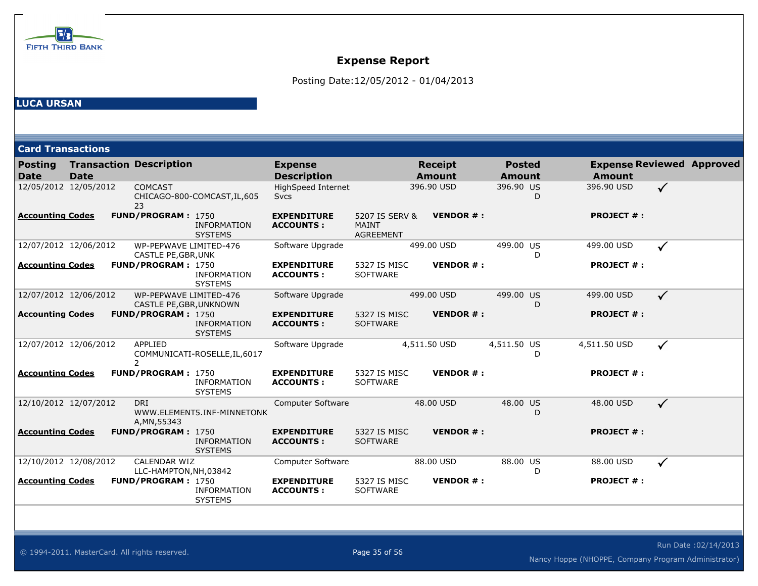

Posting Date:12/05/2012 - 01/04/2013

| <b>Card Transactions</b>      |                       |                                                   |                                      |                                        |                                                    |                                 |                 |                                |   |                   |                                  |
|-------------------------------|-----------------------|---------------------------------------------------|--------------------------------------|----------------------------------------|----------------------------------------------------|---------------------------------|-----------------|--------------------------------|---|-------------------|----------------------------------|
| <b>Posting</b><br><b>Date</b> | <b>Date</b>           | <b>Transaction Description</b>                    |                                      | <b>Expense</b><br><b>Description</b>   |                                                    | <b>Receipt</b><br><b>Amount</b> |                 | <b>Posted</b><br><b>Amount</b> |   | <b>Amount</b>     | <b>Expense Reviewed Approved</b> |
| 12/05/2012 12/05/2012         |                       | <b>COMCAST</b><br>23                              | CHICAGO-800-COMCAST, IL, 605         | HighSpeed Internet<br><b>Svcs</b>      |                                                    | 396.90 USD                      |                 | 396.90 US                      | D | 396.90 USD        | $\checkmark$                     |
| <b>Accounting Codes</b>       |                       | FUND/PROGRAM: 1750                                | <b>INFORMATION</b><br><b>SYSTEMS</b> | <b>EXPENDITURE</b><br><b>ACCOUNTS:</b> | 5207 IS SERV &<br><b>MAINT</b><br><b>AGREEMENT</b> |                                 | <b>VENDOR#:</b> |                                |   | <b>PROJECT #:</b> |                                  |
|                               | 12/07/2012 12/06/2012 | WP-PEPWAVE LIMITED-476<br>CASTLE PE, GBR, UNK     |                                      | Software Upgrade                       |                                                    | 499.00 USD                      |                 | 499.00 US                      | D | 499.00 USD        | $\checkmark$                     |
| <u>Accounting Codes</u>       |                       | FUND/PROGRAM: 1750                                | <b>INFORMATION</b><br><b>SYSTEMS</b> | <b>EXPENDITURE</b><br><b>ACCOUNTS:</b> | 5327 IS MISC<br><b>SOFTWARE</b>                    |                                 | <b>VENDOR#:</b> |                                |   | <b>PROJECT #:</b> |                                  |
|                               | 12/07/2012 12/06/2012 | WP-PEPWAVE LIMITED-476<br>CASTLE PE, GBR, UNKNOWN |                                      | Software Upgrade                       |                                                    | 499.00 USD                      |                 | 499.00 US                      | D | 499.00 USD        | $\checkmark$                     |
| <b>Accounting Codes</b>       |                       | <b>FUND/PROGRAM: 1750</b>                         | <b>INFORMATION</b><br><b>SYSTEMS</b> | <b>EXPENDITURE</b><br><b>ACCOUNTS:</b> | 5327 IS MISC<br><b>SOFTWARE</b>                    |                                 | <b>VENDOR#:</b> |                                |   | <b>PROJECT #:</b> |                                  |
|                               | 12/07/2012 12/06/2012 | APPLIED<br>$\overline{2}$                         | COMMUNICATI-ROSELLE, IL, 6017        | Software Upgrade                       |                                                    | 4,511.50 USD                    |                 | 4,511.50 US                    | D | 4,511.50 USD      | $\checkmark$                     |
| <b>Accounting Codes</b>       |                       | FUND/PROGRAM: 1750                                | <b>INFORMATION</b><br><b>SYSTEMS</b> | <b>EXPENDITURE</b><br><b>ACCOUNTS:</b> | 5327 IS MISC<br><b>SOFTWARE</b>                    |                                 | <b>VENDOR#:</b> |                                |   | <b>PROJECT #:</b> |                                  |
|                               | 12/10/2012 12/07/2012 | <b>DRI</b><br>A, MN, 55343                        | WWW.ELEMENT5.INF-MINNETONK           | Computer Software                      |                                                    | 48.00 USD                       |                 | 48.00 US                       | D | 48.00 USD         | $\checkmark$                     |
| <b>Accounting Codes</b>       |                       | <b>FUND/PROGRAM: 1750</b>                         | <b>INFORMATION</b><br><b>SYSTEMS</b> | <b>EXPENDITURE</b><br><b>ACCOUNTS:</b> | 5327 IS MISC<br><b>SOFTWARE</b>                    |                                 | <b>VENDOR#:</b> |                                |   | <b>PROJECT #:</b> |                                  |
|                               | 12/10/2012 12/08/2012 | CALENDAR WIZ<br>LLC-HAMPTON, NH, 03842            |                                      | Computer Software                      |                                                    | 88.00 USD                       |                 | 88.00 US                       | D | 88.00 USD         | $\checkmark$                     |
| <u>Accounting Codes</u>       |                       | FUND/PROGRAM: 1750                                | <b>INFORMATION</b><br><b>SYSTEMS</b> | <b>EXPENDITURE</b><br><b>ACCOUNTS:</b> | 5327 IS MISC<br><b>SOFTWARE</b>                    |                                 | <b>VENDOR#:</b> |                                |   | <b>PROJECT #:</b> |                                  |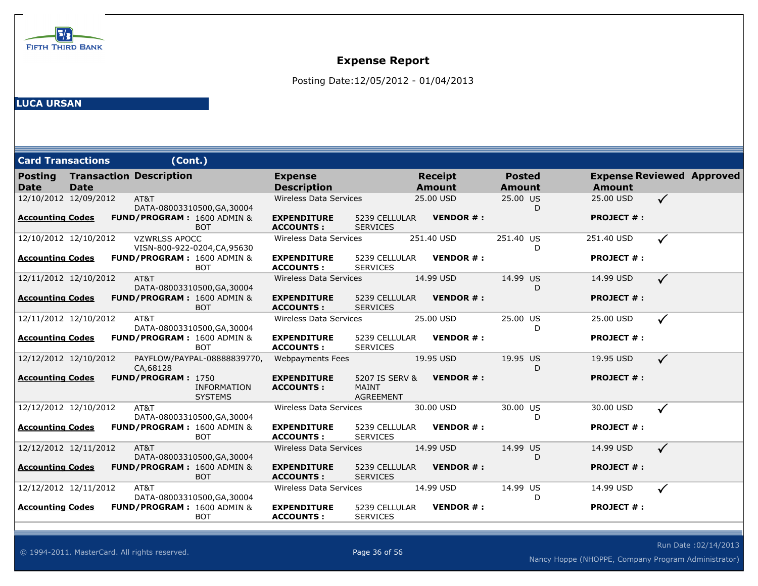

Posting Date:12/05/2012 - 01/04/2013

| <b>Card Transactions</b> |             | (Cont.)                        |                                                     |                                        |                                                    |            |                                 |                                |   |                                                   |              |  |
|--------------------------|-------------|--------------------------------|-----------------------------------------------------|----------------------------------------|----------------------------------------------------|------------|---------------------------------|--------------------------------|---|---------------------------------------------------|--------------|--|
| <b>Posting</b><br>l Date | <b>Date</b> | <b>Transaction Description</b> |                                                     | <b>Expense</b><br><b>Description</b>   |                                                    |            | <b>Receipt</b><br><b>Amount</b> | <b>Posted</b><br><b>Amount</b> |   | <b>Expense Reviewed Approved</b><br><b>Amount</b> |              |  |
| 12/10/2012 12/09/2012    |             | AT&T                           | DATA-08003310500, GA, 30004                         | <b>Wireless Data Services</b>          |                                                    |            | 25.00 USD                       | 25.00 US                       | D | 25.00 USD                                         | $\checkmark$ |  |
| <b>Accounting Codes</b>  |             |                                | <b>FUND/PROGRAM: 1600 ADMIN &amp;</b><br><b>BOT</b> | <b>EXPENDITURE</b><br><b>ACCOUNTS:</b> | 5239 CELLULAR<br><b>SERVICES</b>                   |            | <b>VENDOR#:</b>                 |                                |   | <b>PROJECT #:</b>                                 |              |  |
| 12/10/2012 12/10/2012    |             | <b>VZWRLSS APOCC</b>           | VISN-800-922-0204, CA, 95630                        | Wireless Data Services                 |                                                    | 251.40 USD |                                 | 251.40 US                      | D | 251.40 USD                                        | ✓            |  |
| <b>Accounting Codes</b>  |             |                                | FUND/PROGRAM: 1600 ADMIN &<br><b>BOT</b>            | <b>EXPENDITURE</b><br><b>ACCOUNTS:</b> | 5239 CELLULAR<br><b>SERVICES</b>                   |            | <b>VENDOR#:</b>                 |                                |   | <b>PROJECT #:</b>                                 |              |  |
| 12/11/2012 12/10/2012    |             | AT&T                           | DATA-08003310500, GA, 30004                         | Wireless Data Services                 |                                                    |            | 14.99 USD                       | 14.99 US                       | D | 14.99 USD                                         | $\checkmark$ |  |
| <b>Accounting Codes</b>  |             |                                | <b>FUND/PROGRAM: 1600 ADMIN &amp;</b><br><b>BOT</b> | <b>EXPENDITURE</b><br><b>ACCOUNTS:</b> | 5239 CELLULAR<br><b>SERVICES</b>                   |            | <b>VENDOR#:</b>                 |                                |   | <b>PROJECT #:</b>                                 |              |  |
| 12/11/2012 12/10/2012    |             | AT&T                           | DATA-08003310500, GA, 30004                         | <b>Wireless Data Services</b>          |                                                    |            | 25.00 USD                       | 25.00 US                       | D | 25.00 USD                                         | $\checkmark$ |  |
| <b>Accounting Codes</b>  |             |                                | <b>FUND/PROGRAM: 1600 ADMIN &amp;</b><br><b>BOT</b> | <b>EXPENDITURE</b><br><b>ACCOUNTS:</b> | 5239 CELLULAR<br><b>SERVICES</b>                   |            | <b>VENDOR#:</b>                 |                                |   | <b>PROJECT #:</b>                                 |              |  |
| 12/12/2012 12/10/2012    |             | CA,68128                       | PAYFLOW/PAYPAL-08888839770,                         | Webpayments Fees                       |                                                    |            | 19.95 USD                       | 19.95 US                       | D | 19.95 USD                                         | $\checkmark$ |  |
| <b>Accounting Codes</b>  |             | FUND/PROGRAM: 1750             | <b>INFORMATION</b><br><b>SYSTEMS</b>                | <b>EXPENDITURE</b><br><b>ACCOUNTS:</b> | 5207 IS SERV &<br><b>MAINT</b><br><b>AGREEMENT</b> |            | <b>VENDOR #:</b>                |                                |   | <b>PROJECT #:</b>                                 |              |  |
| 12/12/2012 12/10/2012    |             | AT&T                           | DATA-08003310500, GA, 30004                         | <b>Wireless Data Services</b>          |                                                    |            | 30.00 USD                       | 30.00 US                       | D | 30.00 USD                                         | $\checkmark$ |  |
| <b>Accounting Codes</b>  |             |                                | FUND/PROGRAM: 1600 ADMIN &<br><b>BOT</b>            | <b>EXPENDITURE</b><br><b>ACCOUNTS:</b> | 5239 CELLULAR<br><b>SERVICES</b>                   |            | <b>VENDOR#:</b>                 |                                |   | <b>PROJECT #:</b>                                 |              |  |
| 12/12/2012 12/11/2012    |             | AT&T                           | DATA-08003310500, GA, 30004                         | Wireless Data Services                 |                                                    |            | 14.99 USD                       | 14.99 US                       | D | 14.99 USD                                         | $\checkmark$ |  |
| <b>Accounting Codes</b>  |             |                                | <b>FUND/PROGRAM: 1600 ADMIN &amp;</b><br><b>BOT</b> | <b>EXPENDITURE</b><br><b>ACCOUNTS:</b> | 5239 CELLULAR<br><b>SERVICES</b>                   |            | <b>VENDOR#:</b>                 |                                |   | <b>PROJECT #:</b>                                 |              |  |
| 12/12/2012 12/11/2012    |             | AT&T                           | DATA-08003310500, GA, 30004                         | <b>Wireless Data Services</b>          |                                                    |            | 14.99 USD                       | 14.99 US                       | D | 14.99 USD                                         | $\checkmark$ |  |
| <b>Accounting Codes</b>  |             |                                | <b>FUND/PROGRAM: 1600 ADMIN &amp;</b><br><b>BOT</b> | <b>EXPENDITURE</b><br><b>ACCOUNTS:</b> | 5239 CELLULAR<br><b>SERVICES</b>                   |            | <b>VENDOR#:</b>                 |                                |   | <b>PROJECT #:</b>                                 |              |  |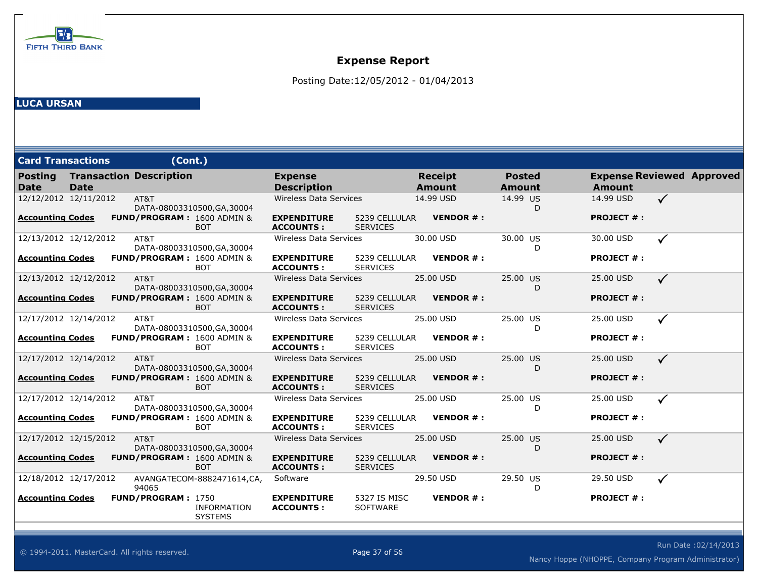

Posting Date:12/05/2012 - 01/04/2013

| <b>Card Transactions</b>      |             | (Cont.)                        |                                                     |                                        |                                  |                                 |                 |                         |    |                   |                                  |
|-------------------------------|-------------|--------------------------------|-----------------------------------------------------|----------------------------------------|----------------------------------|---------------------------------|-----------------|-------------------------|----|-------------------|----------------------------------|
| <b>Posting</b><br><b>Date</b> | <b>Date</b> | <b>Transaction Description</b> |                                                     | <b>Expense</b><br><b>Description</b>   |                                  | <b>Receipt</b><br><b>Amount</b> |                 | <b>Posted</b><br>Amount |    | <b>Amount</b>     | <b>Expense Reviewed Approved</b> |
| 12/12/2012 12/11/2012         |             | AT&T                           | DATA-08003310500, GA, 30004                         | <b>Wireless Data Services</b>          |                                  | 14.99 USD                       |                 | 14.99 US                | D. | 14.99 USD         | $\checkmark$                     |
| <b>Accounting Codes</b>       |             |                                | <b>FUND/PROGRAM: 1600 ADMIN &amp;</b><br><b>BOT</b> | <b>EXPENDITURE</b><br><b>ACCOUNTS:</b> | 5239 CELLULAR<br><b>SERVICES</b> |                                 | <b>VENDOR#:</b> |                         |    | <b>PROJECT #:</b> |                                  |
| 12/13/2012 12/12/2012         |             | AT&T                           | DATA-08003310500, GA, 30004                         | <b>Wireless Data Services</b>          |                                  | 30.00 USD                       |                 | 30.00 US                |    | 30.00 USD         | $\checkmark$                     |
| <b>Accounting Codes</b>       |             |                                | FUND/PROGRAM: 1600 ADMIN &<br><b>BOT</b>            | <b>EXPENDITURE</b><br><b>ACCOUNTS:</b> | 5239 CELLULAR<br><b>SERVICES</b> |                                 | <b>VENDOR#:</b> |                         |    | <b>PROJECT #:</b> |                                  |
| 12/13/2012 12/12/2012         |             | AT&T                           | DATA-08003310500, GA, 30004                         | <b>Wireless Data Services</b>          |                                  | 25.00 USD                       |                 | 25.00 US                | D  | 25.00 USD         | $\checkmark$                     |
| <b>Accounting Codes</b>       |             |                                | <b>FUND/PROGRAM: 1600 ADMIN &amp;</b><br><b>BOT</b> | <b>EXPENDITURE</b><br><b>ACCOUNTS:</b> | 5239 CELLULAR<br><b>SERVICES</b> |                                 | <b>VENDOR#:</b> |                         |    | <b>PROJECT #:</b> |                                  |
| 12/17/2012 12/14/2012         |             | AT&T                           | DATA-08003310500, GA, 30004                         | Wireless Data Services                 |                                  | 25.00 USD                       |                 | 25.00 US                | D  | 25.00 USD         | $\checkmark$                     |
| <b>Accounting Codes</b>       |             |                                | FUND/PROGRAM: 1600 ADMIN &<br><b>BOT</b>            | <b>EXPENDITURE</b><br><b>ACCOUNTS:</b> | 5239 CELLULAR<br><b>SERVICES</b> |                                 | <b>VENDOR#:</b> |                         |    | <b>PROJECT #:</b> |                                  |
| 12/17/2012 12/14/2012         |             | AT&T                           | DATA-08003310500, GA, 30004                         | Wireless Data Services                 |                                  | 25.00 USD                       |                 | 25.00 US                | D  | 25.00 USD         | $\checkmark$                     |
| <b>Accounting Codes</b>       |             |                                | <b>FUND/PROGRAM: 1600 ADMIN &amp;</b><br><b>BOT</b> | <b>EXPENDITURE</b><br><b>ACCOUNTS:</b> | 5239 CELLULAR<br><b>SERVICES</b> |                                 | <b>VENDOR#:</b> |                         |    | <b>PROJECT #:</b> |                                  |
| 12/17/2012 12/14/2012         |             | AT&T                           | DATA-08003310500, GA, 30004                         | <b>Wireless Data Services</b>          |                                  | 25.00 USD                       |                 | 25.00 US                | D  | 25.00 USD         | $\checkmark$                     |
| <b>Accounting Codes</b>       |             |                                | FUND/PROGRAM: 1600 ADMIN &<br><b>BOT</b>            | <b>EXPENDITURE</b><br><b>ACCOUNTS:</b> | 5239 CELLULAR<br><b>SERVICES</b> |                                 | <b>VENDOR#:</b> |                         |    | <b>PROJECT #:</b> |                                  |
| 12/17/2012 12/15/2012         |             | AT&T                           | DATA-08003310500, GA, 30004                         | Wireless Data Services                 |                                  | 25.00 USD                       |                 | 25.00 US                | D  | 25.00 USD         | $\checkmark$                     |
| <b>Accounting Codes</b>       |             |                                | <b>FUND/PROGRAM: 1600 ADMIN &amp;</b><br><b>BOT</b> | <b>EXPENDITURE</b><br><b>ACCOUNTS:</b> | 5239 CELLULAR<br><b>SERVICES</b> |                                 | <b>VENDOR#:</b> |                         |    | <b>PROJECT #:</b> |                                  |
| 12/18/2012 12/17/2012         |             | 94065                          | AVANGATECOM-8882471614,CA,                          | Software                               |                                  | 29.50 USD                       |                 | 29.50 US                | D  | 29.50 USD         | ✓                                |
| <b>Accounting Codes</b>       |             | <b>FUND/PROGRAM: 1750</b>      | <b>INFORMATION</b><br><b>SYSTEMS</b>                | <b>EXPENDITURE</b><br><b>ACCOUNTS:</b> | 5327 IS MISC<br><b>SOFTWARE</b>  |                                 | <b>VENDOR#:</b> |                         |    | <b>PROJECT #:</b> |                                  |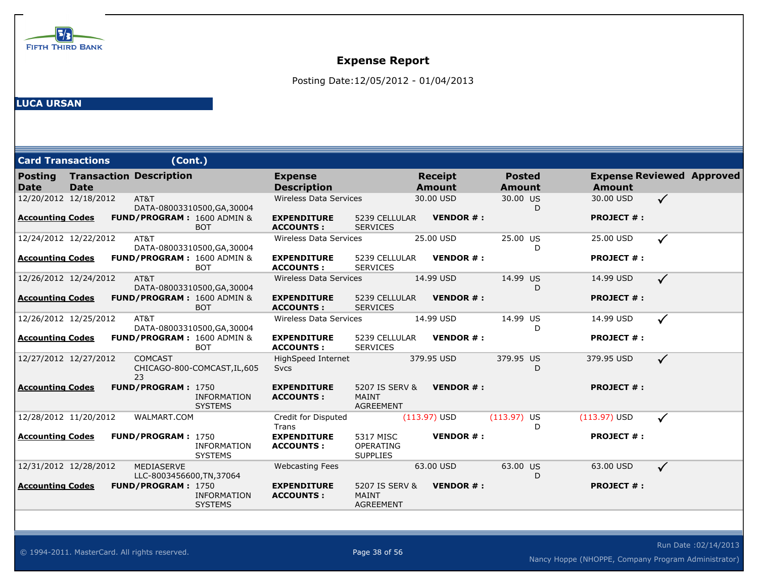

Posting Date:12/05/2012 - 01/04/2013

| <b>Card Transactions</b> |             | (Cont.)                                 |                                      |                                        |                                                    |                                 |                                |   |                                                   |              |  |
|--------------------------|-------------|-----------------------------------------|--------------------------------------|----------------------------------------|----------------------------------------------------|---------------------------------|--------------------------------|---|---------------------------------------------------|--------------|--|
| <b>Posting</b><br>Date   | <b>Date</b> | <b>Transaction Description</b>          |                                      | <b>Expense</b><br><b>Description</b>   |                                                    | <b>Receipt</b><br><b>Amount</b> | <b>Posted</b><br><b>Amount</b> |   | <b>Expense Reviewed Approved</b><br><b>Amount</b> |              |  |
| 12/20/2012 12/18/2012    |             | AT&T                                    | DATA-08003310500, GA, 30004          | <b>Wireless Data Services</b>          |                                                    | 30.00 USD                       | 30.00 US                       | D | 30.00 USD                                         | $\checkmark$ |  |
| <b>Accounting Codes</b>  |             | <b>FUND/PROGRAM: 1600 ADMIN &amp;</b>   | <b>BOT</b>                           | <b>EXPENDITURE</b><br><b>ACCOUNTS:</b> | 5239 CELLULAR<br><b>SERVICES</b>                   | <b>VENDOR #:</b>                |                                |   | <b>PROJECT #:</b>                                 |              |  |
| 12/24/2012 12/22/2012    |             | AT&T                                    | DATA-08003310500, GA, 30004          | Wireless Data Services                 |                                                    | 25.00 USD                       | 25.00 US                       | D | 25.00 USD                                         | ✓            |  |
| <b>Accounting Codes</b>  |             | FUND/PROGRAM: 1600 ADMIN &              | <b>BOT</b>                           | <b>EXPENDITURE</b><br><b>ACCOUNTS:</b> | 5239 CELLULAR<br><b>SERVICES</b>                   | <b>VENDOR#:</b>                 |                                |   | <b>PROJECT #:</b>                                 |              |  |
| 12/26/2012 12/24/2012    |             | AT&T                                    | DATA-08003310500, GA, 30004          | Wireless Data Services                 |                                                    | 14.99 USD                       | 14.99 US                       | D | 14.99 USD                                         | $\checkmark$ |  |
| Accounting Codes         |             | <b>FUND/PROGRAM: 1600 ADMIN &amp;</b>   | <b>BOT</b>                           | <b>EXPENDITURE</b><br><b>ACCOUNTS:</b> | 5239 CELLULAR<br><b>SERVICES</b>                   | <b>VENDOR#:</b>                 |                                |   | <b>PROJECT #:</b>                                 |              |  |
| 12/26/2012 12/25/2012    |             | AT&T                                    | DATA-08003310500, GA, 30004          | <b>Wireless Data Services</b>          |                                                    | 14.99 USD                       | 14.99 US                       | D | 14.99 USD                                         | ✓            |  |
| <b>Accounting Codes</b>  |             | <b>FUND/PROGRAM: 1600 ADMIN &amp;</b>   | <b>BOT</b>                           | <b>EXPENDITURE</b><br><b>ACCOUNTS:</b> | 5239 CELLULAR<br><b>SERVICES</b>                   | <b>VENDOR#:</b>                 |                                |   | <b>PROJECT #:</b>                                 |              |  |
| 12/27/2012 12/27/2012    |             | <b>COMCAST</b><br>23                    | CHICAGO-800-COMCAST, IL, 605         | HighSpeed Internet<br><b>Sycs</b>      |                                                    | 379.95 USD                      | 379.95 US                      | D | 379.95 USD                                        | $\checkmark$ |  |
| <b>Accounting Codes</b>  |             | FUND/PROGRAM: 1750                      | <b>INFORMATION</b><br><b>SYSTEMS</b> | <b>EXPENDITURE</b><br><b>ACCOUNTS:</b> | 5207 IS SERV &<br>MAINT<br><b>AGREEMENT</b>        | <b>VENDOR#:</b>                 |                                |   | <b>PROJECT #:</b>                                 |              |  |
| 12/28/2012 11/20/2012    |             | WALMART.COM                             |                                      | Credit for Disputed<br>Trans           |                                                    | $(113.97)$ USD                  | $(113.97)$ US                  | D | $(113.97)$ USD                                    | $\checkmark$ |  |
| <b>Accounting Codes</b>  |             | <b>FUND/PROGRAM: 1750</b>               | INFORMATION<br><b>SYSTEMS</b>        | <b>EXPENDITURE</b><br><b>ACCOUNTS:</b> | 5317 MISC<br>OPERATING<br><b>SUPPLIES</b>          | <b>VENDOR#:</b>                 |                                |   | <b>PROJECT #:</b>                                 |              |  |
| 12/31/2012 12/28/2012    |             | MEDIASERVE<br>LLC-8003456600, TN, 37064 |                                      | <b>Webcasting Fees</b>                 |                                                    | 63.00 USD                       | 63.00 US                       | D | 63.00 USD                                         | $\checkmark$ |  |
| Accounting Codes         |             | FUND/PROGRAM: 1750                      | <b>INFORMATION</b><br><b>SYSTEMS</b> | <b>EXPENDITURE</b><br><b>ACCOUNTS:</b> | 5207 IS SERV &<br><b>MAINT</b><br><b>AGREEMENT</b> | <b>VENDOR#:</b>                 |                                |   | <b>PROJECT #:</b>                                 |              |  |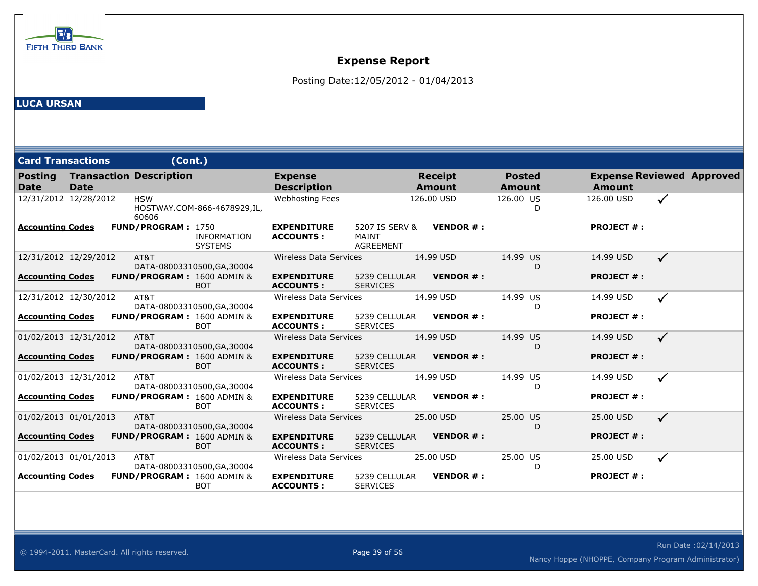

Posting Date:12/05/2012 - 01/04/2013

| <b>Card Transactions</b>                     | (Cont.)                               |                                      |                                        |                                             |                                 |                                |                   |                                  |
|----------------------------------------------|---------------------------------------|--------------------------------------|----------------------------------------|---------------------------------------------|---------------------------------|--------------------------------|-------------------|----------------------------------|
| <b>Posting</b><br><b>Date</b><br><b>Date</b> | <b>Transaction Description</b>        |                                      | <b>Expense</b><br><b>Description</b>   |                                             | <b>Receipt</b><br><b>Amount</b> | <b>Posted</b><br><b>Amount</b> | <b>Amount</b>     | <b>Expense Reviewed Approved</b> |
| 12/31/2012 12/28/2012                        | <b>HSW</b><br>60606                   | HOSTWAY.COM-866-4678929,IL,          | Webhosting Fees                        |                                             | 126.00 USD                      | 126.00 US<br>D                 | 126,00 USD        | $\checkmark$                     |
| <b>Accounting Codes</b>                      | FUND/PROGRAM: 1750                    | <b>INFORMATION</b><br><b>SYSTEMS</b> | <b>EXPENDITURE</b><br><b>ACCOUNTS:</b> | 5207 IS SERV &<br>MAINT<br><b>AGREEMENT</b> | <b>VENDOR#:</b>                 |                                | <b>PROJECT #:</b> |                                  |
| 12/31/2012 12/29/2012                        | AT&T                                  | DATA-08003310500, GA, 30004          | <b>Wireless Data Services</b>          |                                             | 14.99 USD                       | 14.99 US<br>D                  | 14.99 USD         | $\checkmark$                     |
| <b>Accounting Codes</b>                      | FUND/PROGRAM: 1600 ADMIN &            | <b>BOT</b>                           | <b>EXPENDITURE</b><br><b>ACCOUNTS:</b> | 5239 CELLULAR<br><b>SERVICES</b>            | <b>VENDOR#:</b>                 |                                | <b>PROJECT #:</b> |                                  |
| 12/31/2012 12/30/2012                        | AT&T                                  | DATA-08003310500, GA, 30004          | Wireless Data Services                 |                                             | 14.99 USD                       | 14.99 US<br>D                  | 14.99 USD         | $\checkmark$                     |
| <b>Accounting Codes</b>                      | <b>FUND/PROGRAM: 1600 ADMIN &amp;</b> | <b>BOT</b>                           | <b>EXPENDITURE</b><br><b>ACCOUNTS:</b> | 5239 CELLULAR<br><b>SERVICES</b>            | <b>VENDOR#:</b>                 |                                | <b>PROJECT #:</b> |                                  |
| 01/02/2013 12/31/2012                        | AT&T                                  | DATA-08003310500, GA, 30004          | <b>Wireless Data Services</b>          |                                             | 14.99 USD                       | 14.99 US<br>D                  | 14.99 USD         | $\checkmark$                     |
| Accounting Codes                             | FUND/PROGRAM: 1600 ADMIN &            | <b>BOT</b>                           | <b>EXPENDITURE</b><br><b>ACCOUNTS:</b> | 5239 CELLULAR<br><b>SERVICES</b>            | <b>VENDOR#:</b>                 |                                | <b>PROJECT #:</b> |                                  |
| 01/02/2013 12/31/2012                        | AT&T                                  | DATA-08003310500, GA, 30004          | Wireless Data Services                 |                                             | 14.99 USD                       | 14.99 US<br>D                  | 14.99 USD         | ✓                                |
| <b>Accounting Codes</b>                      | <b>FUND/PROGRAM: 1600 ADMIN &amp;</b> | <b>BOT</b>                           | <b>EXPENDITURE</b><br><b>ACCOUNTS:</b> | 5239 CELLULAR<br><b>SERVICES</b>            | <b>VENDOR#:</b>                 |                                | <b>PROJECT #:</b> |                                  |
| 01/02/2013 01/01/2013                        | AT&T                                  | DATA-08003310500, GA, 30004          | <b>Wireless Data Services</b>          |                                             | 25.00 USD                       | 25.00 US<br>D                  | 25.00 USD         | $\checkmark$                     |
| <b>Accounting Codes</b>                      | FUND/PROGRAM: 1600 ADMIN &            | <b>BOT</b>                           | <b>EXPENDITURE</b><br><b>ACCOUNTS:</b> | 5239 CELLULAR<br><b>SERVICES</b>            | <b>VENDOR#:</b>                 |                                | <b>PROJECT #:</b> |                                  |
| 01/02/2013 01/01/2013                        | AT&T                                  | DATA-08003310500, GA, 30004          | <b>Wireless Data Services</b>          |                                             | 25.00 USD                       | 25.00 US<br>D                  | 25.00 USD         | $\checkmark$                     |
| <u>Accounting Codes</u>                      | <b>FUND/PROGRAM: 1600 ADMIN &amp;</b> | <b>BOT</b>                           | <b>EXPENDITURE</b><br><b>ACCOUNTS:</b> | 5239 CELLULAR<br><b>SERVICES</b>            | <b>VENDOR#:</b>                 |                                | <b>PROJECT #:</b> |                                  |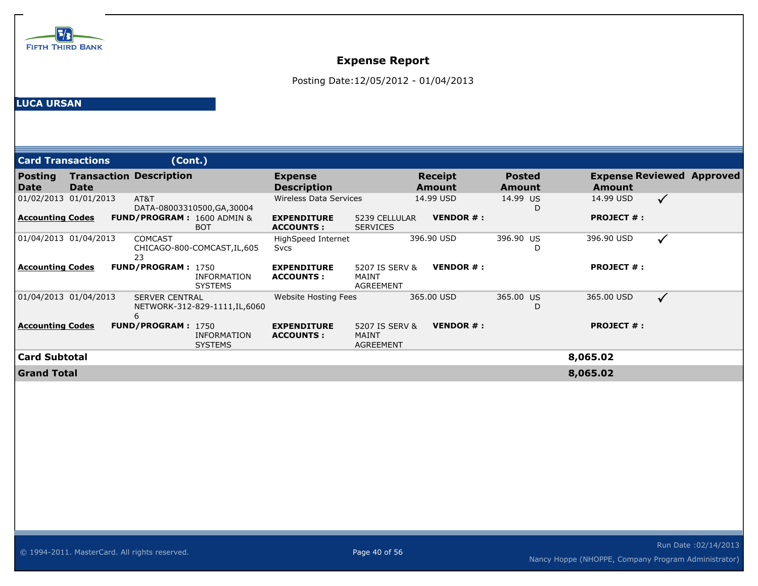

Posting Date:12/05/2012 - 01/04/2013

| <b>Card Transactions</b> |                       | (Cont.)                               |                                      |                                        |                                             |                                 |                         |                   |                                  |
|--------------------------|-----------------------|---------------------------------------|--------------------------------------|----------------------------------------|---------------------------------------------|---------------------------------|-------------------------|-------------------|----------------------------------|
| <b>Posting</b><br>l Date | <b>Date</b>           | <b>Transaction Description</b>        |                                      | <b>Expense</b><br><b>Description</b>   |                                             | <b>Receipt</b><br><b>Amount</b> | <b>Posted</b><br>Amount | <b>Amount</b>     | <b>Expense Reviewed Approved</b> |
|                          | 01/02/2013 01/01/2013 | AT&T                                  | DATA-08003310500, GA, 30004          | <b>Wireless Data Services</b>          |                                             | 14.99 USD                       | 14.99 US                | 14.99 USD         | $\checkmark$                     |
| <u>Accounting Codes</u>  |                       | <b>FUND/PROGRAM: 1600 ADMIN &amp;</b> | <b>BOT</b>                           | <b>EXPENDITURE</b><br><b>ACCOUNTS:</b> | 5239 CELLULAR<br><b>SERVICES</b>            | <b>VENDOR #:</b>                |                         | <b>PROJECT #:</b> |                                  |
| 01/04/2013 01/04/2013    |                       | <b>COMCAST</b><br>23                  | CHICAGO-800-COMCAST, IL, 605         | HighSpeed Internet<br>Svcs             |                                             | 396.90 USD                      | 396.90 US<br>D          | 396.90 USD        | $\checkmark$                     |
| <b>Accounting Codes</b>  |                       | <b>FUND/PROGRAM: 1750</b>             | <b>INFORMATION</b><br><b>SYSTEMS</b> | <b>EXPENDITURE</b><br><b>ACCOUNTS:</b> | 5207 IS SERV &<br>MAINT<br><b>AGREEMENT</b> | <b>VENDOR#:</b>                 |                         | <b>PROJECT #:</b> |                                  |
| 01/04/2013 01/04/2013    |                       | <b>SERVER CENTRAL</b><br>6            | NETWORK-312-829-1111, IL, 6060       | Website Hosting Fees                   |                                             | 365.00 USD                      | 365.00 US<br>D          | 365.00 USD        | $\checkmark$                     |
| <b>Accounting Codes</b>  |                       | <b>FUND/PROGRAM: 1750</b>             | <b>INFORMATION</b><br><b>SYSTEMS</b> | <b>EXPENDITURE</b><br><b>ACCOUNTS:</b> | 5207 IS SERV &<br>MAINT<br>AGREEMENT        | <b>VENDOR #:</b>                |                         | <b>PROJECT #:</b> |                                  |
| <b>Card Subtotal</b>     |                       |                                       |                                      |                                        |                                             |                                 |                         | 8,065.02          |                                  |
| <b>Grand Total</b>       |                       |                                       |                                      |                                        |                                             |                                 |                         | 8,065.02          |                                  |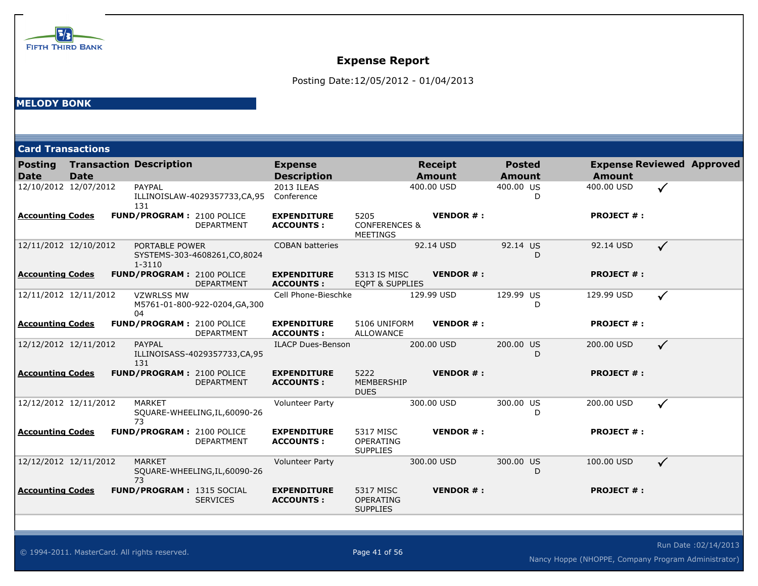

Posting Date:12/05/2012 - 01/04/2013

### **MELODY BONK**

| <b>Card Transactions</b>      |             |                                  |                                |                                        |                                                     |                                 |                                |                   |                                  |
|-------------------------------|-------------|----------------------------------|--------------------------------|----------------------------------------|-----------------------------------------------------|---------------------------------|--------------------------------|-------------------|----------------------------------|
| <b>Posting</b><br><b>Date</b> | <b>Date</b> | <b>Transaction Description</b>   |                                | <b>Expense</b><br><b>Description</b>   |                                                     | <b>Receipt</b><br><b>Amount</b> | <b>Posted</b><br><b>Amount</b> | <b>Amount</b>     | <b>Expense Reviewed Approved</b> |
| 12/10/2012 12/07/2012         |             | PAYPAL<br>131                    | ILLINOISLAW-4029357733,CA,95   | 2013 ILEAS<br>Conference               |                                                     | 400.00 USD                      | 400.00 US<br>D                 | 400.00 USD        | ✓                                |
| <b>Accounting Codes</b>       |             | FUND/PROGRAM: 2100 POLICE        | <b>DEPARTMENT</b>              | <b>EXPENDITURE</b><br><b>ACCOUNTS:</b> | 5205<br><b>CONFERENCES &amp;</b><br><b>MEETINGS</b> | <b>VENDOR#:</b>                 |                                | <b>PROJECT #:</b> |                                  |
| 12/11/2012 12/10/2012         |             | PORTABLE POWER<br>$1 - 3110$     | SYSTEMS-303-4608261,CO,8024    | <b>COBAN batteries</b>                 |                                                     | 92.14 USD                       | 92.14 US<br>D.                 | 92.14 USD         | $\checkmark$                     |
| <b>Accounting Codes</b>       |             | FUND/PROGRAM: 2100 POLICE        | <b>DEPARTMENT</b>              | <b>EXPENDITURE</b><br><b>ACCOUNTS:</b> | 5313 IS MISC<br><b>EOPT &amp; SUPPLIES</b>          | <b>VENDOR#:</b>                 |                                | <b>PROJECT #:</b> |                                  |
| 12/11/2012 12/11/2012         |             | <b>VZWRLSS MW</b><br>04          | M5761-01-800-922-0204, GA, 300 | Cell Phone-Bieschke                    |                                                     | 129.99 USD                      | 129.99 US<br>D                 | 129.99 USD        | $\checkmark$                     |
| <b>Accounting Codes</b>       |             | FUND/PROGRAM: 2100 POLICE        | <b>DEPARTMENT</b>              | <b>EXPENDITURE</b><br><b>ACCOUNTS:</b> | 5106 UNIFORM<br><b>ALLOWANCE</b>                    | <b>VENDOR#:</b>                 |                                | <b>PROJECT #:</b> |                                  |
| 12/12/2012 12/11/2012         |             | PAYPAL<br>131                    | ILLINOISASS-4029357733,CA,95   | <b>ILACP Dues-Benson</b>               |                                                     | 200.00 USD                      | 200.00 US<br>D                 | 200.00 USD        | $\checkmark$                     |
| <b>Accounting Codes</b>       |             | <b>FUND/PROGRAM: 2100 POLICE</b> | <b>DEPARTMENT</b>              | <b>EXPENDITURE</b><br><b>ACCOUNTS:</b> | 5222<br>MEMBERSHIP<br><b>DUES</b>                   | <b>VENDOR#:</b>                 |                                | <b>PROJECT #:</b> |                                  |
| 12/12/2012 12/11/2012         |             | <b>MARKET</b><br>73              | SQUARE-WHEELING, IL, 60090-26  | <b>Volunteer Party</b>                 |                                                     | 300.00 USD                      | 300.00 US<br>D                 | 200.00 USD        | $\checkmark$                     |
| <b>Accounting Codes</b>       |             | <b>FUND/PROGRAM: 2100 POLICE</b> | <b>DEPARTMENT</b>              | <b>EXPENDITURE</b><br><b>ACCOUNTS:</b> | 5317 MISC<br>OPERATING<br><b>SUPPLIES</b>           | <b>VENDOR#:</b>                 |                                | <b>PROJECT #:</b> |                                  |
| 12/12/2012 12/11/2012         |             | <b>MARKET</b><br>73              | SQUARE-WHEELING, IL, 60090-26  | <b>Volunteer Party</b>                 |                                                     | 300.00 USD                      | 300.00 US<br>D                 | 100.00 USD        | $\checkmark$                     |
| <b>Accounting Codes</b>       |             | <b>FUND/PROGRAM: 1315 SOCIAL</b> | <b>SERVICES</b>                | <b>EXPENDITURE</b><br><b>ACCOUNTS:</b> | 5317 MISC<br><b>OPERATING</b><br><b>SUPPLIES</b>    | <b>VENDOR#:</b>                 |                                | <b>PROJECT #:</b> |                                  |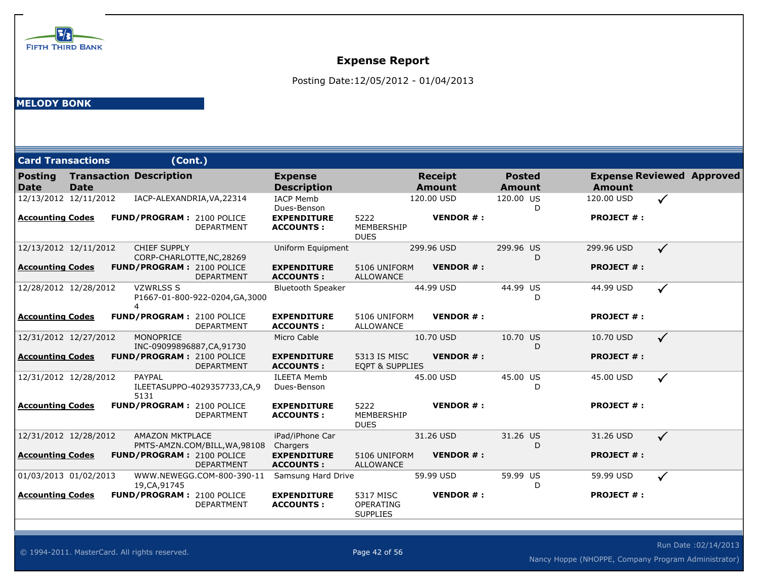

Posting Date:12/05/2012 - 01/04/2013

### **MELODY BONK**

| <b>Card Transactions</b>      |      |   | (Cont.)                        |                                                       |                                        |                                            |                                 |                         |                   |                                  |
|-------------------------------|------|---|--------------------------------|-------------------------------------------------------|----------------------------------------|--------------------------------------------|---------------------------------|-------------------------|-------------------|----------------------------------|
| <b>Posting</b><br><b>Date</b> | Date |   | <b>Transaction Description</b> |                                                       | <b>Expense</b><br><b>Description</b>   |                                            | <b>Receipt</b><br><b>Amount</b> | <b>Posted</b><br>Amount | Amount            | <b>Expense Reviewed Approved</b> |
| 12/13/2012 12/11/2012         |      |   |                                | IACP-ALEXANDRIA, VA, 22314                            | <b>IACP Memb</b><br>Dues-Benson        |                                            | 120.00 USD                      | 120.00 US<br>D          | 120.00 USD        | $\checkmark$                     |
| <b>Accounting Codes</b>       |      |   |                                | FUND/PROGRAM: 2100 POLICE<br><b>DEPARTMENT</b>        | <b>EXPENDITURE</b><br><b>ACCOUNTS:</b> | 5222<br>MEMBERSHIP<br><b>DUES</b>          | <b>VENDOR#:</b>                 |                         | <b>PROJECT #:</b> |                                  |
| 12/13/2012 12/11/2012         |      |   | <b>CHIEF SUPPLY</b>            | CORP-CHARLOTTE, NC, 28269                             | Uniform Equipment                      |                                            | 299.96 USD                      | 299.96 US<br>D          | 299.96 USD        | $\checkmark$                     |
| <b>Accounting Codes</b>       |      |   |                                | FUND/PROGRAM: 2100 POLICE<br><b>DEPARTMENT</b>        | <b>EXPENDITURE</b><br><b>ACCOUNTS:</b> | 5106 UNIFORM<br><b>ALLOWANCE</b>           | <b>VENDOR #:</b>                |                         | <b>PROJECT #:</b> |                                  |
| 12/28/2012 12/28/2012         |      | 4 | <b>VZWRLSS S</b>               | P1667-01-800-922-0204, GA, 3000                       | <b>Bluetooth Speaker</b>               |                                            | 44.99 USD                       | 44.99 US<br>D           | 44.99 USD         | $\checkmark$                     |
| <b>Accounting Codes</b>       |      |   |                                | <b>FUND/PROGRAM: 2100 POLICE</b><br><b>DEPARTMENT</b> | <b>EXPENDITURE</b><br><b>ACCOUNTS:</b> | 5106 UNIFORM<br><b>ALLOWANCE</b>           | <b>VENDOR#:</b>                 |                         | <b>PROJECT #:</b> |                                  |
| 12/31/2012 12/27/2012         |      |   | <b>MONOPRICE</b>               | INC-09099896887,CA,91730                              | Micro Cable                            |                                            | 10.70 USD                       | 10.70 US<br>D           | 10.70 USD         | $\checkmark$                     |
| <b>Accounting Codes</b>       |      |   |                                | FUND/PROGRAM: 2100 POLICE<br><b>DEPARTMENT</b>        | <b>EXPENDITURE</b><br><b>ACCOUNTS:</b> | 5313 IS MISC<br><b>EQPT &amp; SUPPLIES</b> | <b>VENDOR#:</b>                 |                         | <b>PROJECT #:</b> |                                  |
| 12/31/2012 12/28/2012         |      |   | PAYPAL<br>5131                 | ILEETASUPPO-4029357733,CA,9                           | <b>ILEETA Memb</b><br>Dues-Benson      |                                            | 45.00 USD                       | 45.00 US<br>D           | 45.00 USD         | $\checkmark$                     |
| <b>Accounting Codes</b>       |      |   |                                | <b>FUND/PROGRAM: 2100 POLICE</b><br><b>DEPARTMENT</b> | <b>EXPENDITURE</b><br><b>ACCOUNTS:</b> | 5222<br>MEMBERSHIP<br><b>DUES</b>          | <b>VENDOR#:</b>                 |                         | <b>PROJECT #:</b> |                                  |
| 12/31/2012 12/28/2012         |      |   | <b>AMAZON MKTPLACE</b>         | PMTS-AMZN.COM/BILL, WA, 98108                         | iPad/iPhone Car<br>Chargers            |                                            | 31.26 USD                       | 31.26 US<br>D           | 31.26 USD         | $\checkmark$                     |
| <b>Accounting Codes</b>       |      |   |                                | FUND/PROGRAM: 2100 POLICE<br><b>DEPARTMENT</b>        | <b>EXPENDITURE</b><br><b>ACCOUNTS:</b> | 5106 UNIFORM<br><b>ALLOWANCE</b>           | <b>VENDOR#:</b>                 |                         | <b>PROJECT #:</b> |                                  |
| 01/03/2013 01/02/2013         |      |   | 19, CA, 91745                  | WWW.NEWEGG.COM-800-390-11                             | Samsung Hard Drive                     |                                            | 59.99 USD                       | 59.99 US<br>D           | 59.99 USD         | $\checkmark$                     |
| <b>Accounting Codes</b>       |      |   |                                | <b>FUND/PROGRAM: 2100 POLICE</b><br><b>DEPARTMENT</b> | <b>EXPENDITURE</b><br><b>ACCOUNTS:</b> | 5317 MISC<br>OPERATING<br><b>SUPPLIES</b>  | <b>VENDOR#:</b>                 |                         | <b>PROJECT #:</b> |                                  |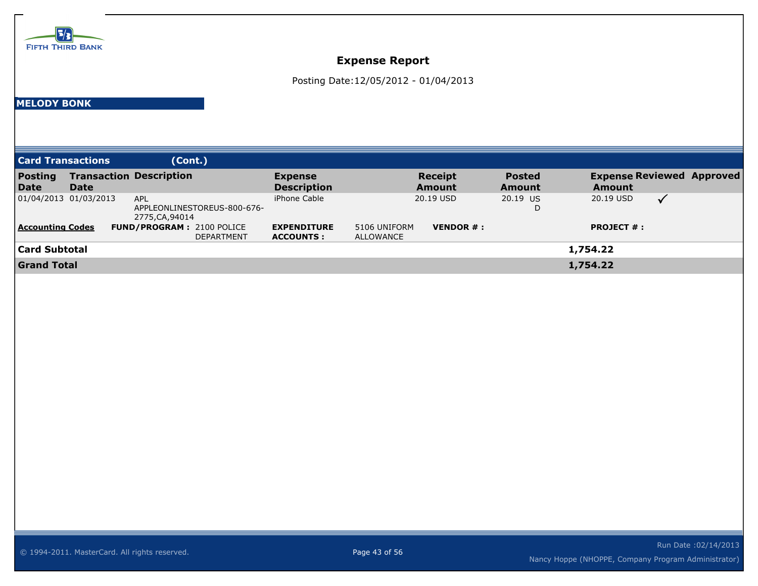

Posting Date:12/05/2012 - 01/04/2013

### **MELODY BONK**

| <b>Card Transactions</b>      |                       | (Cont.)                                                      |                                        |                                                            |                                |                                                   |  |
|-------------------------------|-----------------------|--------------------------------------------------------------|----------------------------------------|------------------------------------------------------------|--------------------------------|---------------------------------------------------|--|
| <b>Posting</b><br><b>Date</b> | <b>Date</b>           | <b>Transaction Description</b>                               | <b>Expense</b><br><b>Description</b>   | <b>Receipt</b><br>Amount                                   | <b>Posted</b><br><b>Amount</b> | <b>Expense Reviewed Approved</b><br><b>Amount</b> |  |
|                               | 01/04/2013 01/03/2013 | <b>APL</b><br>APPLEONLINESTOREUS-800-676-<br>2775, CA, 94014 | iPhone Cable                           | 20.19 USD                                                  | 20.19 US<br>D                  | 20.19 USD<br>$\checkmark$                         |  |
| <b>Accounting Codes</b>       |                       | <b>FUND/PROGRAM: 2100 POLICE</b><br><b>DEPARTMENT</b>        | <b>EXPENDITURE</b><br><b>ACCOUNTS:</b> | <b>VENDOR <math>#</math>:</b><br>5106 UNIFORM<br>ALLOWANCE |                                | <b>PROJECT <math>#</math>:</b>                    |  |
| <b>Card Subtotal</b>          |                       |                                                              |                                        |                                                            |                                | 1,754.22                                          |  |
| <b>Grand Total</b>            |                       |                                                              |                                        |                                                            |                                | 1,754.22                                          |  |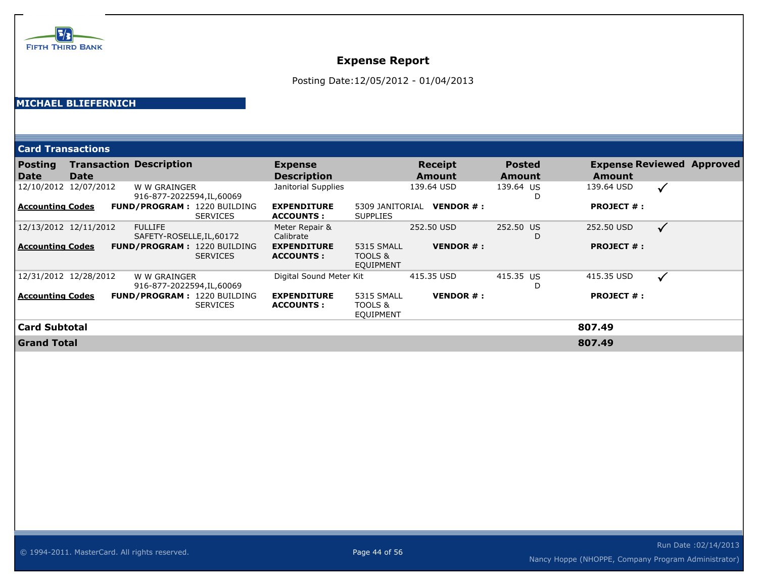

Posting Date:12/05/2012 - 01/04/2013

### **MICHAEL BLIEFERNICH**

| <b>Card Transactions</b> |      |                                             |                 |                                         |                                    |                               |                         |                                            |              |  |
|--------------------------|------|---------------------------------------------|-----------------|-----------------------------------------|------------------------------------|-------------------------------|-------------------------|--------------------------------------------|--------------|--|
| <b>Posting</b><br>  Date | Date | <b>Transaction Description</b>              |                 | <b>Expense</b><br><b>Description</b>    |                                    | <b>Receipt</b><br>Amount      | <b>Posted</b><br>Amount | <b>Expense Reviewed Approved</b><br>Amount |              |  |
| 12/10/2012 12/07/2012    |      | W W GRAINGER<br>916-877-2022594, IL, 60069  |                 | Janitorial Supplies                     |                                    | 139.64 USD                    | 139.64 US<br>D          | 139.64 USD                                 | $\checkmark$ |  |
| <b>Accounting Codes</b>  |      | FUND/PROGRAM: 1220 BUILDING                 | <b>SERVICES</b> | <b>EXPENDITURE</b><br><b>ACCOUNTS:</b>  | 5309 JANITORIAL<br><b>SUPPLIES</b> | <b>VENDOR <math>#</math>:</b> |                         | <b>PROJECT #:</b>                          |              |  |
| 12/13/2012 12/11/2012    |      | <b>FULLIFE</b><br>SAFETY-ROSELLE, IL, 60172 |                 | Meter Repair &<br>Calibrate             |                                    | 252.50 USD                    | 252.50 US<br>D          | 252.50 USD                                 | $\checkmark$ |  |
| <b>Accounting Codes</b>  |      | <b>FUND/PROGRAM: 1220 BUILDING</b>          | <b>SERVICES</b> | <b>EXPENDITURE</b><br><b>ACCOUNTS :</b> | 5315 SMALL<br>TOOLS &<br>EQUIPMENT | <b>VENDOR #:</b>              |                         | <b>PROJECT #:</b>                          |              |  |
| 12/31/2012 12/28/2012    |      | W W GRAINGER<br>916-877-2022594,IL,60069    |                 | Digital Sound Meter Kit                 |                                    | 415.35 USD                    | 415.35 US<br>D          | 415.35 USD                                 | $\checkmark$ |  |
| <b>Accounting Codes</b>  |      | FUND/PROGRAM: 1220 BUILDING                 | <b>SERVICES</b> | <b>EXPENDITURE</b><br><b>ACCOUNTS :</b> | 5315 SMALL<br>TOOLS &<br>EQUIPMENT | <b>VENDOR#:</b>               |                         | <b>PROJECT #:</b>                          |              |  |
| <b>Card Subtotal</b>     |      |                                             |                 |                                         |                                    |                               |                         | 807.49                                     |              |  |
| <b>Grand Total</b>       |      |                                             |                 |                                         |                                    |                               |                         | 807.49                                     |              |  |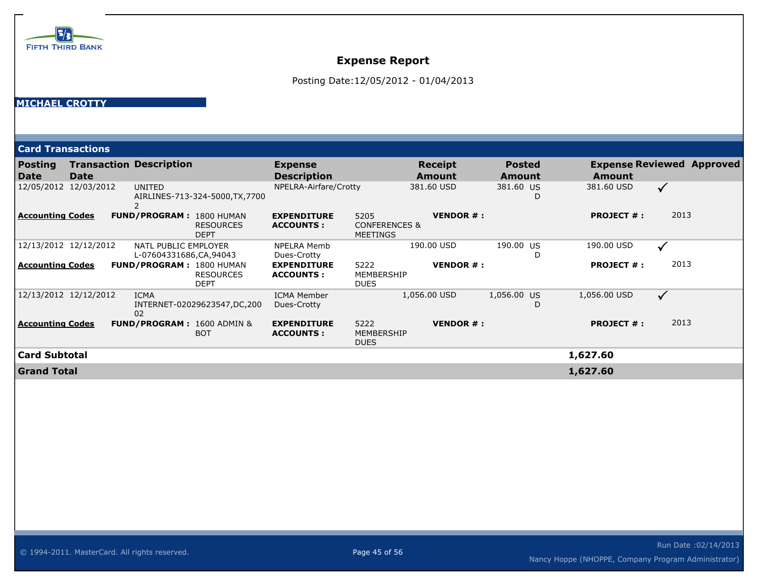

Posting Date:12/05/2012 - 01/04/2013

#### **MICHAEL CROTTY**

|                               | <b>Card Transactions</b> |                                                                    |                                         |                                                     |                               |                                |                   |                                  |  |
|-------------------------------|--------------------------|--------------------------------------------------------------------|-----------------------------------------|-----------------------------------------------------|-------------------------------|--------------------------------|-------------------|----------------------------------|--|
| <b>Posting</b><br><b>Date</b> | <b>Date</b>              | <b>Transaction Description</b>                                     | <b>Expense</b><br><b>Description</b>    |                                                     | Receipt<br><b>Amount</b>      | <b>Posted</b><br><b>Amount</b> | <b>Amount</b>     | <b>Expense Reviewed Approved</b> |  |
|                               | 12/05/2012 12/03/2012    | <b>UNITED</b><br>AIRLINES-713-324-5000, TX, 7700                   | NPELRA-Airfare/Crotty                   |                                                     | 381.60 USD                    | 381.60 US<br>D                 | 381.60 USD        | ✓                                |  |
| <b>Accounting Codes</b>       |                          | <b>FUND/PROGRAM: 1800 HUMAN</b><br><b>RESOURCES</b><br><b>DEPT</b> | <b>EXPENDITURE</b><br><b>ACCOUNTS :</b> | 5205<br><b>CONFERENCES &amp;</b><br><b>MEETINGS</b> | <b>VENDOR#:</b>               |                                | <b>PROJECT #:</b> | 2013                             |  |
|                               | 12/13/2012 12/12/2012    | NATL PUBLIC EMPLOYER<br>L-07604331686, CA, 94043                   | <b>NPELRA Memb</b><br>Dues-Crotty       |                                                     | 190.00 USD                    | 190.00 US<br>D                 | 190.00 USD        | $\checkmark$                     |  |
| <b>Accounting Codes</b>       |                          | <b>FUND/PROGRAM: 1800 HUMAN</b><br><b>RESOURCES</b><br><b>DEPT</b> | <b>EXPENDITURE</b><br><b>ACCOUNTS :</b> | 5222<br>MEMBERSHIP<br><b>DUES</b>                   | <b>VENDOR <math>#</math>:</b> |                                | <b>PROJECT #:</b> | 2013                             |  |
|                               | 12/13/2012 12/12/2012    | <b>ICMA</b><br>INTERNET-02029623547,DC,200<br>02                   | <b>ICMA Member</b><br>Dues-Crotty       |                                                     | 1,056.00 USD                  | 1,056.00 US<br>D               | 1,056.00 USD      | $\checkmark$                     |  |
| <b>Accounting Codes</b>       |                          | <b>FUND/PROGRAM: 1600 ADMIN &amp;</b><br><b>BOT</b>                | <b>EXPENDITURE</b><br><b>ACCOUNTS:</b>  | 5222<br>MEMBERSHIP<br><b>DUES</b>                   | <b>VENDOR#:</b>               |                                | <b>PROJECT #:</b> | 2013                             |  |
| Card Subtotal                 |                          |                                                                    |                                         |                                                     |                               |                                | 1,627.60          |                                  |  |
| <b>Grand Total</b>            |                          |                                                                    |                                         |                                                     |                               |                                | 1,627.60          |                                  |  |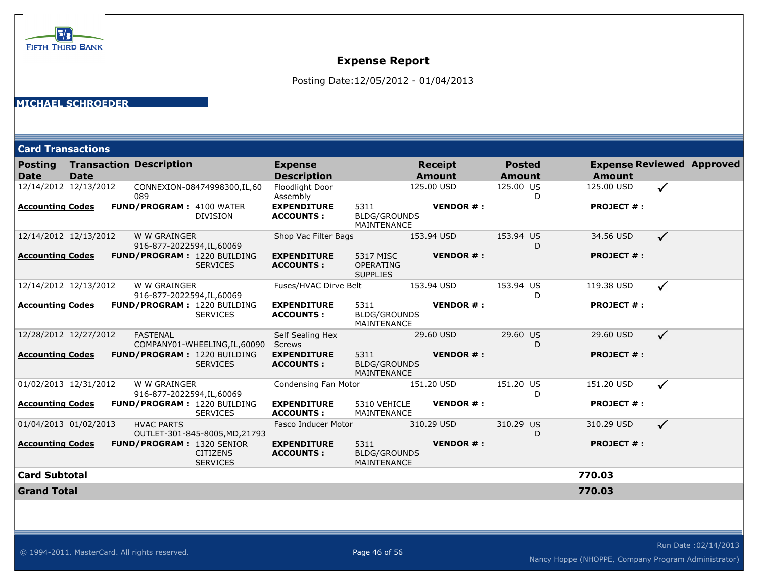

Posting Date:12/05/2012 - 01/04/2013

#### **MICHAEL SCHROEDER**

|                               | <b>Card Transactions</b> |  |                                            |                                                                        |                                        |                                            |                                 |                                |   |                   |                                  |
|-------------------------------|--------------------------|--|--------------------------------------------|------------------------------------------------------------------------|----------------------------------------|--------------------------------------------|---------------------------------|--------------------------------|---|-------------------|----------------------------------|
| <b>Posting</b><br><b>Date</b> | <b>Date</b>              |  | <b>Transaction Description</b>             |                                                                        | <b>Expense</b><br><b>Description</b>   |                                            | <b>Receipt</b><br><b>Amount</b> | <b>Posted</b><br><b>Amount</b> |   | <b>Amount</b>     | <b>Expense Reviewed Approved</b> |
| 12/14/2012 12/13/2012         |                          |  | 089                                        | CONNEXION-08474998300, IL, 60                                          | Floodlight Door<br>Assembly            |                                            | 125.00 USD                      | 125.00 US                      | D | 125.00 USD        | $\checkmark$                     |
| <b>Accounting Codes</b>       |                          |  | <b>FUND/PROGRAM: 4100 WATER</b>            | <b>DIVISION</b>                                                        | <b>EXPENDITURE</b><br><b>ACCOUNTS:</b> | 5311<br><b>BLDG/GROUNDS</b><br>MAINTENANCE | <b>VENDOR#:</b>                 |                                |   | <b>PROJECT #:</b> |                                  |
| 12/14/2012 12/13/2012         |                          |  | W W GRAINGER<br>916-877-2022594, IL, 60069 |                                                                        | Shop Vac Filter Bags                   |                                            | 153.94 USD                      | 153.94 US                      | D | 34.56 USD         | $\checkmark$                     |
| <b>Accounting Codes</b>       |                          |  |                                            | FUND/PROGRAM: 1220 BUILDING<br><b>SERVICES</b>                         | <b>EXPENDITURE</b><br><b>ACCOUNTS:</b> | 5317 MISC<br>OPERATING<br><b>SUPPLIES</b>  | <b>VENDOR#:</b>                 |                                |   | <b>PROJECT #:</b> |                                  |
| 12/14/2012 12/13/2012         |                          |  | W W GRAINGER<br>916-877-2022594,IL,60069   |                                                                        | Fuses/HVAC Dirve Belt                  |                                            | 153.94 USD                      | 153.94 US                      | D | 119.38 USD        | $\checkmark$                     |
| <b>Accounting Codes</b>       |                          |  |                                            | <b>FUND/PROGRAM: 1220 BUILDING</b><br><b>SERVICES</b>                  | <b>EXPENDITURE</b><br><b>ACCOUNTS:</b> | 5311<br><b>BLDG/GROUNDS</b><br>MAINTENANCE | <b>VENDOR#:</b>                 |                                |   | <b>PROJECT #:</b> |                                  |
| 12/28/2012 12/27/2012         |                          |  | <b>FASTENAL</b>                            | COMPANY01-WHEELING, IL, 60090                                          | Self Sealing Hex<br><b>Screws</b>      |                                            | 29.60 USD                       | 29.60 US                       | D | 29.60 USD         | $\checkmark$                     |
| <b>Accounting Codes</b>       |                          |  |                                            | <b>FUND/PROGRAM: 1220 BUILDING</b><br><b>SERVICES</b>                  | <b>EXPENDITURE</b><br><b>ACCOUNTS:</b> | 5311<br><b>BLDG/GROUNDS</b><br>MAINTENANCE | <b>VENDOR#:</b>                 |                                |   | <b>PROJECT #:</b> |                                  |
| 01/02/2013 12/31/2012         |                          |  | W W GRAINGER<br>916-877-2022594, IL, 60069 |                                                                        | Condensing Fan Motor                   |                                            | 151.20 USD                      | 151.20 US                      | D | 151.20 USD        | $\checkmark$                     |
| <b>Accounting Codes</b>       |                          |  |                                            | FUND/PROGRAM: 1220 BUILDING<br><b>SERVICES</b>                         | <b>EXPENDITURE</b><br><b>ACCOUNTS:</b> | 5310 VEHICLE<br>MAINTENANCE                | <b>VENDOR#:</b>                 |                                |   | <b>PROJECT #:</b> |                                  |
| 01/04/2013 01/02/2013         |                          |  | <b>HVAC PARTS</b>                          | OUTLET-301-845-8005, MD, 21793                                         | Fasco Inducer Motor                    |                                            | 310.29 USD                      | 310.29 US                      | D | 310.29 USD        | $\checkmark$                     |
| <b>Accounting Codes</b>       |                          |  |                                            | <b>FUND/PROGRAM: 1320 SENIOR</b><br><b>CITIZENS</b><br><b>SERVICES</b> | <b>EXPENDITURE</b><br><b>ACCOUNTS:</b> | 5311<br><b>BLDG/GROUNDS</b><br>MAINTENANCE | <b>VENDOR#:</b>                 |                                |   | <b>PROJECT #:</b> |                                  |
| <b>Card Subtotal</b>          |                          |  |                                            |                                                                        |                                        |                                            |                                 |                                |   | 770.03            |                                  |
| <b>Grand Total</b>            |                          |  |                                            |                                                                        |                                        |                                            |                                 |                                |   | 770.03            |                                  |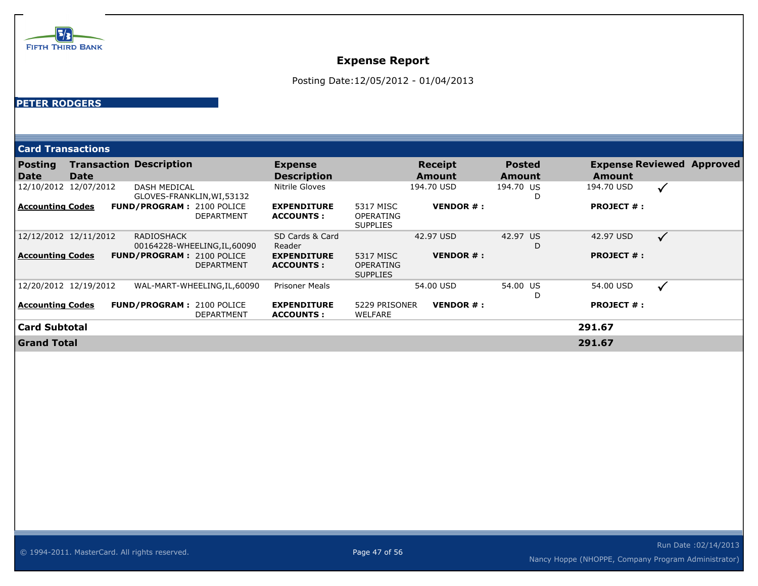

Posting Date:12/05/2012 - 01/04/2013

#### **PETER RODGERS**

| <b>Card Transactions</b>      |      |                                |                                                       |                                         |                                                  |                          |                         |                   |                                  |
|-------------------------------|------|--------------------------------|-------------------------------------------------------|-----------------------------------------|--------------------------------------------------|--------------------------|-------------------------|-------------------|----------------------------------|
| <b>Posting</b><br><b>Date</b> | Date | <b>Transaction Description</b> |                                                       | <b>Expense</b><br><b>Description</b>    |                                                  | <b>Receipt</b><br>Amount | <b>Posted</b><br>Amount | <b>Amount</b>     | <b>Expense Reviewed Approved</b> |
| 12/10/2012 12/07/2012         |      | <b>DASH MEDICAL</b>            | GLOVES-FRANKLIN, WI, 53132                            | Nitrile Gloves                          |                                                  | 194.70 USD               | 194.70 US<br>D          | 194.70 USD        | $\checkmark$                     |
| <b>Accounting Codes</b>       |      |                                | <b>FUND/PROGRAM: 2100 POLICE</b><br><b>DEPARTMENT</b> | <b>EXPENDITURE</b><br><b>ACCOUNTS:</b>  | 5317 MISC<br><b>OPERATING</b><br><b>SUPPLIES</b> | <b>VENDOR#:</b>          |                         | <b>PROJECT #:</b> |                                  |
| 12/12/2012 12/11/2012         |      | <b>RADIOSHACK</b>              | 00164228-WHEELING, IL, 60090                          | SD Cards & Card<br>Reader               |                                                  | 42.97 USD                | 42.97 US<br>D           | 42.97 USD         | $\checkmark$                     |
| <b>Accounting Codes</b>       |      |                                | <b>FUND/PROGRAM: 2100 POLICE</b><br><b>DEPARTMENT</b> | <b>EXPENDITURE</b><br><b>ACCOUNTS:</b>  | 5317 MISC<br><b>OPERATING</b><br><b>SUPPLIES</b> | <b>VENDOR#:</b>          |                         | <b>PROJECT #:</b> |                                  |
| 12/20/2012 12/19/2012         |      |                                | WAL-MART-WHEELING, IL, 60090                          | <b>Prisoner Meals</b>                   |                                                  | 54.00 USD                | 54.00 US<br>D           | 54.00 USD         | $\checkmark$                     |
| <b>Accounting Codes</b>       |      |                                | <b>FUND/PROGRAM: 2100 POLICE</b><br><b>DEPARTMENT</b> | <b>EXPENDITURE</b><br><b>ACCOUNTS :</b> | 5229 PRISONER<br>WELFARE                         | <b>VENDOR#:</b>          |                         | <b>PROJECT #:</b> |                                  |
| <b>Card Subtotal</b>          |      |                                |                                                       |                                         |                                                  |                          |                         | 291.67            |                                  |
| <b>Grand Total</b>            |      |                                |                                                       |                                         |                                                  |                          |                         | 291.67            |                                  |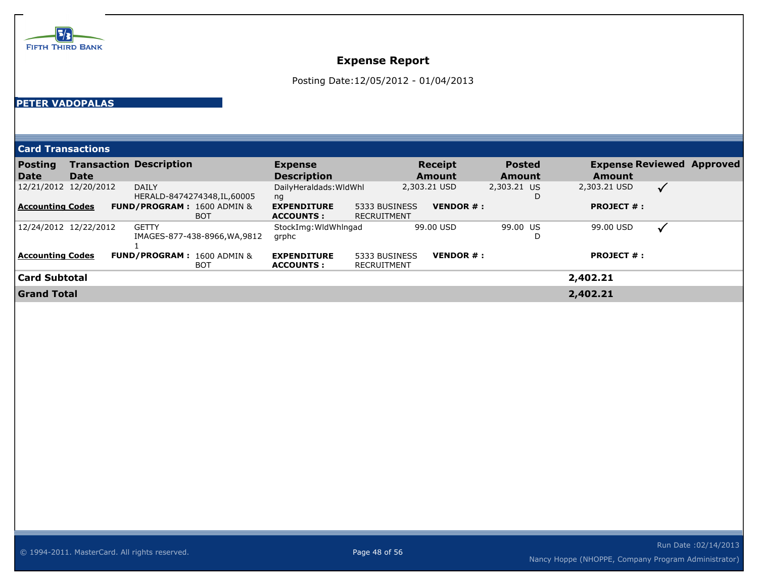

Posting Date:12/05/2012 - 01/04/2013

#### **PETER VADOPALAS**

| <b>Posting</b><br>Date  | <b>Date</b>           | <b>Transaction Description</b>                      | <b>Expense</b><br><b>Description</b>    |                              | <b>Receipt</b><br><b>Amount</b> | <b>Posted</b><br>Amount | <b>Amount</b>     | <b>Expense Reviewed Approved</b> |
|-------------------------|-----------------------|-----------------------------------------------------|-----------------------------------------|------------------------------|---------------------------------|-------------------------|-------------------|----------------------------------|
|                         | 12/21/2012 12/20/2012 | <b>DAILY</b><br>HERALD-8474274348, IL, 60005        | DailyHeraldads: WidWhl<br>ng            |                              | 2,303.21 USD                    | 2,303.21 US<br>D        | 2,303.21 USD      | $\checkmark$                     |
| <b>Accounting Codes</b> |                       | <b>FUND/PROGRAM: 1600 ADMIN &amp;</b><br><b>BOT</b> | <b>EXPENDITURE</b><br><b>ACCOUNTS :</b> | 5333 BUSINESS<br>RECRUITMENT | <b>VENDOR <math>#</math>:</b>   |                         | <b>PROJECT #:</b> |                                  |
|                         | 12/24/2012 12/22/2012 | <b>GETTY</b><br>IMAGES-877-438-8966, WA, 9812       | StockImg: WidWhingad<br>grphc           |                              | 99.00 USD                       | 99.00 US<br>D           | 99.00 USD         |                                  |
| <b>Accounting Codes</b> |                       | <b>FUND/PROGRAM: 1600 ADMIN &amp;</b><br><b>BOT</b> | <b>EXPENDITURE</b><br><b>ACCOUNTS:</b>  | 5333 BUSINESS<br>RECRUITMENT | <b>VENDOR <math>#</math>:</b>   |                         | <b>PROJECT #:</b> |                                  |
| <b>Card Subtotal</b>    |                       |                                                     |                                         |                              |                                 |                         | 2,402.21          |                                  |
| <b>Grand Total</b>      |                       |                                                     |                                         |                              |                                 |                         | 2,402.21          |                                  |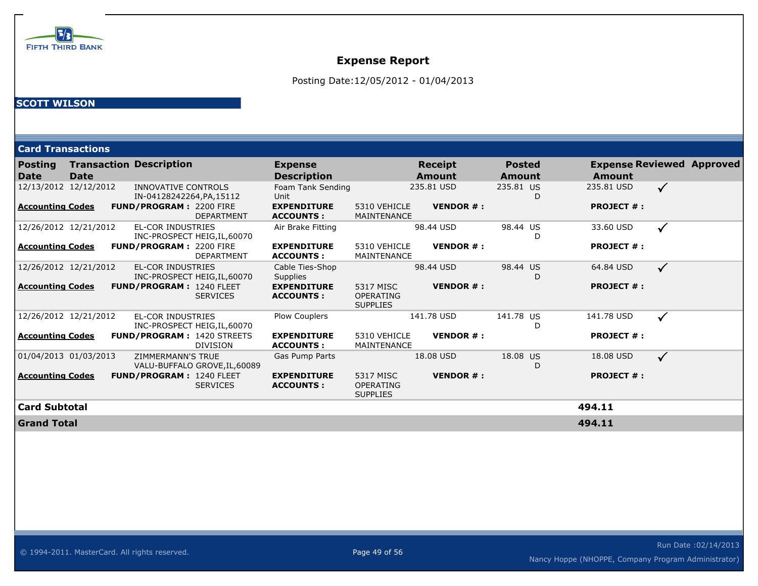

Posting Date:12/05/2012 - 01/04/2013

### **SCOTT WILSON**

| <b>Card Transactions</b>      |                       |                                                          |                                        |                                                  |                          |                                |                   |                                  |
|-------------------------------|-----------------------|----------------------------------------------------------|----------------------------------------|--------------------------------------------------|--------------------------|--------------------------------|-------------------|----------------------------------|
| <b>Posting</b><br><b>Date</b> | <b>Date</b>           | <b>Transaction Description</b>                           | <b>Expense</b><br><b>Description</b>   |                                                  | <b>Receipt</b><br>Amount | <b>Posted</b><br><b>Amount</b> | Amount            | <b>Expense Reviewed Approved</b> |
|                               | 12/13/2012 12/12/2012 | INNOVATIVE CONTROLS<br>IN-04128242264, PA, 15112         | Foam Tank Sending<br>Unit              |                                                  | 235.81 USD               | 235.81 US<br>D                 | 235.81 USD        | $\checkmark$                     |
| Accounting Codes              |                       | <b>FUND/PROGRAM: 2200 FIRE</b><br><b>DEPARTMENT</b>      | <b>EXPENDITURE</b><br><b>ACCOUNTS:</b> | 5310 VEHICLE<br>MAINTENANCE                      | <b>VENDOR#:</b>          |                                | <b>PROJECT #:</b> |                                  |
|                               | 12/26/2012 12/21/2012 | <b>EL-COR INDUSTRIES</b><br>INC-PROSPECT HEIG, IL, 60070 | Air Brake Fitting                      |                                                  | 98.44 USD                | 98.44 US<br>D                  | 33.60 USD         | $\checkmark$                     |
| Accounting Codes              |                       | FUND/PROGRAM: 2200 FIRE<br><b>DEPARTMENT</b>             | <b>EXPENDITURE</b><br><b>ACCOUNTS:</b> | 5310 VEHICLE<br>MAINTENANCE                      | <b>VENDOR#:</b>          |                                | <b>PROJECT #:</b> |                                  |
|                               | 12/26/2012 12/21/2012 | <b>EL-COR INDUSTRIES</b><br>INC-PROSPECT HEIG, IL, 60070 | Cable Ties-Shop<br><b>Supplies</b>     |                                                  | 98.44 USD                | 98.44 US<br>D                  | 64.84 USD         | $\checkmark$                     |
| Accounting Codes              |                       | <b>FUND/PROGRAM: 1240 FLEET</b><br><b>SERVICES</b>       | <b>EXPENDITURE</b><br><b>ACCOUNTS:</b> | 5317 MISC<br><b>OPERATING</b><br><b>SUPPLIES</b> | <b>VENDOR#:</b>          |                                | <b>PROJECT #:</b> |                                  |
|                               | 12/26/2012 12/21/2012 | <b>EL-COR INDUSTRIES</b><br>INC-PROSPECT HEIG, IL, 60070 | <b>Plow Couplers</b>                   |                                                  | 141.78 USD               | 141.78 US<br>D                 | 141.78 USD        | ✓                                |
| Accounting Codes              |                       | <b>FUND/PROGRAM: 1420 STREETS</b><br><b>DIVISION</b>     | <b>EXPENDITURE</b><br><b>ACCOUNTS:</b> | 5310 VEHICLE<br><b>MAINTENANCE</b>               | <b>VENDOR#:</b>          |                                | <b>PROJECT #:</b> |                                  |
|                               | 01/04/2013 01/03/2013 | ZIMMERMANN'S TRUE<br>VALU-BUFFALO GROVE, IL, 60089       | Gas Pump Parts                         |                                                  | 18.08 USD                | 18.08 US<br>D                  | 18.08 USD         | $\checkmark$                     |
| Accounting Codes              |                       | <b>FUND/PROGRAM: 1240 FLEET</b><br><b>SERVICES</b>       | <b>EXPENDITURE</b><br><b>ACCOUNTS:</b> | 5317 MISC<br><b>OPERATING</b><br><b>SUPPLIES</b> | <b>VENDOR#:</b>          |                                | <b>PROJECT #:</b> |                                  |
| Card Subtotal                 |                       |                                                          |                                        |                                                  |                          |                                | 494.11            |                                  |
| <b>Grand Total</b>            |                       |                                                          |                                        |                                                  |                          |                                | 494.11            |                                  |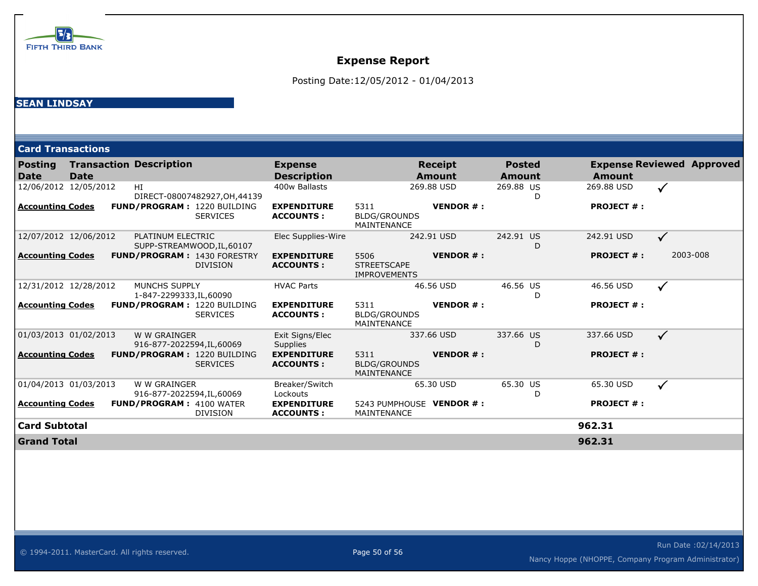

Posting Date:12/05/2012 - 01/04/2013

#### **SEAN LINDSAY**

|                               | <b>Card Transactions</b> |                                                       |                                        |                                                                      |                         |                   |                                  |  |  |  |
|-------------------------------|--------------------------|-------------------------------------------------------|----------------------------------------|----------------------------------------------------------------------|-------------------------|-------------------|----------------------------------|--|--|--|
| <b>Posting</b><br><b>Date</b> | Date                     | <b>Transaction Description</b>                        | <b>Expense</b><br><b>Description</b>   | <b>Receipt</b><br><b>Amount</b>                                      | <b>Posted</b><br>Amount | Amount            | <b>Expense Reviewed Approved</b> |  |  |  |
|                               | 12/06/2012 12/05/2012    | HI<br>DIRECT-08007482927, OH, 44139                   | 400w Ballasts                          | 269.88 USD                                                           | 269.88 US<br>D          | 269.88 USD        | ✓                                |  |  |  |
| <b>Accounting Codes</b>       |                          | <b>FUND/PROGRAM: 1220 BUILDING</b><br><b>SERVICES</b> | <b>EXPENDITURE</b><br><b>ACCOUNTS:</b> | <b>VENDOR#:</b><br>5311<br><b>BLDG/GROUNDS</b><br><b>MAINTENANCE</b> |                         | <b>PROJECT #:</b> |                                  |  |  |  |
|                               | 12/07/2012 12/06/2012    | PLATINUM ELECTRIC<br>SUPP-STREAMWOOD, IL, 60107       | Elec Supplies-Wire                     | 242.91 USD                                                           | 242.91 US<br>D          | 242.91 USD        | $\checkmark$                     |  |  |  |
| <b>Accounting Codes</b>       |                          | <b>FUND/PROGRAM: 1430 FORESTRY</b><br><b>DIVISION</b> | <b>EXPENDITURE</b><br><b>ACCOUNTS:</b> | 5506<br><b>VENDOR#:</b><br><b>STREETSCAPE</b><br><b>IMPROVEMENTS</b> |                         | <b>PROJECT #:</b> | 2003-008                         |  |  |  |
|                               | 12/31/2012 12/28/2012    | MUNCHS SUPPLY<br>1-847-2299333, IL, 60090             | <b>HVAC Parts</b>                      | 46.56 USD                                                            | 46.56 US<br>D           | 46.56 USD         | $\checkmark$                     |  |  |  |
| <b>Accounting Codes</b>       |                          | <b>FUND/PROGRAM: 1220 BUILDING</b><br><b>SERVICES</b> | <b>EXPENDITURE</b><br><b>ACCOUNTS:</b> | <b>VENDOR#:</b><br>5311<br><b>BLDG/GROUNDS</b><br>MAINTENANCE        |                         | <b>PROJECT #:</b> |                                  |  |  |  |
|                               | 01/03/2013 01/02/2013    | W W GRAINGER<br>916-877-2022594, IL, 60069            | Exit Signs/Elec<br><b>Supplies</b>     | 337.66 USD                                                           | 337.66 US<br>D          | 337.66 USD        | $\checkmark$                     |  |  |  |
| <b>Accounting Codes</b>       |                          | FUND/PROGRAM: 1220 BUILDING<br><b>SERVICES</b>        | <b>EXPENDITURE</b><br><b>ACCOUNTS:</b> | 5311<br><b>VENDOR#:</b><br><b>BLDG/GROUNDS</b><br>MAINTENANCE        |                         | <b>PROJECT #:</b> |                                  |  |  |  |
|                               | 01/04/2013 01/03/2013    | W W GRAINGER<br>916-877-2022594,IL,60069              | Breaker/Switch<br>Lockouts             | 65.30 USD                                                            | 65.30 US<br>D           | 65.30 USD         | $\checkmark$                     |  |  |  |
| <b>Accounting Codes</b>       |                          | <b>FUND/PROGRAM: 4100 WATER</b><br><b>DIVISION</b>    | <b>EXPENDITURE</b><br><b>ACCOUNTS:</b> | 5243 PUMPHOUSE VENDOR # :<br>MAINTENANCE                             |                         | <b>PROJECT #:</b> |                                  |  |  |  |
| <b>Card Subtotal</b>          |                          |                                                       |                                        |                                                                      |                         | 962.31            |                                  |  |  |  |
| <b>Grand Total</b>            |                          |                                                       |                                        |                                                                      |                         | 962.31            |                                  |  |  |  |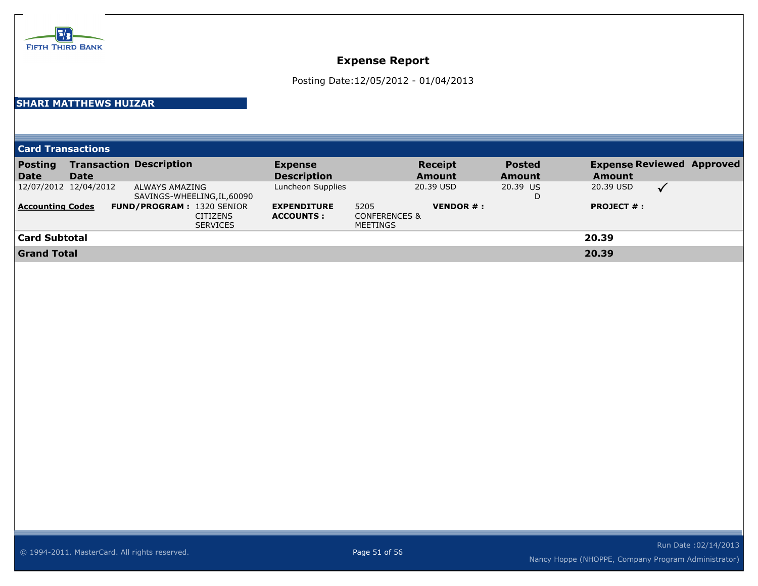

Posting Date:12/05/2012 - 01/04/2013

### **SHARI MATTHEWS HUIZAR**

**Card Transactions**

| <b>Posting</b>          |             | <b>Transaction Description</b>   | <b>Expense</b>     |                          | <b>Receipt</b>                | <b>Posted</b> |                                | <b>Expense Reviewed Approved</b> |
|-------------------------|-------------|----------------------------------|--------------------|--------------------------|-------------------------------|---------------|--------------------------------|----------------------------------|
| Date                    | <b>Date</b> |                                  | <b>Description</b> |                          | <b>Amount</b>                 | <b>Amount</b> | <b>Amount</b>                  |                                  |
| 12/07/2012 12/04/2012   |             | ALWAYS AMAZING                   | Luncheon Supplies  |                          | 20.39 USD                     | 20.39 US      | 20.39 USD                      |                                  |
|                         |             | SAVINGS-WHEELING, IL, 60090      |                    |                          |                               | D             |                                |                                  |
| <b>Accounting Codes</b> |             | <b>FUND/PROGRAM: 1320 SENIOR</b> | <b>EXPENDITURE</b> | 5205                     | <b>VENDOR <math>#</math>:</b> |               | <b>PROJECT <math>#</math>:</b> |                                  |
|                         |             | <b>CITIZENS</b>                  | <b>ACCOUNTS:</b>   | <b>CONFERENCES &amp;</b> |                               |               |                                |                                  |
|                         |             | <b>SERVICES</b>                  |                    | MEETINGS                 |                               |               |                                |                                  |
| Card Subtotal           |             |                                  |                    |                          |                               |               | 20.39                          |                                  |
| <b>Grand Total</b>      |             |                                  |                    |                          |                               |               | 20.39                          |                                  |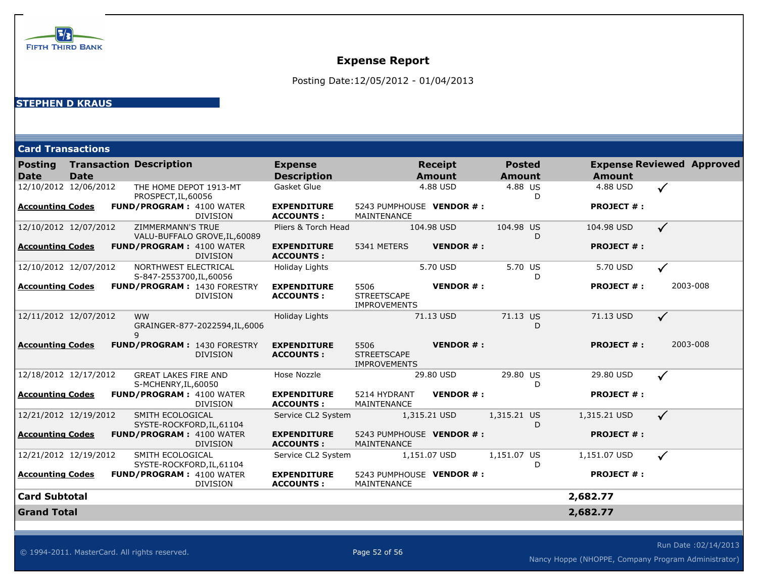

Posting Date:12/05/2012 - 01/04/2013

### **STEPHEN D KRAUS**

| <b>Card Transactions</b>      |             |                                                     |                                |                                        |                                                   |                                 |                                |                   |                                  |  |
|-------------------------------|-------------|-----------------------------------------------------|--------------------------------|----------------------------------------|---------------------------------------------------|---------------------------------|--------------------------------|-------------------|----------------------------------|--|
| <b>Posting</b><br><b>Date</b> | <b>Date</b> | <b>Transaction Description</b>                      |                                | <b>Expense</b><br><b>Description</b>   |                                                   | <b>Receipt</b><br><b>Amount</b> | <b>Posted</b><br><b>Amount</b> | <b>Amount</b>     | <b>Expense Reviewed Approved</b> |  |
| 12/10/2012 12/06/2012         |             | THE HOME DEPOT 1913-MT<br>PROSPECT, IL, 60056       |                                | Gasket Glue                            |                                                   | 4.88 USD                        | 4.88 US<br>D                   | 4.88 USD          | $\checkmark$                     |  |
| <b>Accounting Codes</b>       |             | <b>FUND/PROGRAM: 4100 WATER</b>                     | <b>DIVISION</b>                | <b>EXPENDITURE</b><br><b>ACCOUNTS:</b> | 5243 PUMPHOUSE VENDOR # :<br>MAINTENANCE          |                                 |                                | <b>PROJECT #:</b> |                                  |  |
| 12/10/2012 12/07/2012         |             | <b>ZIMMERMANN'S TRUE</b>                            | VALU-BUFFALO GROVE, IL, 60089  | Pliers & Torch Head                    |                                                   | 104.98 USD                      | 104.98 US<br>D                 | 104.98 USD        | $\checkmark$                     |  |
| <b>Accounting Codes</b>       |             | <b>FUND/PROGRAM: 4100 WATER</b>                     | <b>DIVISION</b>                | <b>EXPENDITURE</b><br><b>ACCOUNTS:</b> | 5341 METERS                                       | <b>VENDOR#:</b>                 |                                | <b>PROJECT #:</b> |                                  |  |
| 12/10/2012 12/07/2012         |             | NORTHWEST ELECTRICAL<br>S-847-2553700, IL, 60056    |                                | <b>Holiday Lights</b>                  |                                                   | 5.70 USD                        | 5.70 US<br>D                   | 5.70 USD          | $\checkmark$                     |  |
| <b>Accounting Codes</b>       |             | FUND/PROGRAM: 1430 FORESTRY                         | DIVISION                       | <b>EXPENDITURE</b><br><b>ACCOUNTS:</b> | 5506<br><b>STREETSCAPE</b><br><b>IMPROVEMENTS</b> | <b>VENDOR#:</b>                 |                                | <b>PROJECT #:</b> | 2003-008                         |  |
| 12/11/2012 12/07/2012         |             | <b>WW</b><br>9                                      | GRAINGER-877-2022594, IL, 6006 | Holiday Lights                         |                                                   | 71.13 USD                       | 71.13 US<br>D                  | 71.13 USD         | $\checkmark$                     |  |
| <b>Accounting Codes</b>       |             | <b>FUND/PROGRAM: 1430 FORESTRY</b>                  | <b>DIVISION</b>                | <b>EXPENDITURE</b><br><b>ACCOUNTS:</b> | 5506<br><b>STREETSCAPE</b><br><b>IMPROVEMENTS</b> | <b>VENDOR#:</b>                 |                                | <b>PROJECT #:</b> | 2003-008                         |  |
| 12/18/2012 12/17/2012         |             | <b>GREAT LAKES FIRE AND</b><br>S-MCHENRY, IL, 60050 |                                | Hose Nozzle                            |                                                   | 29.80 USD                       | 29.80 US<br>D                  | 29.80 USD         | ✓                                |  |
| <b>Accounting Codes</b>       |             | <b>FUND/PROGRAM: 4100 WATER</b>                     | <b>DIVISION</b>                | <b>EXPENDITURE</b><br><b>ACCOUNTS:</b> | 5214 HYDRANT<br>MAINTENANCE                       | <b>VENDOR#:</b>                 |                                | <b>PROJECT #:</b> |                                  |  |
| 12/21/2012 12/19/2012         |             | SMITH ECOLOGICAL                                    | SYSTE-ROCKFORD, IL, 61104      | Service CL2 System                     |                                                   | 1,315.21 USD                    | 1,315.21 US<br>D               | 1,315.21 USD      | $\checkmark$                     |  |
| <b>Accounting Codes</b>       |             | <b>FUND/PROGRAM: 4100 WATER</b>                     | <b>DIVISION</b>                | <b>EXPENDITURE</b><br><b>ACCOUNTS:</b> | 5243 PUMPHOUSE VENDOR # :<br>MAINTENANCE          |                                 |                                | <b>PROJECT #:</b> |                                  |  |
| 12/21/2012 12/19/2012         |             | SMITH ECOLOGICAL                                    | SYSTE-ROCKFORD, IL, 61104      | Service CL2 System                     |                                                   | 1,151.07 USD                    | 1,151.07 US<br>D.              | 1,151.07 USD      | $\checkmark$                     |  |
| <b>Accounting Codes</b>       |             | <b>FUND/PROGRAM: 4100 WATER</b>                     | <b>DIVISION</b>                | <b>EXPENDITURE</b><br><b>ACCOUNTS:</b> | 5243 PUMPHOUSE VENDOR # :<br>MAINTENANCE          |                                 |                                | <b>PROJECT #:</b> |                                  |  |
| <b>Card Subtotal</b>          |             |                                                     |                                |                                        |                                                   |                                 |                                | 2,682.77          |                                  |  |
| <b>Grand Total</b>            |             |                                                     |                                |                                        |                                                   |                                 |                                | 2,682.77          |                                  |  |

Run Date :02/14/2013 Nancy Hoppe (NHOPPE, Company Program Administrator)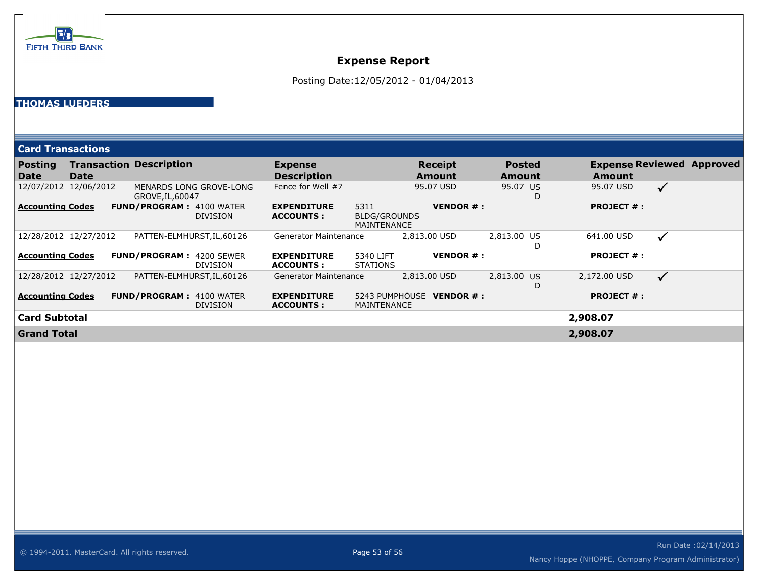

Posting Date:12/05/2012 - 01/04/2013

#### **THOMAS LUEDERS**

| <b>Card Transactions</b> |                       |                                 |                         |                                         |                                            |                           |                         |   |                                            |              |  |
|--------------------------|-----------------------|---------------------------------|-------------------------|-----------------------------------------|--------------------------------------------|---------------------------|-------------------------|---|--------------------------------------------|--------------|--|
| <b>Posting</b><br>Date   | <b>Date</b>           | <b>Transaction Description</b>  |                         | <b>Expense</b><br><b>Description</b>    |                                            | <b>Receipt</b><br>Amount  | <b>Posted</b><br>Amount |   | <b>Expense Reviewed Approved</b><br>Amount |              |  |
|                          | 12/07/2012 12/06/2012 | GROVE, IL, 60047                | MENARDS LONG GROVE-LONG | Fence for Well #7                       |                                            | 95.07 USD                 | 95.07 US                | D | 95.07 USD                                  | $\checkmark$ |  |
| Accounting Codes         |                       | <b>FUND/PROGRAM: 4100 WATER</b> | <b>DIVISION</b>         | <b>EXPENDITURE</b><br><b>ACCOUNTS:</b>  | 5311<br>BLDG/GROUNDS<br><b>MAINTENANCE</b> | <b>VENDOR #:</b>          |                         |   | <b>PROJECT #:</b>                          |              |  |
|                          | 12/28/2012 12/27/2012 | PATTEN-ELMHURST, IL, 60126      |                         | <b>Generator Maintenance</b>            |                                            | 2,813.00 USD              | 2,813.00 US             |   | 641.00 USD                                 | $\checkmark$ |  |
| Accounting Codes         |                       | <b>FUND/PROGRAM: 4200 SEWER</b> | <b>DIVISION</b>         | <b>EXPENDITURE</b><br><b>ACCOUNTS :</b> | 5340 LIFT<br><b>STATIONS</b>               | <b>VENDOR#:</b>           |                         |   | <b>PROJECT #:</b>                          |              |  |
| 12/28/2012 12/27/2012    |                       | PATTEN-ELMHURST, IL, 60126      |                         | <b>Generator Maintenance</b>            |                                            | 2,813.00 USD              | 2,813.00 US             | Ð | 2,172.00 USD                               | $\checkmark$ |  |
| <b>Accounting Codes</b>  |                       | <b>FUND/PROGRAM: 4100 WATER</b> | <b>DIVISION</b>         | <b>EXPENDITURE</b><br><b>ACCOUNTS:</b>  | <b>MAINTENANCE</b>                         | 5243 PUMPHOUSE VENDOR # : |                         |   | <b>PROJECT #:</b>                          |              |  |
| <b>Card Subtotal</b>     |                       |                                 |                         |                                         |                                            |                           |                         |   | 2,908.07                                   |              |  |
| <b>Grand Total</b>       |                       |                                 |                         |                                         |                                            |                           |                         |   | 2,908.07                                   |              |  |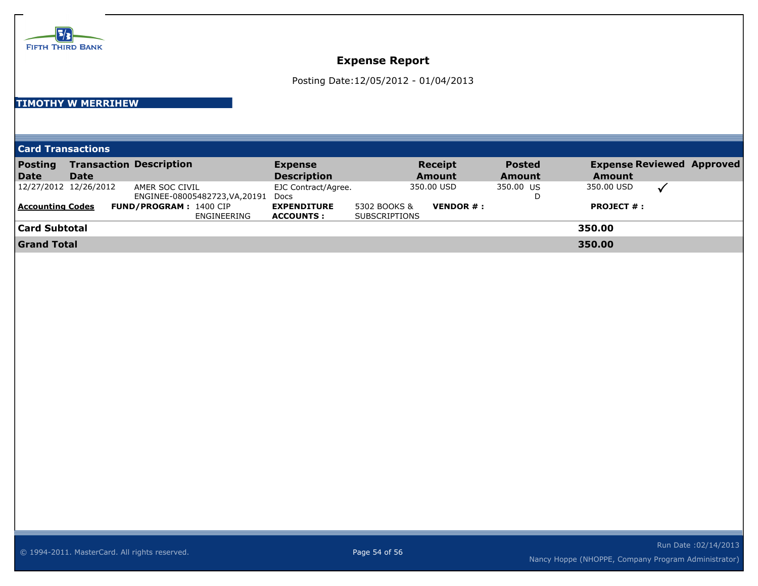

## **Expense Report**

Posting Date:12/05/2012 - 01/04/2013

#### **TIMOTHY W MERRIHEW**

| <b>Card Transactions</b> |  |
|--------------------------|--|
|                          |  |
|                          |  |

| <b>Posting</b><br>Date                           | Date | <b>Transaction Description</b>                                                                   | <b>Expense</b><br><b>Description</b>                                  |                                      | <b>Receipt</b><br><b>Amount</b>             | <b>Posted</b><br>Amount | <b>Expense Reviewed Approved</b><br><b>Amount</b> |  |
|--------------------------------------------------|------|--------------------------------------------------------------------------------------------------|-----------------------------------------------------------------------|--------------------------------------|---------------------------------------------|-------------------------|---------------------------------------------------|--|
| 12/27/2012 12/26/2012<br><b>Accounting Codes</b> |      | AMER SOC CIVIL<br>ENGINEE-08005482723, VA, 20191<br><b>FUND/PROGRAM: 1400 CIP</b><br>ENGINEERING | EJC Contract/Agree.<br>Docs<br><b>EXPENDITURE</b><br><b>ACCOUNTS:</b> | 5302 BOOKS &<br><b>SUBSCRIPTIONS</b> | 350.00 USD<br><b>VENDOR <math>#</math>:</b> | 350.00 US<br>D          | 350.00 USD<br><b>PROJECT <math>#</math>:</b>      |  |
| Card Subtotal                                    |      |                                                                                                  |                                                                       |                                      |                                             |                         | 350.00                                            |  |
| <b>Grand Total</b>                               |      |                                                                                                  |                                                                       |                                      |                                             |                         | 350.00                                            |  |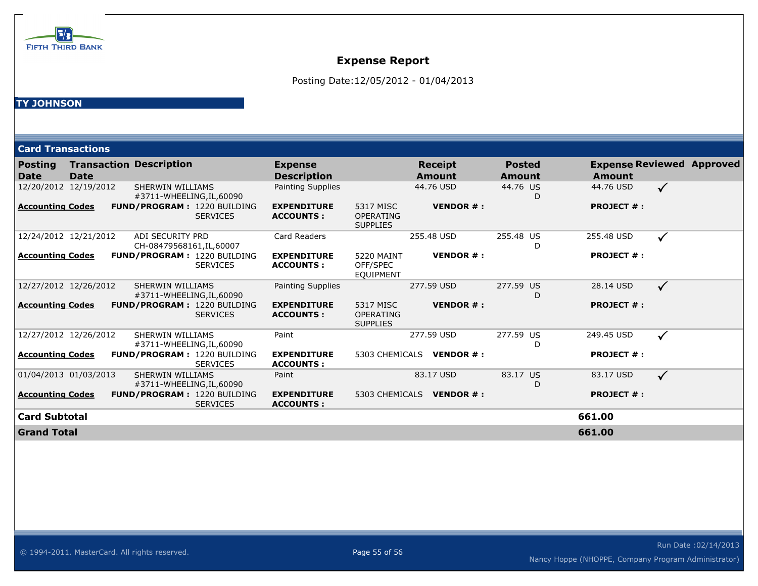

## **Expense Report**

Posting Date:12/05/2012 - 01/04/2013

#### **TY JOHNSON**

|                         | <b>Card Transactions</b> |                                                      |                 |                                        |                                                   |                                 |                                |                   |                                  |
|-------------------------|--------------------------|------------------------------------------------------|-----------------|----------------------------------------|---------------------------------------------------|---------------------------------|--------------------------------|-------------------|----------------------------------|
| <b>Posting</b><br>Date  | <b>Date</b>              | <b>Transaction Description</b>                       |                 | <b>Expense</b><br><b>Description</b>   |                                                   | <b>Receipt</b><br><b>Amount</b> | <b>Posted</b><br><b>Amount</b> | <b>Amount</b>     | <b>Expense Reviewed Approved</b> |
|                         | 12/20/2012 12/19/2012    | <b>SHERWIN WILLIAMS</b><br>#3711-WHEELING, IL, 60090 |                 | <b>Painting Supplies</b>               |                                                   | 44.76 USD                       | 44.76 US<br>D                  | 44.76 USD         | $\checkmark$                     |
| <b>Accounting Codes</b> |                          | <b>FUND/PROGRAM: 1220 BUILDING</b>                   | <b>SERVICES</b> | <b>EXPENDITURE</b><br><b>ACCOUNTS:</b> | 5317 MISC<br><b>OPERATING</b><br><b>SUPPLIES</b>  | <b>VENDOR#:</b>                 |                                | <b>PROJECT #:</b> |                                  |
|                         | 12/24/2012 12/21/2012    | ADI SECURITY PRD<br>CH-08479568161, IL, 60007        |                 | Card Readers                           |                                                   | 255.48 USD                      | 255.48 US<br>D                 | 255.48 USD        | $\checkmark$                     |
| <b>Accounting Codes</b> |                          | <b>FUND/PROGRAM: 1220 BUILDING</b>                   | <b>SERVICES</b> | <b>EXPENDITURE</b><br><b>ACCOUNTS:</b> | <b>5220 MAINT</b><br>OFF/SPEC<br><b>EQUIPMENT</b> | <b>VENDOR#:</b>                 |                                | <b>PROJECT #:</b> |                                  |
|                         | 12/27/2012 12/26/2012    | <b>SHERWIN WILLIAMS</b><br>#3711-WHEELING, IL, 60090 |                 | <b>Painting Supplies</b>               |                                                   | 277.59 USD                      | 277.59 US<br>D                 | 28.14 USD         | $\checkmark$                     |
| <b>Accounting Codes</b> |                          | <b>FUND/PROGRAM: 1220 BUILDING</b>                   | <b>SERVICES</b> | <b>EXPENDITURE</b><br><b>ACCOUNTS:</b> | 5317 MISC<br><b>OPERATING</b><br><b>SUPPLIES</b>  | <b>VENDOR#:</b>                 |                                | <b>PROJECT #:</b> |                                  |
|                         | 12/27/2012 12/26/2012    | <b>SHERWIN WILLIAMS</b><br>#3711-WHEELING, IL, 60090 |                 | Paint                                  |                                                   | 277.59 USD                      | 277.59 US<br>D                 | 249.45 USD        | $\checkmark$                     |
| <b>Accounting Codes</b> |                          | <b>FUND/PROGRAM: 1220 BUILDING</b>                   | <b>SERVICES</b> | <b>EXPENDITURE</b><br><b>ACCOUNTS:</b> |                                                   | 5303 CHEMICALS VENDOR #:        |                                | <b>PROJECT #:</b> |                                  |
|                         | 01/04/2013 01/03/2013    | <b>SHERWIN WILLIAMS</b><br>#3711-WHEELING, IL, 60090 |                 | Paint                                  |                                                   | 83.17 USD                       | 83.17<br><b>US</b><br>D        | 83.17 USD         | $\checkmark$                     |
| <b>Accounting Codes</b> |                          | <b>FUND/PROGRAM: 1220 BUILDING</b>                   | <b>SERVICES</b> | <b>EXPENDITURE</b><br><b>ACCOUNTS:</b> | 5303 CHEMICALS                                    | VENDOR #:                       |                                | <b>PROJECT #:</b> |                                  |
| <b>Card Subtotal</b>    |                          |                                                      |                 |                                        |                                                   |                                 |                                | 661.00            |                                  |
| <b>Grand Total</b>      |                          |                                                      |                 |                                        |                                                   |                                 |                                | 661.00            |                                  |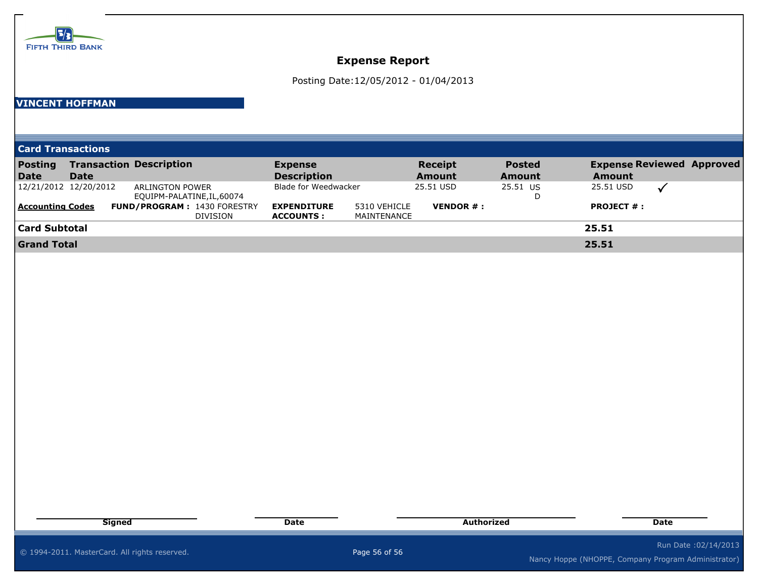

## **Expense Report**

Posting Date:12/05/2012 - 01/04/2013

#### **VINCENT HOFFMAN**

| <b>Card Transactions</b>      |                       |                                                       |                                        |                             |                                 |                         |                                                   |  |
|-------------------------------|-----------------------|-------------------------------------------------------|----------------------------------------|-----------------------------|---------------------------------|-------------------------|---------------------------------------------------|--|
| <b>Posting</b><br><b>Date</b> | Date                  | <b>Transaction Description</b>                        | <b>Expense</b><br><b>Description</b>   |                             | <b>Receipt</b><br><b>Amount</b> | <b>Posted</b><br>Amount | <b>Expense Reviewed Approved</b><br><b>Amount</b> |  |
|                               | 12/21/2012 12/20/2012 | ARLINGTON POWER<br>EQUIPM-PALATINE, IL, 60074         | Blade for Weedwacker                   |                             | 25.51 USD                       | 25.51 US                | 25.51 USD                                         |  |
| <b>Accounting Codes</b>       |                       | <b>FUND/PROGRAM: 1430 FORESTRY</b><br><b>DIVISION</b> | <b>EXPENDITURE</b><br><b>ACCOUNTS:</b> | 5310 VEHICLE<br>MAINTENANCE | <b>VENDOR <math>#</math>:</b>   |                         | <b>PROJECT <math>#</math>:</b>                    |  |
| <b>Card Subtotal</b>          |                       |                                                       |                                        |                             |                                 |                         | 25.51                                             |  |
| <b>Grand Total</b>            |                       |                                                       |                                        |                             |                                 |                         | 25.51                                             |  |

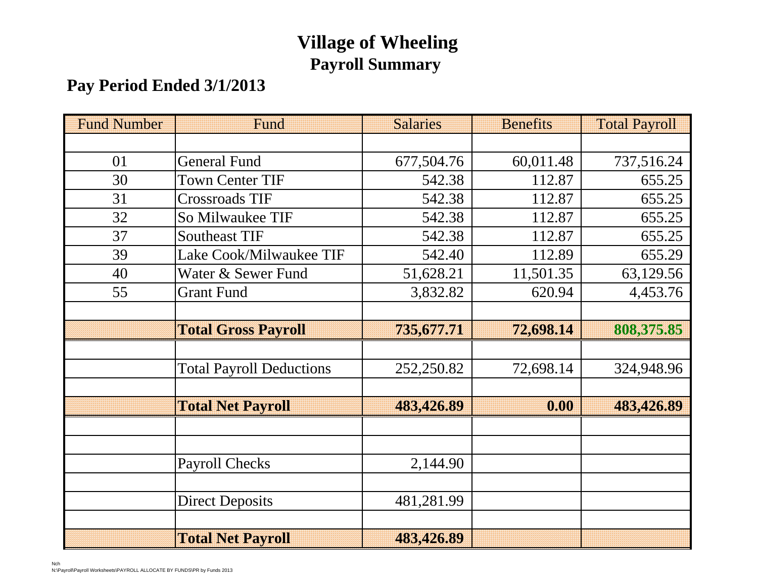# **Village of Wheeling Payroll Summary**

## **Pay Period Ended 3/1/2013**

| <b>Fund Number</b> | Fund                            | <b>Salaries</b> | <b>Benefits</b> | <b>Total Payroll</b> |
|--------------------|---------------------------------|-----------------|-----------------|----------------------|
|                    |                                 |                 |                 |                      |
| 01                 | <b>General Fund</b>             | 677,504.76      | 60,011.48       | 737,516.24           |
| 30                 | <b>Town Center TIF</b>          | 542.38          | 112.87          | 655.25               |
| 31                 | <b>Crossroads TIF</b>           | 542.38          | 112.87          | 655.25               |
| 32                 | So Milwaukee TIF                | 542.38          | 112.87          | 655.25               |
| 37                 | <b>Southeast TIF</b>            | 542.38          | 112.87          | 655.25               |
| 39                 | Lake Cook/Milwaukee TIF         | 542.40          | 112.89          | 655.29               |
| 40                 | Water & Sewer Fund              | 51,628.21       | 11,501.35       | 63,129.56            |
| 55                 | <b>Grant Fund</b>               |                 | 620.94          | 4,453.76             |
|                    |                                 |                 |                 |                      |
|                    | <b>Total Gross Payroll</b>      | 735,677.71      | 72,698.14       | 808,375.85           |
|                    |                                 |                 |                 |                      |
|                    | <b>Total Payroll Deductions</b> | 252,250.82      | 72,698.14       | 324,948.96           |
|                    |                                 |                 |                 |                      |
|                    | <b>Total Net Payroll</b>        | 483,426.89      | 0.00            | 483,426.89           |
|                    |                                 |                 |                 |                      |
|                    |                                 |                 |                 |                      |
|                    | <b>Payroll Checks</b>           | 2,144.90        |                 |                      |
|                    |                                 |                 |                 |                      |
|                    | <b>Direct Deposits</b>          | 481,281.99      |                 |                      |
|                    |                                 |                 |                 |                      |
|                    | <b>Total Net Payroll</b>        | 483,426.89      |                 |                      |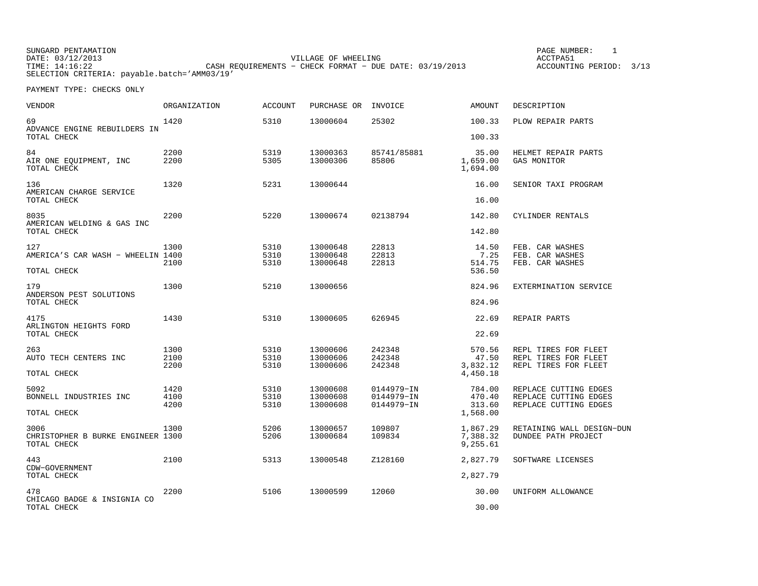PAGE NUMBER: 1

| VENDOR                                                  | <b>ORGANIZATION</b>  | <b>ACCOUNT</b>       | PURCHASE OR                      | INVOICE                    | AMOUNT                            | DESCRIPTION                                                          |
|---------------------------------------------------------|----------------------|----------------------|----------------------------------|----------------------------|-----------------------------------|----------------------------------------------------------------------|
| 69<br>ADVANCE ENGINE REBUILDERS IN<br>TOTAL CHECK       | 1420                 | 5310                 | 13000604                         | 25302                      | 100.33<br>100.33                  | PLOW REPAIR PARTS                                                    |
|                                                         |                      |                      |                                  |                            |                                   |                                                                      |
| 84<br>AIR ONE EQUIPMENT, INC<br>TOTAL CHECK             | 2200<br>2200         | 5319<br>5305         | 13000363<br>13000306             | 85741/85881<br>85806       | 35.00<br>1,659.00<br>1,694.00     | HELMET REPAIR PARTS<br>GAS MONITOR                                   |
| 136<br>AMERICAN CHARGE SERVICE                          | 1320                 | 5231                 | 13000644                         |                            | 16.00                             | SENIOR TAXI PROGRAM                                                  |
| TOTAL CHECK                                             |                      |                      |                                  |                            | 16.00                             |                                                                      |
| 8035<br>AMERICAN WELDING & GAS INC                      | 2200                 | 5220                 | 13000674                         | 02138794                   | 142.80                            | CYLINDER RENTALS                                                     |
| TOTAL CHECK                                             |                      |                      |                                  |                            | 142.80                            |                                                                      |
| 127<br>AMERICA'S CAR WASH - WHEELIN 1400<br>TOTAL CHECK | 1300<br>2100         | 5310<br>5310<br>5310 | 13000648<br>13000648<br>13000648 | 22813<br>22813<br>22813    | 14.50<br>7.25<br>514.75<br>536.50 | FEB. CAR WASHES<br>FEB. CAR WASHES<br>FEB. CAR WASHES                |
|                                                         |                      |                      |                                  |                            |                                   |                                                                      |
| 179<br>ANDERSON PEST SOLUTIONS<br>TOTAL CHECK           | 1300                 | 5210                 | 13000656                         |                            | 824.96<br>824.96                  | EXTERMINATION SERVICE                                                |
|                                                         |                      |                      |                                  |                            |                                   |                                                                      |
| 4175<br>ARLINGTON HEIGHTS FORD<br>TOTAL CHECK           | 1430                 | 5310                 | 13000605                         | 626945                     | 22.69<br>22.69                    | REPAIR PARTS                                                         |
|                                                         |                      |                      |                                  |                            |                                   |                                                                      |
| 263<br>AUTO TECH CENTERS INC                            | 1300<br>2100<br>2200 | 5310<br>5310<br>5310 | 13000606<br>13000606<br>13000606 | 242348<br>242348<br>242348 | 570.56<br>47.50<br>3,832.12       | REPL TIRES FOR FLEET<br>REPL TIRES FOR FLEET<br>REPL TIRES FOR FLEET |
| TOTAL CHECK                                             |                      |                      |                                  |                            | 4,450.18                          |                                                                      |
| 5092<br>BONNELL INDUSTRIES INC                          | 1420<br>4100<br>4200 | 5310<br>5310<br>5310 | 13000608<br>13000608             | 0144979-IN<br>0144979-IN   | 784.00<br>470.40<br>313.60        | REPLACE CUTTING EDGES<br>REPLACE CUTTING EDGES                       |
| TOTAL CHECK                                             |                      |                      | 13000608                         | 0144979-IN                 | 1,568.00                          | REPLACE CUTTING EDGES                                                |
| 3006                                                    | 1300                 | 5206                 | 13000657                         | 109807                     | 1,867.29                          | RETAINING WALL DESIGN-DUN                                            |
| CHRISTOPHER B BURKE ENGINEER 1300<br>TOTAL CHECK        |                      | 5206                 | 13000684                         | 109834                     | 7,388.32<br>9,255.61              | DUNDEE PATH PROJECT                                                  |
| 443<br>CDW-GOVERNMENT                                   | 2100                 | 5313                 | 13000548                         | Z128160                    | 2,827.79                          | SOFTWARE LICENSES                                                    |
| TOTAL CHECK                                             |                      |                      |                                  |                            | 2,827.79                          |                                                                      |
| 478<br>CHICAGO BADGE & INSIGNIA CO                      | 2200                 | 5106                 | 13000599                         | 12060                      | 30.00                             | UNIFORM ALLOWANCE                                                    |
| TOTAL CHECK                                             |                      |                      |                                  |                            | 30.00                             |                                                                      |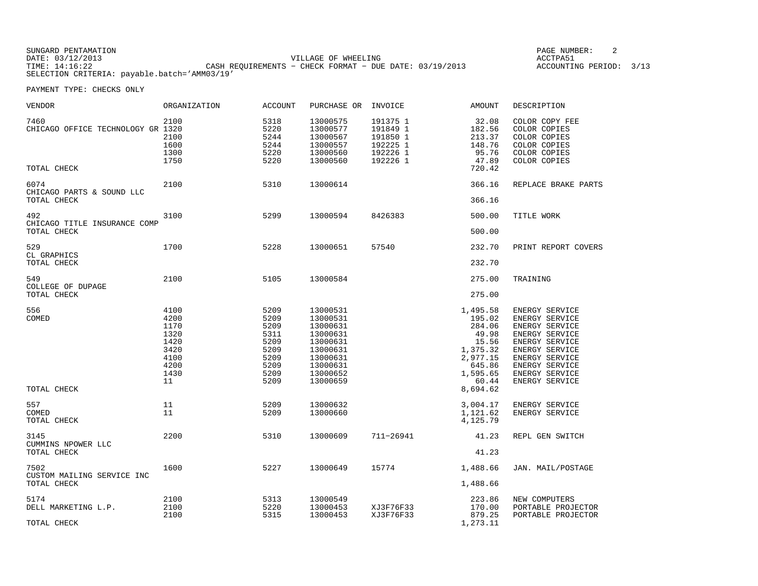PAGE NUMBER: 2

| <b>VENDOR</b>                                            | <b>ORGANIZATION</b>                                                        | <b>ACCOUNT</b>                                                               | PURCHASE OR                                                                                                          | INVOICE                                                              | <b>AMOUNT</b>                                                                                                     | DESCRIPTION                                                                                                                                                                             |
|----------------------------------------------------------|----------------------------------------------------------------------------|------------------------------------------------------------------------------|----------------------------------------------------------------------------------------------------------------------|----------------------------------------------------------------------|-------------------------------------------------------------------------------------------------------------------|-----------------------------------------------------------------------------------------------------------------------------------------------------------------------------------------|
| 7460<br>CHICAGO OFFICE TECHNOLOGY GR 1320<br>TOTAL CHECK | 2100<br>2100<br>1600<br>1300<br>1750                                       | 5318<br>5220<br>5244<br>5244<br>5220<br>5220                                 | 13000575<br>13000577<br>13000567<br>13000557<br>13000560<br>13000560                                                 | 191375 1<br>191849 1<br>191850 1<br>192225 1<br>192226 1<br>192226 1 | 32.08<br>182.56<br>213.37<br>148.76<br>95.76<br>47.89<br>720.42                                                   | COLOR COPY FEE<br>COLOR COPIES<br>COLOR COPIES<br>COLOR COPIES<br>COLOR COPIES<br>COLOR COPIES                                                                                          |
| 6074<br>CHICAGO PARTS & SOUND LLC<br>TOTAL CHECK         | 2100                                                                       | 5310                                                                         | 13000614                                                                                                             |                                                                      | 366.16<br>366.16                                                                                                  | REPLACE BRAKE PARTS                                                                                                                                                                     |
| 492<br>CHICAGO TITLE INSURANCE COMP<br>TOTAL CHECK       | 3100                                                                       | 5299                                                                         | 13000594                                                                                                             | 8426383                                                              | 500.00<br>500.00                                                                                                  | TITLE WORK                                                                                                                                                                              |
| 529<br>CL GRAPHICS<br>TOTAL CHECK                        | 1700                                                                       | 5228                                                                         | 13000651                                                                                                             | 57540                                                                | 232.70<br>232.70                                                                                                  | PRINT REPORT COVERS                                                                                                                                                                     |
| 549<br>COLLEGE OF DUPAGE<br>TOTAL CHECK                  | 2100                                                                       | 5105                                                                         | 13000584                                                                                                             |                                                                      | 275.00<br>275.00                                                                                                  | TRAINING                                                                                                                                                                                |
| 556<br>COMED<br>TOTAL CHECK                              | 4100<br>4200<br>1170<br>1320<br>1420<br>3420<br>4100<br>4200<br>1430<br>11 | 5209<br>5209<br>5209<br>5311<br>5209<br>5209<br>5209<br>5209<br>5209<br>5209 | 13000531<br>13000531<br>13000631<br>13000631<br>13000631<br>13000631<br>13000631<br>13000631<br>13000652<br>13000659 |                                                                      | 1,495.58<br>195.02<br>284.06<br>49.98<br>15.56<br>1,375.32<br>2,977.15<br>645.86<br>1,595.65<br>60.44<br>8,694.62 | ENERGY SERVICE<br>ENERGY SERVICE<br>ENERGY SERVICE<br>ENERGY SERVICE<br>ENERGY SERVICE<br><b>ENERGY SERVICE</b><br>ENERGY SERVICE<br>ENERGY SERVICE<br>ENERGY SERVICE<br>ENERGY SERVICE |
| 557<br>COMED<br>TOTAL CHECK                              | 11<br>11                                                                   | 5209<br>5209                                                                 | 13000632<br>13000660                                                                                                 |                                                                      | 3,004.17<br>1,121.62<br>4,125.79                                                                                  | ENERGY SERVICE<br>ENERGY SERVICE                                                                                                                                                        |
| 3145<br>CUMMINS NPOWER LLC<br>TOTAL CHECK                | 2200                                                                       | 5310                                                                         | 13000609                                                                                                             | 711-26941                                                            | 41.23<br>41.23                                                                                                    | REPL GEN SWITCH                                                                                                                                                                         |
| 7502<br>CUSTOM MAILING SERVICE INC<br>TOTAL CHECK        | 1600                                                                       | 5227                                                                         | 13000649                                                                                                             | 15774                                                                | 1,488.66<br>1,488.66                                                                                              | JAN. MAIL/POSTAGE                                                                                                                                                                       |
| 5174<br>DELL MARKETING L.P.<br>TOTAL CHECK               | 2100<br>2100<br>2100                                                       | 5313<br>5220<br>5315                                                         | 13000549<br>13000453<br>13000453                                                                                     | XJ3F76F33<br>XJ3F76F33                                               | 223.86<br>170.00<br>879.25<br>1,273.11                                                                            | NEW COMPUTERS<br>PORTABLE PROJECTOR<br>PORTABLE PROJECTOR                                                                                                                               |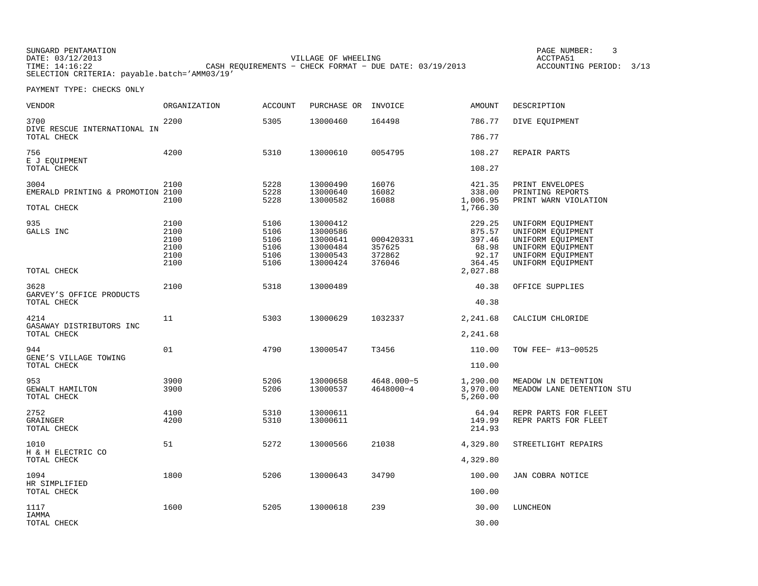PAGE NUMBER: 3

| <b>VENDOR</b>                                            | <b>ORGANIZATION</b>                          | <b>ACCOUNT</b>                               | PURCHASE OR                                                          | INVOICE                                 | <b>AMOUNT</b>                                                      | DESCRIPTION                                                                                                                |
|----------------------------------------------------------|----------------------------------------------|----------------------------------------------|----------------------------------------------------------------------|-----------------------------------------|--------------------------------------------------------------------|----------------------------------------------------------------------------------------------------------------------------|
| 3700<br>DIVE RESCUE INTERNATIONAL IN                     | 2200                                         | 5305                                         | 13000460                                                             | 164498                                  | 786.77                                                             | DIVE EOUIPMENT                                                                                                             |
| TOTAL CHECK                                              |                                              |                                              |                                                                      |                                         | 786.77                                                             |                                                                                                                            |
| 756<br>E J EQUIPMENT<br>TOTAL CHECK                      | 4200                                         | 5310                                         | 13000610                                                             | 0054795                                 | 108.27<br>108.27                                                   | REPAIR PARTS                                                                                                               |
| 3004<br>EMERALD PRINTING & PROMOTION 2100<br>TOTAL CHECK | 2100<br>2100                                 | 5228<br>5228<br>5228                         | 13000490<br>13000640<br>13000582                                     | 16076<br>16082<br>16088                 | 421.35<br>338.00<br>1,006.95<br>1,766.30                           | PRINT ENVELOPES<br>PRINTING REPORTS<br>PRINT WARN VIOLATION                                                                |
| 935<br>GALLS INC<br>TOTAL CHECK                          | 2100<br>2100<br>2100<br>2100<br>2100<br>2100 | 5106<br>5106<br>5106<br>5106<br>5106<br>5106 | 13000412<br>13000586<br>13000641<br>13000484<br>13000543<br>13000424 | 000420331<br>357625<br>372862<br>376046 | 229.25<br>875.57<br>397.46<br>68.98<br>92.17<br>364.45<br>2,027.88 | UNIFORM EQUIPMENT<br>UNIFORM EQUIPMENT<br>UNIFORM EQUIPMENT<br>UNIFORM EQUIPMENT<br>UNIFORM EQUIPMENT<br>UNIFORM EQUIPMENT |
| 3628                                                     | 2100                                         | 5318                                         | 13000489                                                             |                                         | 40.38                                                              | OFFICE SUPPLIES                                                                                                            |
| GARVEY'S OFFICE PRODUCTS<br>TOTAL CHECK                  |                                              |                                              |                                                                      |                                         | 40.38                                                              |                                                                                                                            |
| 4214<br>GASAWAY DISTRIBUTORS INC                         | 11                                           | 5303                                         | 13000629                                                             | 1032337                                 | 2,241.68                                                           | CALCIUM CHLORIDE                                                                                                           |
| TOTAL CHECK                                              |                                              |                                              |                                                                      |                                         | 2,241.68                                                           |                                                                                                                            |
| 944<br>GENE'S VILLAGE TOWING                             | 01                                           | 4790                                         | 13000547                                                             | T3456                                   | 110.00                                                             | TOW FEE- #13-00525                                                                                                         |
| TOTAL CHECK                                              |                                              |                                              |                                                                      |                                         | 110.00                                                             |                                                                                                                            |
| 953<br>GEWALT HAMILTON<br>TOTAL CHECK                    | 3900<br>3900                                 | 5206<br>5206                                 | 13000658<br>13000537                                                 | 4648.000-5<br>4648000-4                 | 1,290.00<br>3,970.00<br>5,260.00                                   | MEADOW LN DETENTION<br>MEADOW LANE DETENTION STU                                                                           |
| 2752<br><b>GRAINGER</b><br>TOTAL CHECK                   | 4100<br>4200                                 | 5310<br>5310                                 | 13000611<br>13000611                                                 |                                         | 64.94<br>149.99<br>214.93                                          | REPR PARTS FOR FLEET<br>REPR PARTS FOR FLEET                                                                               |
| 1010<br>H & H ELECTRIC CO                                | 51                                           | 5272                                         | 13000566                                                             | 21038                                   | 4,329.80                                                           | STREETLIGHT REPAIRS                                                                                                        |
| TOTAL CHECK                                              |                                              |                                              |                                                                      |                                         | 4,329.80                                                           |                                                                                                                            |
| 1094<br>HR SIMPLIFIED                                    | 1800                                         | 5206                                         | 13000643                                                             | 34790                                   | 100.00                                                             | JAN COBRA NOTICE                                                                                                           |
| TOTAL CHECK                                              |                                              |                                              |                                                                      |                                         | 100.00                                                             |                                                                                                                            |
| 1117<br>IAMMA                                            | 1600                                         | 5205                                         | 13000618                                                             | 239                                     | 30.00                                                              | LUNCHEON                                                                                                                   |
| TOTAL CHECK                                              |                                              |                                              |                                                                      |                                         | 30.00                                                              |                                                                                                                            |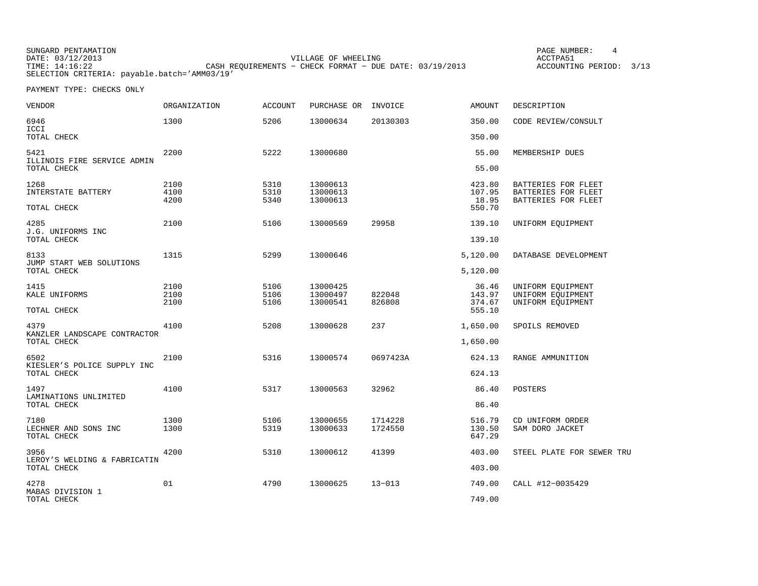| SUNGARD PENTAMATION                          |                                                         |                     | PAGE NUMBER:            |  |
|----------------------------------------------|---------------------------------------------------------|---------------------|-------------------------|--|
| DATE: 03/12/2013                             |                                                         | VILLAGE OF WHEELING | ACCTPA51                |  |
| TIME: 14:16:22                               | CASH REQUIREMENTS - CHECK FORMAT - DUE DATE: 03/19/2013 |                     | ACCOUNTING PERIOD: 3/13 |  |
| SELECTION CRITERIA: payable.batch='AMM03/19' |                                                         |                     |                         |  |

 $4\overline{4}$ 

| VENDOR                               | <b>ORGANIZATION</b> | <b>ACCOUNT</b> | PURCHASE OR          | INVOICE          | <b>AMOUNT</b>    | DESCRIPTION                                |
|--------------------------------------|---------------------|----------------|----------------------|------------------|------------------|--------------------------------------------|
| 6946<br>ICCI                         | 1300                | 5206           | 13000634             | 20130303         | 350.00           | CODE REVIEW/CONSULT                        |
| TOTAL CHECK                          |                     |                |                      |                  | 350.00           |                                            |
| 5421<br>ILLINOIS FIRE SERVICE ADMIN  | 2200                | 5222           | 13000680             |                  | 55.00            | MEMBERSHIP DUES                            |
| TOTAL CHECK                          |                     |                |                      |                  | 55.00            |                                            |
| 1268                                 | 2100                | 5310           | 13000613             |                  | 423.80           | BATTERIES FOR FLEET                        |
| INTERSTATE BATTERY                   | 4100<br>4200        | 5310<br>5340   | 13000613<br>13000613 |                  | 107.95<br>18.95  | BATTERIES FOR FLEET<br>BATTERIES FOR FLEET |
| TOTAL CHECK                          |                     |                |                      |                  | 550.70           |                                            |
| 4285                                 | 2100                | 5106           | 13000569             | 29958            | 139.10           | UNIFORM EQUIPMENT                          |
| J.G. UNIFORMS INC<br>TOTAL CHECK     |                     |                |                      |                  | 139.10           |                                            |
| 8133<br>JUMP START WEB SOLUTIONS     | 1315                | 5299           | 13000646             |                  | 5,120.00         | DATABASE DEVELOPMENT                       |
| TOTAL CHECK                          |                     |                |                      |                  | 5,120.00         |                                            |
| 1415                                 | 2100                | 5106           | 13000425             |                  | 36.46            | UNIFORM EQUIPMENT                          |
| KALE UNIFORMS                        | 2100<br>2100        | 5106<br>5106   | 13000497<br>13000541 | 822048<br>826808 | 143.97<br>374.67 | UNIFORM EQUIPMENT<br>UNIFORM EQUIPMENT     |
| TOTAL CHECK                          |                     |                |                      |                  | 555.10           |                                            |
| 4379<br>KANZLER LANDSCAPE CONTRACTOR | 4100                | 5208           | 13000628             | 237              | 1,650.00         | SPOILS REMOVED                             |
| TOTAL CHECK                          |                     |                |                      |                  | 1,650.00         |                                            |
| 6502<br>KIESLER'S POLICE SUPPLY INC  | 2100                | 5316           | 13000574             | 0697423A         | 624.13           | RANGE AMMUNITION                           |
| TOTAL CHECK                          |                     |                |                      |                  | 624.13           |                                            |
| 1497<br>LAMINATIONS UNLIMITED        | 4100                | 5317           | 13000563             | 32962            | 86.40            | POSTERS                                    |
| TOTAL CHECK                          |                     |                |                      |                  | 86.40            |                                            |
| 7180                                 | 1300                | 5106           | 13000655             | 1714228          | 516.79           | CD UNIFORM ORDER                           |
| LECHNER AND SONS INC<br>TOTAL CHECK  | 1300                | 5319           | 13000633             | 1724550          | 130.50<br>647.29 | SAM DORO JACKET                            |
| 3956<br>LEROY'S WELDING & FABRICATIN | 4200                | 5310           | 13000612             | 41399            | 403.00           | STEEL PLATE FOR SEWER TRU                  |
| TOTAL CHECK                          |                     |                |                      |                  | 403.00           |                                            |
| 4278                                 | 01                  | 4790           | 13000625             | $13 - 013$       | 749.00           | CALL #12-0035429                           |
| MABAS DIVISION 1<br>TOTAL CHECK      |                     |                |                      |                  | 749.00           |                                            |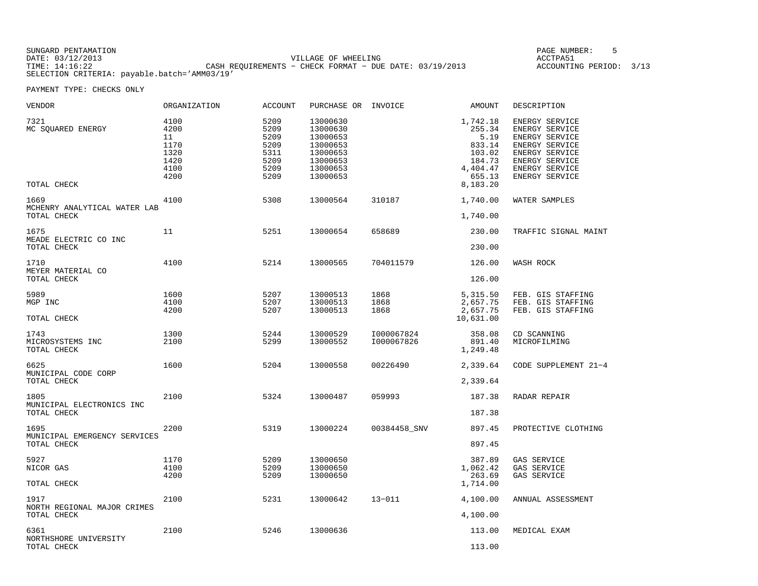PAGE NUMBER: 5

| VENDOR                                              | ORGANIZATION                                               | <b>ACCOUNT</b>                                               | PURCHASE OR INVOICE                                                                          |                          | AMOUNT                                                                                     | DESCRIPTION                                                                                                                                  |
|-----------------------------------------------------|------------------------------------------------------------|--------------------------------------------------------------|----------------------------------------------------------------------------------------------|--------------------------|--------------------------------------------------------------------------------------------|----------------------------------------------------------------------------------------------------------------------------------------------|
| 7321<br>MC SQUARED ENERGY<br>TOTAL CHECK            | 4100<br>4200<br>11<br>1170<br>1320<br>1420<br>4100<br>4200 | 5209<br>5209<br>5209<br>5209<br>5311<br>5209<br>5209<br>5209 | 13000630<br>13000630<br>13000653<br>13000653<br>13000653<br>13000653<br>13000653<br>13000653 |                          | 1,742.18<br>255.34<br>5.19<br>833.14<br>103.02<br>184.73<br>4,404.47<br>655.13<br>8,183.20 | ENERGY SERVICE<br>ENERGY SERVICE<br>ENERGY SERVICE<br>ENERGY SERVICE<br>ENERGY SERVICE<br>ENERGY SERVICE<br>ENERGY SERVICE<br>ENERGY SERVICE |
| 1669<br>MCHENRY ANALYTICAL WATER LAB<br>TOTAL CHECK | 4100                                                       | 5308                                                         | 13000564                                                                                     | 310187                   | 1,740.00<br>1,740.00                                                                       | WATER SAMPLES                                                                                                                                |
| 1675<br>MEADE ELECTRIC CO INC<br>TOTAL CHECK        | 11                                                         | 5251                                                         | 13000654                                                                                     | 658689                   | 230.00<br>230.00                                                                           | TRAFFIC SIGNAL MAINT                                                                                                                         |
| 1710<br>MEYER MATERIAL CO<br>TOTAL CHECK            | 4100                                                       | 5214                                                         | 13000565                                                                                     | 704011579                | 126.00<br>126.00                                                                           | WASH ROCK                                                                                                                                    |
| 5989<br>MGP INC<br>TOTAL CHECK                      | 1600<br>4100<br>4200                                       | 5207<br>5207<br>5207                                         | 13000513<br>13000513<br>13000513                                                             | 1868<br>1868<br>1868     | 5,315.50<br>2,657.75<br>2,657.75<br>10,631.00                                              | FEB. GIS STAFFING<br>FEB. GIS STAFFING<br>FEB. GIS STAFFING                                                                                  |
| 1743<br>MICROSYSTEMS INC<br>TOTAL CHECK             | 1300<br>2100                                               | 5244<br>5299                                                 | 13000529<br>13000552                                                                         | I000067824<br>I000067826 | 358.08<br>891.40<br>1,249.48                                                               | CD SCANNING<br>MICROFILMING                                                                                                                  |
| 6625<br>MUNICIPAL CODE CORP<br>TOTAL CHECK          | 1600                                                       | 5204                                                         | 13000558                                                                                     | 00226490                 | 2,339.64<br>2,339.64                                                                       | CODE SUPPLEMENT 21-4                                                                                                                         |
| 1805<br>MUNICIPAL ELECTRONICS INC<br>TOTAL CHECK    | 2100                                                       | 5324                                                         | 13000487                                                                                     | 059993                   | 187.38<br>187.38                                                                           | RADAR REPAIR                                                                                                                                 |
| 1695<br>MUNICIPAL EMERGENCY SERVICES<br>TOTAL CHECK | 2200                                                       | 5319                                                         | 13000224                                                                                     | 00384458_SNV             | 897.45<br>897.45                                                                           | PROTECTIVE CLOTHING                                                                                                                          |
| 5927<br>NICOR GAS<br>TOTAL CHECK                    | 1170<br>4100<br>4200                                       | 5209<br>5209<br>5209                                         | 13000650<br>13000650<br>13000650                                                             |                          | 387.89<br>1,062.42<br>263.69<br>1,714.00                                                   | GAS SERVICE<br>GAS SERVICE<br>GAS SERVICE                                                                                                    |
| 1917<br>NORTH REGIONAL MAJOR CRIMES<br>TOTAL CHECK  | 2100                                                       | 5231                                                         | 13000642                                                                                     | $13 - 011$               | 4,100.00<br>4,100.00                                                                       | ANNUAL ASSESSMENT                                                                                                                            |
| 6361<br>NORTHSHORE UNIVERSITY<br>TOTAL CHECK        | 2100                                                       | 5246                                                         | 13000636                                                                                     |                          | 113.00<br>113.00                                                                           | MEDICAL EXAM                                                                                                                                 |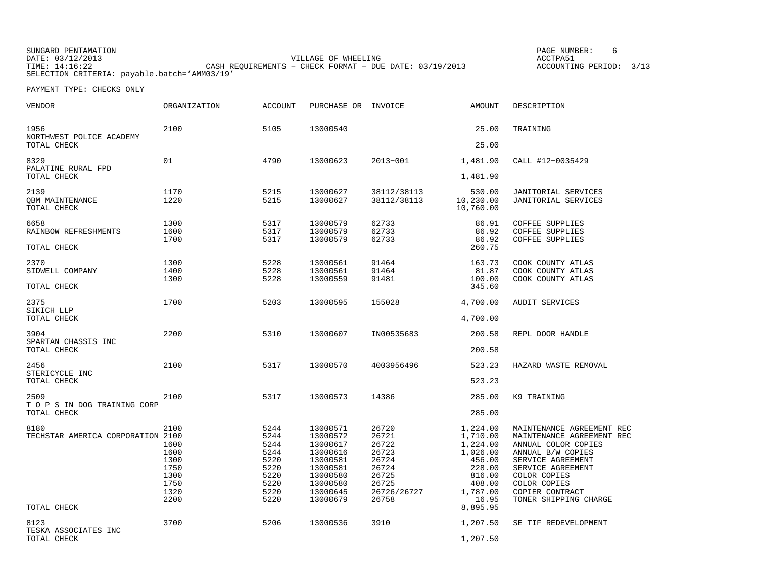SUNGARD PENTAMATION DATE: 03/12/2013 VILLAGE OF WHEELING ACCTPA51 TIME: 14:16:22 CASH REQUIREMENTS − CHECK FORMAT − DUE DATE: 03/19/2013 ACCOUNTING PERIOD: 3/13

PAGE NUMBER: 6

SELECTION CRITERIA: payable.batch='AMM03/19'

| VENDOR                                      | ORGANIZATION | <b>ACCOUNT</b> | PURCHASE OR INVOICE  |                            | AMOUNT                           | DESCRIPTION                                              |
|---------------------------------------------|--------------|----------------|----------------------|----------------------------|----------------------------------|----------------------------------------------------------|
| 1956<br>NORTHWEST POLICE ACADEMY            | 2100         | 5105           | 13000540             |                            | 25.00                            | TRAINING                                                 |
| TOTAL CHECK                                 |              |                |                      |                            | 25.00                            |                                                          |
| 8329<br>PALATINE RURAL FPD                  | 01           | 4790           | 13000623             | 2013-001                   | 1,481.90                         | CALL #12-0035429                                         |
| TOTAL CHECK                                 |              |                |                      |                            | 1,481.90                         |                                                          |
| 2139<br>OBM MAINTENANCE<br>TOTAL CHECK      | 1170<br>1220 | 5215<br>5215   | 13000627<br>13000627 | 38112/38113<br>38112/38113 | 530.00<br>10,230.00<br>10,760.00 | <b>JANITORIAL SERVICES</b><br><b>JANITORIAL SERVICES</b> |
| 6658                                        | 1300         | 5317           | 13000579             | 62733                      | 86.91                            | COFFEE SUPPLIES                                          |
| RAINBOW REFRESHMENTS<br>TOTAL CHECK         | 1600<br>1700 | 5317<br>5317   | 13000579<br>13000579 | 62733<br>62733             | 86.92<br>86.92<br>260.75         | <b>COFFEE SUPPLIES</b><br><b>COFFEE SUPPLIES</b>         |
|                                             |              |                |                      |                            |                                  |                                                          |
| 2370<br>SIDWELL COMPANY                     | 1300<br>1400 | 5228<br>5228   | 13000561<br>13000561 | 91464<br>91464             | 163.73<br>81.87                  | COOK COUNTY ATLAS<br>COOK COUNTY ATLAS                   |
| TOTAL CHECK                                 | 1300         | 5228           | 13000559             | 91481                      | 100.00<br>345.60                 | COOK COUNTY ATLAS                                        |
| 2375                                        | 1700         | 5203           | 13000595             | 155028                     | 4,700.00                         | <b>AUDIT SERVICES</b>                                    |
| SIKICH LLP<br>TOTAL CHECK                   |              |                |                      |                            | 4,700.00                         |                                                          |
| 3904                                        | 2200         | 5310           | 13000607             | IN00535683                 | 200.58                           | REPL DOOR HANDLE                                         |
| SPARTAN CHASSIS INC<br>TOTAL CHECK          |              |                |                      |                            | 200.58                           |                                                          |
| 2456                                        | 2100         | 5317           | 13000570             | 4003956496                 | 523.23                           | HAZARD WASTE REMOVAL                                     |
| STERICYCLE INC<br>TOTAL CHECK               |              |                |                      |                            | 523.23                           |                                                          |
| 2509                                        | 2100         | 5317           | 13000573             | 14386                      | 285.00                           | K9 TRAINING                                              |
| T O P S IN DOG TRAINING CORP<br>TOTAL CHECK |              |                |                      |                            | 285.00                           |                                                          |
| 8180<br>TECHSTAR AMERICA CORPORATION 2100   | 2100         | 5244<br>5244   | 13000571<br>13000572 | 26720<br>26721             | 1,224.00<br>1,710.00             | MAINTENANCE AGREEMENT REC<br>MAINTENANCE AGREEMENT REC   |
|                                             | 1600<br>1600 | 5244<br>5244   | 13000617<br>13000616 | 26722<br>26723             | 1,224.00<br>1,026.00             | ANNUAL COLOR COPIES<br>ANNUAL B/W COPIES                 |
|                                             | 1300         | 5220           | 13000581             | 26724                      | 456.00                           | SERVICE AGREEMENT                                        |
|                                             | 1750         | 5220           | 13000581             | 26724                      | 228.00                           | SERVICE AGREEMENT                                        |
|                                             | 1300         | 5220           | 13000580             | 26725                      | 816.00                           | COLOR COPIES                                             |
|                                             | 1750<br>1320 | 5220<br>5220   | 13000580<br>13000645 | 26725<br>26726/26727       | 408.00<br>1,787.00               | COLOR COPIES<br>COPIER CONTRACT                          |
| TOTAL CHECK                                 | 2200         | 5220           | 13000679             | 26758                      | 16.95<br>8,895.95                | TONER SHIPPING CHARGE                                    |
|                                             |              |                |                      |                            |                                  |                                                          |
| 8123<br>TESKA ASSOCIATES INC                | 3700         | 5206           | 13000536             | 3910                       | 1,207.50                         | SE TIF REDEVELOPMENT                                     |
| TOTAL CHECK                                 |              |                |                      |                            | 1,207.50                         |                                                          |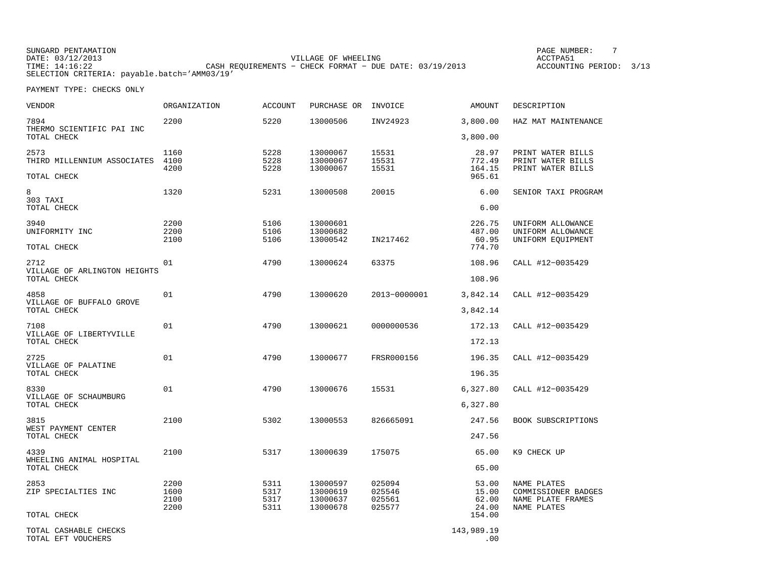| <b>VENDOR</b>                                       | ORGANIZATION | <b>ACCOUNT</b> | PURCHASE OR INVOICE  |                  | AMOUNT                   | DESCRIPTION                              |
|-----------------------------------------------------|--------------|----------------|----------------------|------------------|--------------------------|------------------------------------------|
| 7894<br>THERMO SCIENTIFIC PAI INC                   | 2200         | 5220           | 13000506             | INV24923         | 3,800.00                 | HAZ MAT MAINTENANCE                      |
| TOTAL CHECK                                         |              |                |                      |                  | 3,800.00                 |                                          |
| 2573                                                | 1160         | 5228           | 13000067             | 15531            | 28.97                    | PRINT WATER BILLS                        |
| THIRD MILLENNIUM ASSOCIATES                         | 4100<br>4200 | 5228<br>5228   | 13000067<br>13000067 | 15531<br>15531   | 772.49<br>164.15         | PRINT WATER BILLS<br>PRINT WATER BILLS   |
| TOTAL CHECK                                         |              |                |                      |                  | 965.61                   |                                          |
| 8                                                   | 1320         | 5231           | 13000508             | 20015            | 6.00                     | SENIOR TAXI PROGRAM                      |
| 303 TAXI<br>TOTAL CHECK                             |              |                |                      |                  | 6.00                     |                                          |
| 3940                                                | 2200         | 5106           | 13000601             |                  | 226.75                   | UNIFORM ALLOWANCE                        |
| UNIFORMITY INC                                      | 2200         | 5106           | 13000682             |                  | 487.00                   | UNIFORM ALLOWANCE                        |
| TOTAL CHECK                                         | 2100         | 5106           | 13000542             | IN217462         | 60.95<br>774.70          | UNIFORM EQUIPMENT                        |
| 2712<br>VILLAGE OF ARLINGTON HEIGHTS<br>TOTAL CHECK | 01           | 4790           | 13000624             | 63375            | 108.96                   | CALL #12-0035429                         |
|                                                     |              |                |                      |                  | 108.96                   |                                          |
| 4858<br>VILLAGE OF BUFFALO GROVE<br>TOTAL CHECK     | 01           | 4790           | 13000620             | 2013-0000001     | 3,842.14                 | CALL #12-0035429                         |
|                                                     |              |                |                      |                  | 3,842.14                 |                                          |
| 7108                                                | 01           | 4790           | 13000621             | 0000000536       | 172.13                   | CALL #12-0035429                         |
| VILLAGE OF LIBERTYVILLE<br>TOTAL CHECK              |              |                |                      |                  | 172.13                   |                                          |
| 2725<br>VILLAGE OF PALATINE<br>TOTAL CHECK          | 01           | 4790           | 13000677             | FRSR000156       | 196.35                   | CALL #12-0035429                         |
|                                                     |              |                |                      |                  | 196.35                   |                                          |
| 8330                                                | 01           | 4790           | 13000676             | 15531            | 6,327.80                 | CALL #12-0035429                         |
| VILLAGE OF SCHAUMBURG<br>TOTAL CHECK                |              |                |                      |                  | 6,327.80                 |                                          |
| 3815                                                | 2100         | 5302           | 13000553             | 826665091        | 247.56                   | BOOK SUBSCRIPTIONS                       |
| WEST PAYMENT CENTER<br>TOTAL CHECK                  |              |                |                      |                  | 247.56                   |                                          |
| 4339<br>WHEELING ANIMAL HOSPITAL<br>TOTAL CHECK     | 2100         | 5317           | 13000639             | 175075           | 65.00                    | K9 CHECK UP                              |
|                                                     |              |                |                      |                  | 65.00                    |                                          |
| 2853                                                | 2200         | 5311           | 13000597             | 025094           | 53.00                    | NAME PLATES                              |
| ZIP SPECIALTIES INC                                 | 1600<br>2100 | 5317<br>5317   | 13000619<br>13000637 | 025546<br>025561 | 15.00<br>62.00           | COMMISSIONER BADGES<br>NAME PLATE FRAMES |
|                                                     | 2200         | 5311           | 13000678             | 025577           | 24.00                    | NAME PLATES                              |
| TOTAL CHECK                                         |              |                |                      |                  | 154.00                   |                                          |
| TOTAL CASHABLE CHECKS<br>TOTAL EFT VOUCHERS         |              |                |                      |                  | 143,989.19<br>$\sim$ 0.0 |                                          |